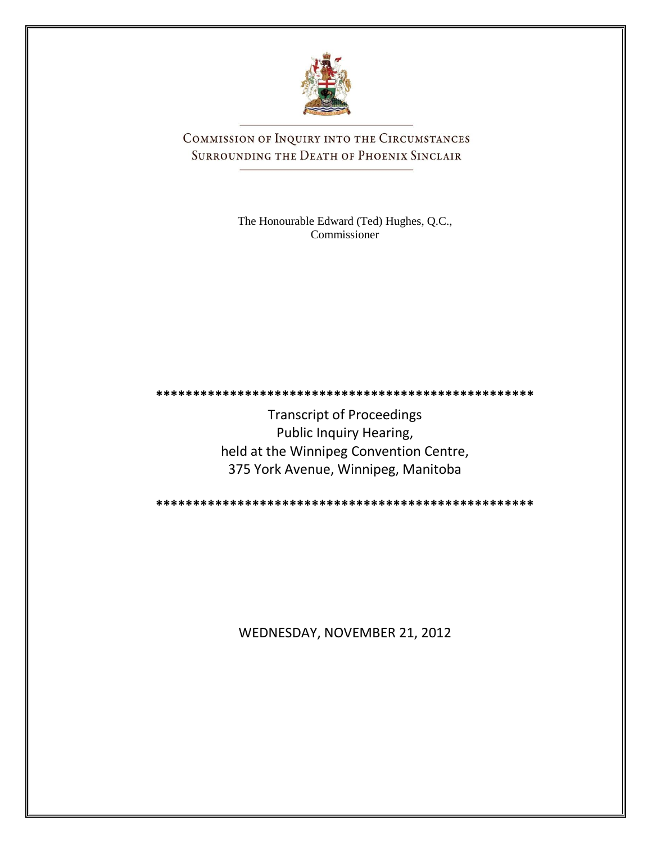

COMMISSION OF INQUIRY INTO THE CIRCUMSTANCES SURROUNDING THE DEATH OF PHOENIX SINCLAIR

> The Honourable Edward (Ted) Hughes, Q.C., Commissioner

Transcript of Proceedings Public Inquiry Hearing, held at the Winnipeg Convention Centre, 375 York Avenue, Winnipeg, Manitoba

**\*\*\*\*\*\*\*\*\*\*\*\*\*\*\*\*\*\*\*\*\*\*\*\*\*\*\*\*\*\*\*\*\*\*\*\*\*\*\*\*\*\*\*\*\*\*\*\*\*\*\***

**\*\*\*\*\*\*\*\*\*\*\*\*\*\*\*\*\*\*\*\*\*\*\*\*\*\*\*\*\*\*\*\*\*\*\*\*\*\*\*\*\*\*\*\*\*\*\*\*\*\*\***

WEDNESDAY, NOVEMBER 21, 2012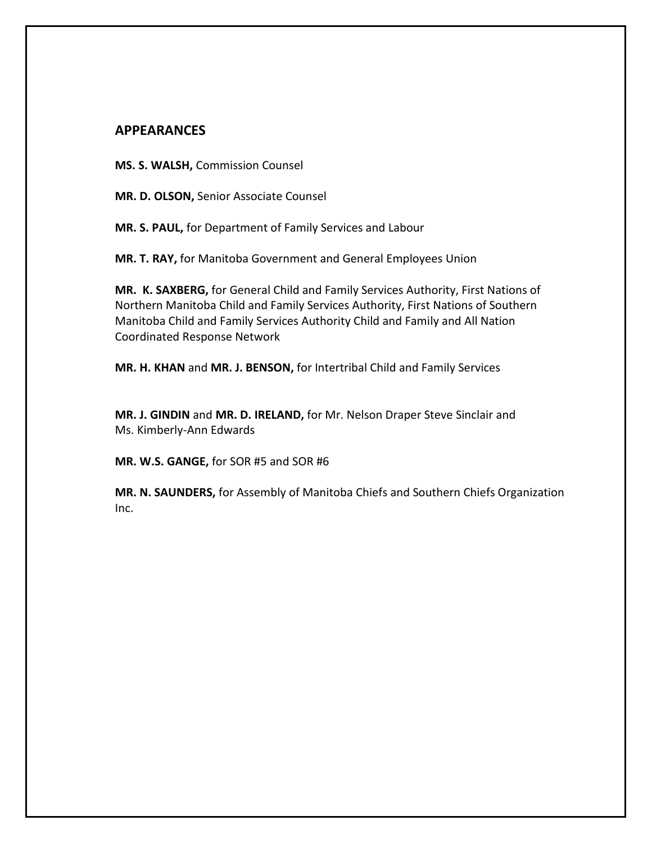### **APPEARANCES**

**MS. S. WALSH,** Commission Counsel

**MR. D. OLSON,** Senior Associate Counsel

**MR. S. PAUL,** for Department of Family Services and Labour

**MR. T. RAY,** for Manitoba Government and General Employees Union

**MR. K. SAXBERG,** for General Child and Family Services Authority, First Nations of Northern Manitoba Child and Family Services Authority, First Nations of Southern Manitoba Child and Family Services Authority Child and Family and All Nation Coordinated Response Network

**MR. H. KHAN** and **MR. J. BENSON,** for Intertribal Child and Family Services

**MR. J. GINDIN** and **MR. D. IRELAND,** for Mr. Nelson Draper Steve Sinclair and Ms. Kimberly-Ann Edwards

**MR. W.S. GANGE,** for SOR #5 and SOR #6

**MR. N. SAUNDERS,** for Assembly of Manitoba Chiefs and Southern Chiefs Organization Inc.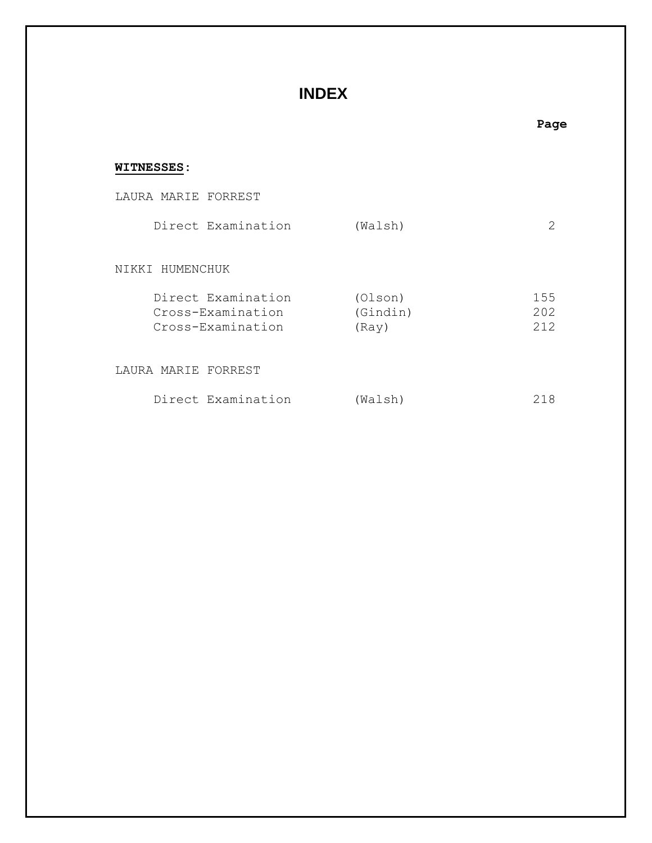## **INDEX**

# **WITNESSES:** LAURA MARIE FORREST Direct Examination (Walsh) 2 NIKKI HUMENCHUK Direct Examination (Olson) 155 Cross-Examination (Gindin) 202 Cross-Examination (Ray) 212 LAURA MARIE FORREST

| Direct Examination | 218<br>(Walsh) |  |
|--------------------|----------------|--|
|--------------------|----------------|--|

### **Page**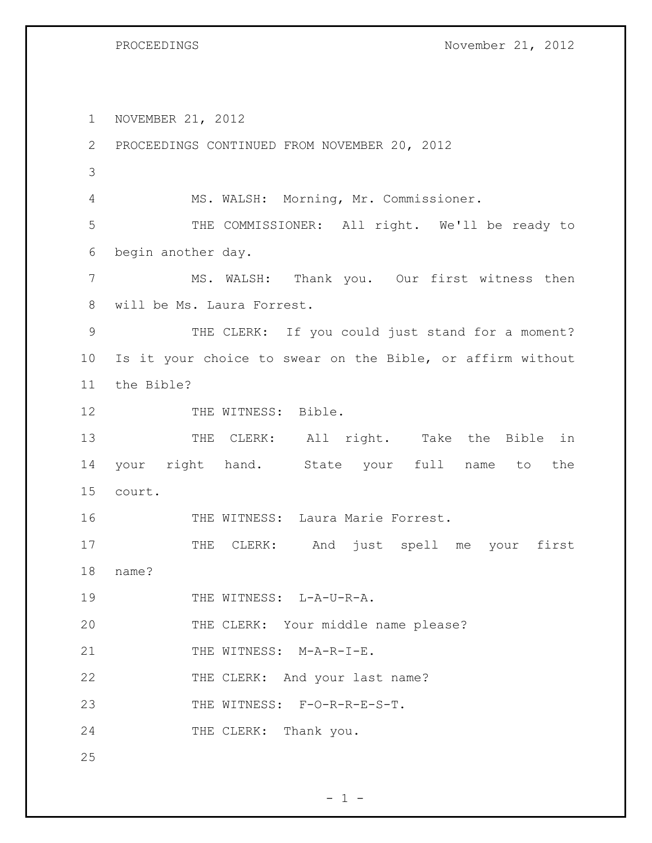PROCEEDINGS November 21, 2012

1 NOVEMBER 21, 2012 2 PROCEEDINGS CONTINUED FROM NOVEMBER 20, 2012 3 4 MS. WALSH: Morning, Mr. Commissioner. 5 THE COMMISSIONER: All right. We'll be ready to 6 begin another day. 7 MS. WALSH: Thank you. Our first witness then 8 will be Ms. Laura Forrest. 9 THE CLERK: If you could just stand for a moment? 10 Is it your choice to swear on the Bible, or affirm without 11 the Bible? 12 THE WITNESS: Bible. 13 THE CLERK: All right. Take the Bible in 14 your right hand. State your full name to the 15 court. 16 THE WITNESS: Laura Marie Forrest. 17 THE CLERK: And just spell me your first 18 name? 19 THE WITNESS: L-A-U-R-A. 20 THE CLERK: Your middle name please? 21 THE WITNESS: M-A-R-I-E. 22 THE CLERK: And your last name? 23 THE WITNESS: F-O-R-R-E-S-T. 24 THE CLERK: Thank you. 25

 $- 1 -$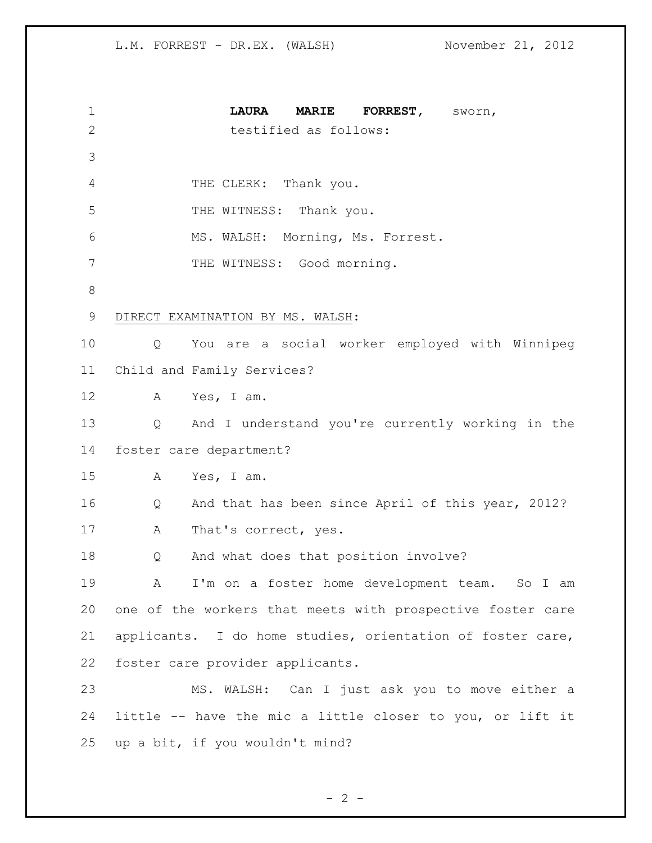| 1              | <b>MARIE</b><br><b>LAURA</b><br><b>FORREST,</b><br>sworn,  |
|----------------|------------------------------------------------------------|
| $\overline{2}$ | testified as follows:                                      |
| 3              |                                                            |
| 4              | THE CLERK: Thank you.                                      |
| 5              | THE WITNESS: Thank you.                                    |
| 6              | MS. WALSH: Morning, Ms. Forrest.                           |
| 7              | THE WITNESS: Good morning.                                 |
| 8              |                                                            |
| 9              | DIRECT EXAMINATION BY MS. WALSH:                           |
| 10             | You are a social worker employed with Winnipeg<br>Q        |
| 11             | Child and Family Services?                                 |
| 12             | Yes, I am.<br>A                                            |
| 13             | And I understand you're currently working in the<br>Q      |
| 14             | foster care department?                                    |
| 15             | Yes, I am.<br>A                                            |
| 16             | And that has been since April of this year, 2012?<br>Q     |
| 17             | Α<br>That's correct, yes.                                  |
| 18             | And what does that position involve?<br>Q                  |
| 19             | I'm on a foster home development team. So I am<br>A        |
| 20             | one of the workers that meets with prospective foster care |
| 21             | applicants. I do home studies, orientation of foster care, |
| 22             | foster care provider applicants.                           |
| 23             | MS. WALSH: Can I just ask you to move either a             |
| 24             | little -- have the mic a little closer to you, or lift it  |
| 25             | up a bit, if you wouldn't mind?                            |

$$
-2 -
$$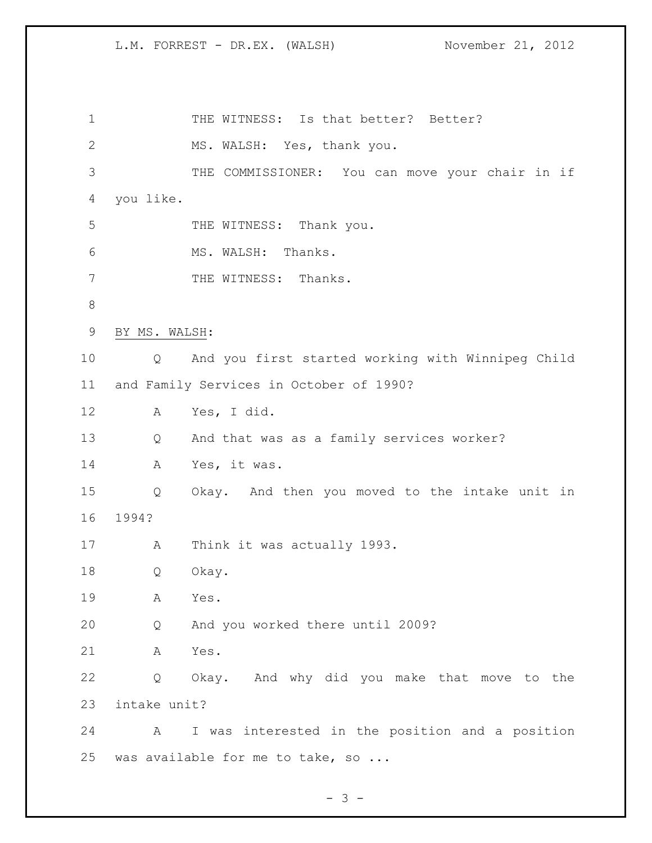1 THE WITNESS: Is that better? Better? MS. WALSH: Yes, thank you. THE COMMISSIONER: You can move your chair in if you like. 5 THE WITNESS: Thank you. MS. WALSH: Thanks. 7 THE WITNESS: Thanks. BY MS. WALSH: Q And you first started working with Winnipeg Child and Family Services in October of 1990? A Yes, I did. Q And that was as a family services worker? A Yes, it was. Q Okay. And then you moved to the intake unit in 1994? A Think it was actually 1993. Q Okay. A Yes. Q And you worked there until 2009? A Yes. Q Okay. And why did you make that move to the intake unit? A I was interested in the position and a position 25 was available for me to take, so ...

- 3 -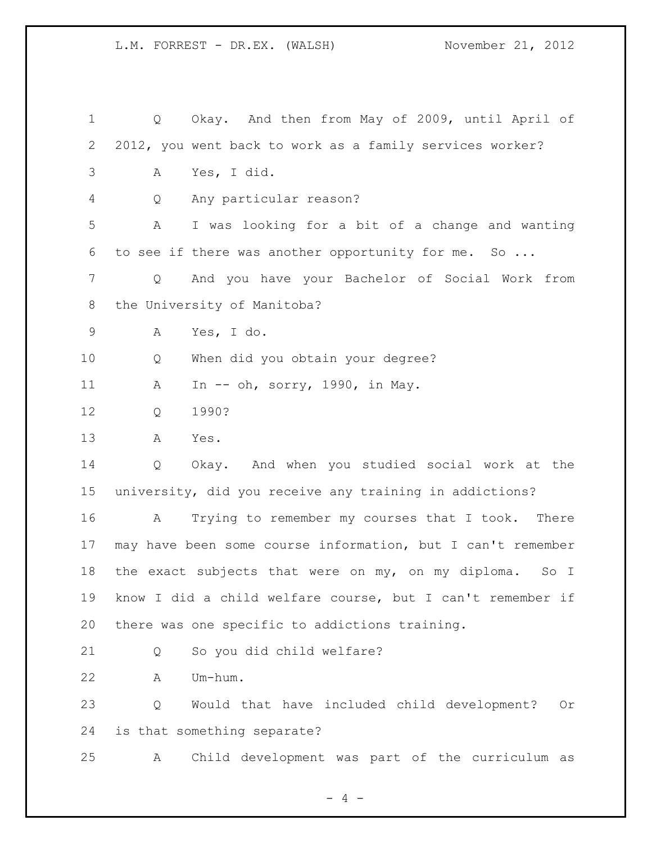Q Okay. And then from May of 2009, until April of 2012, you went back to work as a family services worker? A Yes, I did. Q Any particular reason? A I was looking for a bit of a change and wanting to see if there was another opportunity for me. So ... Q And you have your Bachelor of Social Work from the University of Manitoba? A Yes, I do. Q When did you obtain your degree? A In -- oh, sorry, 1990, in May. Q 1990? A Yes. Q Okay. And when you studied social work at the university, did you receive any training in addictions? A Trying to remember my courses that I took. There may have been some course information, but I can't remember 18 the exact subjects that were on my, on my diploma. So I know I did a child welfare course, but I can't remember if there was one specific to addictions training. Q So you did child welfare? A Um-hum. Q Would that have included child development? Or is that something separate? A Child development was part of the curriculum as

 $- 4 -$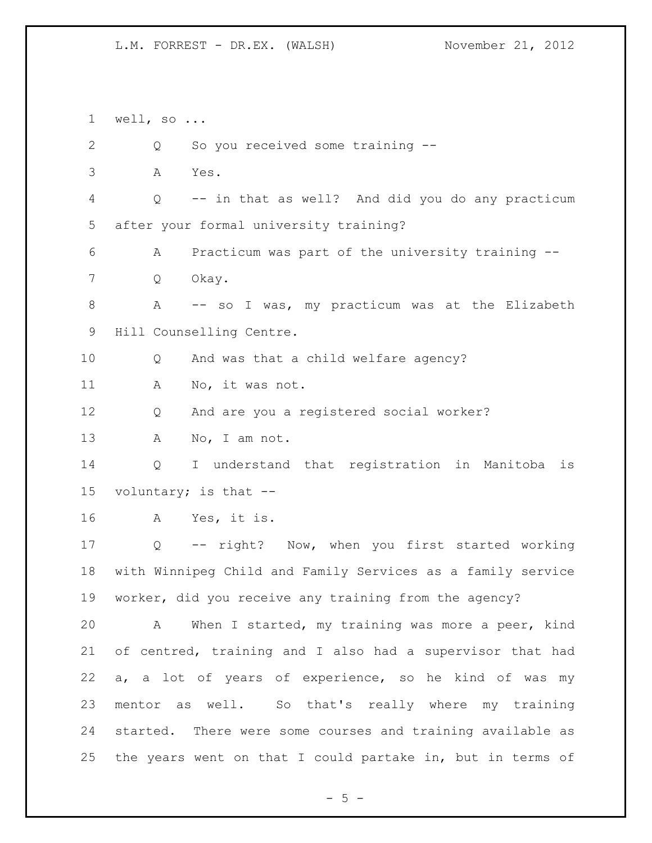well, so ... 2 Q So you received some training -- A Yes. Q -- in that as well? And did you do any practicum after your formal university training? A Practicum was part of the university training -- Q Okay. 8 A -- so I was, my practicum was at the Elizabeth Hill Counselling Centre. Q And was that a child welfare agency? A No, it was not. Q And are you a registered social worker? 13 A No, I am not. Q I understand that registration in Manitoba is voluntary; is that -- A Yes, it is. Q -- right? Now, when you first started working with Winnipeg Child and Family Services as a family service worker, did you receive any training from the agency? A When I started, my training was more a peer, kind of centred, training and I also had a supervisor that had a, a lot of years of experience, so he kind of was my mentor as well. So that's really where my training started. There were some courses and training available as the years went on that I could partake in, but in terms of

 $- 5 -$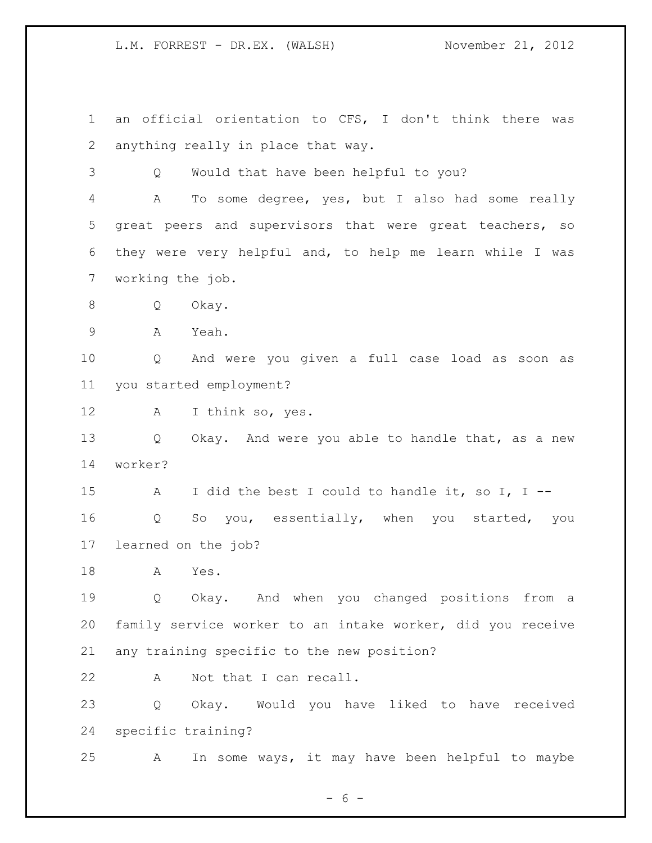an official orientation to CFS, I don't think there was anything really in place that way. Q Would that have been helpful to you? A To some degree, yes, but I also had some really great peers and supervisors that were great teachers, so they were very helpful and, to help me learn while I was working the job. Q Okay. A Yeah. Q And were you given a full case load as soon as you started employment? A I think so, yes. 13 Q Okay. And were you able to handle that, as a new worker? A I did the best I could to handle it, so I, I -- Q So you, essentially, when you started, you learned on the job? A Yes. Q Okay. And when you changed positions from a family service worker to an intake worker, did you receive any training specific to the new position? 22 A Not that I can recall. Q Okay. Would you have liked to have received specific training? A In some ways, it may have been helpful to maybe

 $- 6 -$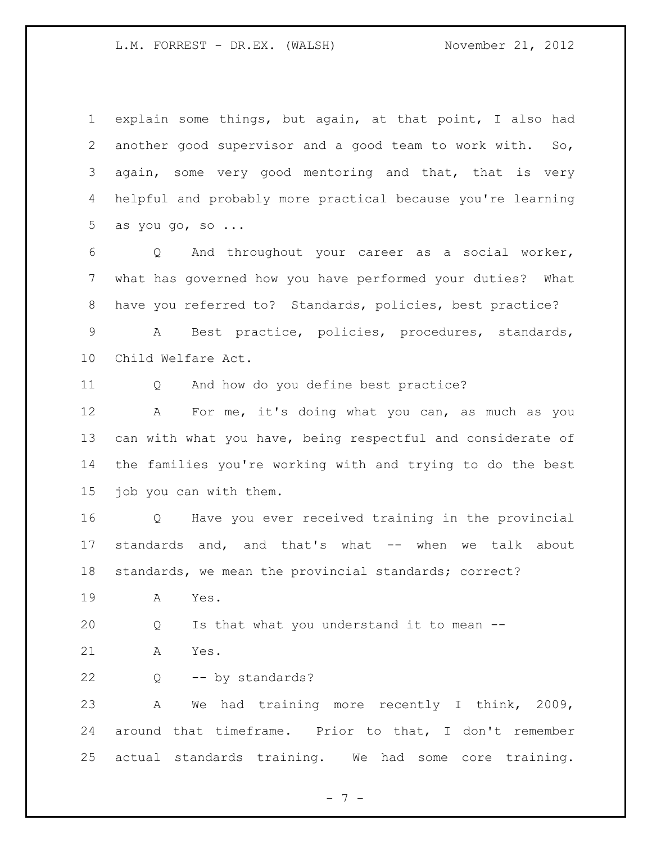explain some things, but again, at that point, I also had another good supervisor and a good team to work with. So, 3 again, some very good mentoring and that, that is very helpful and probably more practical because you're learning as you go, so ...

 Q And throughout your career as a social worker, what has governed how you have performed your duties? What have you referred to? Standards, policies, best practice?

 A Best practice, policies, procedures, standards, Child Welfare Act.

Q And how do you define best practice?

 A For me, it's doing what you can, as much as you can with what you have, being respectful and considerate of the families you're working with and trying to do the best job you can with them.

 Q Have you ever received training in the provincial standards and, and that's what -- when we talk about standards, we mean the provincial standards; correct?

A Yes.

Q Is that what you understand it to mean --

A Yes.

Q -- by standards?

 A We had training more recently I think, 2009, around that timeframe. Prior to that, I don't remember actual standards training. We had some core training.

- 7 -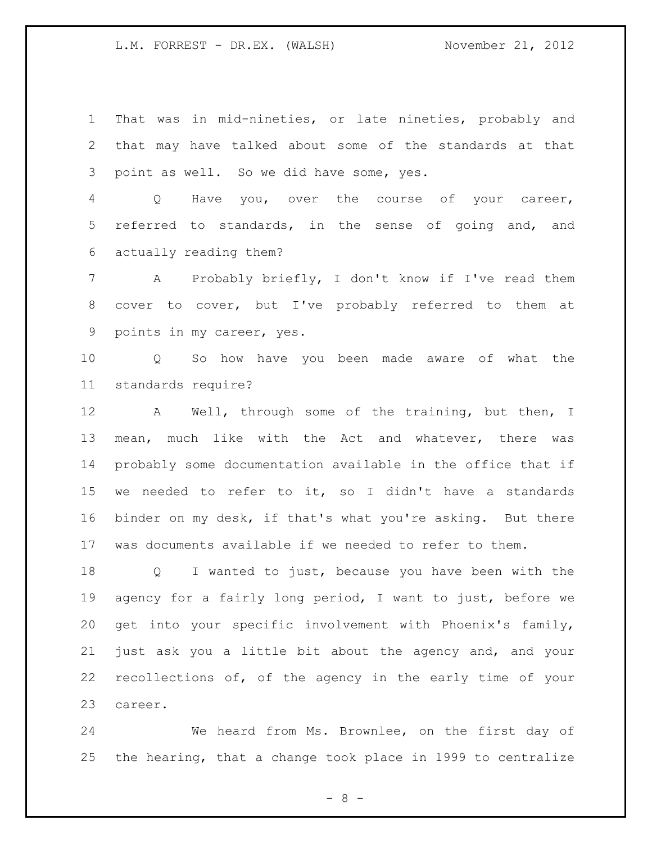That was in mid-nineties, or late nineties, probably and that may have talked about some of the standards at that point as well. So we did have some, yes.

 Q Have you, over the course of your career, referred to standards, in the sense of going and, and actually reading them?

 A Probably briefly, I don't know if I've read them cover to cover, but I've probably referred to them at points in my career, yes.

 Q So how have you been made aware of what the standards require?

 A Well, through some of the training, but then, I mean, much like with the Act and whatever, there was probably some documentation available in the office that if we needed to refer to it, so I didn't have a standards binder on my desk, if that's what you're asking. But there was documents available if we needed to refer to them.

 Q I wanted to just, because you have been with the agency for a fairly long period, I want to just, before we get into your specific involvement with Phoenix's family, just ask you a little bit about the agency and, and your recollections of, of the agency in the early time of your career.

 We heard from Ms. Brownlee, on the first day of the hearing, that a change took place in 1999 to centralize

- 8 -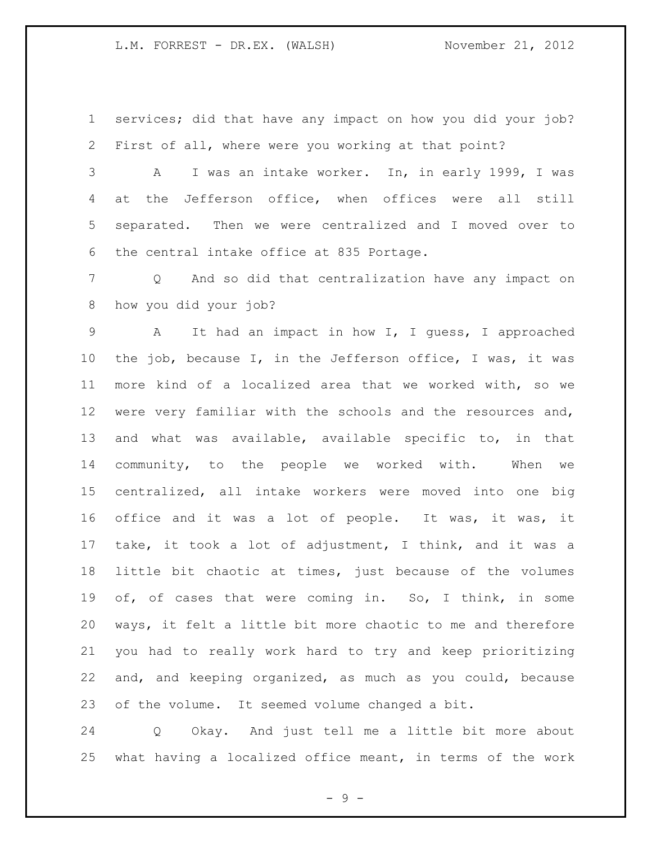services; did that have any impact on how you did your job? First of all, where were you working at that point?

 A I was an intake worker. In, in early 1999, I was at the Jefferson office, when offices were all still separated. Then we were centralized and I moved over to the central intake office at 835 Portage.

 Q And so did that centralization have any impact on how you did your job?

 A It had an impact in how I, I guess, I approached the job, because I, in the Jefferson office, I was, it was more kind of a localized area that we worked with, so we 12 were very familiar with the schools and the resources and, and what was available, available specific to, in that community, to the people we worked with. When we centralized, all intake workers were moved into one big office and it was a lot of people. It was, it was, it take, it took a lot of adjustment, I think, and it was a little bit chaotic at times, just because of the volumes of, of cases that were coming in. So, I think, in some ways, it felt a little bit more chaotic to me and therefore you had to really work hard to try and keep prioritizing and, and keeping organized, as much as you could, because of the volume. It seemed volume changed a bit.

 Q Okay. And just tell me a little bit more about what having a localized office meant, in terms of the work

 $-9 -$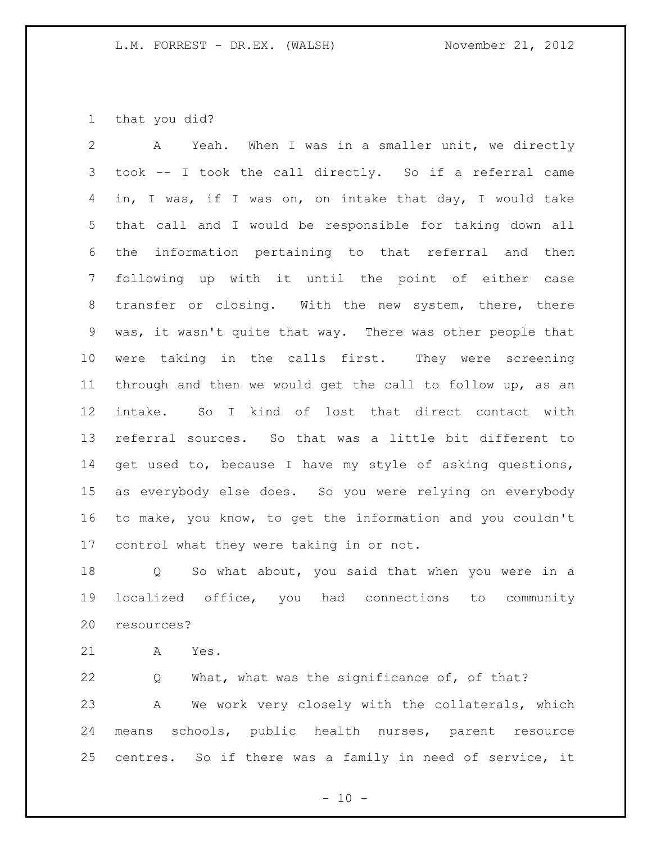that you did?

 A Yeah. When I was in a smaller unit, we directly took -- I took the call directly. So if a referral came in, I was, if I was on, on intake that day, I would take that call and I would be responsible for taking down all the information pertaining to that referral and then following up with it until the point of either case transfer or closing. With the new system, there, there was, it wasn't quite that way. There was other people that were taking in the calls first. They were screening through and then we would get the call to follow up, as an intake. So I kind of lost that direct contact with referral sources. So that was a little bit different to 14 get used to, because I have my style of asking questions, as everybody else does. So you were relying on everybody to make, you know, to get the information and you couldn't control what they were taking in or not.

 Q So what about, you said that when you were in a localized office, you had connections to community resources?

A Yes.

 Q What, what was the significance of, of that? A We work very closely with the collaterals, which means schools, public health nurses, parent resource centres. So if there was a family in need of service, it

 $- 10 -$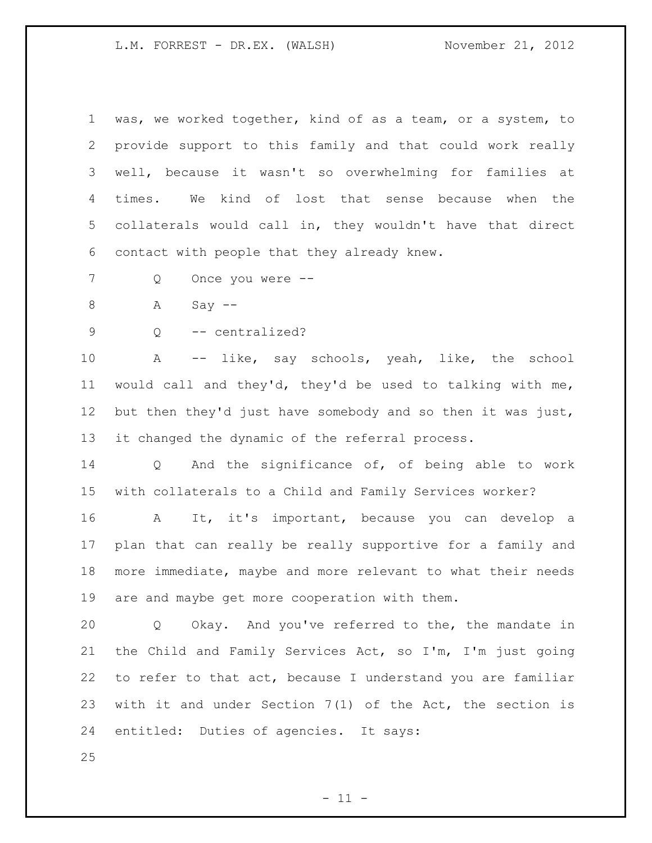was, we worked together, kind of as a team, or a system, to provide support to this family and that could work really well, because it wasn't so overwhelming for families at times. We kind of lost that sense because when the collaterals would call in, they wouldn't have that direct contact with people that they already knew.

Q Once you were --

8 A Say --

Q -- centralized?

 A -- like, say schools, yeah, like, the school would call and they'd, they'd be used to talking with me, but then they'd just have somebody and so then it was just, it changed the dynamic of the referral process.

 Q And the significance of, of being able to work with collaterals to a Child and Family Services worker?

 A It, it's important, because you can develop a plan that can really be really supportive for a family and more immediate, maybe and more relevant to what their needs are and maybe get more cooperation with them.

 Q Okay. And you've referred to the, the mandate in the Child and Family Services Act, so I'm, I'm just going to refer to that act, because I understand you are familiar with it and under Section 7(1) of the Act, the section is entitled: Duties of agencies. It says:

 $- 11 -$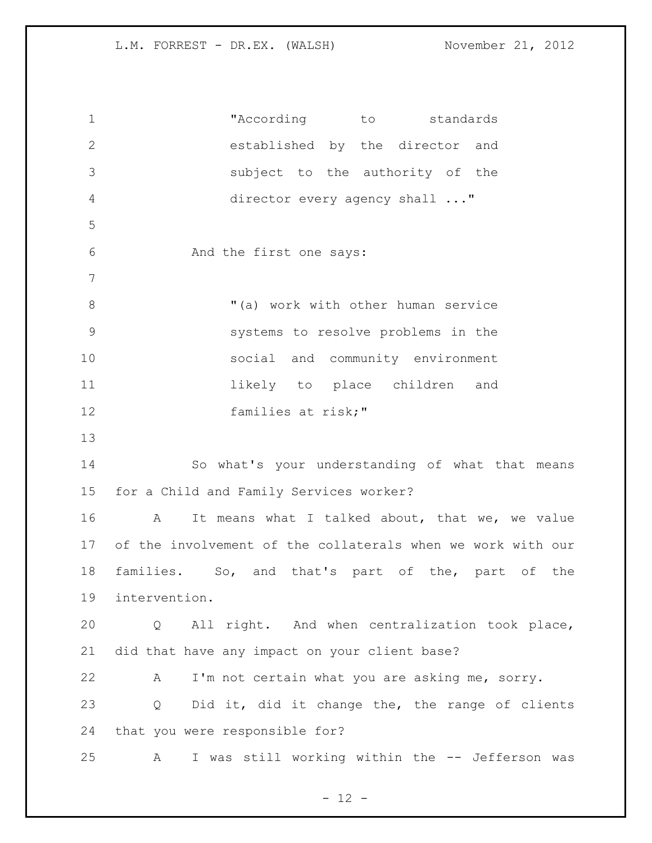"According to standards established by the director and subject to the authority of the director every agency shall ..." And the first one says: "(a) work with other human service systems to resolve problems in the social and community environment 11 11 likely to place children and families at risk;" So what's your understanding of what that means for a Child and Family Services worker? A It means what I talked about, that we, we value of the involvement of the collaterals when we work with our families. So, and that's part of the, part of the intervention. Q All right. And when centralization took place, did that have any impact on your client base? A I'm not certain what you are asking me, sorry. Q Did it, did it change the, the range of clients that you were responsible for? A I was still working within the -- Jefferson was

 $- 12 -$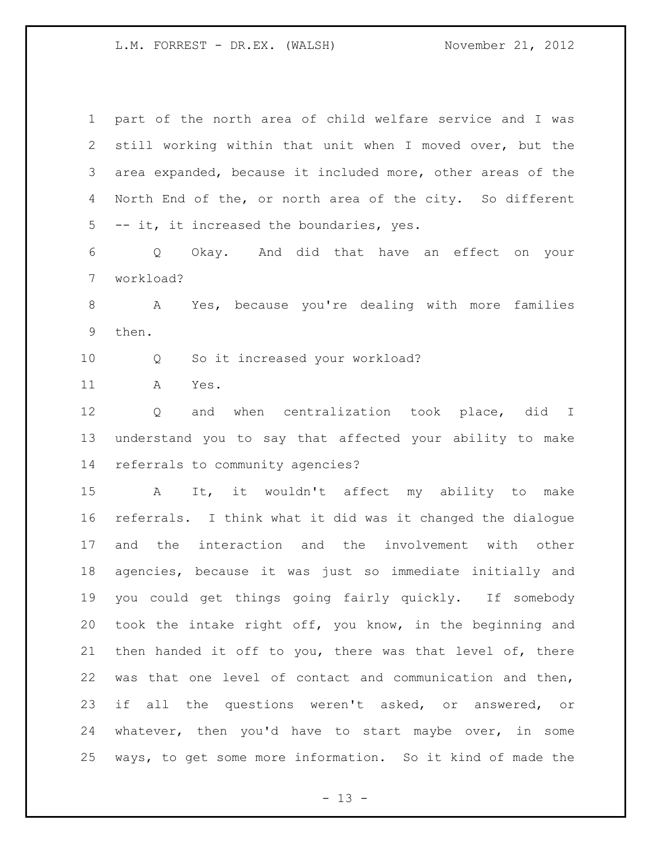| $\mathbf 1$  | part of the north area of child welfare service and I was   |
|--------------|-------------------------------------------------------------|
| $\mathbf{2}$ | still working within that unit when I moved over, but the   |
| 3            | area expanded, because it included more, other areas of the |
| 4            | North End of the, or north area of the city. So different   |
| 5            | -- it, it increased the boundaries, yes.                    |
| 6            | Q Okay. And did that have an effect on your                 |
| 7            | workload?                                                   |
| $\,8\,$      | A Yes, because you're dealing with more families            |
| $\mathsf 9$  | then.                                                       |
| 10           | So it increased your workload?<br>Q                         |
| 11           | Yes.<br>A                                                   |
| 12           | when centralization took place, did I<br>Q<br>and           |
| 13           | understand you to say that affected your ability to make    |
| 14           | referrals to community agencies?                            |
|              |                                                             |
| 15           | It, it wouldn't affect my ability to make<br>A              |
| 16           | referrals. I think what it did was it changed the dialogue  |
| 17           | and the interaction and the involvement with other          |
| 18           | agencies, because it was just so immediate initially and    |
| 19           | you could get things going fairly quickly. If somebody      |
| 20           | took the intake right off, you know, in the beginning and   |
| 21           | then handed it off to you, there was that level of, there   |
| 22           | was that one level of contact and communication and then,   |
| 23           | if all the questions weren't asked, or answered, or         |
| 24           | whatever, then you'd have to start maybe over, in some      |

- 13 -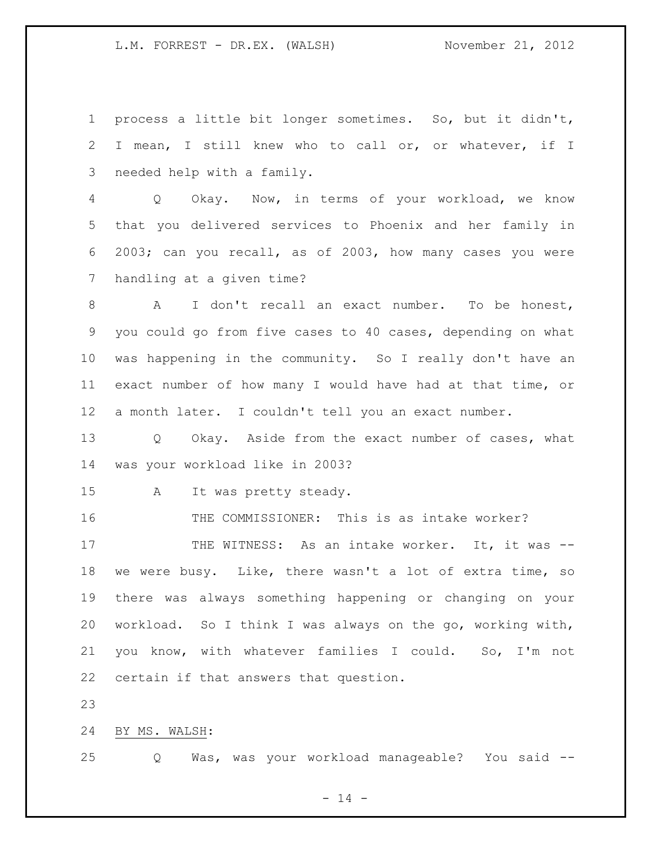process a little bit longer sometimes. So, but it didn't, I mean, I still knew who to call or, or whatever, if I needed help with a family.

 Q Okay. Now, in terms of your workload, we know that you delivered services to Phoenix and her family in 2003; can you recall, as of 2003, how many cases you were handling at a given time?

 A I don't recall an exact number. To be honest, you could go from five cases to 40 cases, depending on what was happening in the community. So I really don't have an exact number of how many I would have had at that time, or a month later. I couldn't tell you an exact number.

 Q Okay. Aside from the exact number of cases, what was your workload like in 2003?

A It was pretty steady.

16 THE COMMISSIONER: This is as intake worker?

17 THE WITNESS: As an intake worker. It, it was -- we were busy. Like, there wasn't a lot of extra time, so there was always something happening or changing on your workload. So I think I was always on the go, working with, you know, with whatever families I could. So, I'm not certain if that answers that question.

BY MS. WALSH:

Q Was, was your workload manageable? You said --

 $- 14 -$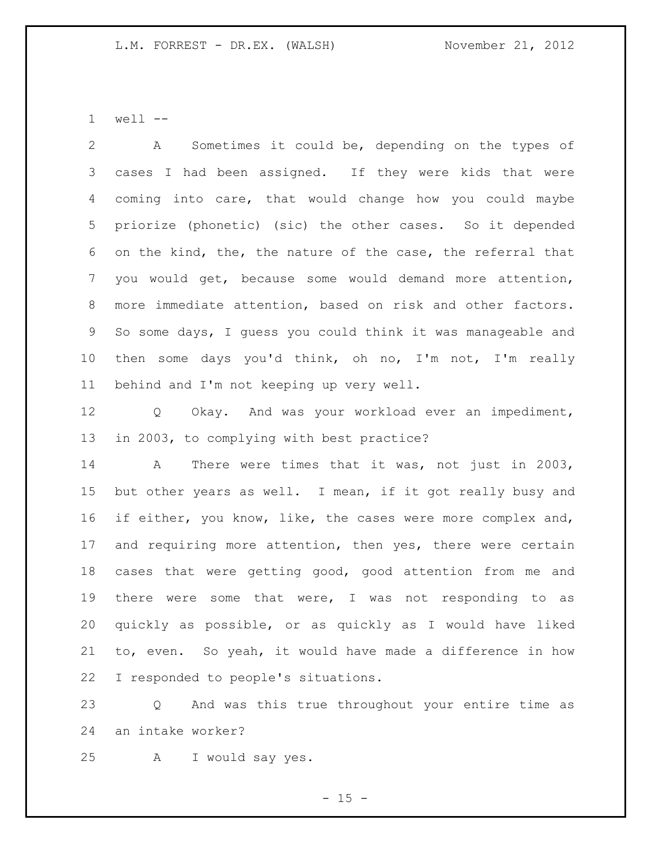well --

 A Sometimes it could be, depending on the types of cases I had been assigned. If they were kids that were coming into care, that would change how you could maybe priorize (phonetic) (sic) the other cases. So it depended on the kind, the, the nature of the case, the referral that you would get, because some would demand more attention, more immediate attention, based on risk and other factors. So some days, I guess you could think it was manageable and then some days you'd think, oh no, I'm not, I'm really behind and I'm not keeping up very well.

 Q Okay. And was your workload ever an impediment, in 2003, to complying with best practice?

 A There were times that it was, not just in 2003, but other years as well. I mean, if it got really busy and 16 if either, you know, like, the cases were more complex and, 17 and requiring more attention, then yes, there were certain cases that were getting good, good attention from me and there were some that were, I was not responding to as quickly as possible, or as quickly as I would have liked to, even. So yeah, it would have made a difference in how I responded to people's situations.

 Q And was this true throughout your entire time as an intake worker?

A I would say yes.

 $- 15 -$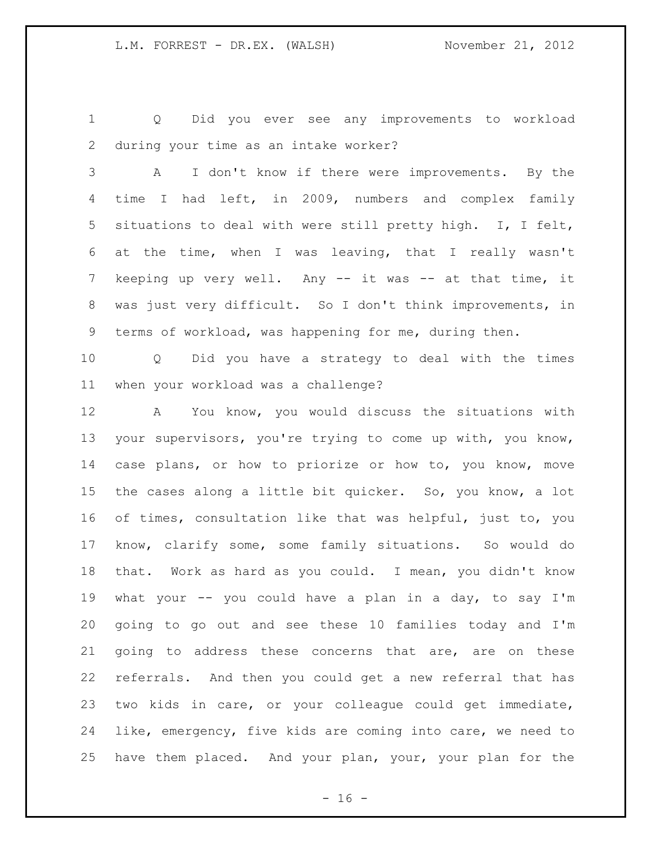Q Did you ever see any improvements to workload during your time as an intake worker?

 A I don't know if there were improvements. By the time I had left, in 2009, numbers and complex family situations to deal with were still pretty high. I, I felt, at the time, when I was leaving, that I really wasn't 7 keeping up very well. Any -- it was -- at that time, it was just very difficult. So I don't think improvements, in terms of workload, was happening for me, during then.

 Q Did you have a strategy to deal with the times when your workload was a challenge?

 A You know, you would discuss the situations with your supervisors, you're trying to come up with, you know, case plans, or how to priorize or how to, you know, move the cases along a little bit quicker. So, you know, a lot of times, consultation like that was helpful, just to, you know, clarify some, some family situations. So would do that. Work as hard as you could. I mean, you didn't know what your -- you could have a plan in a day, to say I'm going to go out and see these 10 families today and I'm going to address these concerns that are, are on these referrals. And then you could get a new referral that has two kids in care, or your colleague could get immediate, like, emergency, five kids are coming into care, we need to have them placed. And your plan, your, your plan for the

 $- 16 -$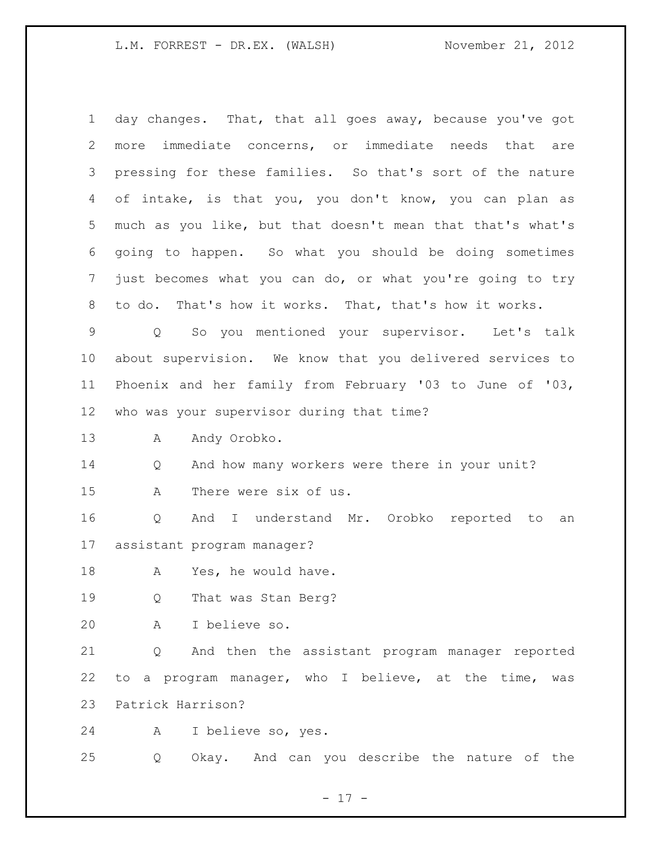day changes. That, that all goes away, because you've got more immediate concerns, or immediate needs that are pressing for these families. So that's sort of the nature of intake, is that you, you don't know, you can plan as much as you like, but that doesn't mean that that's what's going to happen. So what you should be doing sometimes just becomes what you can do, or what you're going to try to do. That's how it works. That, that's how it works. Q So you mentioned your supervisor. Let's talk about supervision. We know that you delivered services to Phoenix and her family from February '03 to June of '03, who was your supervisor during that time? 13 A Andy Orobko. Q And how many workers were there in your unit? A There were six of us. Q And I understand Mr. Orobko reported to an assistant program manager? 18 A Yes, he would have. Q That was Stan Berg? A I believe so. Q And then the assistant program manager reported to a program manager, who I believe, at the time, was Patrick Harrison? A I believe so, yes. Q Okay. And can you describe the nature of the

- 17 -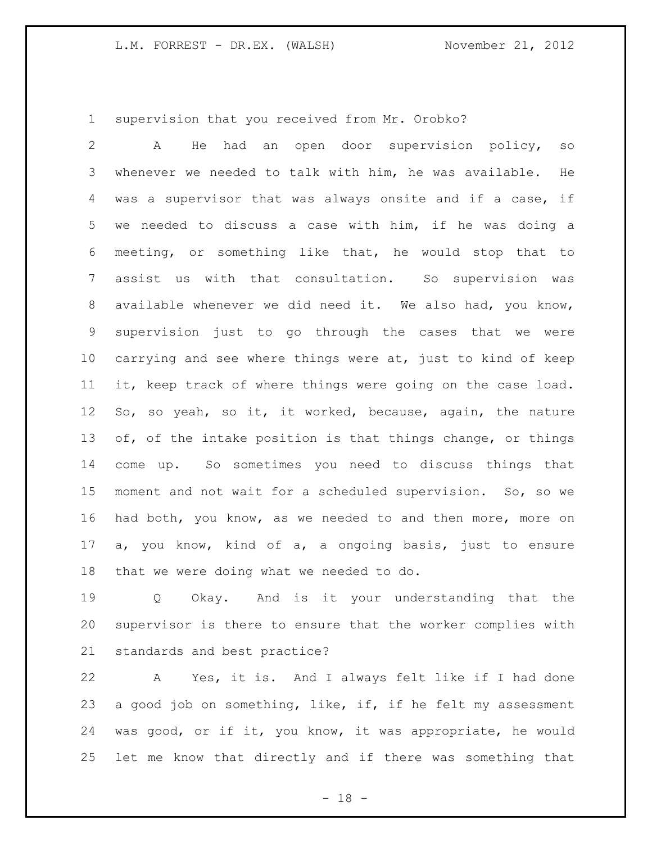supervision that you received from Mr. Orobko?

 A He had an open door supervision policy, so whenever we needed to talk with him, he was available. He was a supervisor that was always onsite and if a case, if we needed to discuss a case with him, if he was doing a meeting, or something like that, he would stop that to assist us with that consultation. So supervision was available whenever we did need it. We also had, you know, supervision just to go through the cases that we were carrying and see where things were at, just to kind of keep it, keep track of where things were going on the case load. So, so yeah, so it, it worked, because, again, the nature 13 of, of the intake position is that things change, or things come up. So sometimes you need to discuss things that moment and not wait for a scheduled supervision. So, so we had both, you know, as we needed to and then more, more on a, you know, kind of a, a ongoing basis, just to ensure that we were doing what we needed to do.

 Q Okay. And is it your understanding that the supervisor is there to ensure that the worker complies with standards and best practice?

 A Yes, it is. And I always felt like if I had done 23 a good job on something, like, if, if he felt my assessment was good, or if it, you know, it was appropriate, he would let me know that directly and if there was something that

- 18 -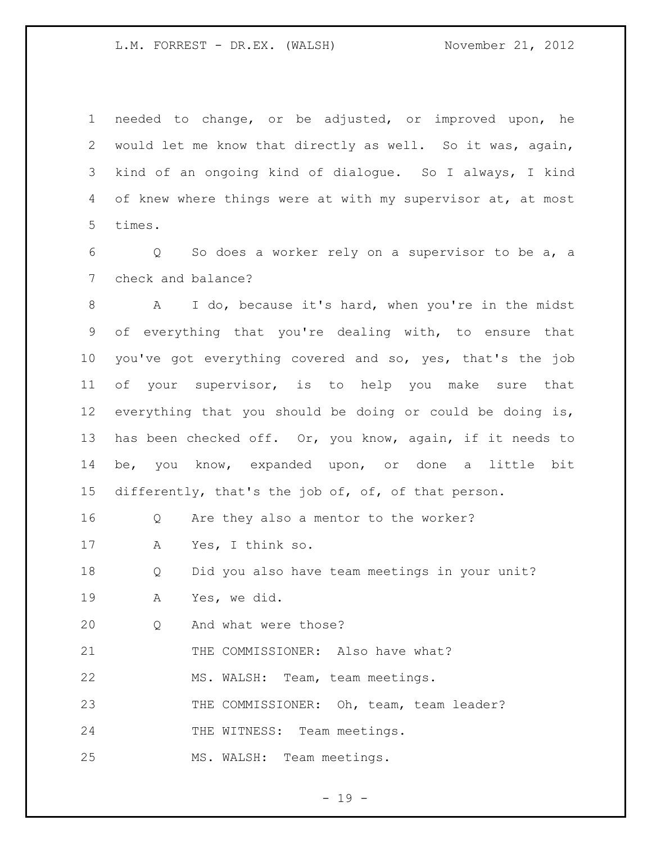needed to change, or be adjusted, or improved upon, he would let me know that directly as well. So it was, again, kind of an ongoing kind of dialogue. So I always, I kind 4 of knew where things were at with my supervisor at, at most times.

 Q So does a worker rely on a supervisor to be a, a check and balance?

 A I do, because it's hard, when you're in the midst of everything that you're dealing with, to ensure that you've got everything covered and so, yes, that's the job of your supervisor, is to help you make sure that everything that you should be doing or could be doing is, has been checked off. Or, you know, again, if it needs to be, you know, expanded upon, or done a little bit 15 differently, that's the job of, of, of that person.

Q Are they also a mentor to the worker?

A Yes, I think so.

Q Did you also have team meetings in your unit?

A Yes, we did.

Q And what were those?

21 THE COMMISSIONER: Also have what?

MS. WALSH: Team, team meetings.

23 THE COMMISSIONER: Oh, team, team leader?

24 THE WITNESS: Team meetings.

MS. WALSH: Team meetings.

 $- 19 -$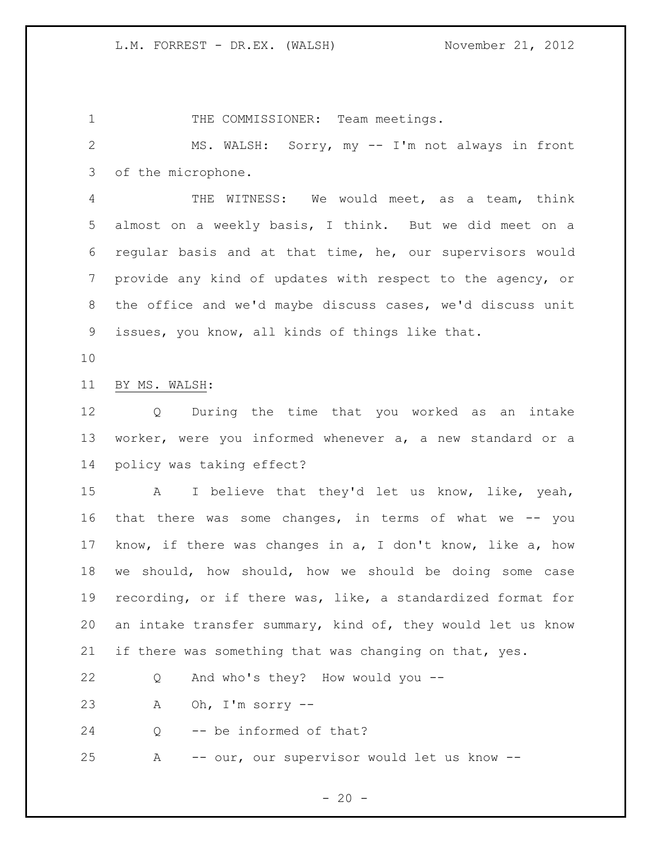1 THE COMMISSIONER: Team meetings. MS. WALSH: Sorry, my -- I'm not always in front of the microphone. THE WITNESS: We would meet, as a team, think almost on a weekly basis, I think. But we did meet on a regular basis and at that time, he, our supervisors would provide any kind of updates with respect to the agency, or the office and we'd maybe discuss cases, we'd discuss unit issues, you know, all kinds of things like that. BY MS. WALSH: Q During the time that you worked as an intake worker, were you informed whenever a, a new standard or a policy was taking effect? A I believe that they'd let us know, like, yeah, that there was some changes, in terms of what we -- you know, if there was changes in a, I don't know, like a, how we should, how should, how we should be doing some case recording, or if there was, like, a standardized format for an intake transfer summary, kind of, they would let us know if there was something that was changing on that, yes. Q And who's they? How would you -- A Oh, I'm sorry -- Q -- be informed of that? A -- our, our supervisor would let us know --

 $- 20 -$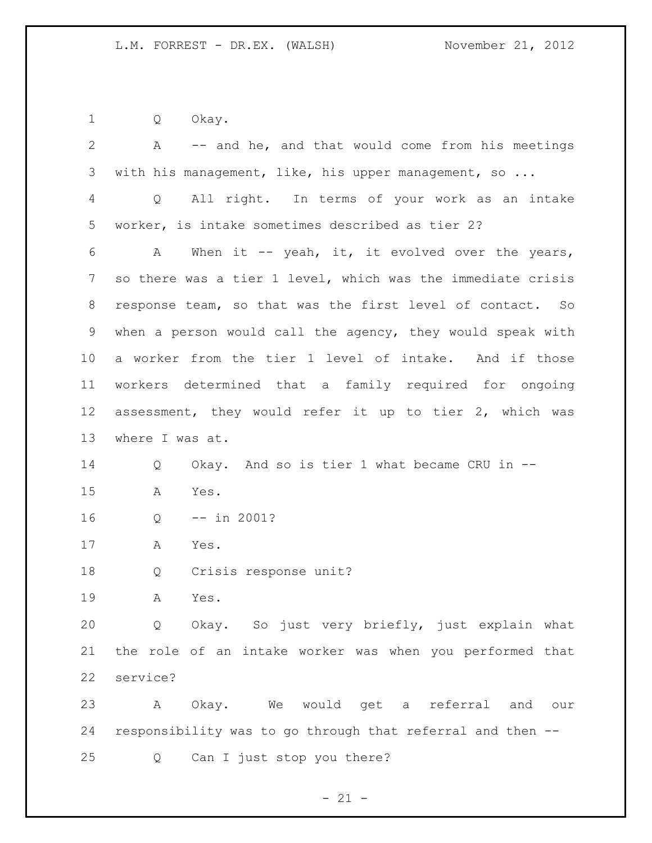Q Okay.

| $\overline{2}$ | A -- and he, and that would come from his meetings                 |
|----------------|--------------------------------------------------------------------|
| 3              | with his management, like, his upper management, so                |
| 4              | All right. In terms of your work as an intake<br>$Q \qquad \qquad$ |
| 5              | worker, is intake sometimes described as tier 2?                   |
| 6              | When it $-$ yeah, it, it evolved over the years,<br>A              |
| 7              | so there was a tier 1 level, which was the immediate crisis        |
| 8              | response team, so that was the first level of contact. So          |
| 9              | when a person would call the agency, they would speak with         |
| 10             | a worker from the tier 1 level of intake. And if those             |
| 11             | workers determined that a family required for ongoing              |
| 12             | assessment, they would refer it up to tier 2, which was            |
| 13             | where I was at.                                                    |
| 14             | Okay. And so is tier 1 what became CRU in --<br>Q                  |
| 15             | Yes.<br>Α                                                          |
| 16             | $--$ in 2001?<br>Q                                                 |
| 17             | Yes.<br>A                                                          |
| 18             | Crisis response unit?<br>Q                                         |
| 19             | Α<br>Yes.                                                          |
| 20             | Okay. So just very briefly, just explain what<br>Q                 |
| 21             | the role of an intake worker was when you performed that           |
| 22             | service?                                                           |
|                |                                                                    |
| 23             | Okay. We would get a referral and<br>A<br>our                      |
| 24             | responsibility was to go through that referral and then --         |

- 21 -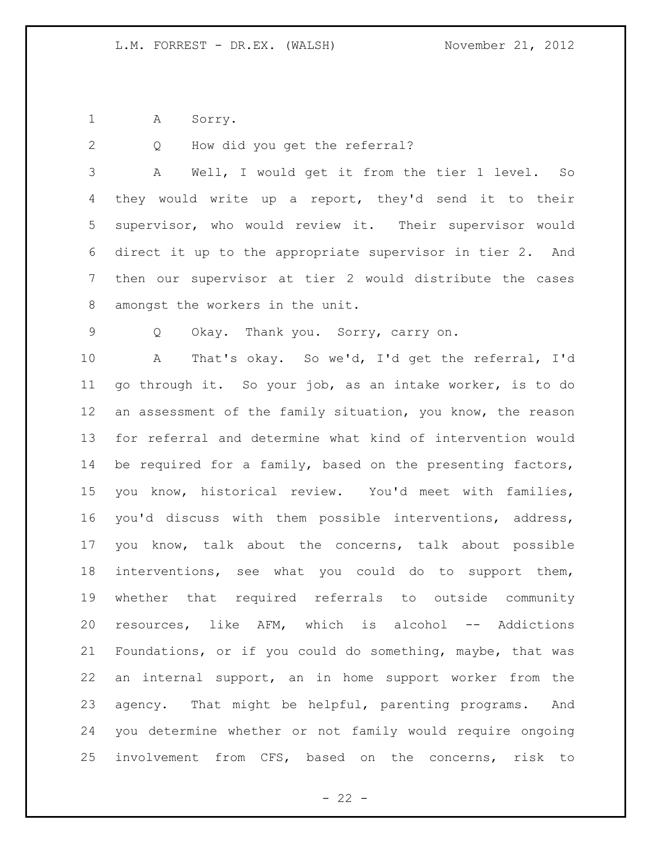1 A Sorry.

Q How did you get the referral?

 A Well, I would get it from the tier 1 level. So they would write up a report, they'd send it to their supervisor, who would review it. Their supervisor would direct it up to the appropriate supervisor in tier 2. And then our supervisor at tier 2 would distribute the cases amongst the workers in the unit.

Q Okay. Thank you. Sorry, carry on.

 A That's okay. So we'd, I'd get the referral, I'd go through it. So your job, as an intake worker, is to do an assessment of the family situation, you know, the reason for referral and determine what kind of intervention would 14 be required for a family, based on the presenting factors, you know, historical review. You'd meet with families, you'd discuss with them possible interventions, address, you know, talk about the concerns, talk about possible interventions, see what you could do to support them, whether that required referrals to outside community resources, like AFM, which is alcohol -- Addictions Foundations, or if you could do something, maybe, that was an internal support, an in home support worker from the agency. That might be helpful, parenting programs. And you determine whether or not family would require ongoing involvement from CFS, based on the concerns, risk to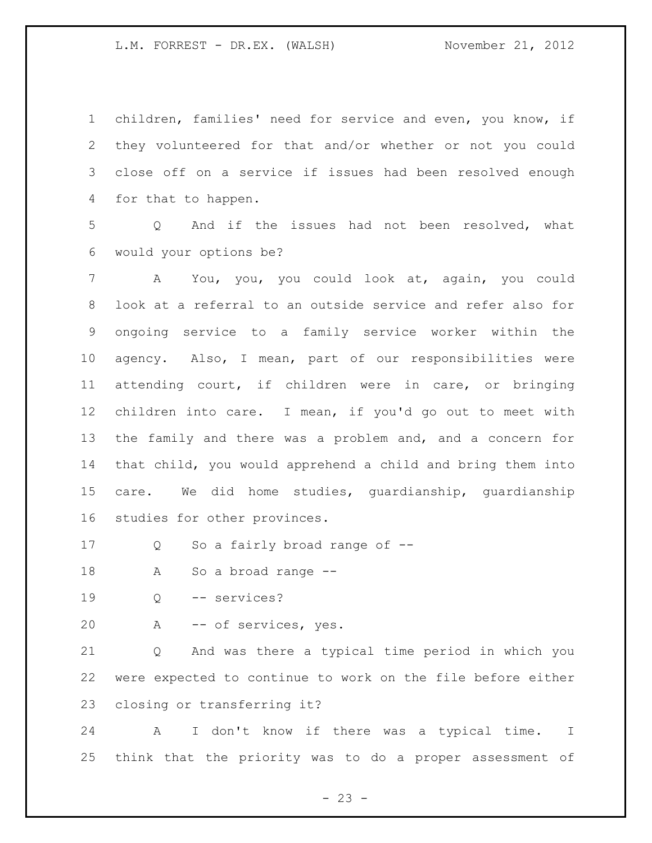children, families' need for service and even, you know, if they volunteered for that and/or whether or not you could close off on a service if issues had been resolved enough for that to happen.

 Q And if the issues had not been resolved, what would your options be?

 A You, you, you could look at, again, you could look at a referral to an outside service and refer also for ongoing service to a family service worker within the agency. Also, I mean, part of our responsibilities were attending court, if children were in care, or bringing children into care. I mean, if you'd go out to meet with the family and there was a problem and, and a concern for that child, you would apprehend a child and bring them into care. We did home studies, guardianship, guardianship studies for other provinces.

Q So a fairly broad range of --

A So a broad range --

Q -- services?

A -- of services, yes.

 Q And was there a typical time period in which you were expected to continue to work on the file before either closing or transferring it?

 A I don't know if there was a typical time. I think that the priority was to do a proper assessment of

 $- 23 -$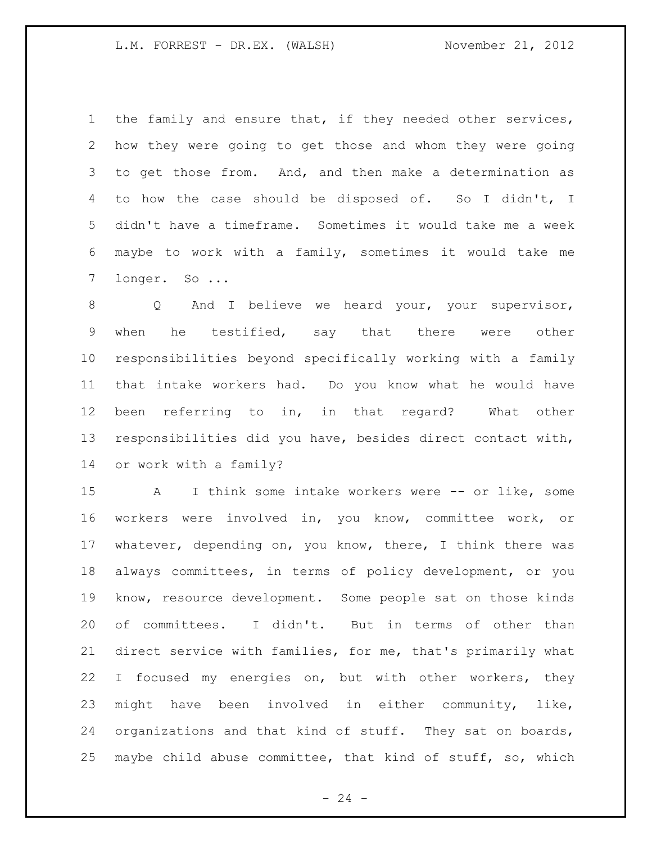the family and ensure that, if they needed other services, how they were going to get those and whom they were going to get those from. And, and then make a determination as to how the case should be disposed of. So I didn't, I didn't have a timeframe. Sometimes it would take me a week maybe to work with a family, sometimes it would take me longer. So ...

8 Q And I believe we heard your, your supervisor, when he testified, say that there were other responsibilities beyond specifically working with a family that intake workers had. Do you know what he would have been referring to in, in that regard? What other responsibilities did you have, besides direct contact with, or work with a family?

 A I think some intake workers were -- or like, some workers were involved in, you know, committee work, or whatever, depending on, you know, there, I think there was always committees, in terms of policy development, or you know, resource development. Some people sat on those kinds of committees. I didn't. But in terms of other than direct service with families, for me, that's primarily what 22 I focused my energies on, but with other workers, they might have been involved in either community, like, organizations and that kind of stuff. They sat on boards, maybe child abuse committee, that kind of stuff, so, which

 $- 24 -$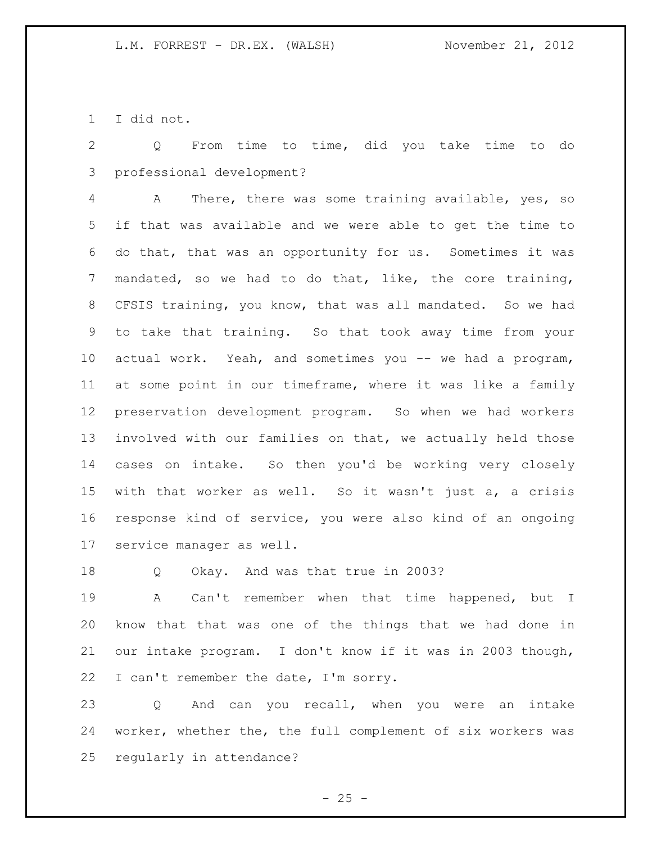I did not.

 Q From time to time, did you take time to do professional development?

 A There, there was some training available, yes, so if that was available and we were able to get the time to do that, that was an opportunity for us. Sometimes it was mandated, so we had to do that, like, the core training, CFSIS training, you know, that was all mandated. So we had to take that training. So that took away time from your actual work. Yeah, and sometimes you -- we had a program, at some point in our timeframe, where it was like a family preservation development program. So when we had workers involved with our families on that, we actually held those cases on intake. So then you'd be working very closely with that worker as well. So it wasn't just a, a crisis response kind of service, you were also kind of an ongoing service manager as well.

Q Okay. And was that true in 2003?

 A Can't remember when that time happened, but I know that that was one of the things that we had done in our intake program. I don't know if it was in 2003 though, I can't remember the date, I'm sorry.

 Q And can you recall, when you were an intake worker, whether the, the full complement of six workers was regularly in attendance?

 $- 25 -$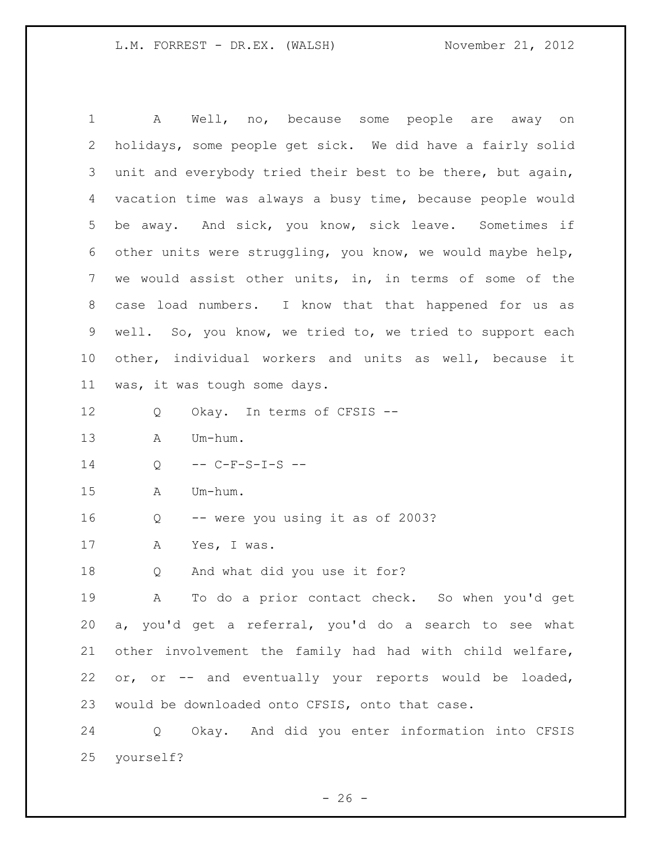A Well, no, because some people are away on holidays, some people get sick. We did have a fairly solid unit and everybody tried their best to be there, but again, vacation time was always a busy time, because people would be away. And sick, you know, sick leave. Sometimes if other units were struggling, you know, we would maybe help, we would assist other units, in, in terms of some of the case load numbers. I know that that happened for us as well. So, you know, we tried to, we tried to support each other, individual workers and units as well, because it was, it was tough some days. Q Okay. In terms of CFSIS -- A Um-hum. 14 Q -- C-F-S-I-S -- A Um-hum. Q -- were you using it as of 2003? A Yes, I was. Q And what did you use it for? A To do a prior contact check. So when you'd get a, you'd get a referral, you'd do a search to see what other involvement the family had had with child welfare, or, or -- and eventually your reports would be loaded, would be downloaded onto CFSIS, onto that case. Q Okay. And did you enter information into CFSIS yourself?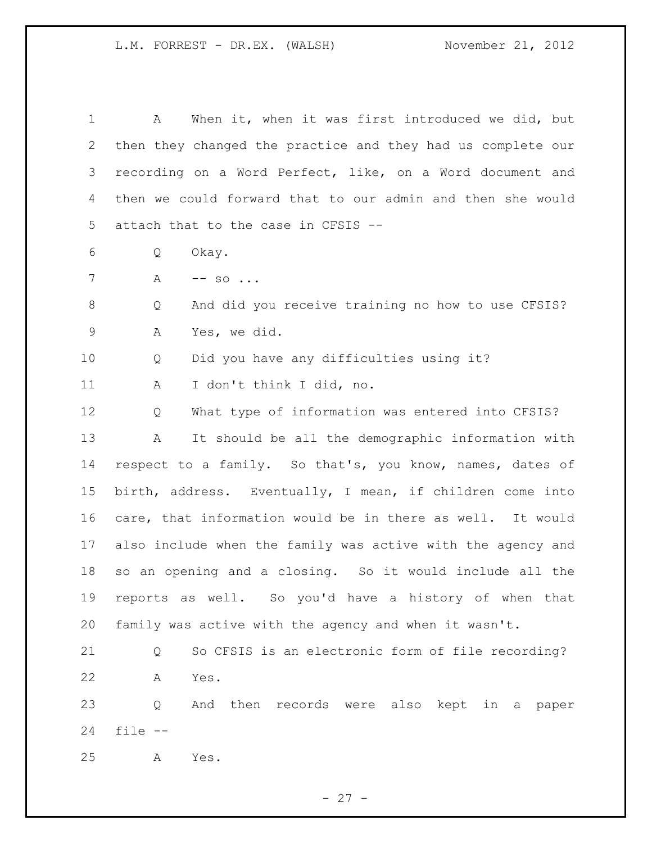A When it, when it was first introduced we did, but then they changed the practice and they had us complete our recording on a Word Perfect, like, on a Word document and then we could forward that to our admin and then she would attach that to the case in CFSIS -- Q Okay. 7 A -- so ... Q And did you receive training no how to use CFSIS? A Yes, we did. Q Did you have any difficulties using it? A I don't think I did, no. Q What type of information was entered into CFSIS? A It should be all the demographic information with respect to a family. So that's, you know, names, dates of birth, address. Eventually, I mean, if children come into care, that information would be in there as well. It would also include when the family was active with the agency and so an opening and a closing. So it would include all the reports as well. So you'd have a history of when that family was active with the agency and when it wasn't. Q So CFSIS is an electronic form of file recording? A Yes. Q And then records were also kept in a paper file -- A Yes.

 $- 27 -$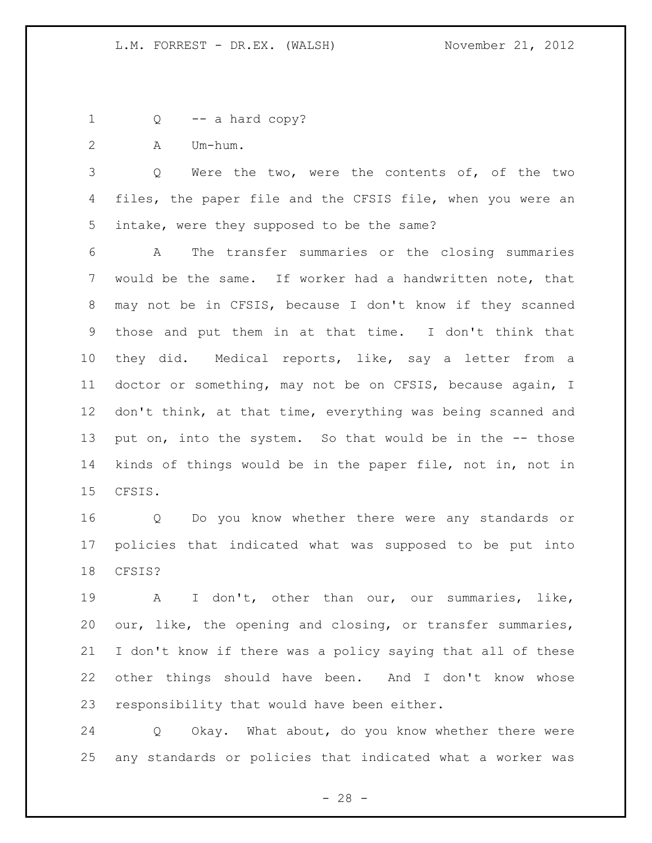- Q -- a hard copy?
- A Um-hum.

 Q Were the two, were the contents of, of the two 4 files, the paper file and the CFSIS file, when you were an intake, were they supposed to be the same?

 A The transfer summaries or the closing summaries would be the same. If worker had a handwritten note, that may not be in CFSIS, because I don't know if they scanned those and put them in at that time. I don't think that they did. Medical reports, like, say a letter from a doctor or something, may not be on CFSIS, because again, I 12 don't think, at that time, everything was being scanned and put on, into the system. So that would be in the -- those kinds of things would be in the paper file, not in, not in CFSIS.

 Q Do you know whether there were any standards or policies that indicated what was supposed to be put into CFSIS?

 A I don't, other than our, our summaries, like, our, like, the opening and closing, or transfer summaries, I don't know if there was a policy saying that all of these other things should have been. And I don't know whose responsibility that would have been either.

 Q Okay. What about, do you know whether there were any standards or policies that indicated what a worker was

 $- 28 -$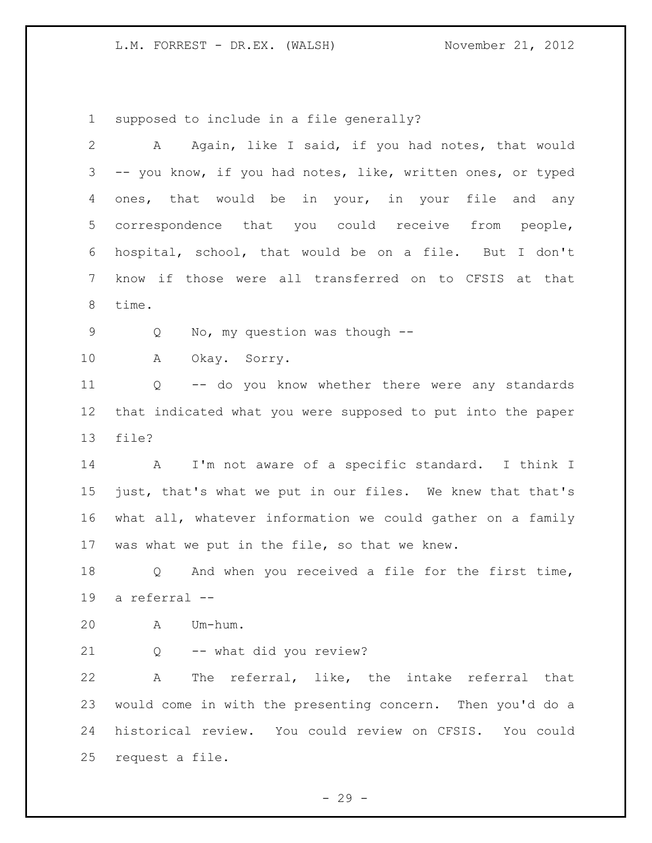supposed to include in a file generally?

| $\mathbf{2}$ | Again, like I said, if you had notes, that would<br>A       |
|--------------|-------------------------------------------------------------|
| 3            | -- you know, if you had notes, like, written ones, or typed |
| 4            | ones, that would be in your, in your file and any           |
| 5            | correspondence that you could receive from people,          |
| 6            | hospital, school, that would be on a file. But I don't      |
| 7            | know if those were all transferred on to CFSIS at that      |
| $8\,$        | time.                                                       |
| 9            | No, my question was though --<br>Q                          |
| 10           | Okay. Sorry.<br>A                                           |
| 11           | -- do you know whether there were any standards<br>Q        |
| 12           | that indicated what you were supposed to put into the paper |
| 13           | file?                                                       |
| 14           | A I'm not aware of a specific standard. I think I           |
| 15           | just, that's what we put in our files. We knew that that's  |
| 16           | what all, whatever information we could gather on a family  |
| 17           | was what we put in the file, so that we knew.               |
| 18           | Q And when you received a file for the first time,          |
| 19           | a referral --                                               |
| 20           | Um-hum.<br>A                                                |
| 21           | -- what did you review?<br>Q                                |
| 22           | The referral, like, the intake referral that<br>A           |
| 23           | would come in with the presenting concern. Then you'd do a  |
| 24           | historical review. You could review on CFSIS. You could     |
| 25           | request a file.                                             |
|              |                                                             |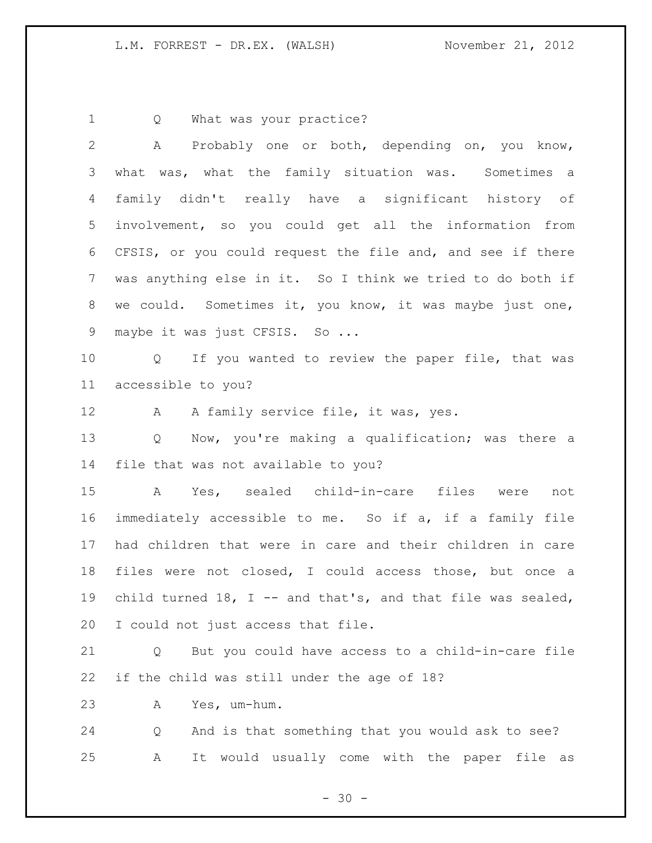1 Q What was your practice?

| $\overline{2}$  | Probably one or both, depending on, you know,<br>A          |
|-----------------|-------------------------------------------------------------|
| 3               | what was, what the family situation was. Sometimes a        |
| 4               | family didn't really have a significant history of          |
| 5               | involvement, so you could get all the information from      |
| 6               | CFSIS, or you could request the file and, and see if there  |
| $7\phantom{.0}$ | was anything else in it. So I think we tried to do both if  |
| 8               | we could. Sometimes it, you know, it was maybe just one,    |
| 9               | maybe it was just CFSIS. So                                 |
| 10 <sub>o</sub> | Q If you wanted to review the paper file, that was          |
| 11              | accessible to you?                                          |
| 12              | A A family service file, it was, yes.                       |
| 13              | Now, you're making a qualification; was there a<br>Q        |
| 14              | file that was not available to you?                         |
| 15              | A Yes, sealed child-in-care files were not                  |
| 16              | immediately accessible to me. So if a, if a family file     |
| 17              | had children that were in care and their children in care   |
| 18              | files were not closed, I could access those, but once a     |
| 19              | child turned 18, I -- and that's, and that file was sealed, |
| 20              | I could not just access that file.                          |
| 21              | But you could have access to a child-in-care file<br>Q      |
| 22              | if the child was still under the age of 18?                 |
| 23              | Yes, um-hum.<br>Α                                           |
| 24              | And is that something that you would ask to see?<br>Q       |
| 25              | It would usually come with the paper file as<br>Α           |

- 30 -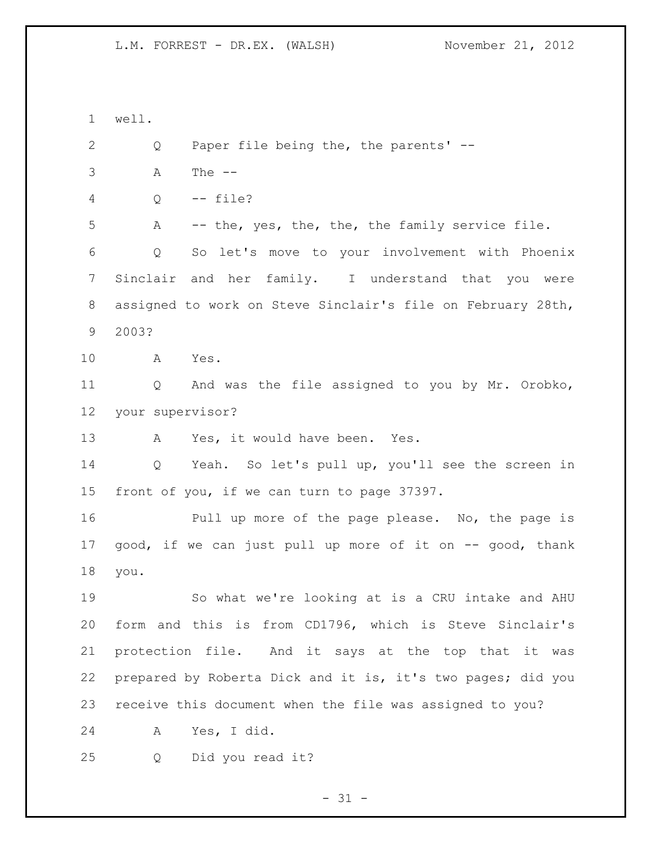well. Q Paper file being the, the parents' -- A The -- Q -- file? A -- the, yes, the, the, the family service file. Q So let's move to your involvement with Phoenix Sinclair and her family. I understand that you were assigned to work on Steve Sinclair's file on February 28th, 2003? A Yes. Q And was the file assigned to you by Mr. Orobko, your supervisor? A Yes, it would have been. Yes. Q Yeah. So let's pull up, you'll see the screen in front of you, if we can turn to page 37397. Pull up more of the page please. No, the page is 17 good, if we can just pull up more of it on -- good, thank you. So what we're looking at is a CRU intake and AHU form and this is from CD1796, which is Steve Sinclair's protection file. And it says at the top that it was prepared by Roberta Dick and it is, it's two pages; did you receive this document when the file was assigned to you? A Yes, I did. Q Did you read it?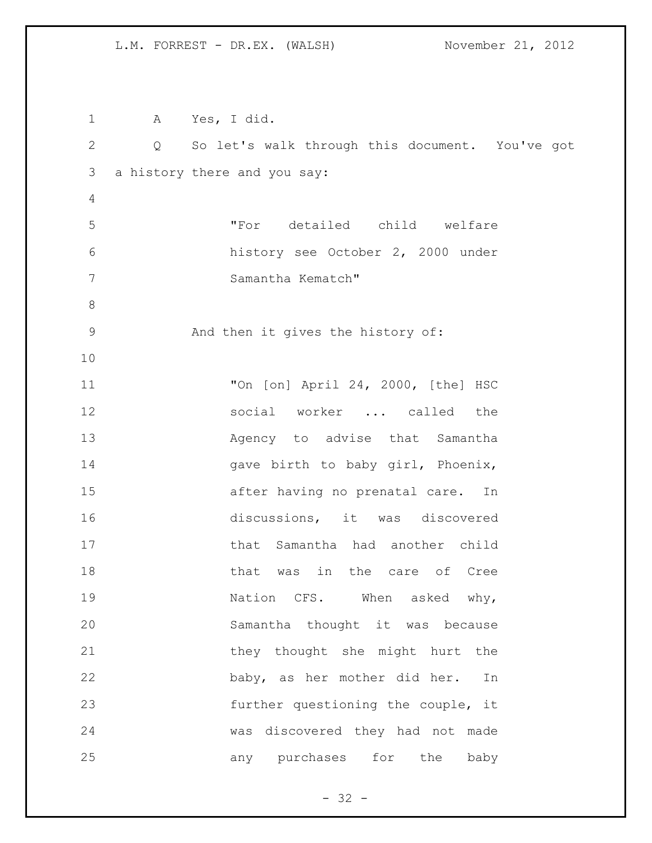A Yes, I did. Q So let's walk through this document. You've got a history there and you say: "For detailed child welfare history see October 2, 2000 under Samantha Kematch" And then it gives the history of: "On [on] April 24, 2000, [the] HSC social worker ... called the 13 Agency to advise that Samantha 14 gave birth to baby girl, Phoenix, after having no prenatal care. In discussions, it was discovered that Samantha had another child 18 that was in the care of Cree 19 Nation CFS. When asked why, Samantha thought it was because 21 they thought she might hurt the baby, as her mother did her. In further questioning the couple, it was discovered they had not made 25 any purchases for the baby

 $- 32 -$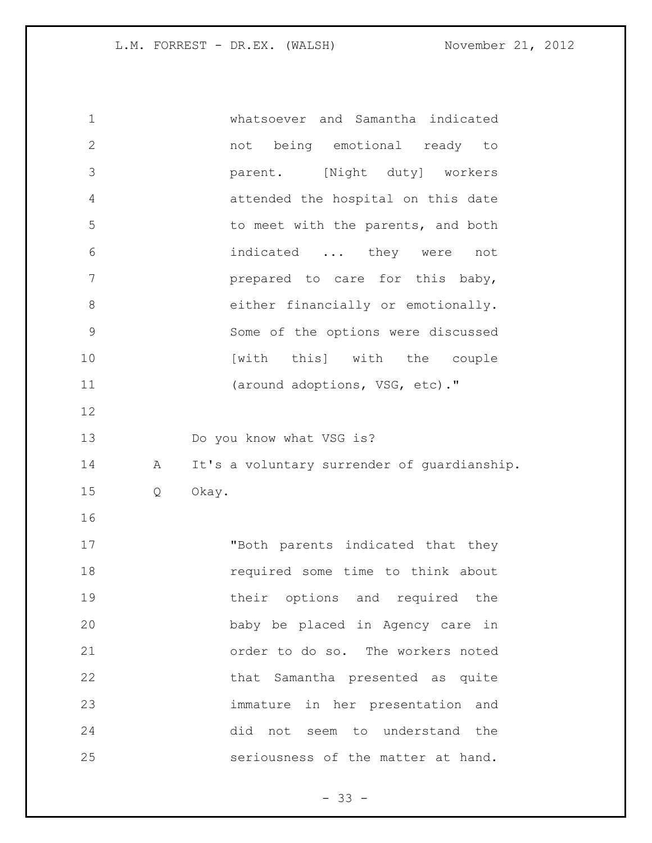whatsoever and Samantha indicated not being emotional ready to parent. [Night duty] workers attended the hospital on this date 5 to meet with the parents, and both indicated ... they were not **prepared** to care for this baby, 8 either financially or emotionally. Some of the options were discussed **Institute [with this]** with the couple 11 (around adoptions, VSG, etc)." Do you know what VSG is? 14 A It's a voluntary surrender of quardianship. Q Okay. "Both parents indicated that they **18** required some time to think about 19 their options and required the baby be placed in Agency care in order to do so. The workers noted that Samantha presented as quite immature in her presentation and did not seem to understand the seriousness of the matter at hand.

 $- 33 -$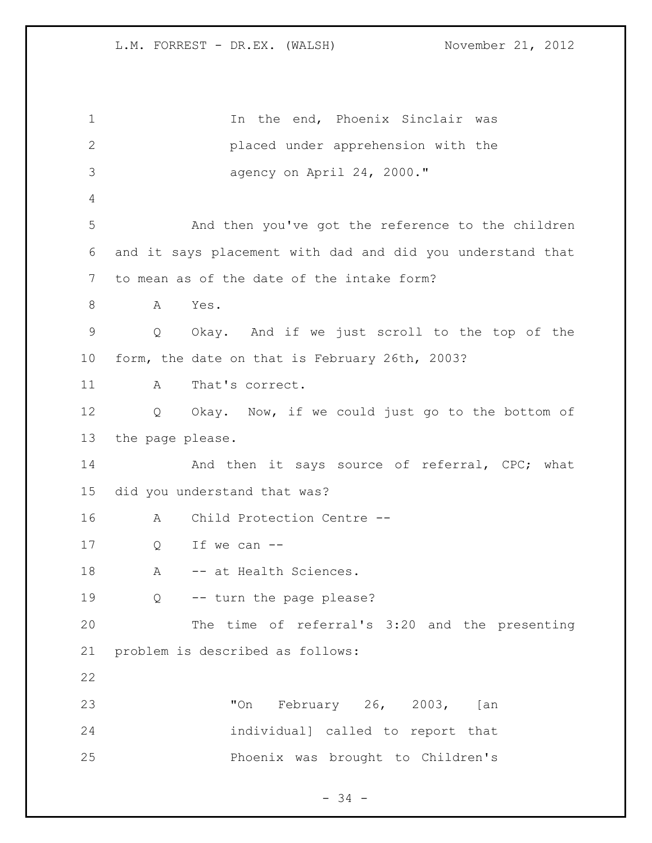1 1 In the end, Phoenix Sinclair was placed under apprehension with the agency on April 24, 2000." And then you've got the reference to the children and it says placement with dad and did you understand that to mean as of the date of the intake form? A Yes. Q Okay. And if we just scroll to the top of the form, the date on that is February 26th, 2003? 11 A That's correct. Q Okay. Now, if we could just go to the bottom of the page please. 14 And then it says source of referral, CPC; what did you understand that was? A Child Protection Centre -- Q If we can -- 18 A -- at Health Sciences. Q -- turn the page please? The time of referral's 3:20 and the presenting problem is described as follows: "On February 26, 2003, [an individual] called to report that Phoenix was brought to Children's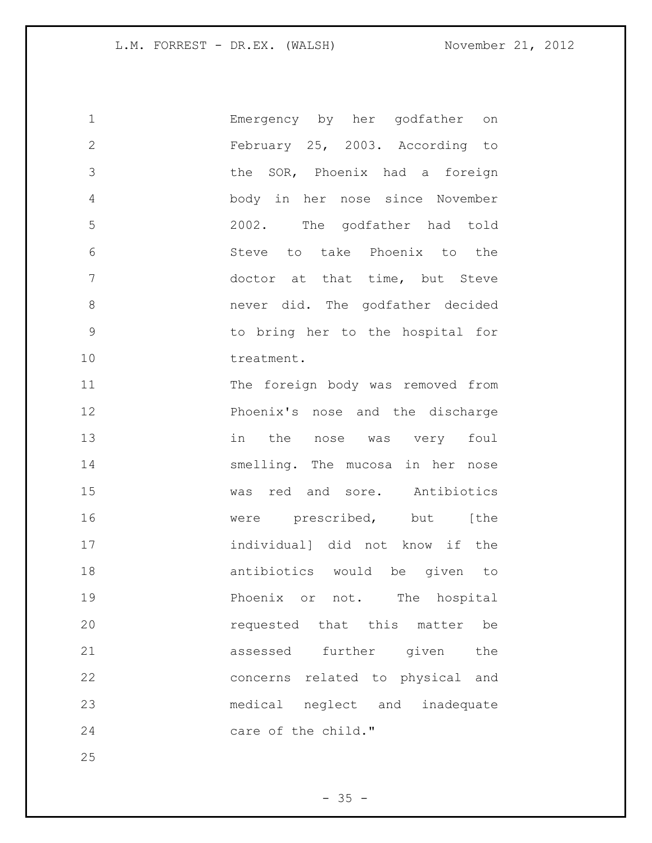| $\mathbf 1$  | Emergency by her godfather on     |
|--------------|-----------------------------------|
| $\mathbf{2}$ | February 25, 2003. According to   |
| 3            | the SOR, Phoenix had a foreign    |
| 4            | body in her nose since November   |
| 5            | 2002. The godfather had told      |
| 6            | Steve to take Phoenix to the      |
| 7            | doctor at that time, but Steve    |
| 8            | never did. The godfather decided  |
| $\mathsf 9$  | to bring her to the hospital for  |
| 10           | treatment.                        |
| 11           | The foreign body was removed from |
| 12           | Phoenix's nose and the discharge  |
| 13           | in the nose was very foul         |
| 14           | smelling. The mucosa in her nose  |
| 15           | was red and sore. Antibiotics     |
| 16           | were prescribed, but [the         |
| 17           | individual] did not know if the   |
| 18           | antibiotics would be given to     |
| 19           | Phoenix or not. The hospital      |
| 20           | requested that this matter be     |
| 21           | assessed further given<br>the     |
| 22           | concerns related to physical and  |
| 23           | medical neglect and inadequate    |
| 24           | care of the child."               |
| 25           |                                   |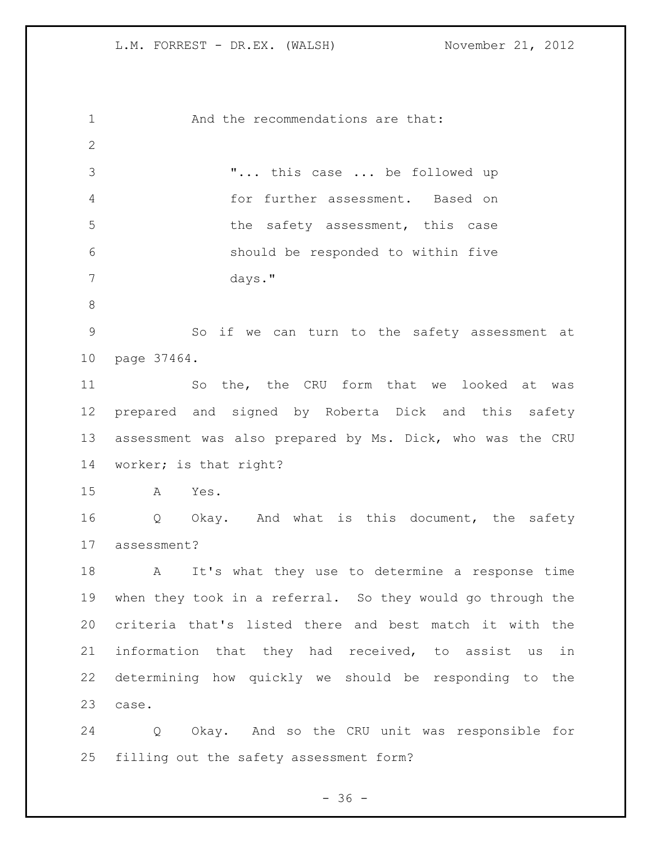And the recommendations are that: "... this case ... be followed up for further assessment. Based on 5 the safety assessment, this case should be responded to within five days." So if we can turn to the safety assessment at page 37464. So the, the CRU form that we looked at was prepared and signed by Roberta Dick and this safety assessment was also prepared by Ms. Dick, who was the CRU worker; is that right? A Yes. Q Okay. And what is this document, the safety assessment? A It's what they use to determine a response time when they took in a referral. So they would go through the criteria that's listed there and best match it with the information that they had received, to assist us in determining how quickly we should be responding to the case. Q Okay. And so the CRU unit was responsible for filling out the safety assessment form?

 $- 36 -$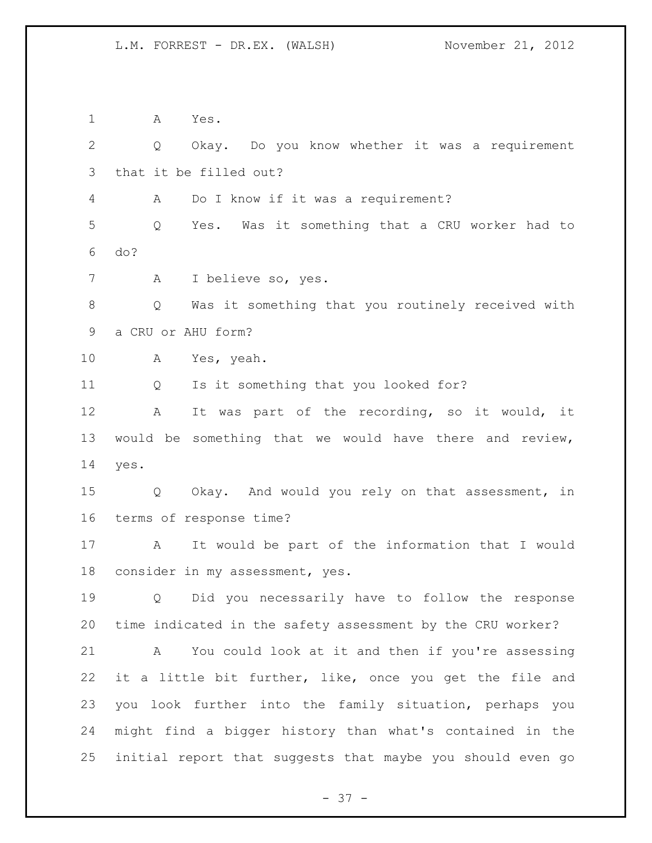A Yes. Q Okay. Do you know whether it was a requirement that it be filled out? A Do I know if it was a requirement? Q Yes. Was it something that a CRU worker had to do? A I believe so, yes. Q Was it something that you routinely received with a CRU or AHU form? A Yes, yeah. Q Is it something that you looked for? A It was part of the recording, so it would, it would be something that we would have there and review, yes. Q Okay. And would you rely on that assessment, in terms of response time? A It would be part of the information that I would consider in my assessment, yes. Q Did you necessarily have to follow the response time indicated in the safety assessment by the CRU worker? A You could look at it and then if you're assessing it a little bit further, like, once you get the file and you look further into the family situation, perhaps you might find a bigger history than what's contained in the initial report that suggests that maybe you should even go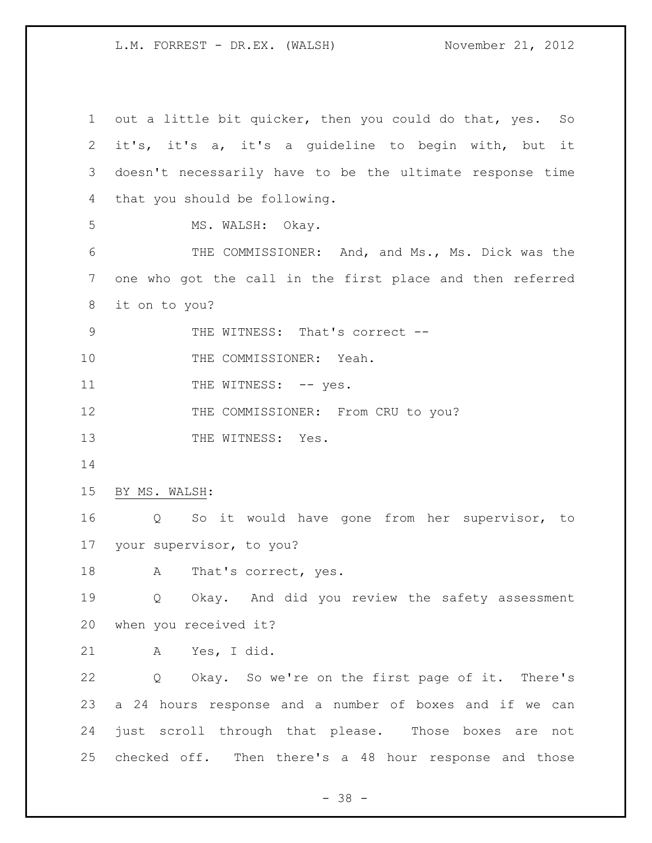out a little bit quicker, then you could do that, yes. So it's, it's a, it's a guideline to begin with, but it doesn't necessarily have to be the ultimate response time that you should be following. 5 MS. WALSH: Okay. THE COMMISSIONER: And, and Ms., Ms. Dick was the one who got the call in the first place and then referred it on to you? 9 THE WITNESS: That's correct --10 THE COMMISSIONER: Yeah. 11 THE WITNESS: -- yes. 12 THE COMMISSIONER: From CRU to you? 13 THE WITNESS: Yes. BY MS. WALSH: Q So it would have gone from her supervisor, to your supervisor, to you? 18 A That's correct, yes. Q Okay. And did you review the safety assessment when you received it? A Yes, I did. Q Okay. So we're on the first page of it. There's a 24 hours response and a number of boxes and if we can just scroll through that please. Those boxes are not checked off. Then there's a 48 hour response and those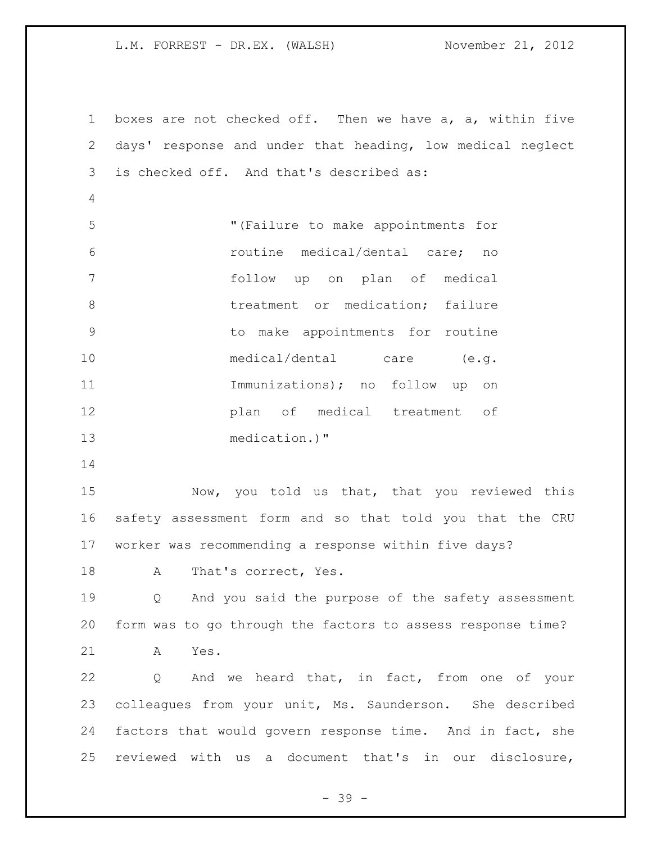boxes are not checked off. Then we have a, a, within five days' response and under that heading, low medical neglect is checked off. And that's described as: "(Failure to make appointments for routine medical/dental care; no follow up on plan of medical 8 treatment or medication; failure to make appointments for routine medical/dental care (e.g. Immunizations); no follow up on plan of medical treatment of medication.)" Now, you told us that, that you reviewed this safety assessment form and so that told you that the CRU worker was recommending a response within five days? 18 A That's correct, Yes. Q And you said the purpose of the safety assessment form was to go through the factors to assess response time? A Yes. Q And we heard that, in fact, from one of your colleagues from your unit, Ms. Saunderson. She described factors that would govern response time. And in fact, she reviewed with us a document that's in our disclosure,

- 39 -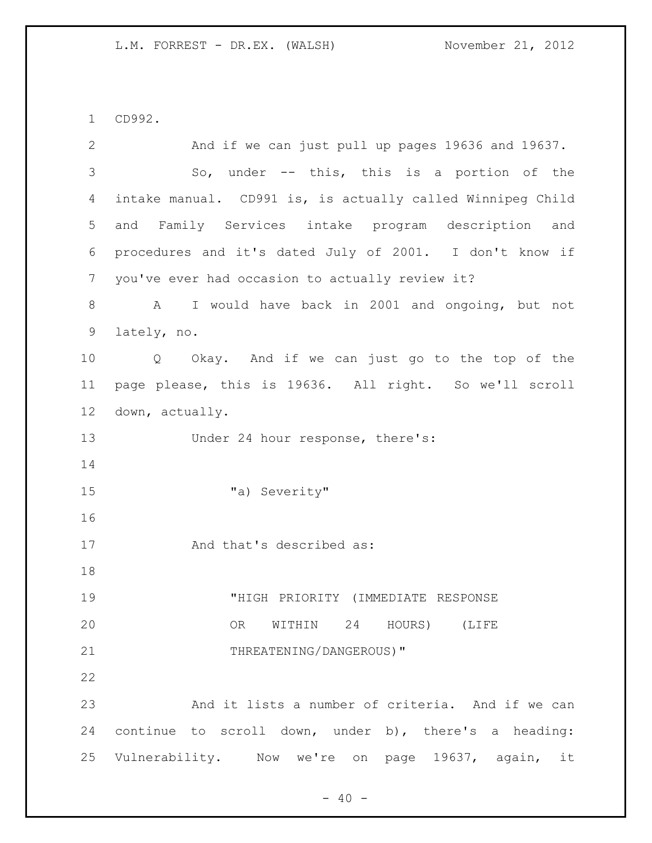CD992.

| 2              | And if we can just pull up pages 19636 and 19637.          |  |
|----------------|------------------------------------------------------------|--|
| 3              | So, under $--$ this, this is a portion of the              |  |
| 4              | intake manual. CD991 is, is actually called Winnipeg Child |  |
| 5              | and Family Services intake program description and         |  |
| 6              | procedures and it's dated July of 2001. I don't know if    |  |
| $7\phantom{.}$ | you've ever had occasion to actually review it?            |  |
| 8              | I would have back in 2001 and ongoing, but not<br>A        |  |
| 9              | lately, no.                                                |  |
| 10             | Q Okay. And if we can just go to the top of the            |  |
| 11             | page please, this is 19636. All right. So we'll scroll     |  |
| 12             | down, actually.                                            |  |
| 13             | Under 24 hour response, there's:                           |  |
| 14             |                                                            |  |
| 15             | "a) Severity"                                              |  |
| 16             |                                                            |  |
| 17             | And that's described as:                                   |  |
| 18             |                                                            |  |
| 19             | "HIGH PRIORITY (IMMEDIATE RESPONSE                         |  |
| 20             | WITHIN 24 HOURS) (LIFE<br>OR                               |  |
| 21             | THREATENING/DANGEROUS)"                                    |  |
| 22             |                                                            |  |
| 23             | And it lists a number of criteria. And if we can           |  |
| 24             | continue to scroll down, under b), there's a heading:      |  |
| 25             | Vulnerability. Now we're on page 19637, again, it          |  |
|                |                                                            |  |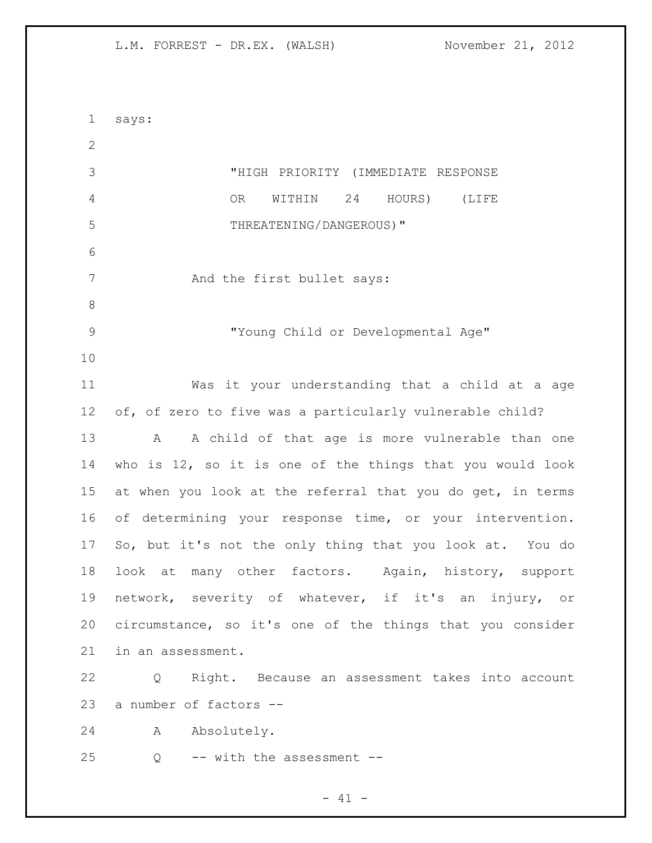says: "HIGH PRIORITY (IMMEDIATE RESPONSE OR WITHIN 24 HOURS) (LIFE THREATENING/DANGEROUS)" 7 And the first bullet says: "Young Child or Developmental Age" Was it your understanding that a child at a age of, of zero to five was a particularly vulnerable child? 13 A A child of that age is more vulnerable than one who is 12, so it is one of the things that you would look 15 at when you look at the referral that you do get, in terms of determining your response time, or your intervention. So, but it's not the only thing that you look at. You do look at many other factors. Again, history, support network, severity of whatever, if it's an injury, or circumstance, so it's one of the things that you consider in an assessment. Q Right. Because an assessment takes into account a number of factors -- A Absolutely. Q -- with the assessment --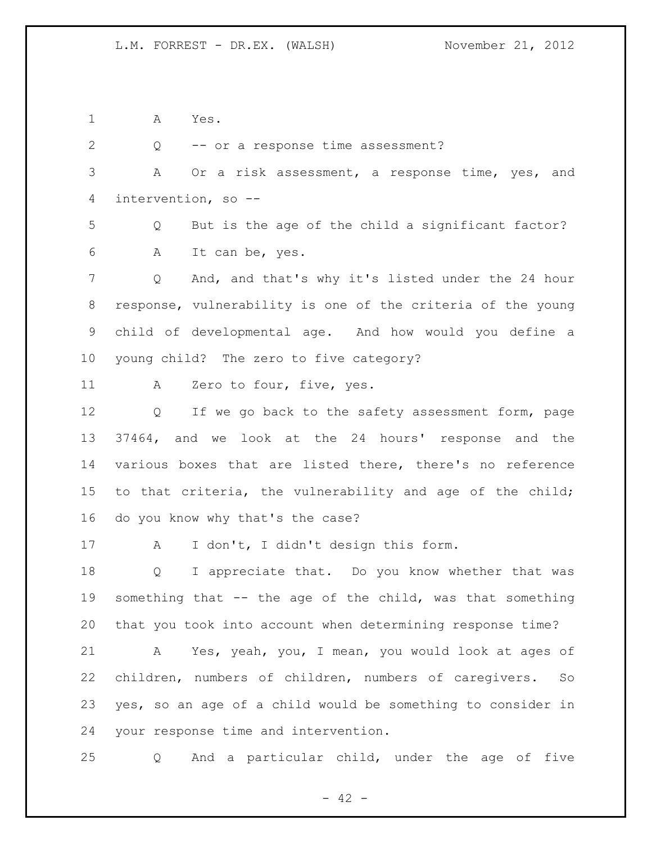A Yes.

2 Q -- or a response time assessment? A Or a risk assessment, a response time, yes, and intervention, so -- Q But is the age of the child a significant factor? A It can be, yes. Q And, and that's why it's listed under the 24 hour response, vulnerability is one of the criteria of the young child of developmental age. And how would you define a young child? The zero to five category? A Zero to four, five, yes. 12 Q If we go back to the safety assessment form, page 37464, and we look at the 24 hours' response and the various boxes that are listed there, there's no reference to that criteria, the vulnerability and age of the child; do you know why that's the case? A I don't, I didn't design this form. Q I appreciate that. Do you know whether that was something that -- the age of the child, was that something that you took into account when determining response time? A Yes, yeah, you, I mean, you would look at ages of children, numbers of children, numbers of caregivers. So yes, so an age of a child would be something to consider in your response time and intervention. Q And a particular child, under the age of five

 $- 42 -$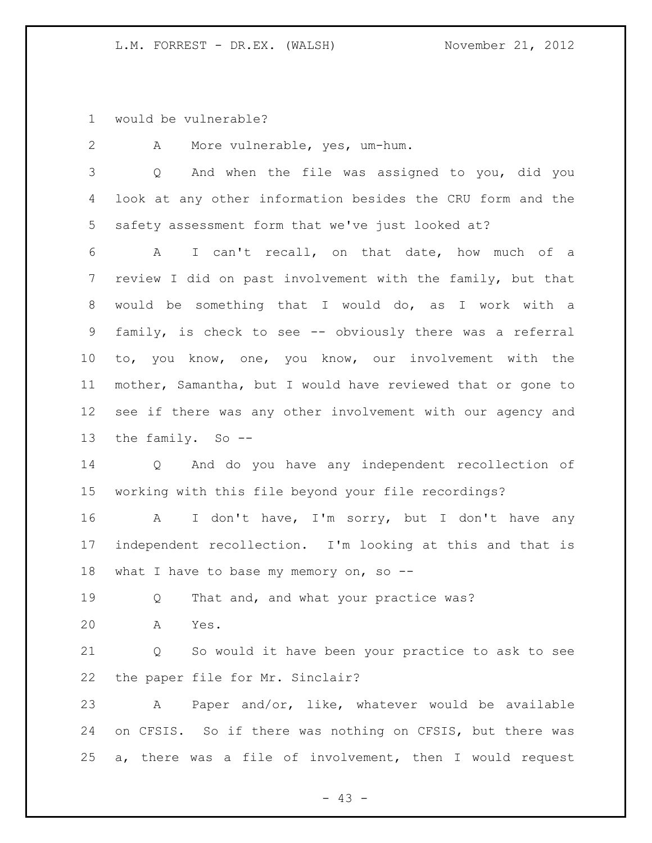would be vulnerable?

 A More vulnerable, yes, um-hum. Q And when the file was assigned to you, did you look at any other information besides the CRU form and the safety assessment form that we've just looked at? A I can't recall, on that date, how much of a review I did on past involvement with the family, but that would be something that I would do, as I work with a family, is check to see -- obviously there was a referral to, you know, one, you know, our involvement with the mother, Samantha, but I would have reviewed that or gone to see if there was any other involvement with our agency and the family. So -- Q And do you have any independent recollection of working with this file beyond your file recordings? A I don't have, I'm sorry, but I don't have any independent recollection. I'm looking at this and that is 18 what I have to base my memory on, so --19 Q That and, and what your practice was? A Yes. Q So would it have been your practice to ask to see the paper file for Mr. Sinclair?

 A Paper and/or, like, whatever would be available on CFSIS. So if there was nothing on CFSIS, but there was a, there was a file of involvement, then I would request

 $- 43 -$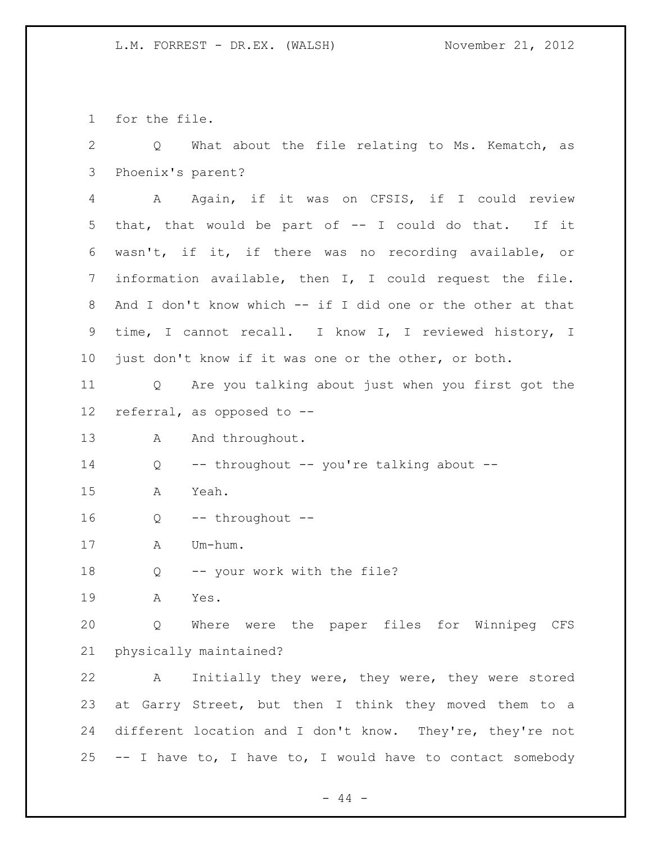for the file.

 Q What about the file relating to Ms. Kematch, as Phoenix's parent? A Again, if it was on CFSIS, if I could review that, that would be part of -- I could do that. If it wasn't, if it, if there was no recording available, or information available, then I, I could request the file. 8 And I don't know which -- if I did one or the other at that time, I cannot recall. I know I, I reviewed history, I just don't know if it was one or the other, or both. Q Are you talking about just when you first got the referral, as opposed to -- 13 A And throughout. Q -- throughout -- you're talking about -- A Yeah. Q -- throughout -- A Um-hum. Q -- your work with the file? A Yes. Q Where were the paper files for Winnipeg CFS physically maintained? A Initially they were, they were, they were stored at Garry Street, but then I think they moved them to a different location and I don't know. They're, they're not -- I have to, I have to, I would have to contact somebody

 $-44 -$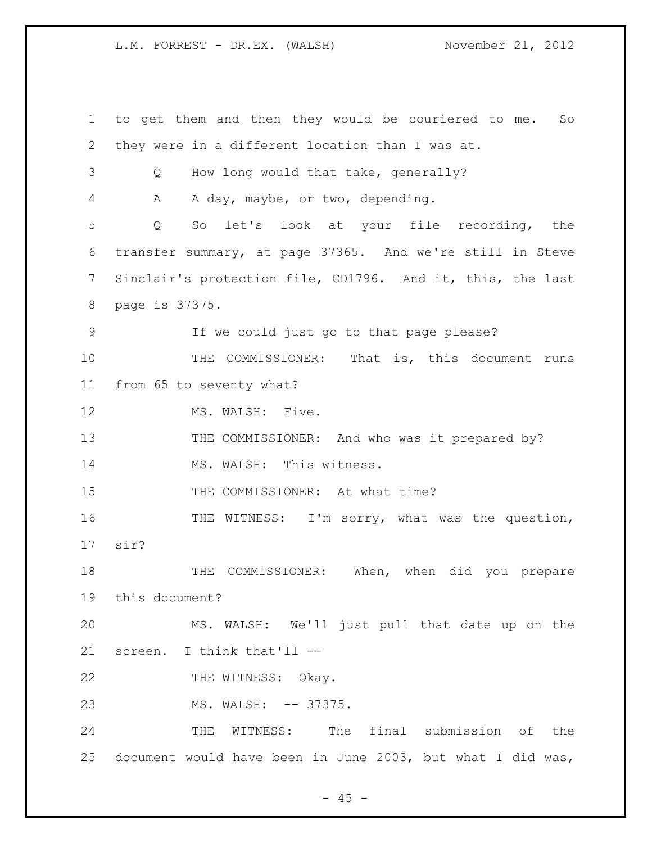to get them and then they would be couriered to me. So they were in a different location than I was at. Q How long would that take, generally? A A day, maybe, or two, depending. Q So let's look at your file recording, the transfer summary, at page 37365. And we're still in Steve Sinclair's protection file, CD1796. And it, this, the last page is 37375. If we could just go to that page please? 10 THE COMMISSIONER: That is, this document runs from 65 to seventy what? 12 MS. WALSH: Five. 13 THE COMMISSIONER: And who was it prepared by? 14 MS. WALSH: This witness. 15 THE COMMISSIONER: At what time? THE WITNESS: I'm sorry, what was the question, sir? THE COMMISSIONER: When, when did you prepare this document? MS. WALSH: We'll just pull that date up on the screen. I think that'll -- 22 THE WITNESS: Okay. 23 MS. WALSH: -- 37375. THE WITNESS: The final submission of the document would have been in June 2003, but what I did was,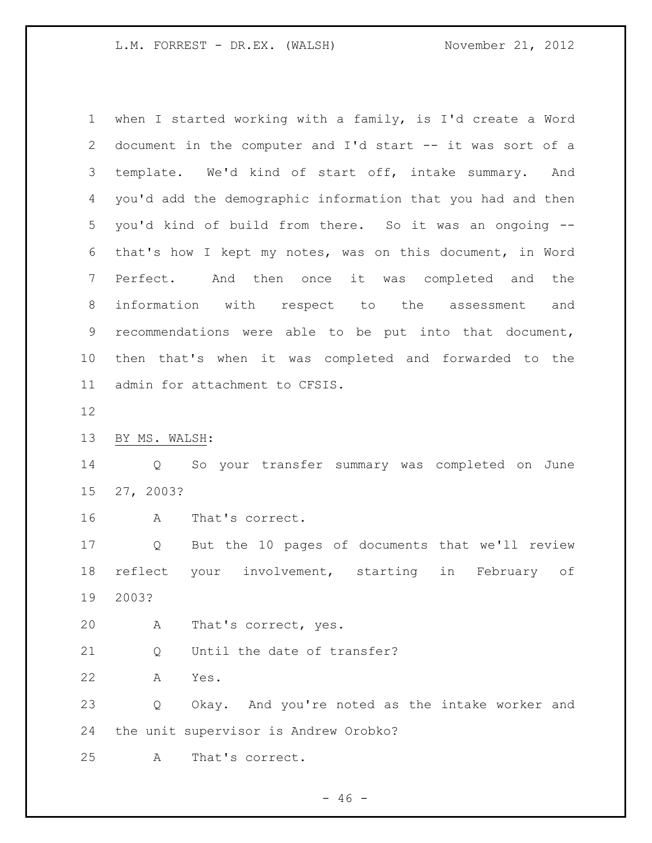| 1     | when I started working with a family, is I'd create a Word  |
|-------|-------------------------------------------------------------|
| 2     | document in the computer and I'd start -- it was sort of a  |
| 3     | template. We'd kind of start off, intake summary.<br>And    |
| 4     | you'd add the demographic information that you had and then |
| 5     | you'd kind of build from there. So it was an ongoing --     |
| 6     | that's how I kept my notes, was on this document, in Word   |
| 7     | And then once it was completed and<br>Perfect.<br>the       |
| $8\,$ | information with respect to the assessment<br>and           |
| 9     | recommendations were able to be put into that document,     |
| 10    | then that's when it was completed and forwarded to the      |
| 11    | admin for attachment to CFSIS.                              |
| 12    |                                                             |
| 13    | BY MS. WALSH:                                               |
| 14    | So your transfer summary was completed on June<br>Q         |
| 15    | 27, 2003?                                                   |
| 16    | Α<br>That's correct.                                        |
| 17    | But the 10 pages of documents that we'll review<br>Q        |
| 18    | your involvement, starting<br>in<br>reflect<br>February of  |
| 19    | 2003?                                                       |
| 20    | Α<br>That's correct, yes.                                   |
| 21    | Until the date of transfer?<br>Q                            |
| 22    | Yes.<br>Α                                                   |
| 23    | Okay. And you're noted as the intake worker and<br>Q        |
| 24    | the unit supervisor is Andrew Orobko?                       |
| 25    | That's correct.<br>A                                        |

- 46 -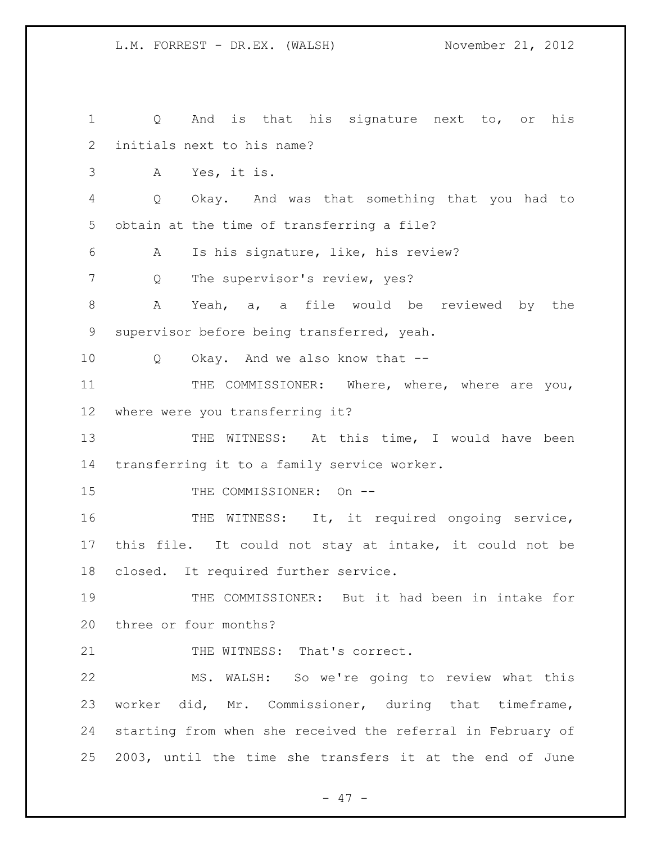Q And is that his signature next to, or his initials next to his name? A Yes, it is. Q Okay. And was that something that you had to obtain at the time of transferring a file? A Is his signature, like, his review? 7 Q The supervisor's review, yes? A Yeah, a, a file would be reviewed by the supervisor before being transferred, yeah. Q Okay. And we also know that -- 11 THE COMMISSIONER: Where, where, where are you, where were you transferring it? THE WITNESS: At this time, I would have been transferring it to a family service worker. 15 THE COMMISSIONER: On --16 THE WITNESS: It, it required ongoing service, this file. It could not stay at intake, it could not be closed. It required further service. THE COMMISSIONER: But it had been in intake for three or four months? 21 THE WITNESS: That's correct. MS. WALSH: So we're going to review what this worker did, Mr. Commissioner, during that timeframe, starting from when she received the referral in February of 2003, until the time she transfers it at the end of June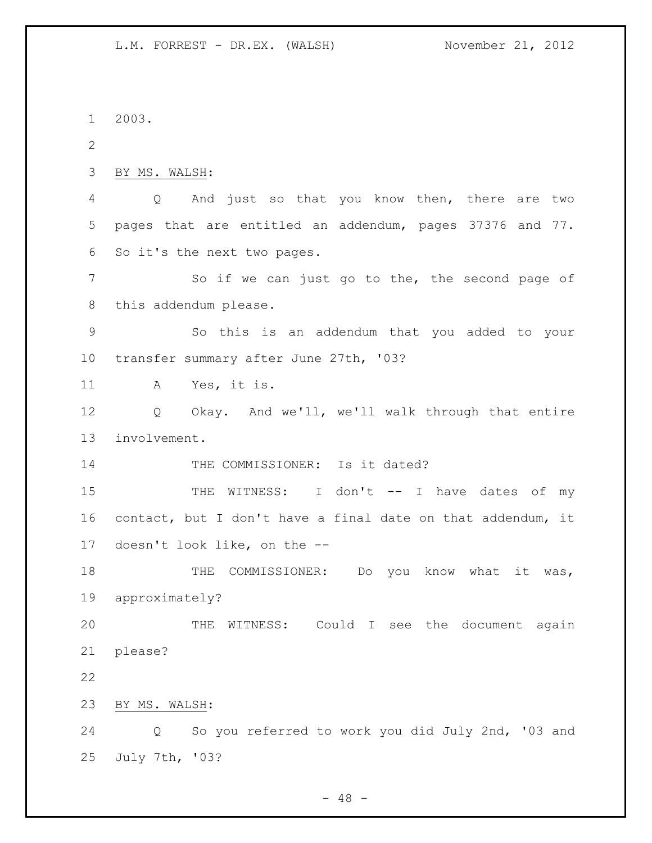2003. BY MS. WALSH: Q And just so that you know then, there are two pages that are entitled an addendum, pages 37376 and 77. So it's the next two pages. So if we can just go to the, the second page of this addendum please. So this is an addendum that you added to your transfer summary after June 27th, '03? A Yes, it is. Q Okay. And we'll, we'll walk through that entire involvement. 14 THE COMMISSIONER: Is it dated? 15 THE WITNESS: I don't -- I have dates of my contact, but I don't have a final date on that addendum, it doesn't look like, on the -- 18 THE COMMISSIONER: Do you know what it was, approximately? THE WITNESS: Could I see the document again please? BY MS. WALSH: Q So you referred to work you did July 2nd, '03 and July 7th, '03?

 $- 48 -$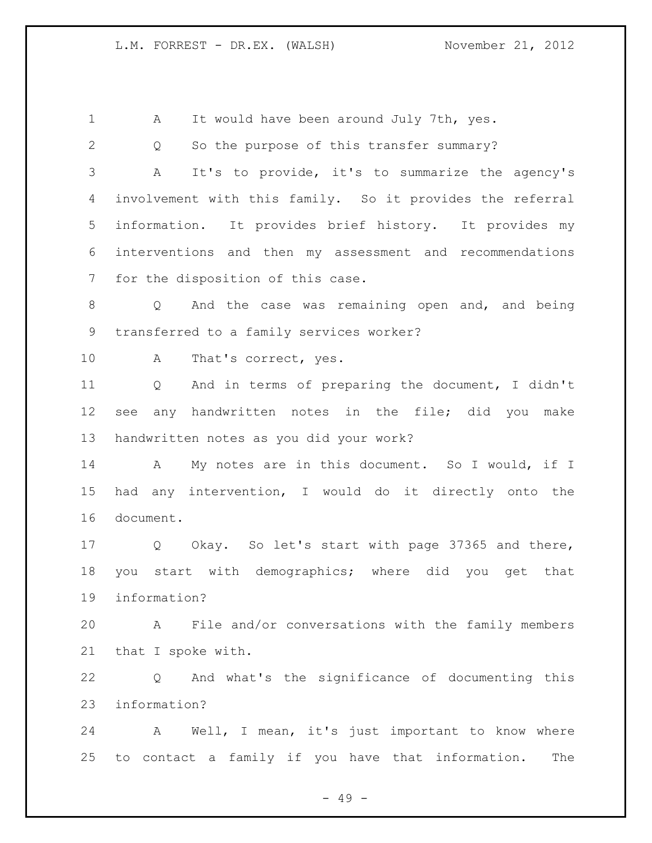| $\mathbf 1$  | It would have been around July 7th, yes.<br>А                       |  |
|--------------|---------------------------------------------------------------------|--|
| $\mathbf{2}$ | So the purpose of this transfer summary?<br>Q                       |  |
| 3            | It's to provide, it's to summarize the agency's<br>A                |  |
| 4            | involvement with this family. So it provides the referral           |  |
| 5            | information. It provides brief history. It provides my              |  |
| 6            | interventions and then my assessment and recommendations            |  |
| 7            | for the disposition of this case.                                   |  |
| 8            | And the case was remaining open and, and being<br>$Q \qquad \qquad$ |  |
| 9            | transferred to a family services worker?                            |  |
| 10           | A<br>That's correct, yes.                                           |  |
| 11           | And in terms of preparing the document, I didn't<br>Q               |  |
| 12           | any handwritten notes in the file; did you<br>make<br>see           |  |
| 13           | handwritten notes as you did your work?                             |  |
| 14           | My notes are in this document. So I would, if I<br>A                |  |
| 15           | any intervention, I would do it directly onto the<br>had            |  |
| 16           | document.                                                           |  |
| 17           | Q Okay. So let's start with page 37365 and there,                   |  |
| 18           | you start with demographics; where did you get<br>that              |  |
| 19           | information?                                                        |  |
| 20           | A File and/or conversations with the family members                 |  |
| 21           | that I spoke with.                                                  |  |
| 22           | And what's the significance of documenting this<br>Q                |  |
| 23           | information?                                                        |  |
| 24           | A Well, I mean, it's just important to know where                   |  |
| 25           | to contact a family if you have that information.<br>The            |  |
|              | $-49 -$                                                             |  |
|              |                                                                     |  |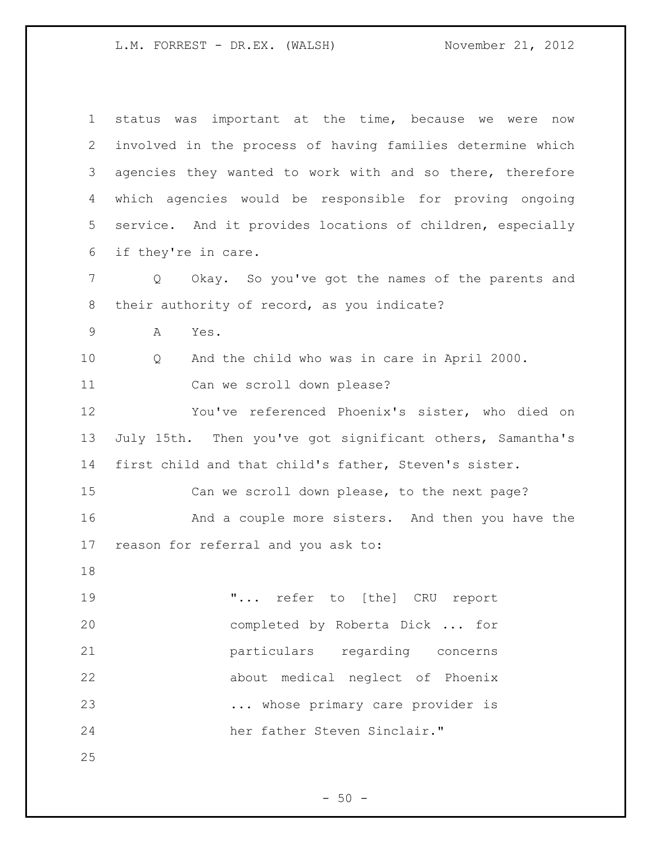| $\mathbf 1$    | status was important at the time, because we were now           |
|----------------|-----------------------------------------------------------------|
| 2              | involved in the process of having families determine which      |
| 3              | agencies they wanted to work with and so there, therefore       |
| 4              | which agencies would be responsible for proving ongoing         |
| 5              | service. And it provides locations of children, especially      |
| 6              | if they're in care.                                             |
| $\overline{7}$ | Okay. So you've got the names of the parents and<br>$Q_{\cdot}$ |
| $8\,$          | their authority of record, as you indicate?                     |
| $\mathsf 9$    | A<br>Yes.                                                       |
| 10             | And the child who was in care in April 2000.<br>Q               |
| 11             | Can we scroll down please?                                      |
| 12             | You've referenced Phoenix's sister, who died on                 |
| 13             | July 15th. Then you've got significant others, Samantha's       |
| 14             | first child and that child's father, Steven's sister.           |
| 15             | Can we scroll down please, to the next page?                    |
| 16             | And a couple more sisters. And then you have the                |
| 17             | reason for referral and you ask to:                             |
| 18             |                                                                 |
| 19             | " refer to [the] CRU report                                     |
| 20             | completed by Roberta Dick  for                                  |
| 21             | particulars regarding concerns                                  |
| 22             | about medical neglect of Phoenix                                |
| 23             | whose primary care provider is                                  |
| 24             | her father Steven Sinclair."                                    |
| 25             |                                                                 |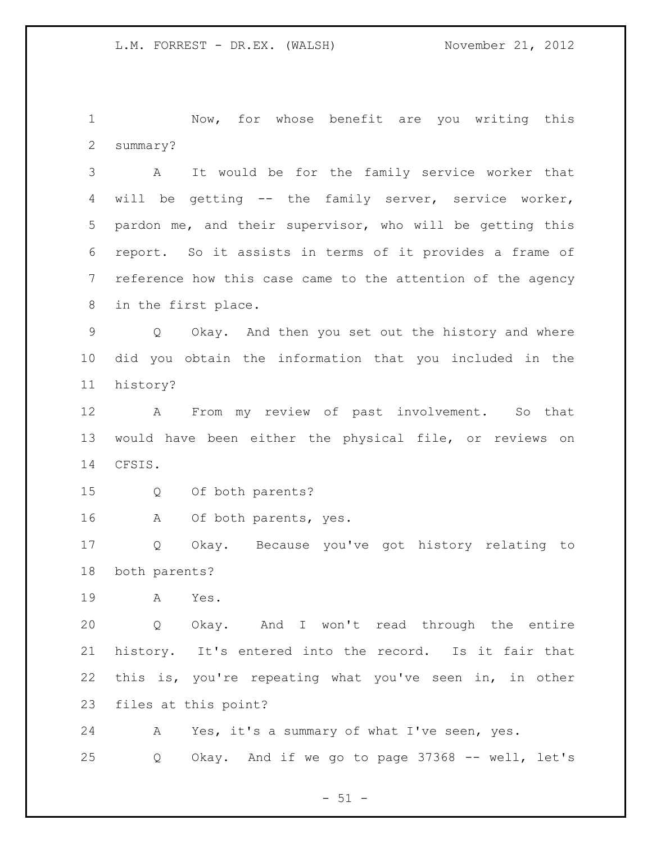Now, for whose benefit are you writing this summary?

 A It would be for the family service worker that will be getting -- the family server, service worker, pardon me, and their supervisor, who will be getting this report. So it assists in terms of it provides a frame of reference how this case came to the attention of the agency in the first place.

 Q Okay. And then you set out the history and where did you obtain the information that you included in the history?

 A From my review of past involvement. So that would have been either the physical file, or reviews on CFSIS.

- Q Of both parents?
- A Of both parents, yes.

 Q Okay. Because you've got history relating to both parents?

A Yes.

 Q Okay. And I won't read through the entire history. It's entered into the record. Is it fair that this is, you're repeating what you've seen in, in other files at this point?

 A Yes, it's a summary of what I've seen, yes. Q Okay. And if we go to page 37368 -- well, let's

 $- 51 -$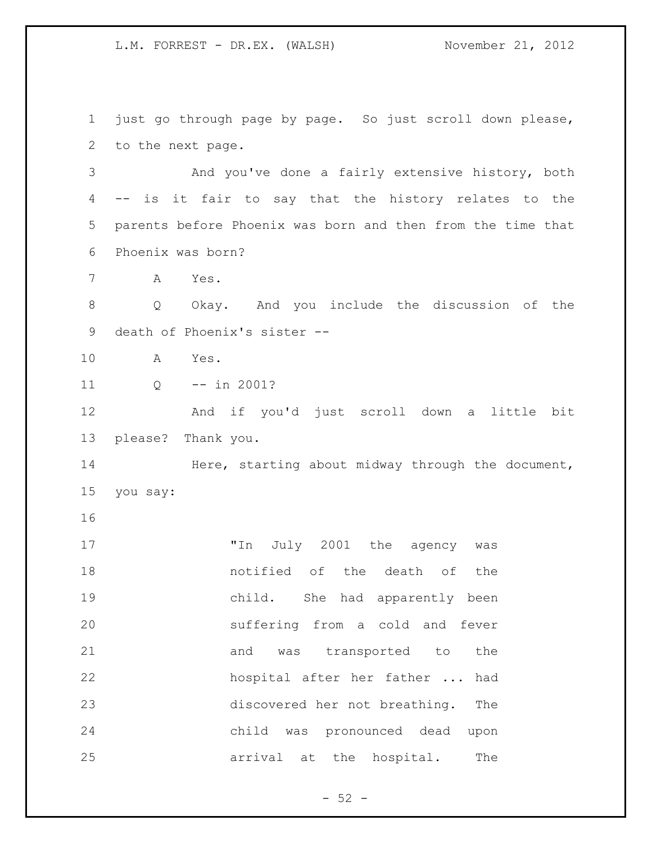just go through page by page. So just scroll down please, to the next page. And you've done a fairly extensive history, both -- is it fair to say that the history relates to the parents before Phoenix was born and then from the time that Phoenix was born? A Yes. Q Okay. And you include the discussion of the death of Phoenix's sister -- A Yes. Q -- in 2001? And if you'd just scroll down a little bit please? Thank you. 14 Here, starting about midway through the document, you say: 17 Th July 2001 the agency was notified of the death of the child. She had apparently been suffering from a cold and fever 21 and was transported to the hospital after her father ... had discovered her not breathing. The child was pronounced dead upon arrival at the hospital. The

 $- 52 -$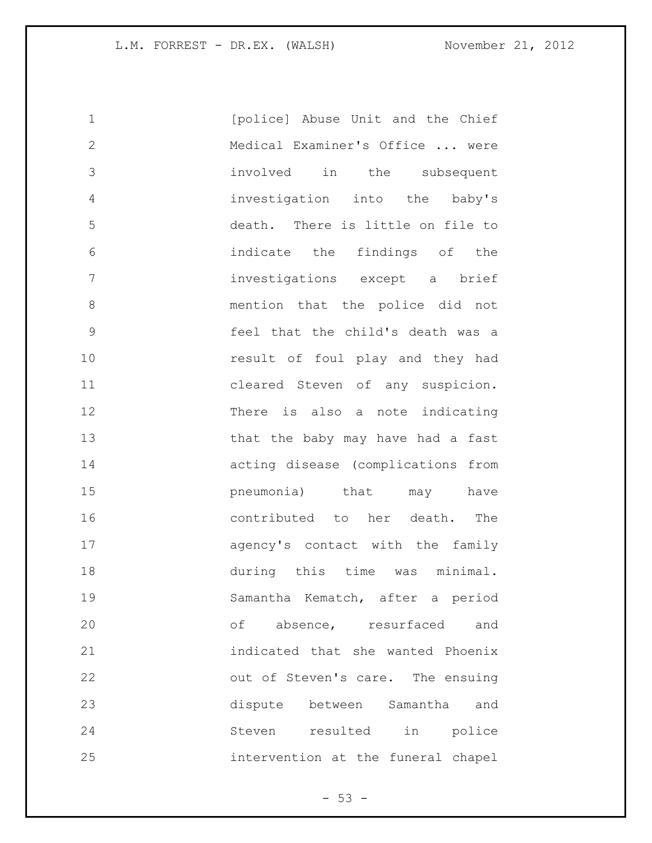| 1            | [police] Abuse Unit and the Chief  |
|--------------|------------------------------------|
| $\mathbf{2}$ | Medical Examiner's Office  were    |
| 3            | involved in the subsequent         |
| 4            | investigation into the baby's      |
| 5            | death. There is little on file to  |
| 6            | indicate the findings of the       |
| 7            | investigations except a brief      |
| 8            | mention that the police did not    |
| $\mathsf 9$  | feel that the child's death was a  |
| 10           | result of foul play and they had   |
| 11           | cleared Steven of any suspicion.   |
| 12           | There is also a note indicating    |
| 13           | that the baby may have had a fast  |
| 14           | acting disease (complications from |
| 15           | pneumonia) that<br>may have        |
| 16           | contributed to her death. The      |
| 17           | agency's contact with the family   |
| 18           | during this time was minimal.      |
| 19           | Samantha Kematch, after a period   |
| 20           | of absence, resurfaced<br>and      |
| 21           | indicated that she wanted Phoenix  |
| 22           | out of Steven's care. The ensuing  |
| 23           | dispute between Samantha<br>and    |
| 24           | Steven resulted in police          |
| 25           | intervention at the funeral chapel |

- 53 -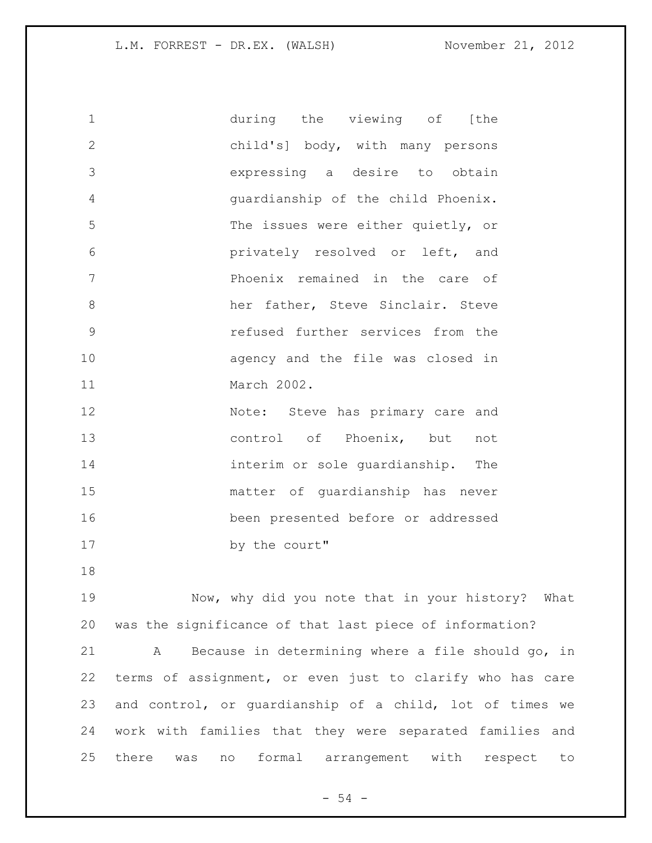| $\mathbf 1$   | during the viewing of [the         |
|---------------|------------------------------------|
| $\mathbf{2}$  | child's] body, with many persons   |
| 3             | expressing a desire to obtain      |
| 4             | quardianship of the child Phoenix. |
| 5             | The issues were either quietly, or |
| 6             | privately resolved or left, and    |
| 7             | Phoenix remained in the care of    |
| $8\,$         | her father, Steve Sinclair. Steve  |
| $\mathcal{G}$ | refused further services from the  |
| 10            | agency and the file was closed in  |
| 11            | March 2002.                        |
| 12            | Note: Steve has primary care and   |
| 13            | control of Phoenix, but<br>not     |
| 14            | interim or sole quardianship. The  |
| 15            | matter of quardianship has never   |
| 16            | been presented before or addressed |
| 17            | by the court"                      |
| 18            |                                    |

 Now, why did you note that in your history? What was the significance of that last piece of information? A Because in determining where a file should go, in terms of assignment, or even just to clarify who has care and control, or guardianship of a child, lot of times we work with families that they were separated families and there was no formal arrangement with respect to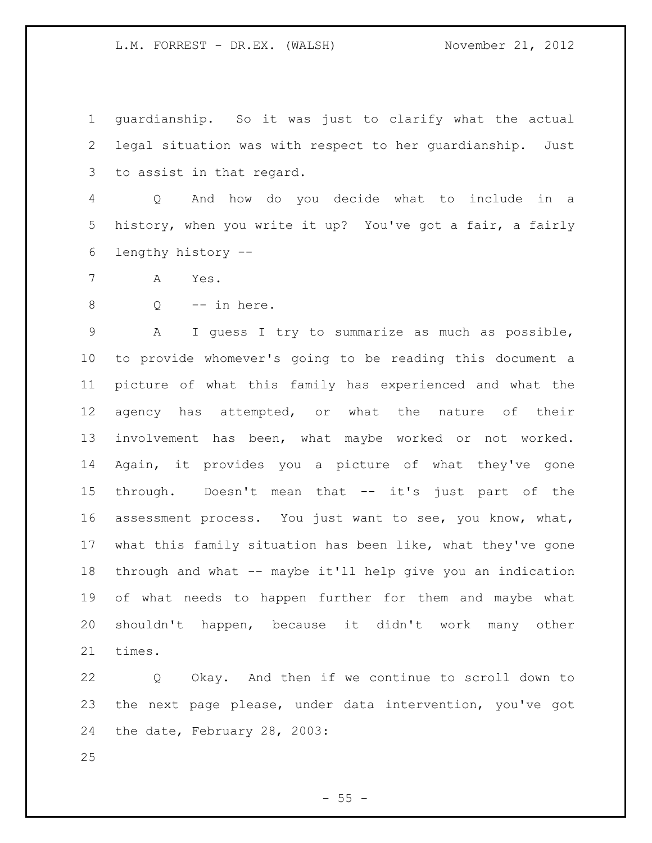guardianship. So it was just to clarify what the actual legal situation was with respect to her guardianship. Just to assist in that regard.

 Q And how do you decide what to include in a history, when you write it up? You've got a fair, a fairly lengthy history --

A Yes.

 $8 \qquad Q \qquad -- \text{ in here.}$ 

 A I guess I try to summarize as much as possible, to provide whomever's going to be reading this document a picture of what this family has experienced and what the agency has attempted, or what the nature of their involvement has been, what maybe worked or not worked. Again, it provides you a picture of what they've gone through. Doesn't mean that -- it's just part of the assessment process. You just want to see, you know, what, what this family situation has been like, what they've gone through and what -- maybe it'll help give you an indication of what needs to happen further for them and maybe what shouldn't happen, because it didn't work many other times.

 Q Okay. And then if we continue to scroll down to the next page please, under data intervention, you've got the date, February 28, 2003:

 $-55 -$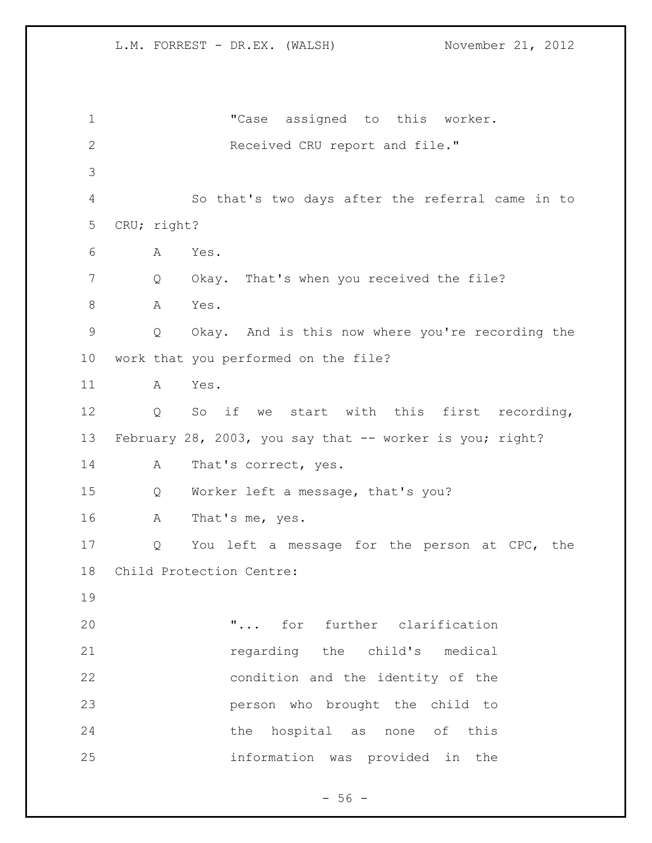1 TCase assigned to this worker. Received CRU report and file." So that's two days after the referral came in to CRU; right? A Yes. 7 Q Okay. That's when you received the file? 8 A Yes. Q Okay. And is this now where you're recording the work that you performed on the file? A Yes. Q So if we start with this first recording, February 28, 2003, you say that -- worker is you; right? 14 A That's correct, yes. Q Worker left a message, that's you? A That's me, yes. Q You left a message for the person at CPC, the Child Protection Centre: **... "...** for further clarification **120 regarding** the child's medical condition and the identity of the person who brought the child to 24 the hospital as none of this information was provided in the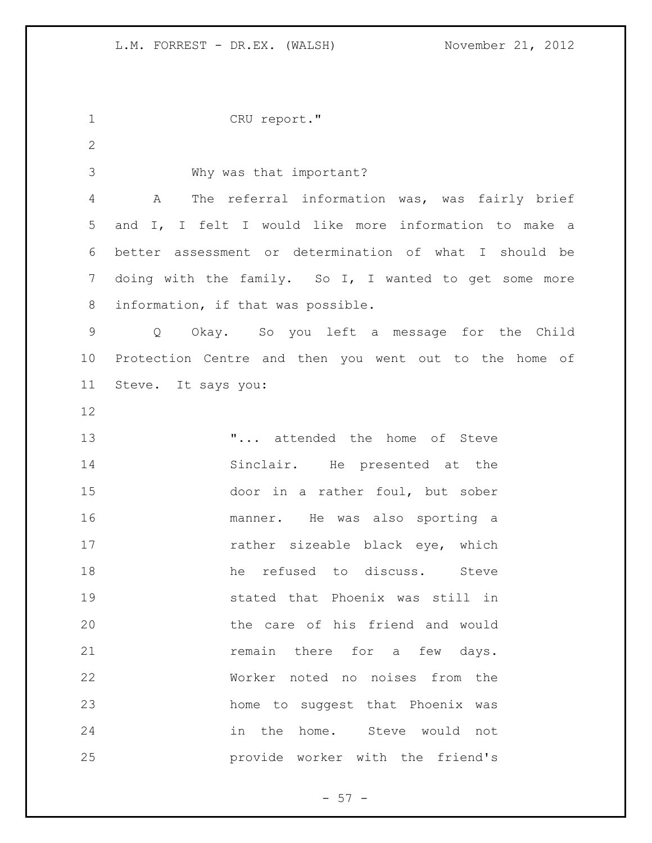CRU report." Why was that important? A The referral information was, was fairly brief and I, I felt I would like more information to make a better assessment or determination of what I should be 7 doing with the family. So I, I wanted to get some more information, if that was possible. Q Okay. So you left a message for the Child Protection Centre and then you went out to the home of Steve. It says you: **...** attended the home of Steve 14 Sinclair. He presented at the door in a rather foul, but sober manner. He was also sporting a 17 rather sizeable black eye, which 18 he refused to discuss. Steve stated that Phoenix was still in the care of his friend and would **remain** there for a few days. Worker noted no noises from the home to suggest that Phoenix was in the home. Steve would not provide worker with the friend's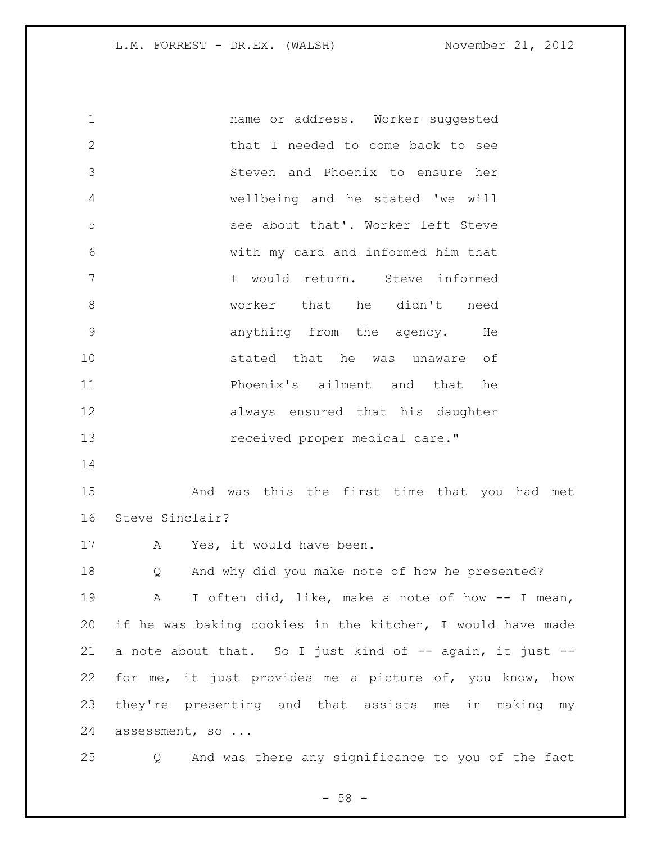name or address. Worker suggested that I needed to come back to see Steven and Phoenix to ensure her wellbeing and he stated 'we will see about that'. Worker left Steve with my card and informed him that I would return. Steve informed worker that he didn't need anything from the agency. He stated that he was unaware of Phoenix's ailment and that he always ensured that his daughter **13** received proper medical care." 

 And was this the first time that you had met Steve Sinclair?

17 A Yes, it would have been.

 Q And why did you make note of how he presented? A I often did, like, make a note of how -- I mean, if he was baking cookies in the kitchen, I would have made 21 a note about that. So I just kind of -- again, it just -- for me, it just provides me a picture of, you know, how they're presenting and that assists me in making my assessment, so ...

Q And was there any significance to you of the fact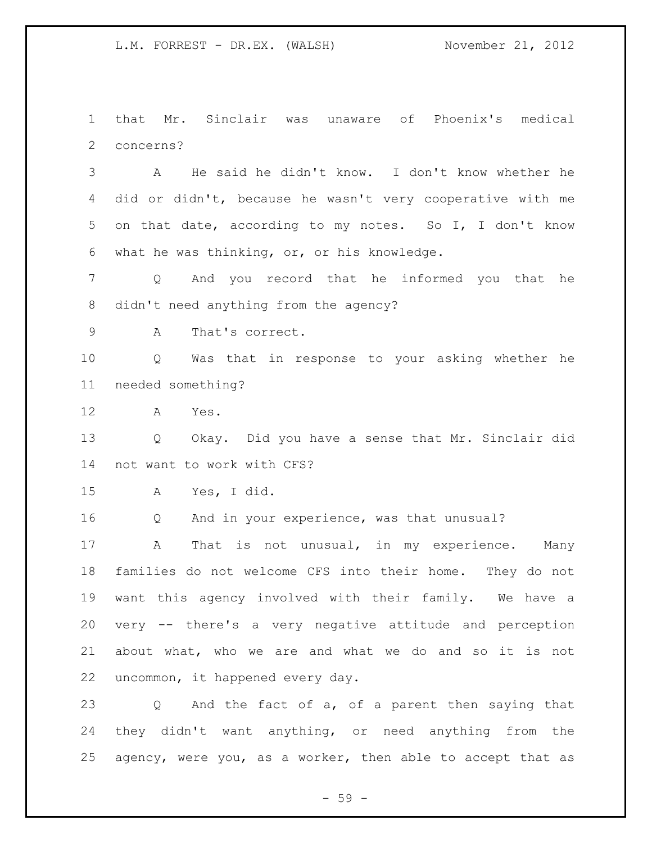that Mr. Sinclair was unaware of Phoenix's medical concerns?

 A He said he didn't know. I don't know whether he did or didn't, because he wasn't very cooperative with me on that date, according to my notes. So I, I don't know what he was thinking, or, or his knowledge.

 Q And you record that he informed you that he didn't need anything from the agency?

A That's correct.

 Q Was that in response to your asking whether he needed something?

A Yes.

 Q Okay. Did you have a sense that Mr. Sinclair did not want to work with CFS?

A Yes, I did.

Q And in your experience, was that unusual?

 A That is not unusual, in my experience. Many families do not welcome CFS into their home. They do not want this agency involved with their family. We have a very -- there's a very negative attitude and perception about what, who we are and what we do and so it is not uncommon, it happened every day.

 Q And the fact of a, of a parent then saying that they didn't want anything, or need anything from the agency, were you, as a worker, then able to accept that as

 $-59 -$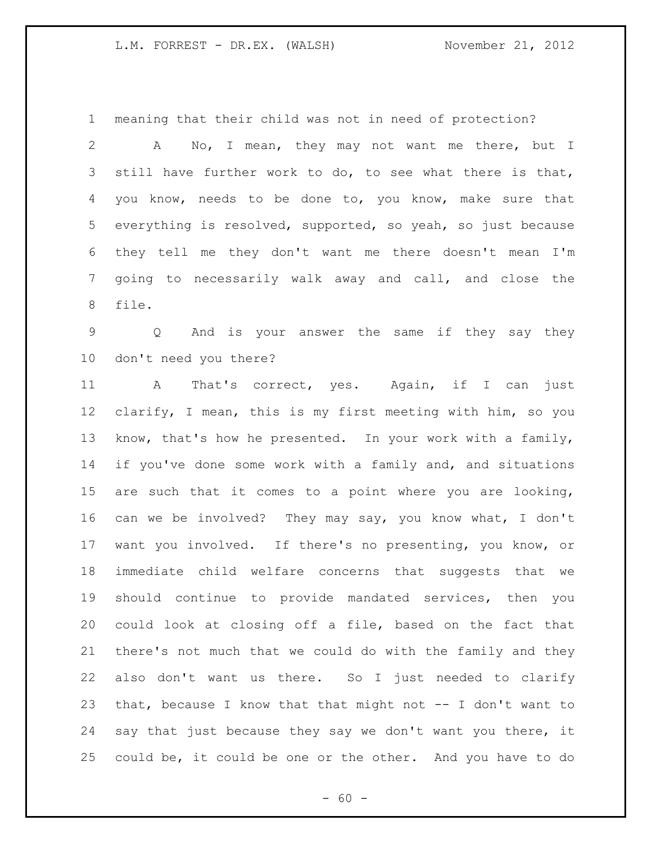meaning that their child was not in need of protection?

 A No, I mean, they may not want me there, but I still have further work to do, to see what there is that, you know, needs to be done to, you know, make sure that everything is resolved, supported, so yeah, so just because they tell me they don't want me there doesn't mean I'm going to necessarily walk away and call, and close the file.

 Q And is your answer the same if they say they don't need you there?

 A That's correct, yes. Again, if I can just clarify, I mean, this is my first meeting with him, so you know, that's how he presented. In your work with a family, if you've done some work with a family and, and situations are such that it comes to a point where you are looking, can we be involved? They may say, you know what, I don't want you involved. If there's no presenting, you know, or immediate child welfare concerns that suggests that we should continue to provide mandated services, then you could look at closing off a file, based on the fact that there's not much that we could do with the family and they also don't want us there. So I just needed to clarify that, because I know that that might not -- I don't want to say that just because they say we don't want you there, it could be, it could be one or the other. And you have to do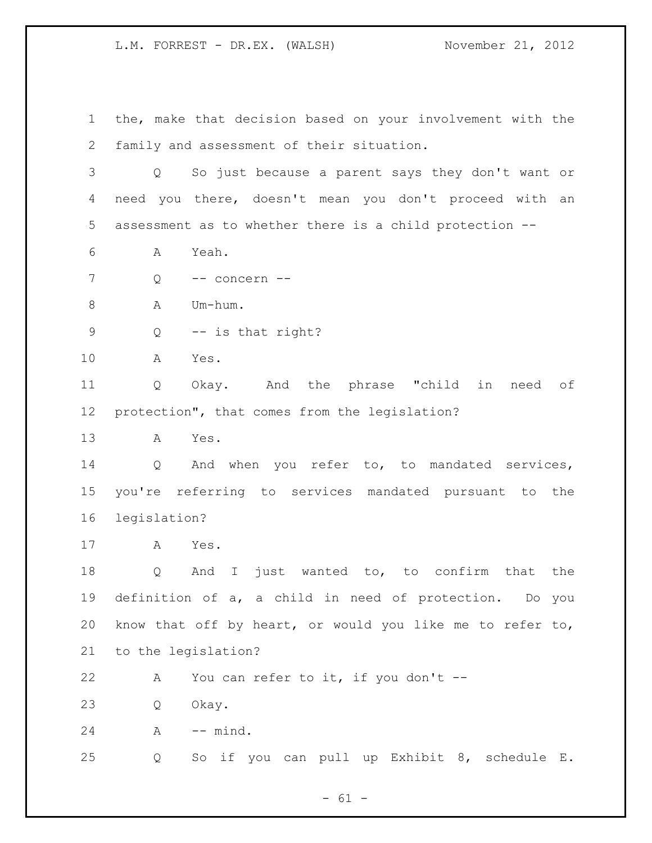the, make that decision based on your involvement with the family and assessment of their situation.

 Q So just because a parent says they don't want or need you there, doesn't mean you don't proceed with an assessment as to whether there is a child protection --

- A Yeah.
- Q -- concern --

8 A Um-hum.

Q -- is that right?

A Yes.

 Q Okay. And the phrase "child in need of protection", that comes from the legislation?

A Yes.

 Q And when you refer to, to mandated services, you're referring to services mandated pursuant to the legislation?

A Yes.

 Q And I just wanted to, to confirm that the definition of a, a child in need of protection. Do you know that off by heart, or would you like me to refer to, to the legislation?

22 A You can refer to it, if you don't --

Q Okay.

A -- mind.

Q So if you can pull up Exhibit 8, schedule E.

 $- 61 -$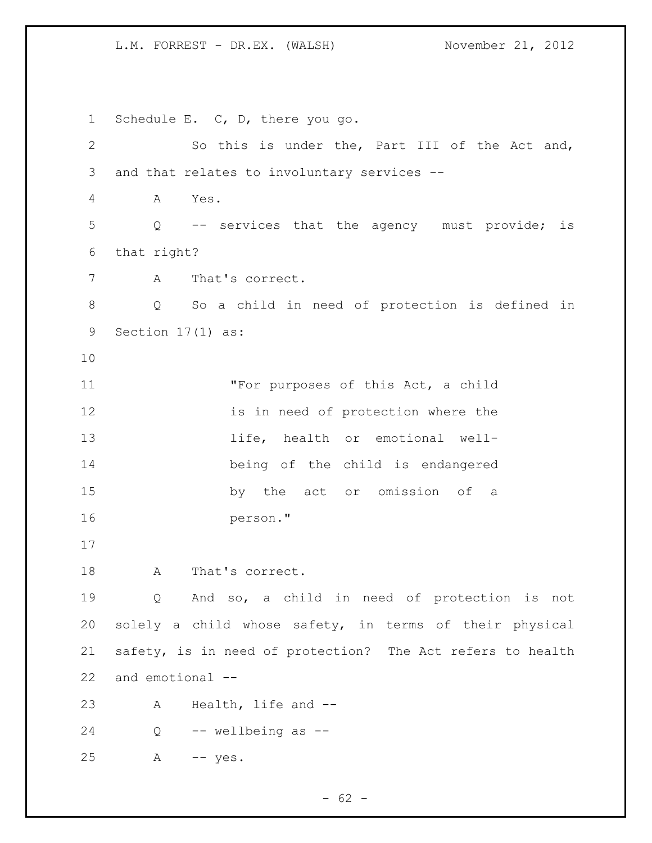Schedule E. C, D, there you go. So this is under the, Part III of the Act and, and that relates to involuntary services -- A Yes. Q -- services that the agency must provide; is that right? A That's correct. Q So a child in need of protection is defined in Section 17(1) as: "For purposes of this Act, a child is in need of protection where the 13 life, health or emotional well- being of the child is endangered by the act or omission of a person." 18 A That's correct. Q And so, a child in need of protection is not solely a child whose safety, in terms of their physical safety, is in need of protection? The Act refers to health and emotional -- A Health, life and -- Q -- wellbeing as -- A -- yes.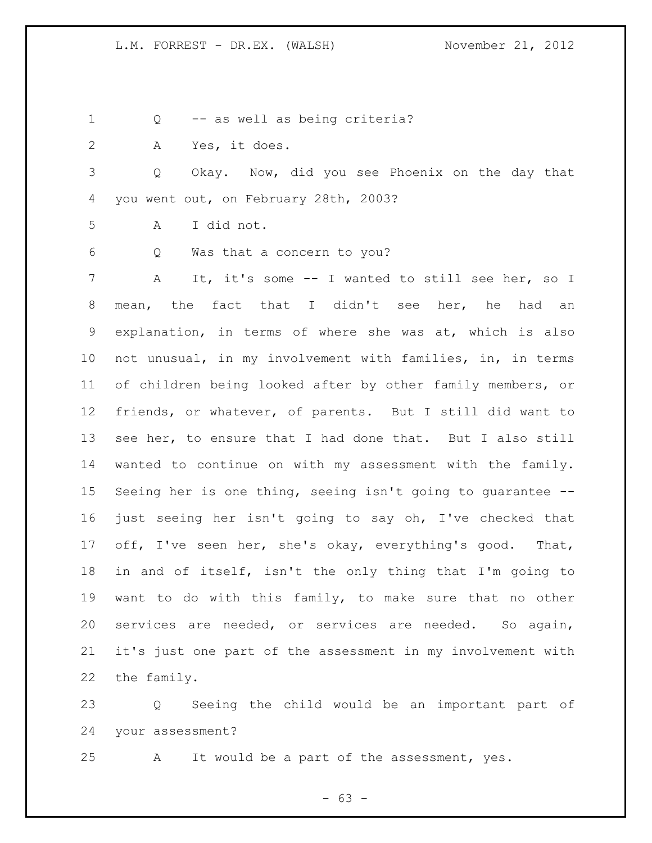Q -- as well as being criteria?

A Yes, it does.

 Q Okay. Now, did you see Phoenix on the day that you went out, on February 28th, 2003?

A I did not.

Q Was that a concern to you?

 A It, it's some -- I wanted to still see her, so I mean, the fact that I didn't see her, he had an explanation, in terms of where she was at, which is also not unusual, in my involvement with families, in, in terms of children being looked after by other family members, or friends, or whatever, of parents. But I still did want to see her, to ensure that I had done that. But I also still wanted to continue on with my assessment with the family. Seeing her is one thing, seeing isn't going to guarantee -- just seeing her isn't going to say oh, I've checked that off, I've seen her, she's okay, everything's good. That, in and of itself, isn't the only thing that I'm going to want to do with this family, to make sure that no other services are needed, or services are needed. So again, it's just one part of the assessment in my involvement with the family.

 Q Seeing the child would be an important part of your assessment?

A It would be a part of the assessment, yes.

- 63 -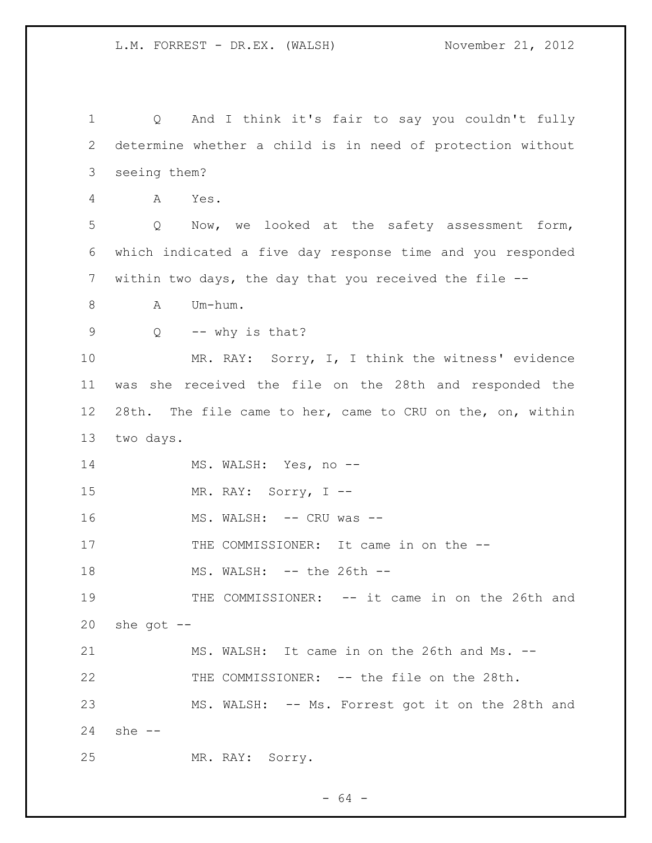Q And I think it's fair to say you couldn't fully determine whether a child is in need of protection without seeing them? A Yes. Q Now, we looked at the safety assessment form, which indicated a five day response time and you responded within two days, the day that you received the file -- 8 A Um-hum.  $Q$  -- why is that? MR. RAY: Sorry, I, I think the witness' evidence was she received the file on the 28th and responded the 28th. The file came to her, came to CRU on the, on, within two days. 14 MS. WALSH: Yes, no --15 MR. RAY: Sorry, I --16 MS. WALSH: -- CRU was --17 THE COMMISSIONER: It came in on the --18 MS. WALSH: -- the 26th -- THE COMMISSIONER: -- it came in on the 26th and she got  $-$  MS. WALSH: It came in on the 26th and Ms. -- THE COMMISSIONER: -- the file on the 28th. MS. WALSH: -- Ms. Forrest got it on the 28th and she -- MR. RAY: Sorry.

- 64 -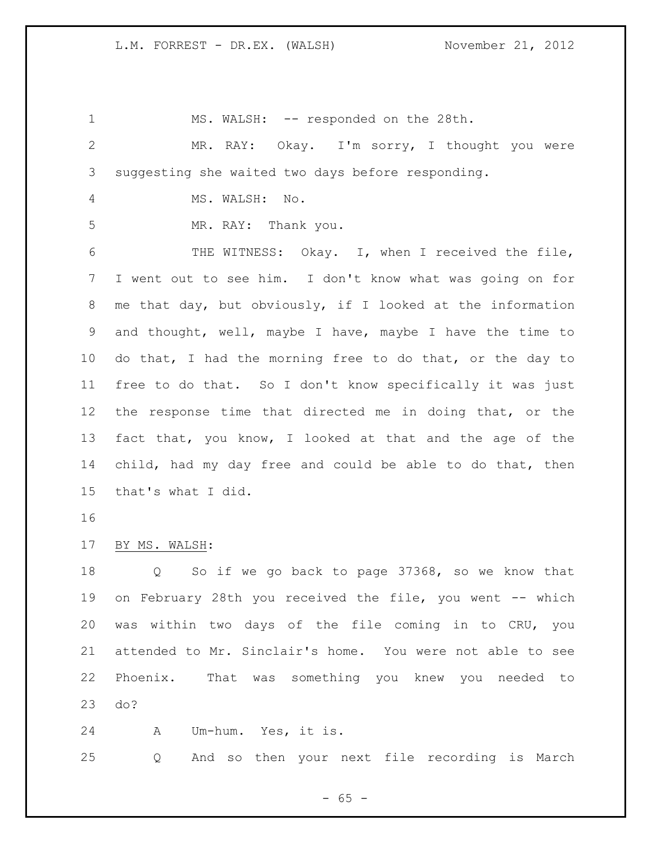1 MS. WALSH: -- responded on the 28th. MR. RAY: Okay. I'm sorry, I thought you were suggesting she waited two days before responding. MS. WALSH: No. MR. RAY: Thank you. 6 THE WITNESS: Okay. I, when I received the file, I went out to see him. I don't know what was going on for me that day, but obviously, if I looked at the information and thought, well, maybe I have, maybe I have the time to do that, I had the morning free to do that, or the day to free to do that. So I don't know specifically it was just the response time that directed me in doing that, or the fact that, you know, I looked at that and the age of the child, had my day free and could be able to do that, then that's what I did. BY MS. WALSH: Q So if we go back to page 37368, so we know that on February 28th you received the file, you went -- which was within two days of the file coming in to CRU, you attended to Mr. Sinclair's home. You were not able to see Phoenix. That was something you knew you needed to do? A Um-hum. Yes, it is. Q And so then your next file recording is March

 $- 65 -$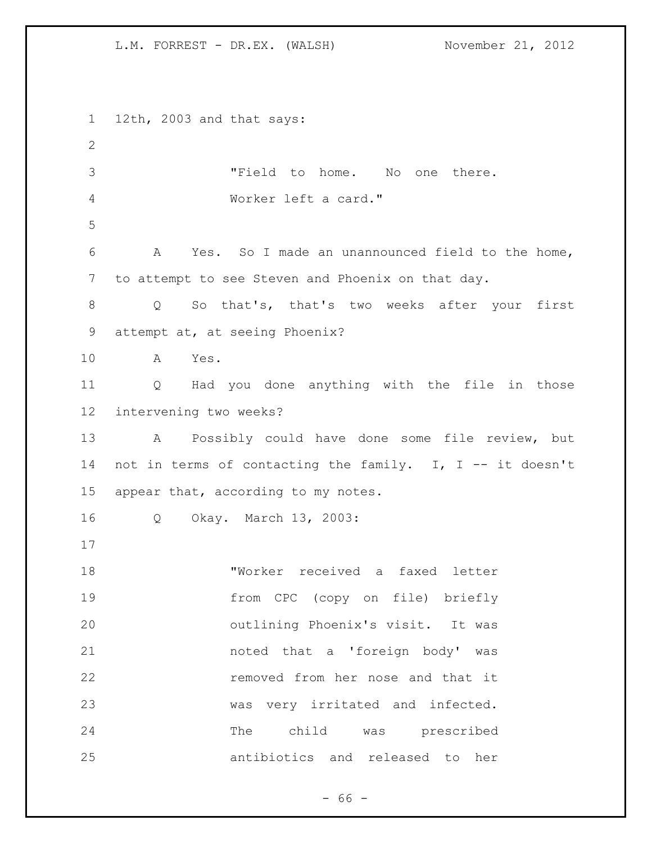12th, 2003 and that says: "Field to home. No one there. Worker left a card." A Yes. So I made an unannounced field to the home, to attempt to see Steven and Phoenix on that day. Q So that's, that's two weeks after your first attempt at, at seeing Phoenix? A Yes. Q Had you done anything with the file in those intervening two weeks? A Possibly could have done some file review, but not in terms of contacting the family. I, I -- it doesn't appear that, according to my notes. Q Okay. March 13, 2003: "Worker received a faxed letter from CPC (copy on file) briefly outlining Phoenix's visit. It was noted that a 'foreign body' was removed from her nose and that it was very irritated and infected. The child was prescribed antibiotics and released to her

 $- 66 -$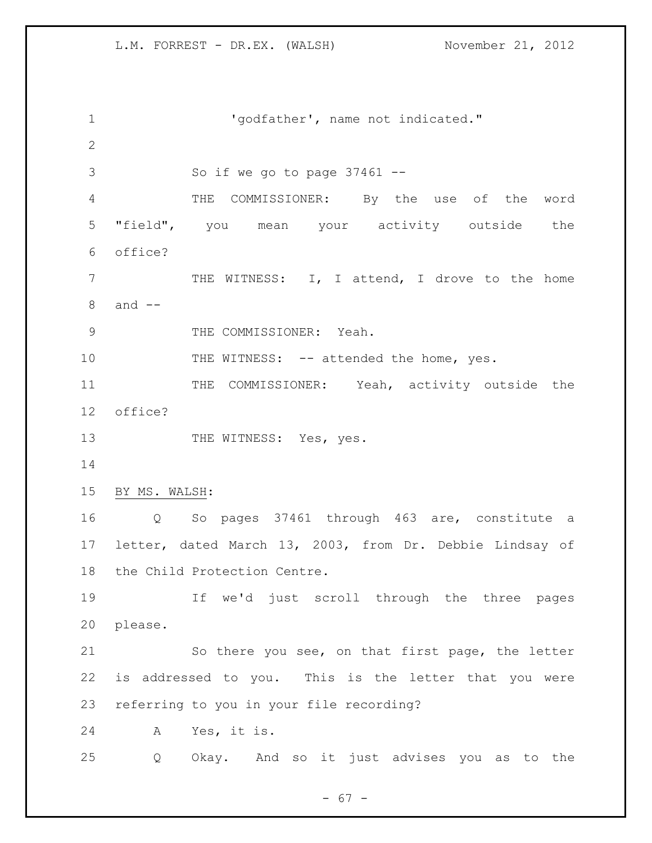'godfather', name not indicated." So if we go to page 37461 -- THE COMMISSIONER: By the use of the word "field", you mean your activity outside the office? 7 THE WITNESS: I, I attend, I drove to the home and -- 9 THE COMMISSIONER: Yeah. 10 THE WITNESS: -- attended the home, yes. 11 THE COMMISSIONER: Yeah, activity outside the office? 13 THE WITNESS: Yes, yes. BY MS. WALSH: Q So pages 37461 through 463 are, constitute a letter, dated March 13, 2003, from Dr. Debbie Lindsay of the Child Protection Centre. If we'd just scroll through the three pages please. So there you see, on that first page, the letter is addressed to you. This is the letter that you were referring to you in your file recording? A Yes, it is. Q Okay. And so it just advises you as to the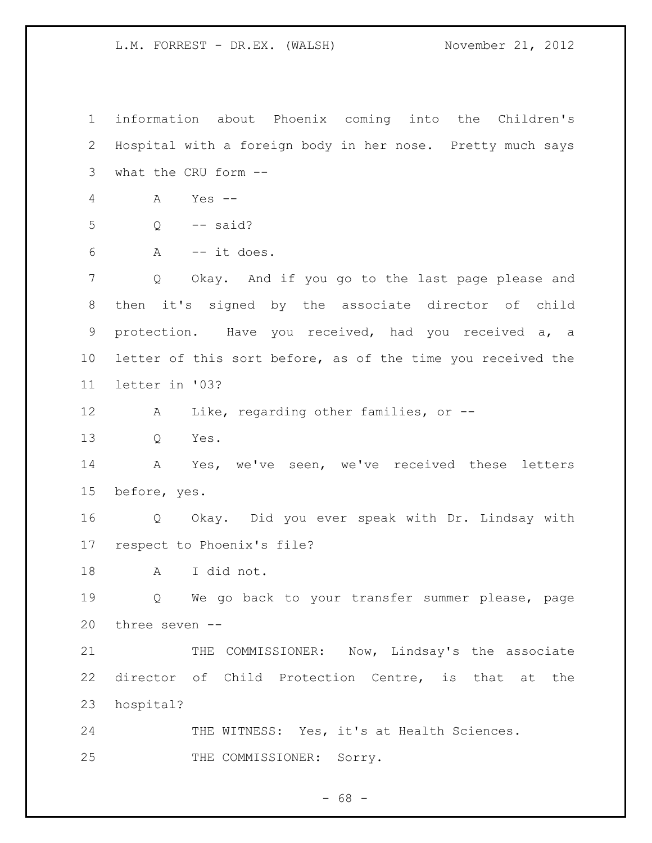information about Phoenix coming into the Children's Hospital with a foreign body in her nose. Pretty much says what the CRU form -- A Yes -- Q -- said? A -- it does. Q Okay. And if you go to the last page please and then it's signed by the associate director of child protection. Have you received, had you received a, a letter of this sort before, as of the time you received the letter in '03? A Like, regarding other families, or -- Q Yes. A Yes, we've seen, we've received these letters before, yes. Q Okay. Did you ever speak with Dr. Lindsay with respect to Phoenix's file? A I did not. Q We go back to your transfer summer please, page three seven -- 21 THE COMMISSIONER: Now, Lindsay's the associate director of Child Protection Centre, is that at the hospital? 24 THE WITNESS: Yes, it's at Health Sciences. 25 THE COMMISSIONER: Sorry.

 $- 68 -$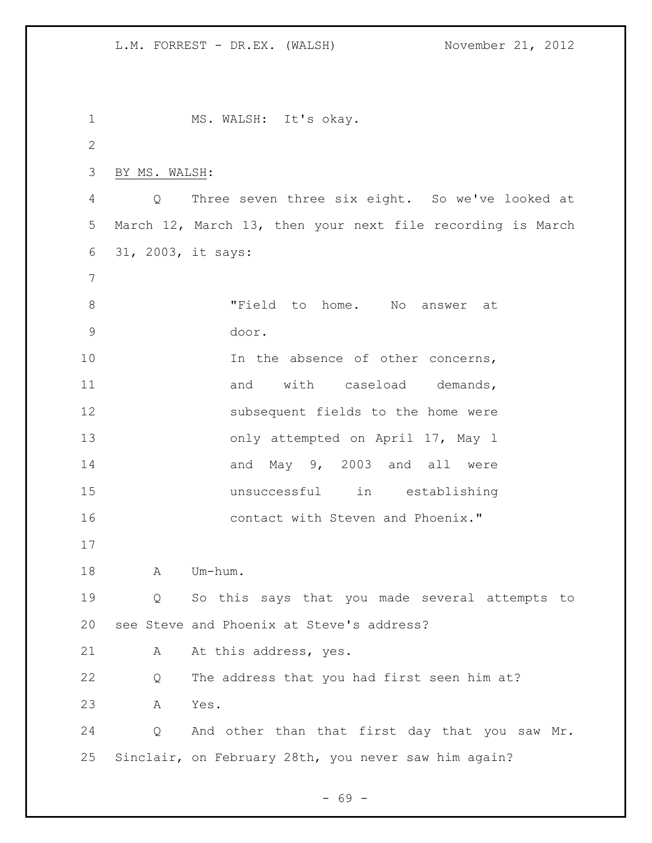1 MS. WALSH: It's okay. 2 3 BY MS. WALSH: 4 Q Three seven three six eight. So we've looked at 5 March 12, March 13, then your next file recording is March 6 31, 2003, it says: 7 8 Trield to home. No answer at 9 door. 10 10 In the absence of other concerns, 11 and with caseload demands, 12 subsequent fields to the home were 13 only attempted on April 17, May 1 14 and May 9, 2003 and all were 15 unsuccessful in establishing 16 contact with Steven and Phoenix." 17 18 A Um-hum. 19 Q So this says that you made several attempts to 20 see Steve and Phoenix at Steve's address? 21 A At this address, yes. 22 Q The address that you had first seen him at? 23 A Yes. 24 Q And other than that first day that you saw Mr. 25 Sinclair, on February 28th, you never saw him again?

- 69 -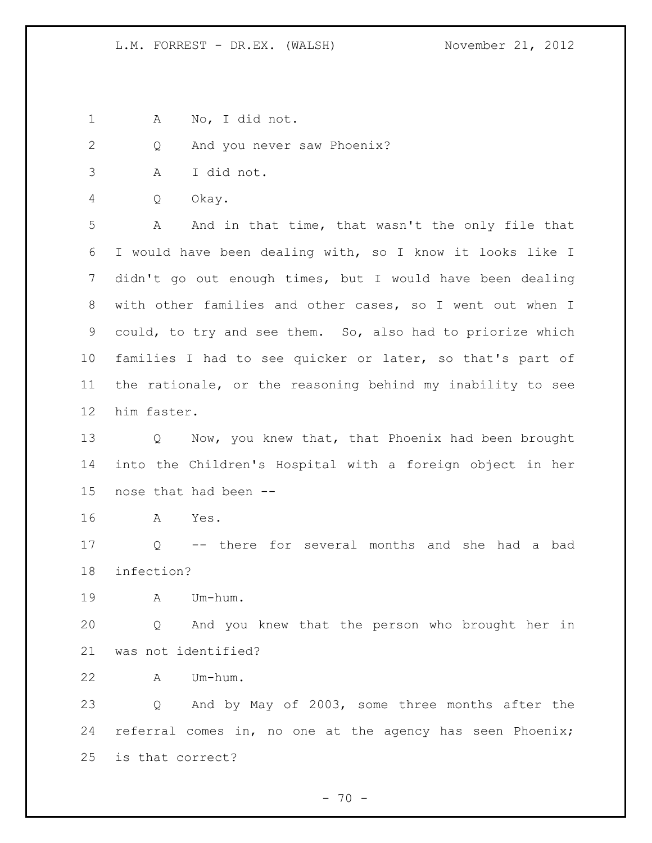A No, I did not.

Q And you never saw Phoenix?

- A I did not.
- Q Okay.

 A And in that time, that wasn't the only file that I would have been dealing with, so I know it looks like I didn't go out enough times, but I would have been dealing with other families and other cases, so I went out when I could, to try and see them. So, also had to priorize which families I had to see quicker or later, so that's part of the rationale, or the reasoning behind my inability to see him faster.

13 Q Now, you knew that, that Phoenix had been brought into the Children's Hospital with a foreign object in her nose that had been --

A Yes.

 Q -- there for several months and she had a bad infection?

A Um-hum.

 Q And you knew that the person who brought her in was not identified?

A Um-hum.

 Q And by May of 2003, some three months after the referral comes in, no one at the agency has seen Phoenix; is that correct?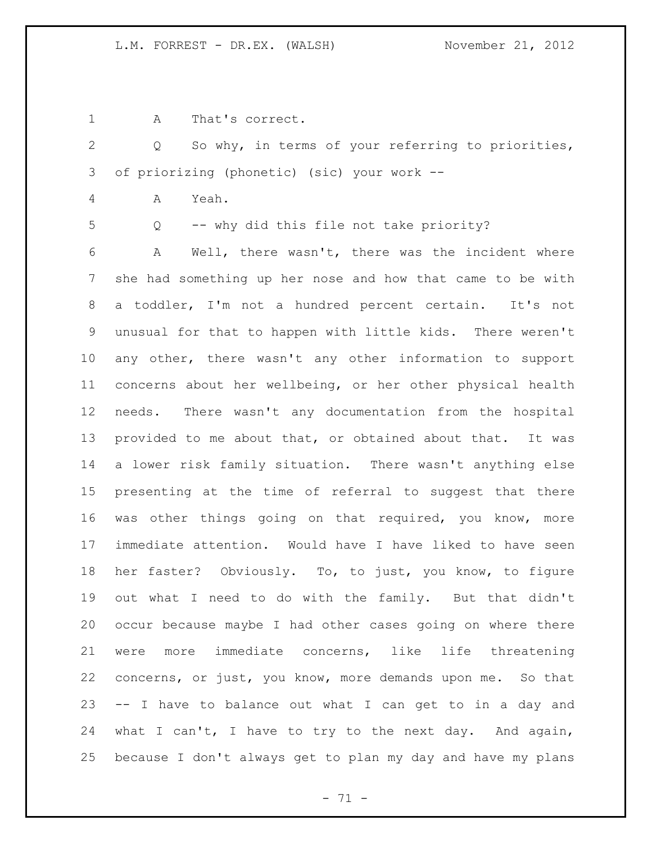A That's correct.

 Q So why, in terms of your referring to priorities, of priorizing (phonetic) (sic) your work --

- A Yeah.
- 

Q -- why did this file not take priority?

 A Well, there wasn't, there was the incident where she had something up her nose and how that came to be with a toddler, I'm not a hundred percent certain. It's not unusual for that to happen with little kids. There weren't any other, there wasn't any other information to support concerns about her wellbeing, or her other physical health needs. There wasn't any documentation from the hospital provided to me about that, or obtained about that. It was a lower risk family situation. There wasn't anything else presenting at the time of referral to suggest that there was other things going on that required, you know, more immediate attention. Would have I have liked to have seen her faster? Obviously. To, to just, you know, to figure out what I need to do with the family. But that didn't occur because maybe I had other cases going on where there were more immediate concerns, like life threatening concerns, or just, you know, more demands upon me. So that -- I have to balance out what I can get to in a day and what I can't, I have to try to the next day. And again, because I don't always get to plan my day and have my plans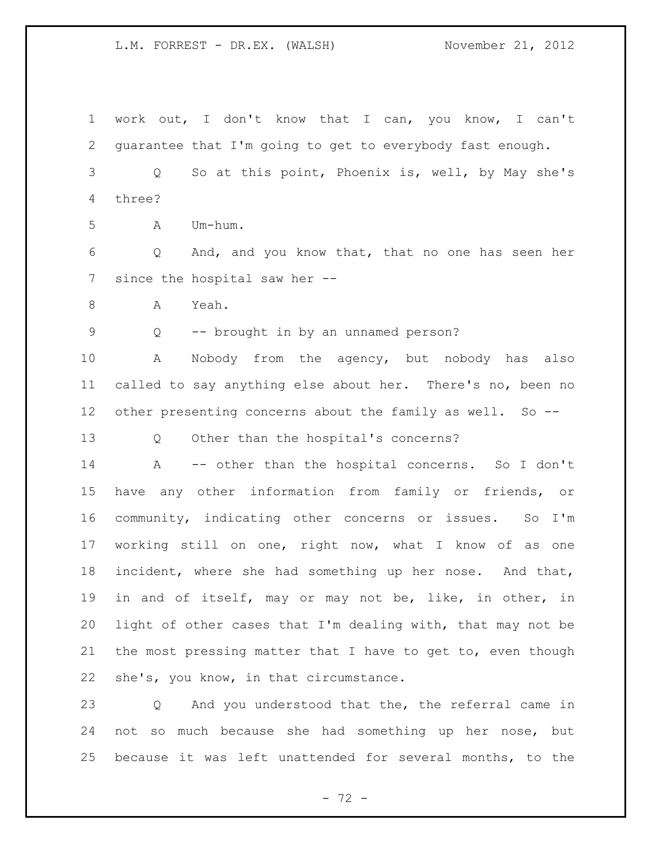work out, I don't know that I can, you know, I can't guarantee that I'm going to get to everybody fast enough. Q So at this point, Phoenix is, well, by May she's three? A Um-hum. Q And, and you know that, that no one has seen her since the hospital saw her -- 8 A Yeah. Q -- brought in by an unnamed person? A Nobody from the agency, but nobody has also called to say anything else about her. There's no, been no other presenting concerns about the family as well. So -- Q Other than the hospital's concerns? A -- other than the hospital concerns. So I don't have any other information from family or friends, or community, indicating other concerns or issues. So I'm working still on one, right now, what I know of as one incident, where she had something up her nose. And that, in and of itself, may or may not be, like, in other, in light of other cases that I'm dealing with, that may not be the most pressing matter that I have to get to, even though she's, you know, in that circumstance. Q And you understood that the, the referral came in not so much because she had something up her nose, but because it was left unattended for several months, to the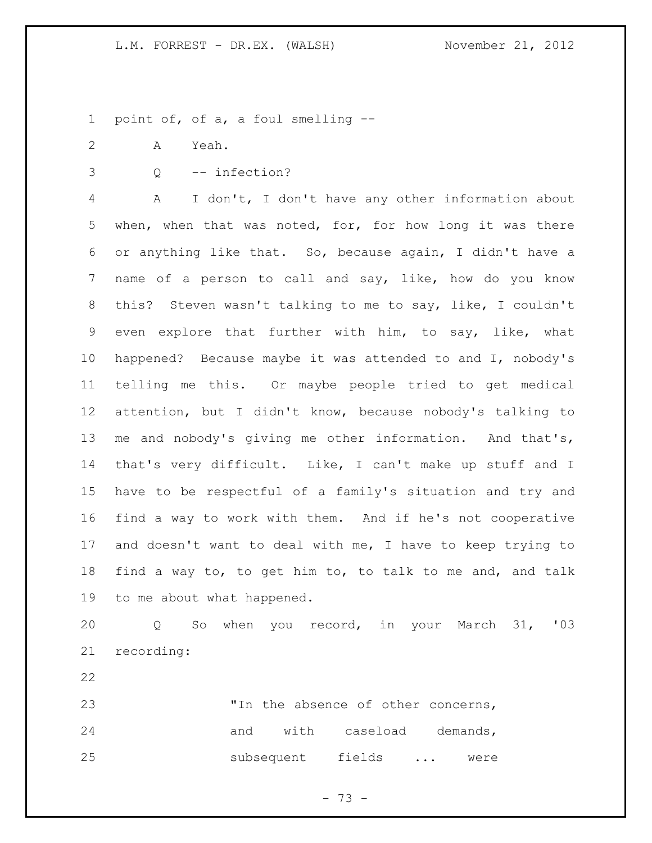point of, of a, a foul smelling --

- A Yeah.
- 

Q -- infection?

 A I don't, I don't have any other information about when, when that was noted, for, for how long it was there or anything like that. So, because again, I didn't have a name of a person to call and say, like, how do you know this? Steven wasn't talking to me to say, like, I couldn't even explore that further with him, to say, like, what happened? Because maybe it was attended to and I, nobody's telling me this. Or maybe people tried to get medical attention, but I didn't know, because nobody's talking to me and nobody's giving me other information. And that's, that's very difficult. Like, I can't make up stuff and I have to be respectful of a family's situation and try and find a way to work with them. And if he's not cooperative and doesn't want to deal with me, I have to keep trying to find a way to, to get him to, to talk to me and, and talk to me about what happened.

 Q So when you record, in your March 31, '03 recording:

 "In the absence of other concerns, 24 and with caseload demands, subsequent fields ... were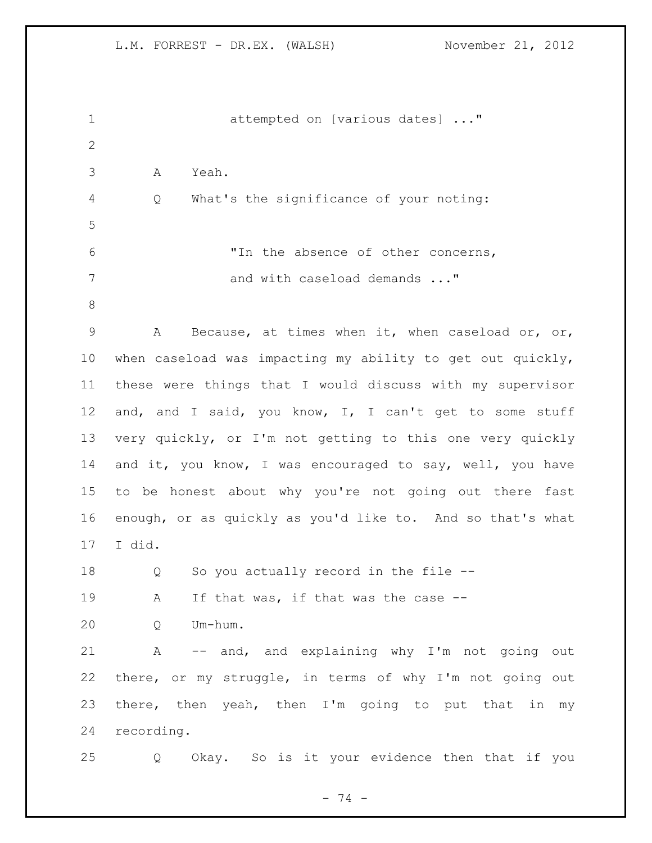| $\mathbf 1$  | attempted on [various dates] "                               |
|--------------|--------------------------------------------------------------|
| $\mathbf{2}$ |                                                              |
| 3            | Α<br>Yeah.                                                   |
| 4            | What's the significance of your noting:<br>Q                 |
| 5            |                                                              |
| 6            | "In the absence of other concerns,                           |
| 7            | and with caseload demands "                                  |
| $\,8\,$      |                                                              |
| 9            | Because, at times when it, when caseload or, or,<br>A        |
| 10           | when caseload was impacting my ability to get out quickly,   |
| 11           | these were things that I would discuss with my supervisor    |
| 12           | and, and I said, you know, I, I can't get to some stuff      |
| 13           | very quickly, or I'm not getting to this one very quickly    |
| 14           | and it, you know, I was encouraged to say, well, you have    |
| 15           | to be honest about why you're not going out there fast       |
| 16           | enough, or as quickly as you'd like to. And so that's what   |
| 17           | I did.                                                       |
| 18           | So you actually record in the file --<br>Q                   |
| 19           | If that was, if that was the case --<br>А                    |
| 20           | Q<br>Um-hum.                                                 |
| 21           | -- and, and explaining why I'm not going out<br>$\mathbb{A}$ |
| 22           | there, or my struggle, in terms of why I'm not going out     |
| 23           | there, then yeah, then I'm going to put that in<br>my        |
| 24           | recording.                                                   |
| 25           | Okay. So is it your evidence then that if you<br>Q           |

- 74 -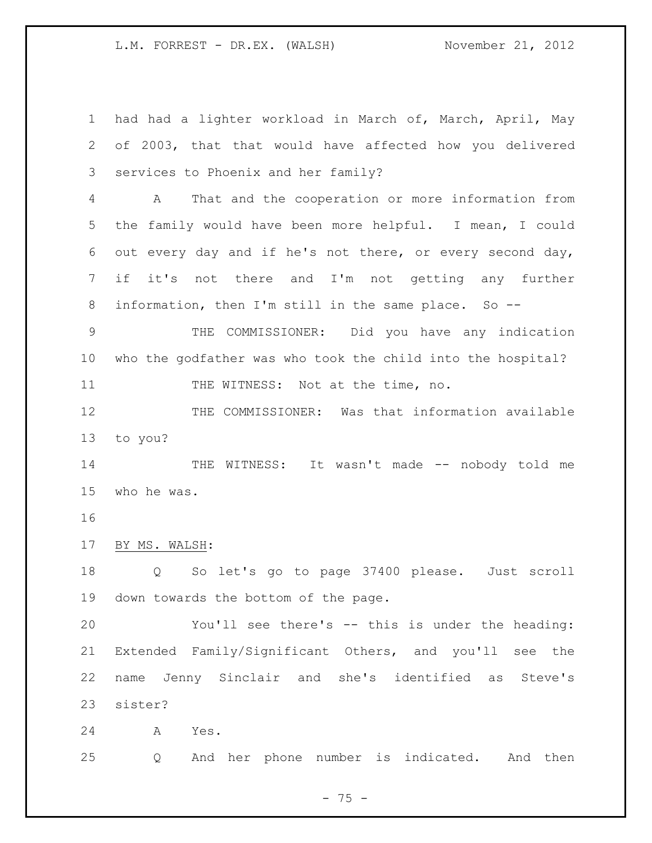had had a lighter workload in March of, March, April, May of 2003, that that would have affected how you delivered services to Phoenix and her family? A That and the cooperation or more information from the family would have been more helpful. I mean, I could out every day and if he's not there, or every second day, if it's not there and I'm not getting any further information, then I'm still in the same place. So -- THE COMMISSIONER: Did you have any indication who the godfather was who took the child into the hospital? 11 THE WITNESS: Not at the time, no. 12 THE COMMISSIONER: Was that information available to you? 14 THE WITNESS: It wasn't made -- nobody told me who he was. BY MS. WALSH: Q So let's go to page 37400 please. Just scroll down towards the bottom of the page. You'll see there's -- this is under the heading: Extended Family/Significant Others, and you'll see the name Jenny Sinclair and she's identified as Steve's sister? A Yes.

Q And her phone number is indicated. And then

 $- 75 -$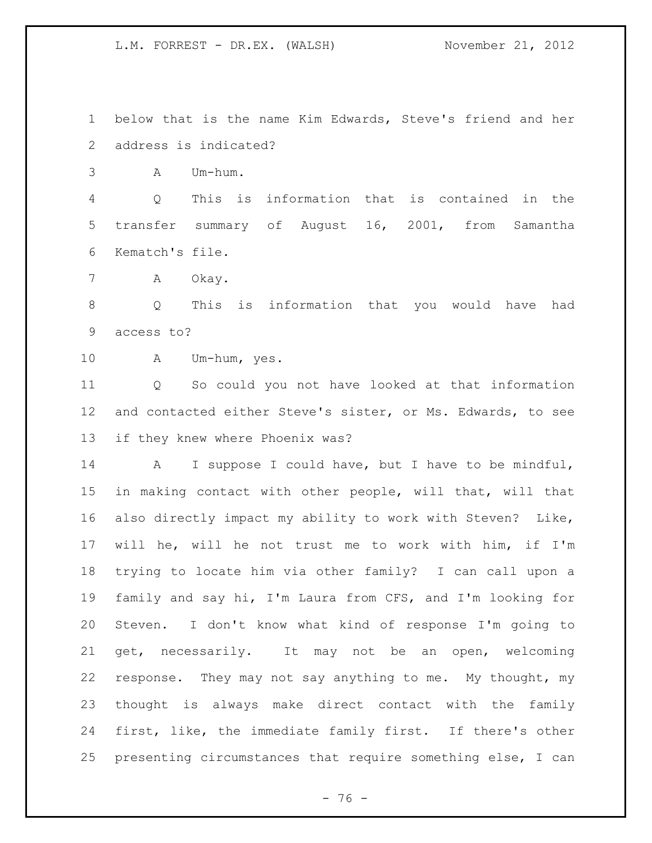below that is the name Kim Edwards, Steve's friend and her address is indicated?

A Um-hum.

 Q This is information that is contained in the transfer summary of August 16, 2001, from Samantha Kematch's file.

A Okay.

 Q This is information that you would have had access to?

A Um-hum, yes.

 Q So could you not have looked at that information and contacted either Steve's sister, or Ms. Edwards, to see if they knew where Phoenix was?

 A I suppose I could have, but I have to be mindful, in making contact with other people, will that, will that also directly impact my ability to work with Steven? Like, will he, will he not trust me to work with him, if I'm trying to locate him via other family? I can call upon a family and say hi, I'm Laura from CFS, and I'm looking for Steven. I don't know what kind of response I'm going to get, necessarily. It may not be an open, welcoming response. They may not say anything to me. My thought, my thought is always make direct contact with the family first, like, the immediate family first. If there's other presenting circumstances that require something else, I can

 $- 76 -$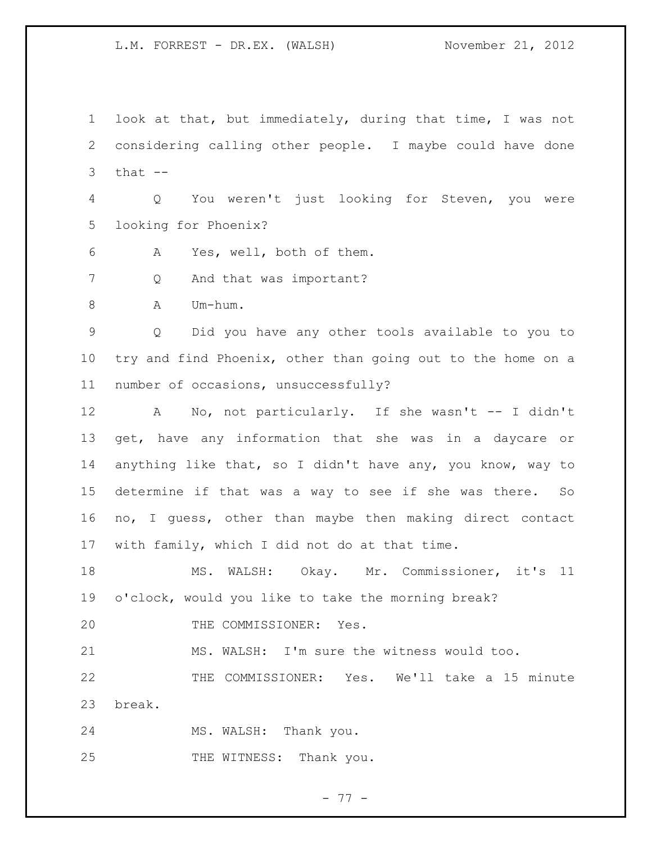look at that, but immediately, during that time, I was not considering calling other people. I maybe could have done that  $-$  Q You weren't just looking for Steven, you were looking for Phoenix? A Yes, well, both of them. 7 Q And that was important? 8 A Um-hum. Q Did you have any other tools available to you to try and find Phoenix, other than going out to the home on a number of occasions, unsuccessfully? A No, not particularly. If she wasn't -- I didn't get, have any information that she was in a daycare or

 anything like that, so I didn't have any, you know, way to determine if that was a way to see if she was there. So no, I guess, other than maybe then making direct contact with family, which I did not do at that time.

 MS. WALSH: Okay. Mr. Commissioner, it's 11 o'clock, would you like to take the morning break?

20 THE COMMISSIONER: Yes.

MS. WALSH: I'm sure the witness would too.

 THE COMMISSIONER: Yes. We'll take a 15 minute break.

MS. WALSH: Thank you.

25 THE WITNESS: Thank you.

- 77 -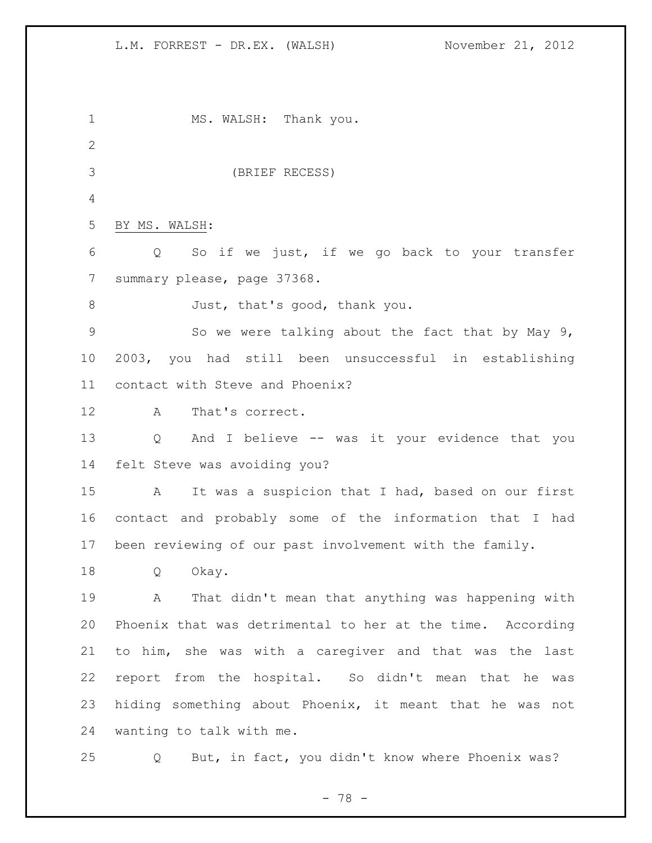1 MS. WALSH: Thank you. (BRIEF RECESS) BY MS. WALSH: Q So if we just, if we go back to your transfer summary please, page 37368. 8 Just, that's good, thank you. So we were talking about the fact that by May 9, 2003, you had still been unsuccessful in establishing contact with Steve and Phoenix? A That's correct. Q And I believe -- was it your evidence that you felt Steve was avoiding you? A It was a suspicion that I had, based on our first contact and probably some of the information that I had been reviewing of our past involvement with the family. Q Okay. A That didn't mean that anything was happening with Phoenix that was detrimental to her at the time. According to him, she was with a caregiver and that was the last report from the hospital. So didn't mean that he was hiding something about Phoenix, it meant that he was not wanting to talk with me. Q But, in fact, you didn't know where Phoenix was?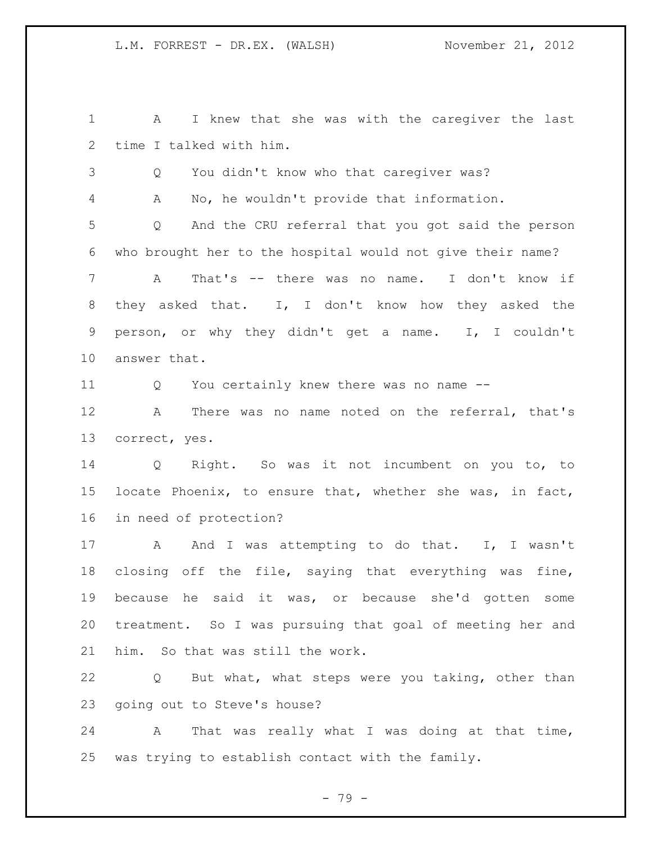A I knew that she was with the caregiver the last time I talked with him.

Q You didn't know who that caregiver was?

A No, he wouldn't provide that information.

 Q And the CRU referral that you got said the person who brought her to the hospital would not give their name?

 A That's -- there was no name. I don't know if they asked that. I, I don't know how they asked the person, or why they didn't get a name. I, I couldn't answer that.

Q You certainly knew there was no name --

 A There was no name noted on the referral, that's correct, yes.

 Q Right. So was it not incumbent on you to, to locate Phoenix, to ensure that, whether she was, in fact, in need of protection?

17 A And I was attempting to do that. I, I wasn't closing off the file, saying that everything was fine, because he said it was, or because she'd gotten some treatment. So I was pursuing that goal of meeting her and him. So that was still the work.

 Q But what, what steps were you taking, other than going out to Steve's house?

 A That was really what I was doing at that time, was trying to establish contact with the family.

- 79 -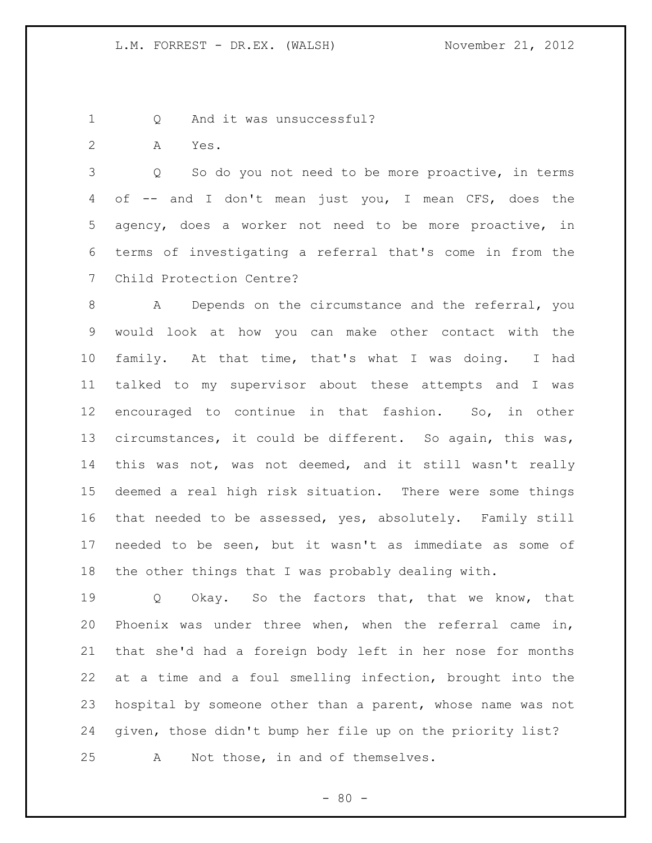1 Q And it was unsuccessful?

A Yes.

 Q So do you not need to be more proactive, in terms of -- and I don't mean just you, I mean CFS, does the agency, does a worker not need to be more proactive, in terms of investigating a referral that's come in from the Child Protection Centre?

 A Depends on the circumstance and the referral, you would look at how you can make other contact with the family. At that time, that's what I was doing. I had talked to my supervisor about these attempts and I was encouraged to continue in that fashion. So, in other circumstances, it could be different. So again, this was, this was not, was not deemed, and it still wasn't really deemed a real high risk situation. There were some things that needed to be assessed, yes, absolutely. Family still needed to be seen, but it wasn't as immediate as some of the other things that I was probably dealing with.

 Q Okay. So the factors that, that we know, that Phoenix was under three when, when the referral came in, that she'd had a foreign body left in her nose for months at a time and a foul smelling infection, brought into the hospital by someone other than a parent, whose name was not given, those didn't bump her file up on the priority list? A Not those, in and of themselves.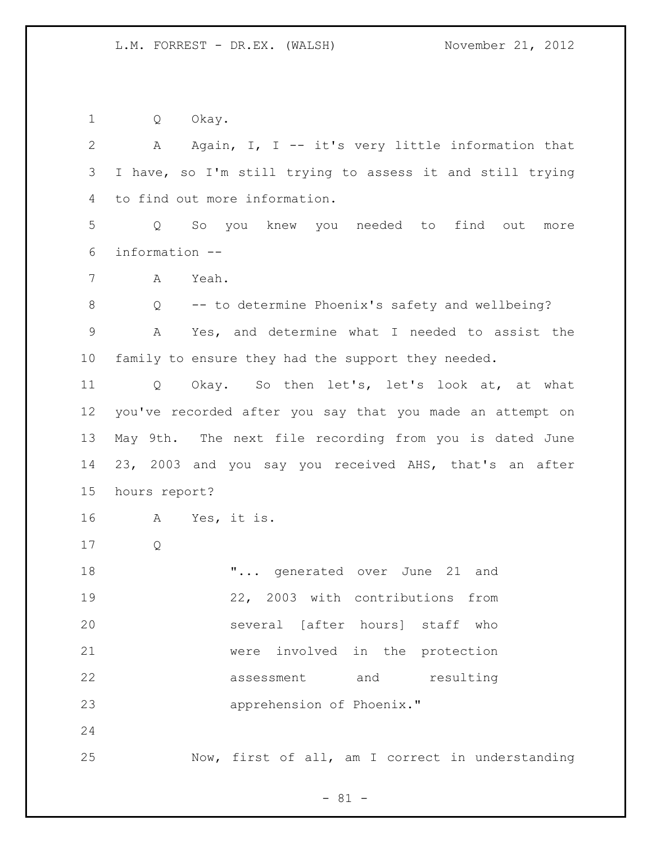Q Okay.

 A Again, I, I -- it's very little information that I have, so I'm still trying to assess it and still trying to find out more information. Q So you knew you needed to find out more information -- A Yeah. Q -- to determine Phoenix's safety and wellbeing? A Yes, and determine what I needed to assist the family to ensure they had the support they needed. Q Okay. So then let's, let's look at, at what you've recorded after you say that you made an attempt on May 9th. The next file recording from you is dated June 23, 2003 and you say you received AHS, that's an after hours report? A Yes, it is. Q **...** generated over June 21 and 22, 2003 with contributions from several [after hours] staff who were involved in the protection assessment and resulting apprehension of Phoenix." Now, first of all, am I correct in understanding

- 81 -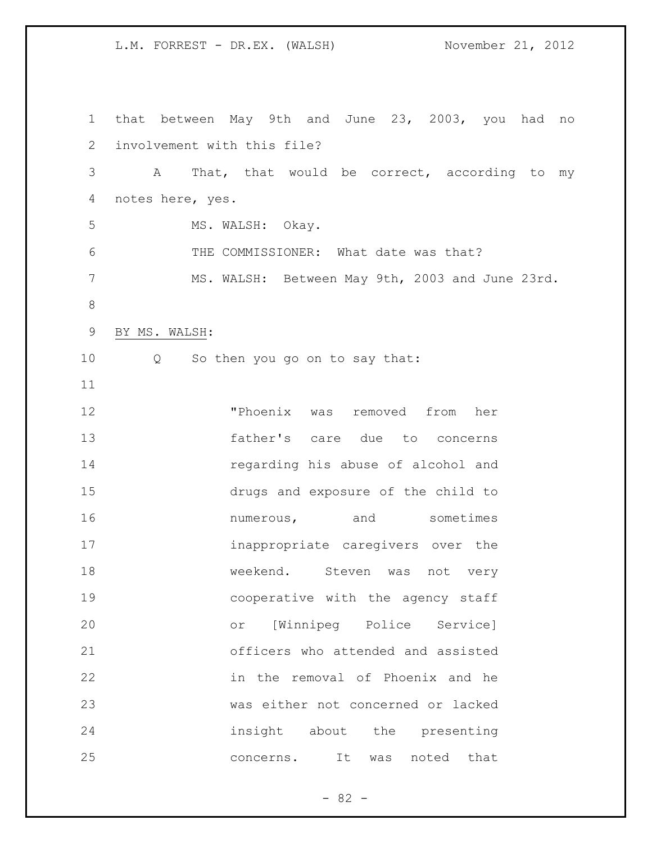that between May 9th and June 23, 2003, you had no involvement with this file? A That, that would be correct, according to my notes here, yes. 5 MS. WALSH: Okay. THE COMMISSIONER: What date was that? MS. WALSH: Between May 9th, 2003 and June 23rd. BY MS. WALSH: Q So then you go on to say that: "Phoenix was removed from her father's care due to concerns regarding his abuse of alcohol and drugs and exposure of the child to **numerous,** and sometimes inappropriate caregivers over the 18 weekend. Steven was not very cooperative with the agency staff or [Winnipeg Police Service] officers who attended and assisted in the removal of Phoenix and he was either not concerned or lacked insight about the presenting 25 concerns. It was noted that

 $- 82 -$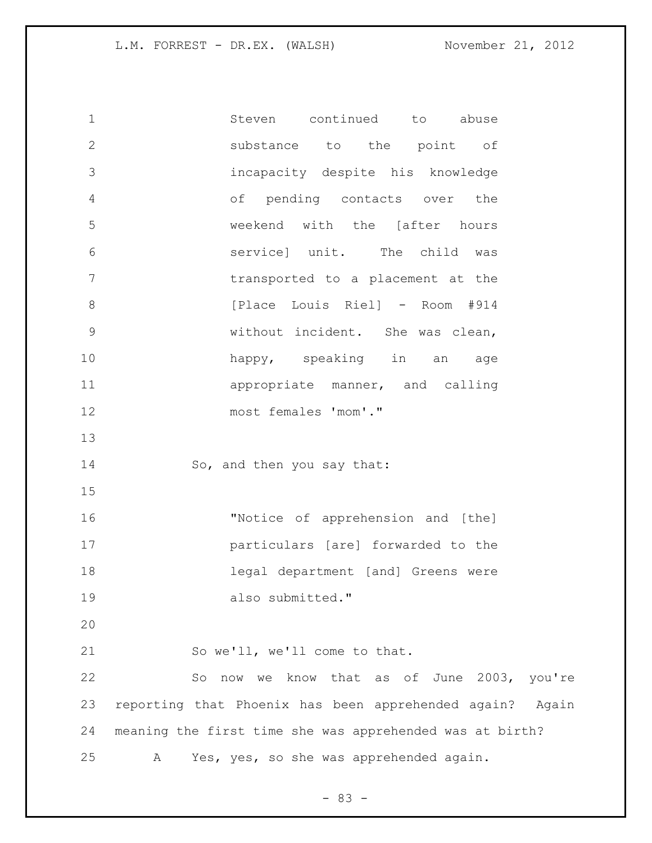Steven continued to abuse substance to the point of incapacity despite his knowledge of pending contacts over the weekend with the [after hours service] unit. The child was transported to a placement at the **b** [Place Louis Riel] - Room #914 without incident. She was clean, happy, speaking in an age 11 appropriate manner, and calling most females 'mom'." 14 So, and then you say that: "Notice of apprehension and [the] particulars [are] forwarded to the legal department [and] Greens were 19 also submitted." So we'll, we'll come to that. So now we know that as of June 2003, you're reporting that Phoenix has been apprehended again? Again meaning the first time she was apprehended was at birth? A Yes, yes, so she was apprehended again.

 $- 83 -$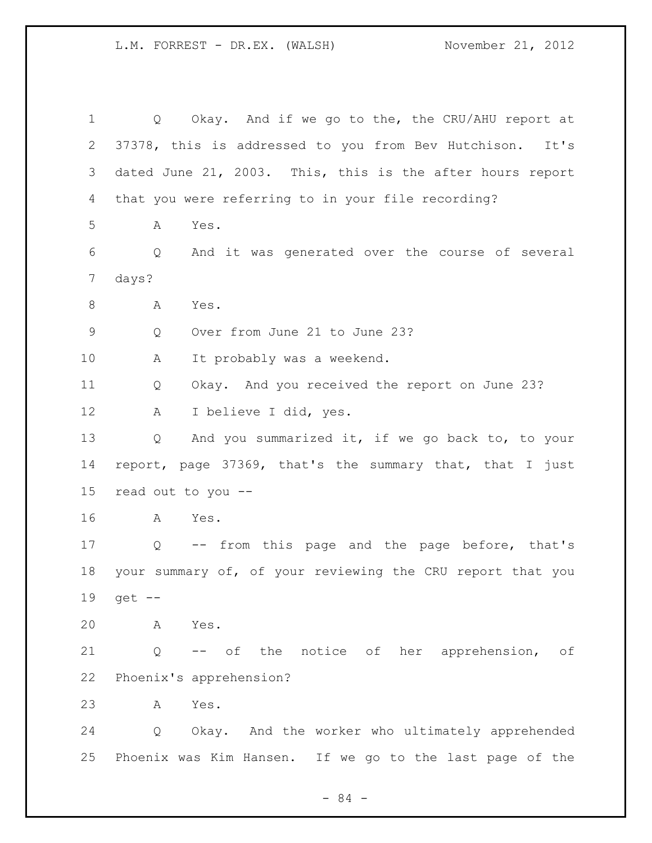Q Okay. And if we go to the, the CRU/AHU report at 37378, this is addressed to you from Bev Hutchison. It's dated June 21, 2003. This, this is the after hours report that you were referring to in your file recording? A Yes. Q And it was generated over the course of several days? 8 A Yes. Q Over from June 21 to June 23? A It probably was a weekend. Q Okay. And you received the report on June 23? A I believe I did, yes. Q And you summarized it, if we go back to, to your report, page 37369, that's the summary that, that I just read out to you -- A Yes. Q -- from this page and the page before, that's your summary of, of your reviewing the CRU report that you get -- A Yes. Q -- of the notice of her apprehension, of Phoenix's apprehension? A Yes. Q Okay. And the worker who ultimately apprehended Phoenix was Kim Hansen. If we go to the last page of the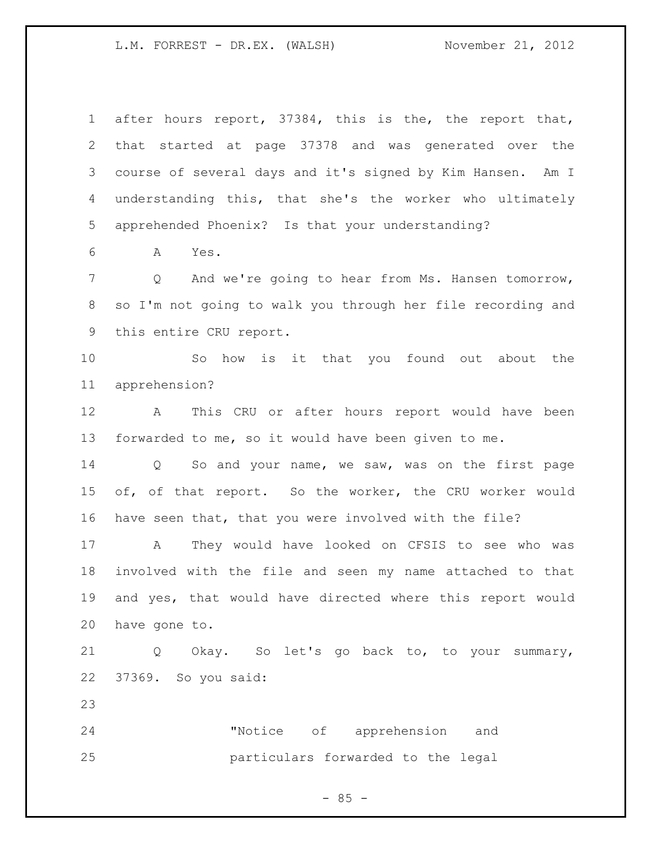after hours report, 37384, this is the, the report that, that started at page 37378 and was generated over the course of several days and it's signed by Kim Hansen. Am I understanding this, that she's the worker who ultimately apprehended Phoenix? Is that your understanding? A Yes. Q And we're going to hear from Ms. Hansen tomorrow, so I'm not going to walk you through her file recording and this entire CRU report. So how is it that you found out about the apprehension? A This CRU or after hours report would have been forwarded to me, so it would have been given to me. Q So and your name, we saw, was on the first page of, of that report. So the worker, the CRU worker would have seen that, that you were involved with the file? A They would have looked on CFSIS to see who was involved with the file and seen my name attached to that and yes, that would have directed where this report would have gone to. Q Okay. So let's go back to, to your summary, 37369. So you said: "Notice of apprehension and particulars forwarded to the legal

 $- 85 -$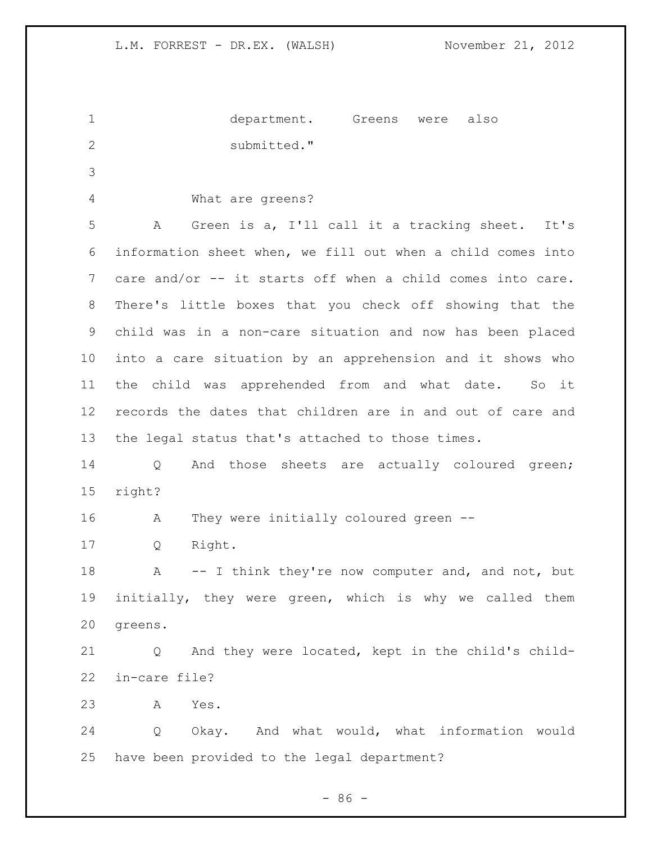| $\mathbf 1$     | department. Greens were<br>also                                 |
|-----------------|-----------------------------------------------------------------|
| 2               | submitted."                                                     |
| 3               |                                                                 |
| 4               | What are greens?                                                |
| 5               | Green is a, I'll call it a tracking sheet. It's<br>A            |
| 6               | information sheet when, we fill out when a child comes into     |
| $7\phantom{.0}$ | care and/or -- it starts off when a child comes into care.      |
| 8               | There's little boxes that you check off showing that the        |
| 9               | child was in a non-care situation and now has been placed       |
| 10              | into a care situation by an apprehension and it shows who       |
| 11              | child was apprehended from and what date. So it<br>the          |
| 12              | records the dates that children are in and out of care and      |
| 13              | the legal status that's attached to those times.                |
| 14              | And those sheets are actually coloured green;<br>$\overline{Q}$ |
| 15              | right?                                                          |
| 16              | They were initially coloured green --<br>A                      |
| 17              | Right.<br>Q                                                     |
|                 |                                                                 |

18 A -- I think they're now computer and, and not, but initially, they were green, which is why we called them greens.

 Q And they were located, kept in the child's child-in-care file?

A Yes.

 Q Okay. And what would, what information would have been provided to the legal department?

- 86 -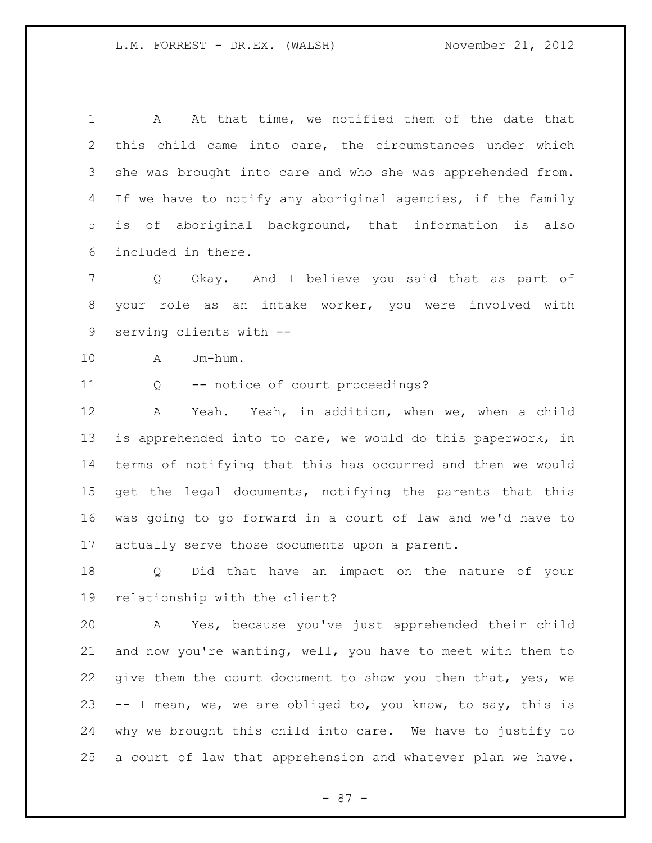A At that time, we notified them of the date that this child came into care, the circumstances under which 3 she was brought into care and who she was apprehended from. If we have to notify any aboriginal agencies, if the family is of aboriginal background, that information is also included in there.

 Q Okay. And I believe you said that as part of your role as an intake worker, you were involved with serving clients with --

A Um-hum.

Q -- notice of court proceedings?

 A Yeah. Yeah, in addition, when we, when a child is apprehended into to care, we would do this paperwork, in terms of notifying that this has occurred and then we would get the legal documents, notifying the parents that this was going to go forward in a court of law and we'd have to actually serve those documents upon a parent.

 Q Did that have an impact on the nature of your relationship with the client?

 A Yes, because you've just apprehended their child and now you're wanting, well, you have to meet with them to 22 give them the court document to show you then that, yes, we -- I mean, we, we are obliged to, you know, to say, this is why we brought this child into care. We have to justify to a court of law that apprehension and whatever plan we have.

- 87 -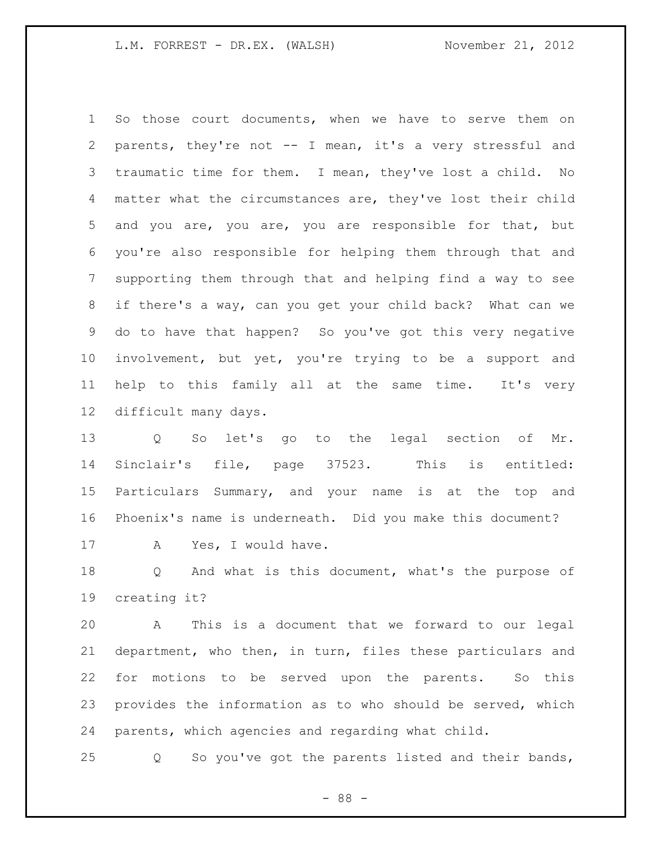So those court documents, when we have to serve them on parents, they're not -- I mean, it's a very stressful and traumatic time for them. I mean, they've lost a child. No matter what the circumstances are, they've lost their child and you are, you are, you are responsible for that, but you're also responsible for helping them through that and supporting them through that and helping find a way to see if there's a way, can you get your child back? What can we do to have that happen? So you've got this very negative involvement, but yet, you're trying to be a support and help to this family all at the same time. It's very difficult many days.

 Q So let's go to the legal section of Mr. Sinclair's file, page 37523. This is entitled: Particulars Summary, and your name is at the top and Phoenix's name is underneath. Did you make this document? 17 A Yes, I would have.

 Q And what is this document, what's the purpose of creating it?

 A This is a document that we forward to our legal department, who then, in turn, files these particulars and for motions to be served upon the parents. So this provides the information as to who should be served, which parents, which agencies and regarding what child.

Q So you've got the parents listed and their bands,

- 88 -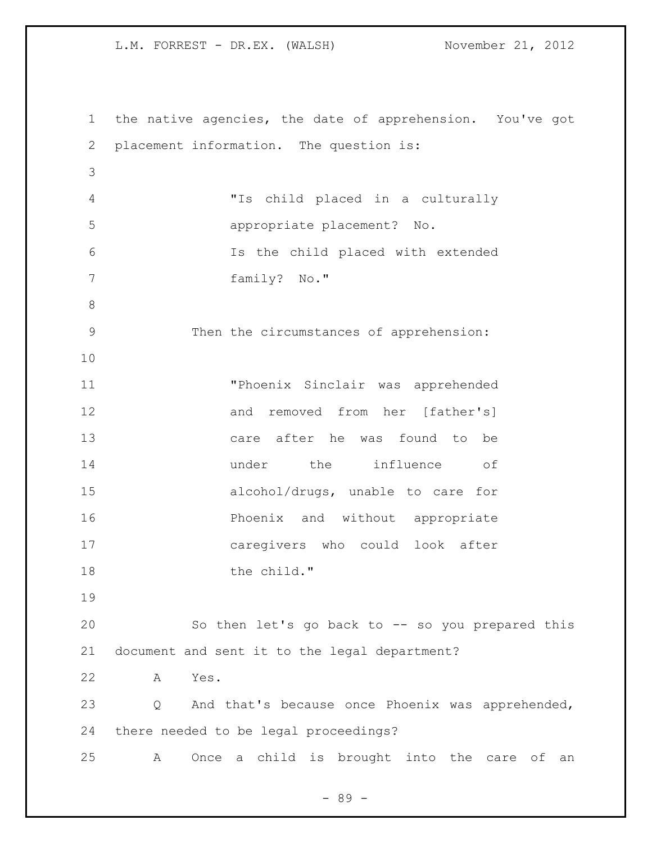the native agencies, the date of apprehension. You've got placement information. The question is: "Is child placed in a culturally appropriate placement? No. Is the child placed with extended family? No." Then the circumstances of apprehension: "Phoenix Sinclair was apprehended and removed from her [father's] care after he was found to be under the influence of alcohol/drugs, unable to care for **Phoenix** and without appropriate caregivers who could look after 18 the child." So then let's go back to -- so you prepared this document and sent it to the legal department? A Yes. Q And that's because once Phoenix was apprehended, there needed to be legal proceedings? A Once a child is brought into the care of an

- 89 -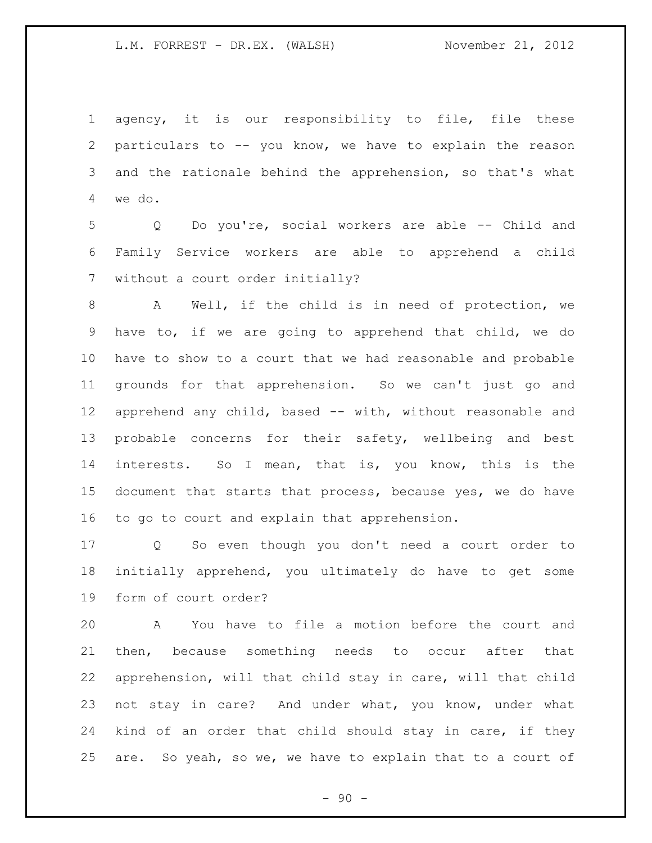agency, it is our responsibility to file, file these particulars to -- you know, we have to explain the reason and the rationale behind the apprehension, so that's what we do.

 Q Do you're, social workers are able -- Child and Family Service workers are able to apprehend a child without a court order initially?

 A Well, if the child is in need of protection, we have to, if we are going to apprehend that child, we do have to show to a court that we had reasonable and probable grounds for that apprehension. So we can't just go and apprehend any child, based -- with, without reasonable and probable concerns for their safety, wellbeing and best interests. So I mean, that is, you know, this is the document that starts that process, because yes, we do have to go to court and explain that apprehension.

 Q So even though you don't need a court order to initially apprehend, you ultimately do have to get some form of court order?

 A You have to file a motion before the court and then, because something needs to occur after that apprehension, will that child stay in care, will that child not stay in care? And under what, you know, under what kind of an order that child should stay in care, if they are. So yeah, so we, we have to explain that to a court of

 $-90 -$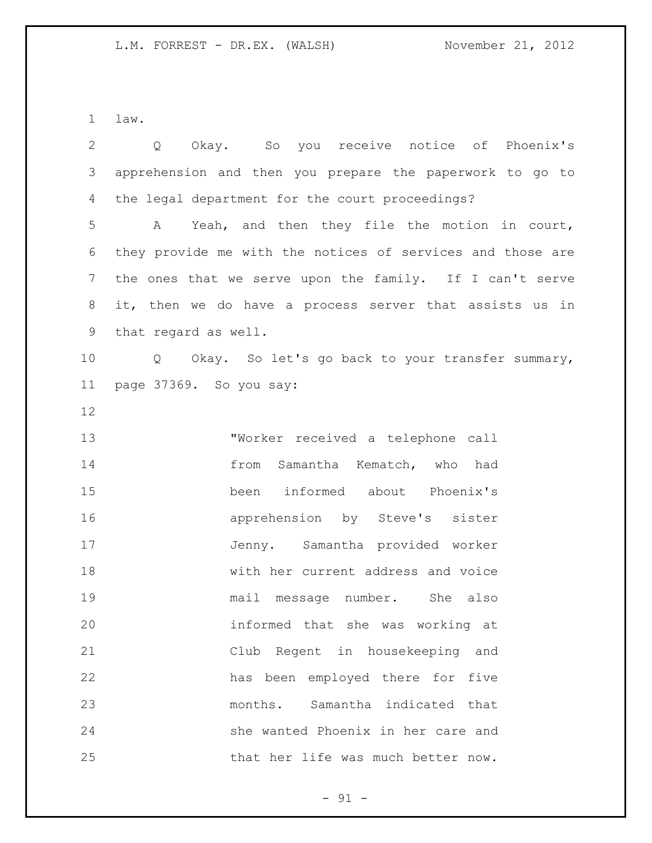law.

| $\overline{2}$ | Okay. So you receive notice of Phoenix's<br>$Q \qquad \qquad$ |
|----------------|---------------------------------------------------------------|
| 3              | apprehension and then you prepare the paperwork to go to      |
| 4              | the legal department for the court proceedings?               |
| 5              | Yeah, and then they file the motion in court,<br>A            |
| 6              | they provide me with the notices of services and those are    |
| 7              | the ones that we serve upon the family. If I can't serve      |
| 8              | it, then we do have a process server that assists us in       |
| $\mathsf 9$    | that regard as well.                                          |
| 10             | Q Okay. So let's go back to your transfer summary,            |
| 11             | page 37369. So you say:                                       |
| 12             |                                                               |
| 13             | "Worker received a telephone call                             |
| 14             | Samantha Kematch, who had<br>from                             |
| 15             | been informed about Phoenix's                                 |
| 16             | apprehension by Steve's sister                                |
| 17             | Jenny. Samantha provided worker                               |
| 18             | with her current address and voice                            |
| 19             | mail message number.<br>She also                              |
| 20             | informed that she was working at                              |
| 21             | Club Regent in housekeeping and                               |
| 22             | has been employed there for five                              |
| 23             | months. Samantha indicated that                               |
| 24             | she wanted Phoenix in her care and                            |
| 25             | that her life was much better now.                            |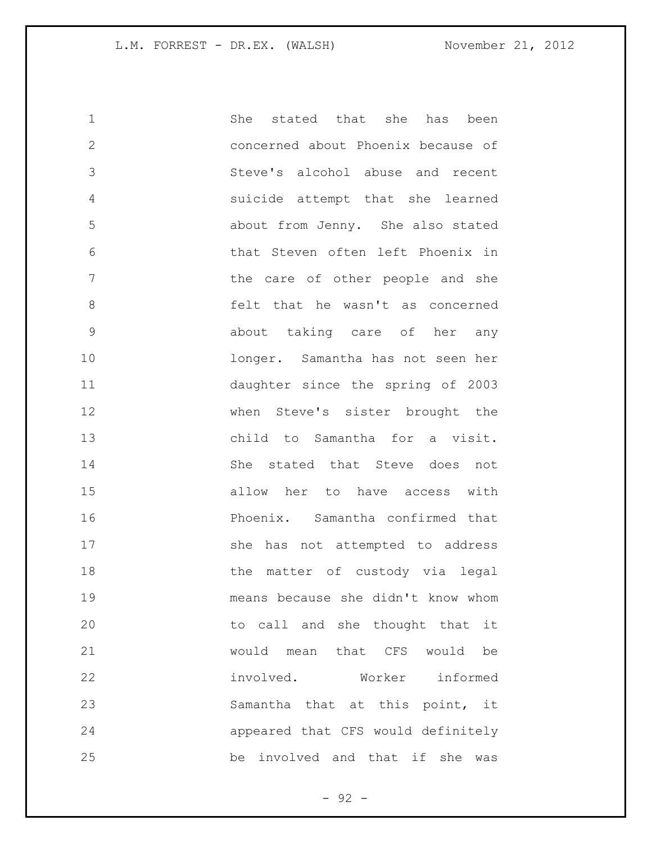| $\mathbf 1$   | stated that she has<br>She<br>been       |
|---------------|------------------------------------------|
| $\mathbf{2}$  | concerned about Phoenix because of       |
| 3             | Steve's alcohol abuse and recent         |
| 4             | suicide attempt that she learned         |
| 5             | about from Jenny. She also stated        |
| 6             | that Steven often left Phoenix in        |
| 7             | the care of other people and she         |
| 8             | felt that he wasn't as concerned         |
| $\mathcal{G}$ | about taking care of her any             |
| 10            | longer. Samantha has not seen her        |
| 11            | daughter since the spring of 2003        |
| 12            | when Steve's sister brought the          |
| 13            | child to Samantha for a visit.           |
| 14            | She stated that Steve does<br>not        |
| 15            | allow her to have access with            |
| 16            | Phoenix. Samantha confirmed that         |
| 17            | she has not attempted to address         |
| 18            | the matter of custody via legal          |
| 19            | means because she didn't know whom       |
| 20            | to call and she thought that it          |
| 21            | would mean that CFS would be             |
| 22            | involved.<br>Worker informed             |
| 23            | Samantha that at this point, it          |
| 24            | appeared that CFS would definitely       |
| 25            | be<br>involved and that if<br>she<br>was |

- 92 -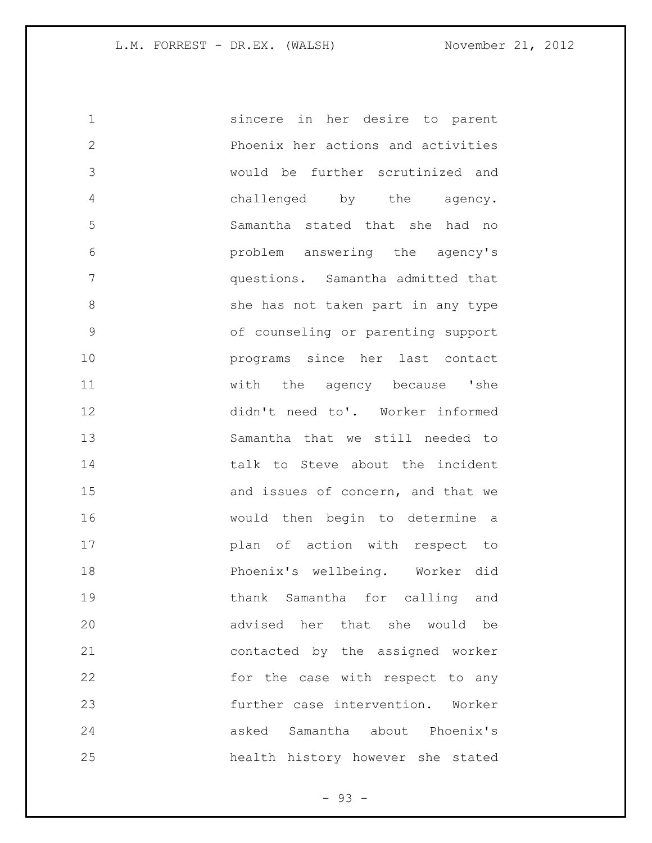| $\mathbf 1$   | sincere in her desire to parent    |
|---------------|------------------------------------|
| $\mathbf{2}$  | Phoenix her actions and activities |
| 3             | would be further scrutinized and   |
| 4             | challenged by the agency.          |
| 5             | Samantha stated that she had no    |
| 6             | problem answering the agency's     |
| 7             | questions. Samantha admitted that  |
| 8             | she has not taken part in any type |
| $\mathcal{G}$ | of counseling or parenting support |
| 10            | programs since her last contact    |
| 11            | with the agency because 'she       |
| 12            | didn't need to'. Worker informed   |
| 13            | Samantha that we still needed to   |
| 14            | talk to Steve about the incident   |
| 15            | and issues of concern, and that we |
| 16            | would then begin to determine a    |
| 17            | plan of action with respect to     |
| 18            | Phoenix's wellbeing. Worker did    |
| 19            | thank Samantha for calling and     |
| 20            | advised her that she would be      |
| 21            | contacted by the assigned worker   |
| 22            | for the case with respect to any   |
| 23            | further case intervention. Worker  |
| 24            | asked Samantha about Phoenix's     |
| 25            | health history however she stated  |

- 93 -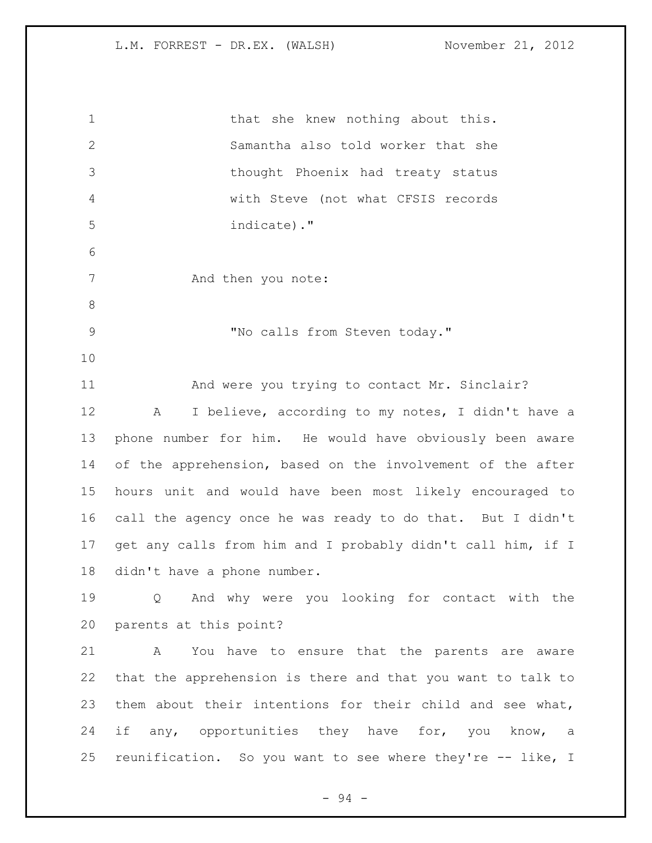| $\mathbf 1$    | that she knew nothing about this.                           |
|----------------|-------------------------------------------------------------|
| $\mathbf{2}$   | Samantha also told worker that she                          |
| 3              | thought Phoenix had treaty status                           |
| 4              | with Steve (not what CFSIS records                          |
| 5              | indicate)."                                                 |
| 6              |                                                             |
| 7              | And then you note:                                          |
| 8              |                                                             |
| $\overline{9}$ | "No calls from Steven today."                               |
| 10             |                                                             |
| 11             | And were you trying to contact Mr. Sinclair?                |
| 12             | I believe, according to my notes, I didn't have a<br>Α      |
| 13             | phone number for him. He would have obviously been aware    |
| 14             | of the apprehension, based on the involvement of the after  |
| 15             | hours unit and would have been most likely encouraged to    |
| 16             | call the agency once he was ready to do that. But I didn't  |
| 17             | get any calls from him and I probably didn't call him, if I |
| 18             | didn't have a phone number.                                 |
| 19             | Q And why were you looking for contact with the             |
| 20             | parents at this point?                                      |
| 21             | A You have to ensure that the parents are aware             |
| 22             | that the apprehension is there and that you want to talk to |
| 23             | them about their intentions for their child and see what,   |
| 24             | if any, opportunities they have for, you know, a            |
| 25             | reunification. So you want to see where they're -- like, I  |
|                |                                                             |

- 94 -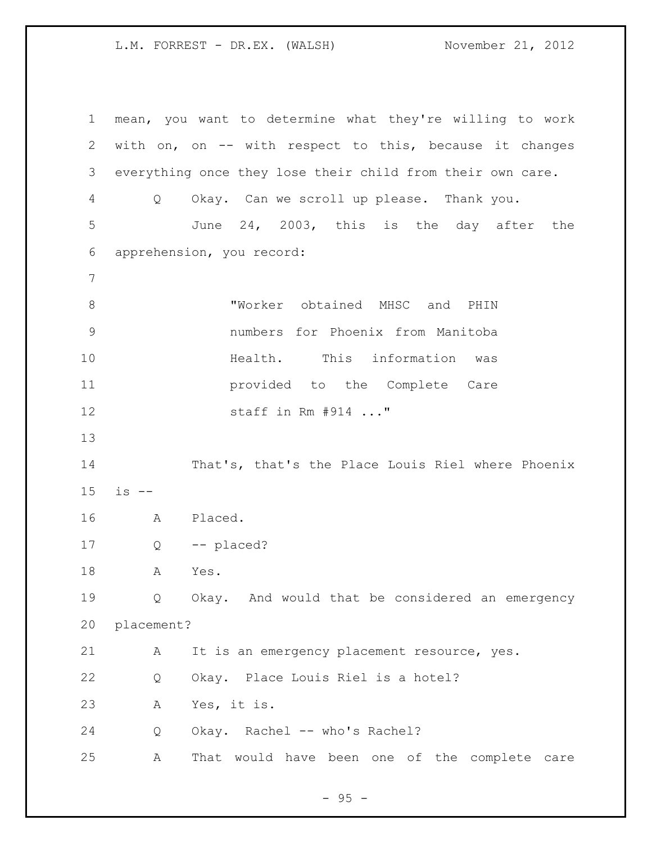mean, you want to determine what they're willing to work with on, on -- with respect to this, because it changes everything once they lose their child from their own care. Q Okay. Can we scroll up please. Thank you. June 24, 2003, this is the day after the apprehension, you record: 8 TWorker obtained MHSC and PHIN numbers for Phoenix from Manitoba Health. This information was provided to the Complete Care staff in Rm #914 ..." That's, that's the Place Louis Riel where Phoenix is -- A Placed. Q -- placed? A Yes. Q Okay. And would that be considered an emergency placement? A It is an emergency placement resource, yes. Q Okay. Place Louis Riel is a hotel? A Yes, it is. Q Okay. Rachel -- who's Rachel? A That would have been one of the complete care

 $-95 -$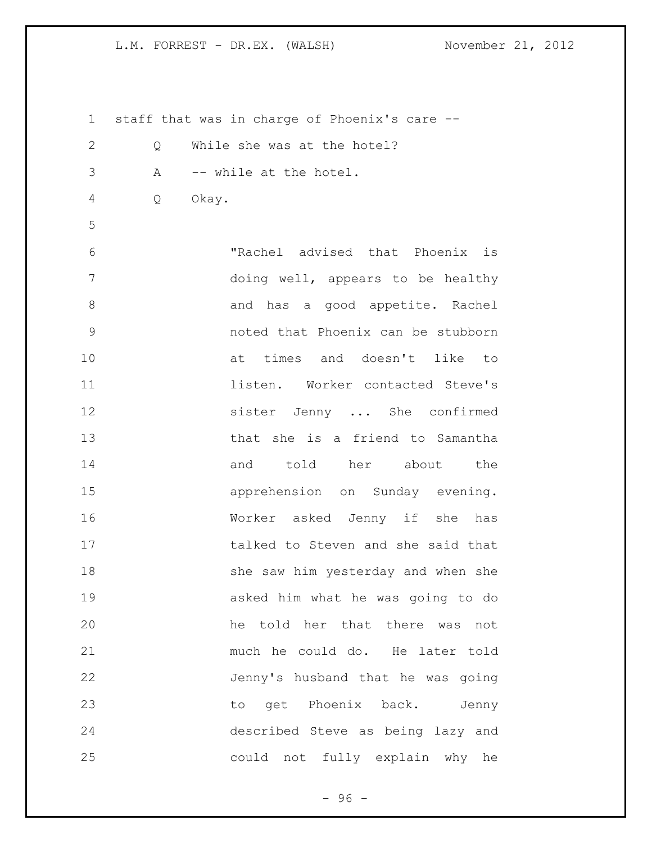staff that was in charge of Phoenix's care -- Q While she was at the hotel? A -- while at the hotel. Q Okay. "Rachel advised that Phoenix is doing well, appears to be healthy 8 and has a good appetite. Rachel noted that Phoenix can be stubborn at times and doesn't like to listen. Worker contacted Steve's sister Jenny ... She confirmed that she is a friend to Samantha 14 and told her about the apprehension on Sunday evening. Worker asked Jenny if she has talked to Steven and she said that 18 she saw him yesterday and when she asked him what he was going to do he told her that there was not much he could do. He later told Jenny's husband that he was going to get Phoenix back. Jenny described Steve as being lazy and could not fully explain why he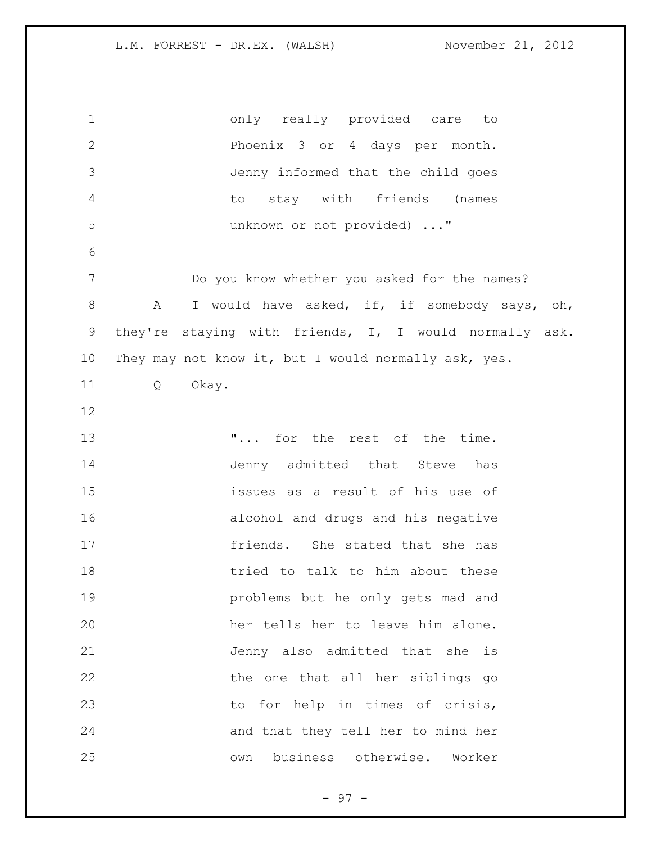only really provided care to Phoenix 3 or 4 days per month. Jenny informed that the child goes to stay with friends (names unknown or not provided) ..." Do you know whether you asked for the names? 8 A I would have asked, if, if somebody says, oh, they're staying with friends, I, I would normally ask. They may not know it, but I would normally ask, yes. Q Okay. 13 T... for the rest of the time. 14 Jenny admitted that Steve has issues as a result of his use of alcohol and drugs and his negative friends. She stated that she has 18 tried to talk to him about these problems but he only gets mad and her tells her to leave him alone. Jenny also admitted that she is the one that all her siblings go 23 to for help in times of crisis, and that they tell her to mind her own business otherwise. Worker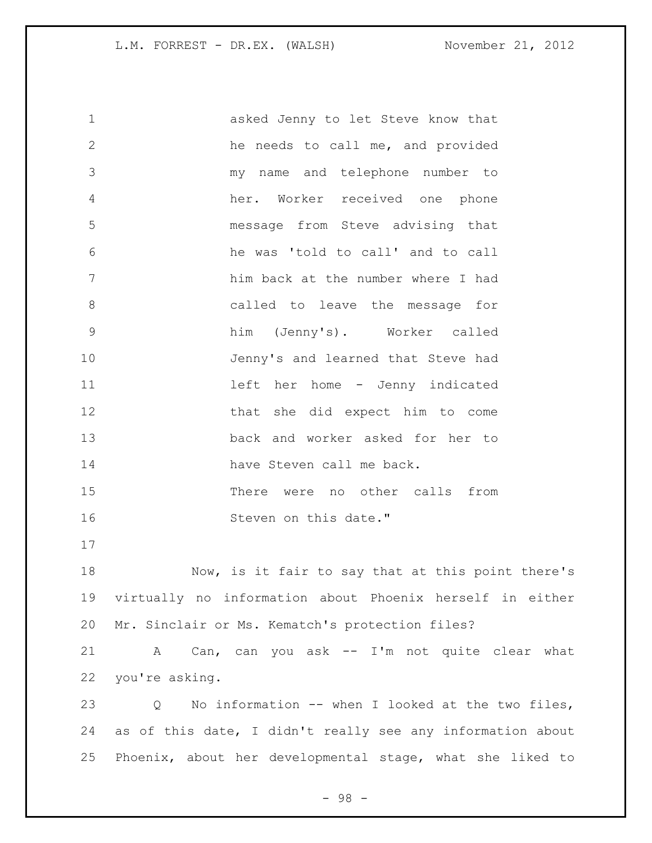asked Jenny to let Steve know that he needs to call me, and provided my name and telephone number to her. Worker received one phone message from Steve advising that he was 'told to call' and to call him back at the number where I had called to leave the message for him (Jenny's). Worker called Jenny's and learned that Steve had 11 left her home - Jenny indicated that she did expect him to come back and worker asked for her to 14 have Steven call me back. There were no other calls from 16 Steven on this date." Now, is it fair to say that at this point there's virtually no information about Phoenix herself in either Mr. Sinclair or Ms. Kematch's protection files? A Can, can you ask -- I'm not quite clear what you're asking. Q No information -- when I looked at the two files, as of this date, I didn't really see any information about Phoenix, about her developmental stage, what she liked to

- 98 -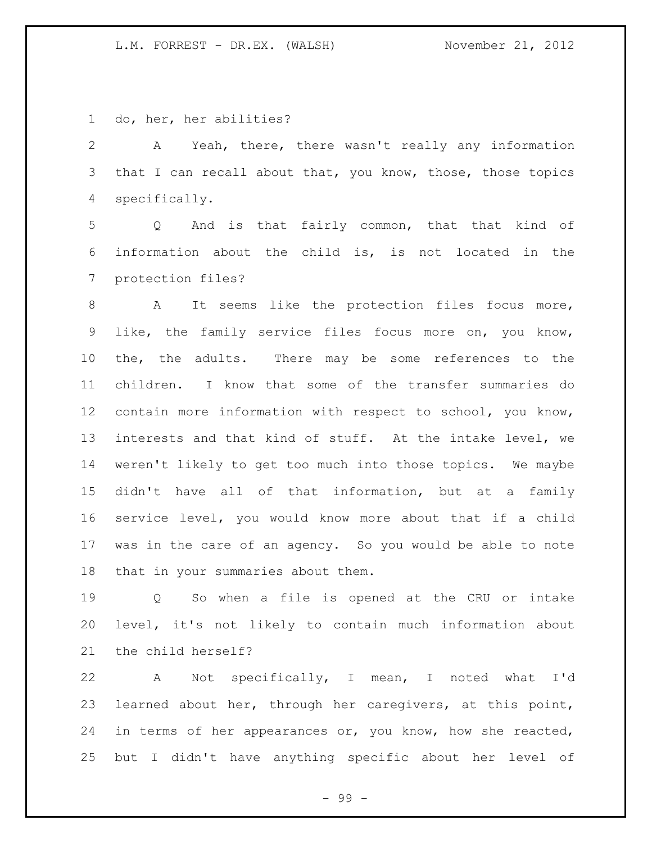do, her, her abilities?

 A Yeah, there, there wasn't really any information 3 that I can recall about that, you know, those, those topics specifically.

 Q And is that fairly common, that that kind of information about the child is, is not located in the protection files?

 A It seems like the protection files focus more, like, the family service files focus more on, you know, the, the adults. There may be some references to the children. I know that some of the transfer summaries do contain more information with respect to school, you know, interests and that kind of stuff. At the intake level, we weren't likely to get too much into those topics. We maybe didn't have all of that information, but at a family service level, you would know more about that if a child was in the care of an agency. So you would be able to note that in your summaries about them.

 Q So when a file is opened at the CRU or intake level, it's not likely to contain much information about the child herself?

 A Not specifically, I mean, I noted what I'd learned about her, through her caregivers, at this point, 24 in terms of her appearances or, you know, how she reacted, but I didn't have anything specific about her level of

- 99 -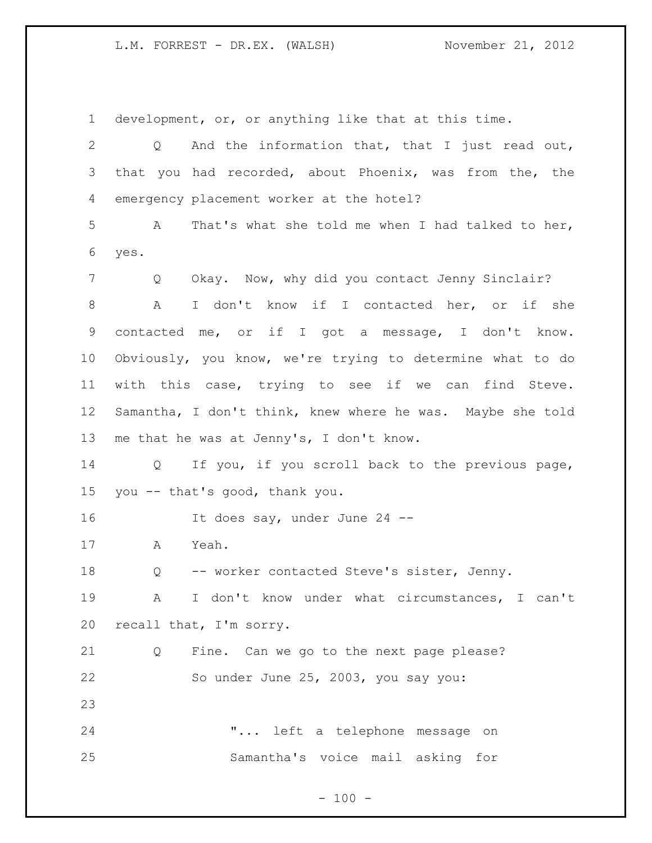development, or, or anything like that at this time. Q And the information that, that I just read out, that you had recorded, about Phoenix, was from the, the emergency placement worker at the hotel? A That's what she told me when I had talked to her, yes. Q Okay. Now, why did you contact Jenny Sinclair? A I don't know if I contacted her, or if she contacted me, or if I got a message, I don't know. Obviously, you know, we're trying to determine what to do with this case, trying to see if we can find Steve. Samantha, I don't think, knew where he was. Maybe she told me that he was at Jenny's, I don't know. Q If you, if you scroll back to the previous page, you -- that's good, thank you. 16 It does say, under June 24 -- A Yeah. Q -- worker contacted Steve's sister, Jenny. A I don't know under what circumstances, I can't recall that, I'm sorry. Q Fine. Can we go to the next page please? So under June 25, 2003, you say you: "... left a telephone message on Samantha's voice mail asking for

 $- 100 -$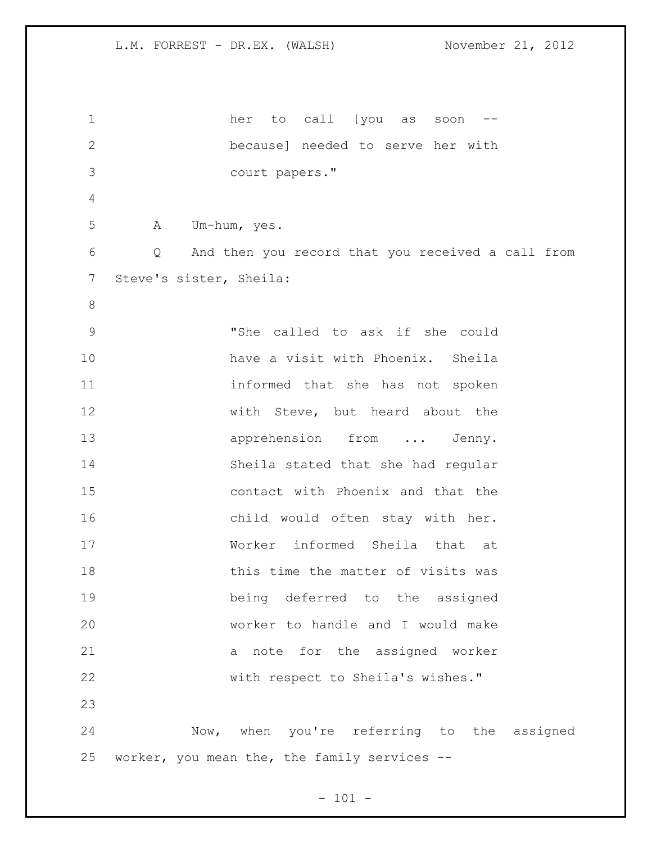her to call [you as soon -- because] needed to serve her with court papers." A Um-hum, yes. Q And then you record that you received a call from Steve's sister, Sheila: "She called to ask if she could have a visit with Phoenix. Sheila informed that she has not spoken with Steve, but heard about the 13 apprehension from ... Jenny. Sheila stated that she had regular contact with Phoenix and that the child would often stay with her. Worker informed Sheila that at 18 this time the matter of visits was being deferred to the assigned worker to handle and I would make a note for the assigned worker with respect to Sheila's wishes." Now, when you're referring to the assigned worker, you mean the, the family services --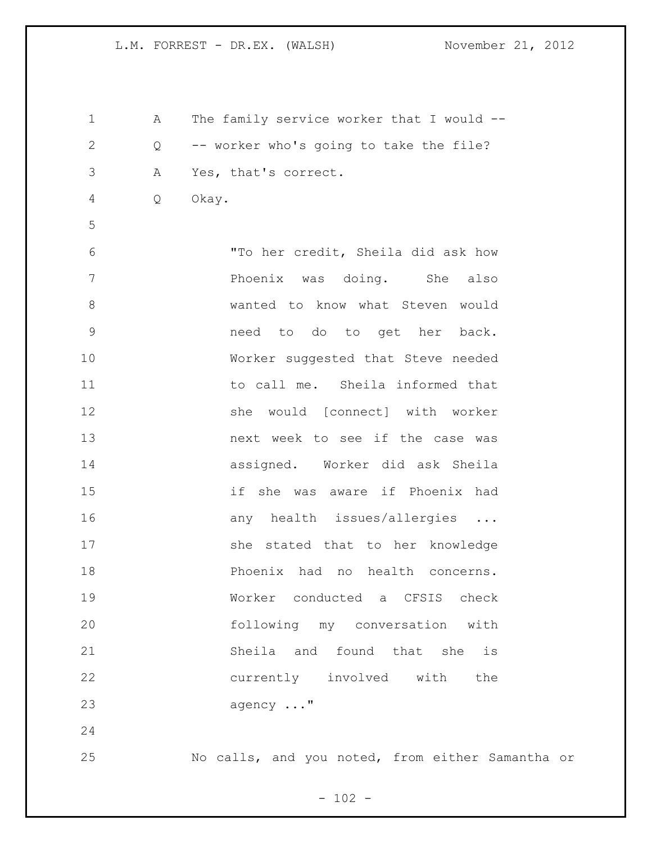1 A The family service worker that I would -- Q -- worker who's going to take the file? A Yes, that's correct. Q Okay. "To her credit, Sheila did ask how 7 Phoenix was doing. She also wanted to know what Steven would need to do to get her back. Worker suggested that Steve needed to call me. Sheila informed that she would [connect] with worker **13** next week to see if the case was assigned. Worker did ask Sheila if she was aware if Phoenix had 16 any health issues/allergies ... she stated that to her knowledge Phoenix had no health concerns. Worker conducted a CFSIS check following my conversation with Sheila and found that she is currently involved with the agency ..." No calls, and you noted, from either Samantha or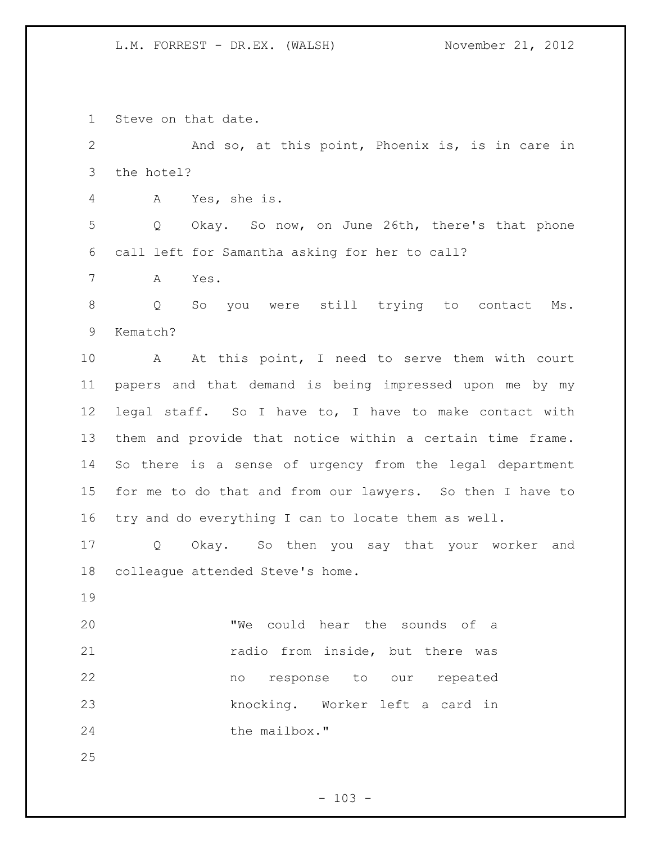Steve on that date.

 And so, at this point, Phoenix is, is in care in the hotel?

A Yes, she is.

 Q Okay. So now, on June 26th, there's that phone call left for Samantha asking for her to call?

A Yes.

 Q So you were still trying to contact Ms. Kematch?

10 A At this point, I need to serve them with court papers and that demand is being impressed upon me by my legal staff. So I have to, I have to make contact with them and provide that notice within a certain time frame. So there is a sense of urgency from the legal department for me to do that and from our lawyers. So then I have to try and do everything I can to locate them as well.

 Q Okay. So then you say that your worker and colleague attended Steve's home.

 "We could hear the sounds of a **radio from inside, but there was**  no response to our repeated knocking. Worker left a card in 24 the mailbox."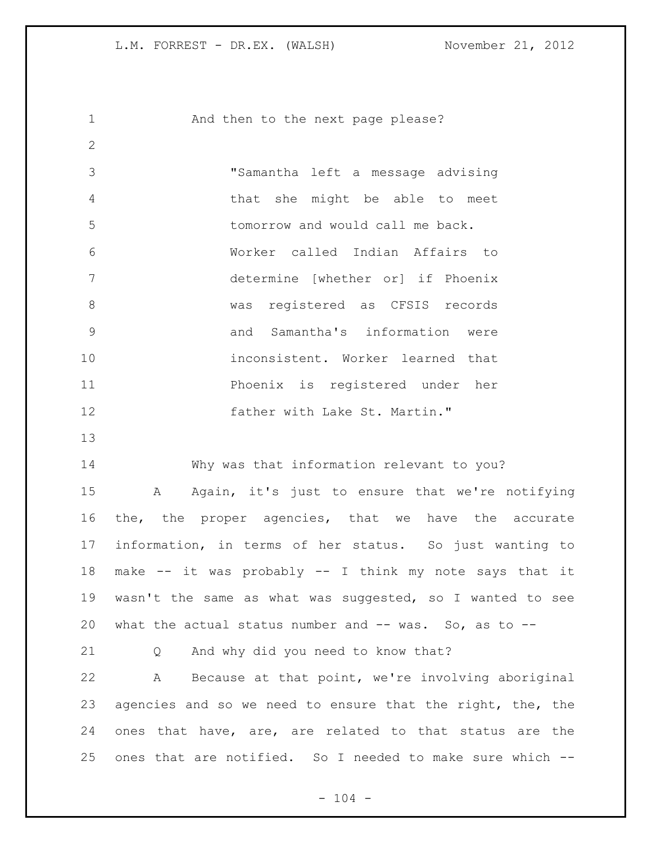1 And then to the next page please? "Samantha left a message advising that she might be able to meet tomorrow and would call me back. Worker called Indian Affairs to determine [whether or] if Phoenix was registered as CFSIS records and Samantha's information were inconsistent. Worker learned that Phoenix is registered under her **father with Lake St. Martin."**  Why was that information relevant to you? A Again, it's just to ensure that we're notifying the, the proper agencies, that we have the accurate information, in terms of her status. So just wanting to make -- it was probably -- I think my note says that it wasn't the same as what was suggested, so I wanted to see what the actual status number and -- was. So, as to -- Q And why did you need to know that? A Because at that point, we're involving aboriginal agencies and so we need to ensure that the right, the, the ones that have, are, are related to that status are the ones that are notified. So I needed to make sure which --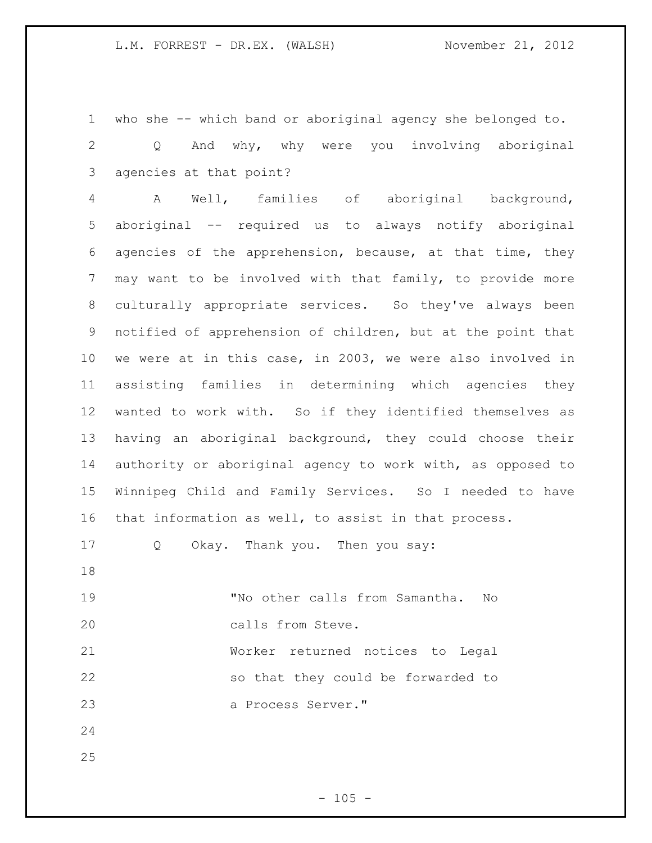who she -- which band or aboriginal agency she belonged to.

 Q And why, why were you involving aboriginal agencies at that point?

 A Well, families of aboriginal background, aboriginal -- required us to always notify aboriginal agencies of the apprehension, because, at that time, they may want to be involved with that family, to provide more culturally appropriate services. So they've always been notified of apprehension of children, but at the point that we were at in this case, in 2003, we were also involved in assisting families in determining which agencies they wanted to work with. So if they identified themselves as having an aboriginal background, they could choose their authority or aboriginal agency to work with, as opposed to Winnipeg Child and Family Services. So I needed to have that information as well, to assist in that process.

Q Okay. Thank you. Then you say:

 "No other calls from Samantha. No calls from Steve. Worker returned notices to Legal

 so that they could be forwarded to a Process Server."

- 
-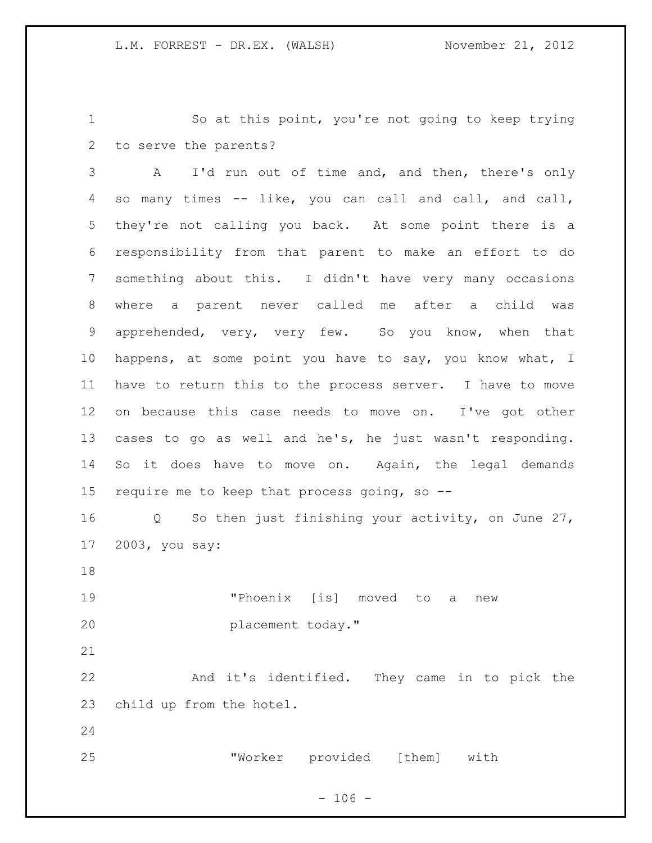So at this point, you're not going to keep trying to serve the parents?

 A I'd run out of time and, and then, there's only so many times -- like, you can call and call, and call, they're not calling you back. At some point there is a responsibility from that parent to make an effort to do something about this. I didn't have very many occasions where a parent never called me after a child was apprehended, very, very few. So you know, when that happens, at some point you have to say, you know what, I have to return this to the process server. I have to move on because this case needs to move on. I've got other cases to go as well and he's, he just wasn't responding. So it does have to move on. Again, the legal demands require me to keep that process going, so -- Q So then just finishing your activity, on June 27,

2003, you say:

 "Phoenix [is] moved to a new placement today."

 And it's identified. They came in to pick the child up from the hotel.

"Worker provided [them] with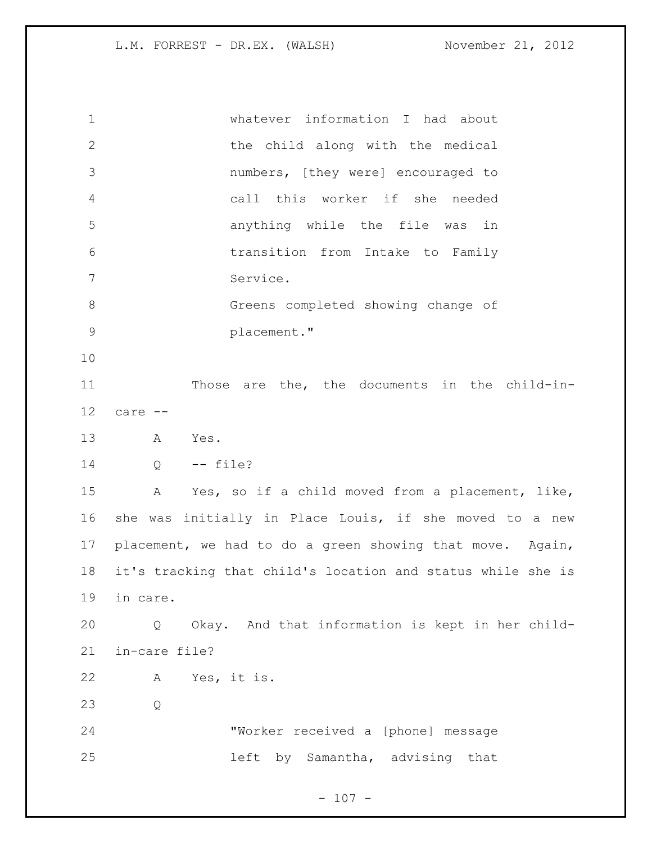| $\mathbf 1$  | whatever information I had about                            |
|--------------|-------------------------------------------------------------|
| $\mathbf{2}$ | the child along with the medical                            |
| 3            | numbers, [they were] encouraged to                          |
| 4            | call this worker if she needed                              |
| 5            | anything while the file was in                              |
| 6            | transition from Intake to Family                            |
| 7            | Service.                                                    |
| 8            | Greens completed showing change of                          |
| $\mathsf 9$  | placement."                                                 |
| 10           |                                                             |
| 11           | Those are the, the documents in the child-in-               |
| 12           | care --                                                     |
| 13           | A<br>Yes.                                                   |
| 14           | Q<br>-- file?                                               |
| 15           | Yes, so if a child moved from a placement, like,<br>A       |
|              |                                                             |
| 16           | she was initially in Place Louis, if she moved to a new     |
| 17           | placement, we had to do a green showing that move. Again,   |
| 18           | it's tracking that child's location and status while she is |
| 19           | in care.                                                    |
| 20           | Okay. And that information is kept in her child-<br>Q       |
| 21           | in-care file?                                               |
| 22           | Yes, it is.<br>A                                            |
| 23           | Q                                                           |
| 24           | "Worker received a [phone] message                          |
| 25           | left by Samantha, advising that                             |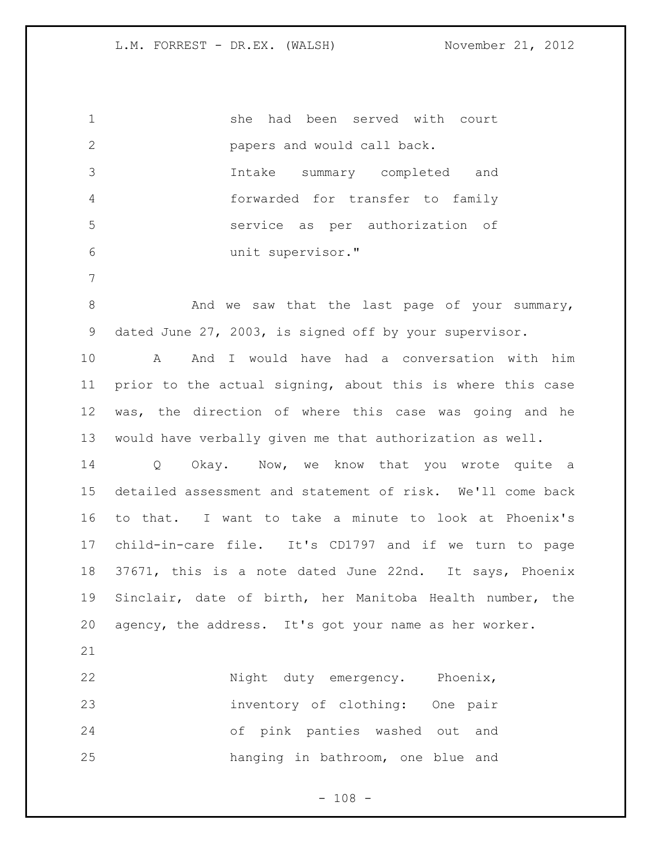she had been served with court papers and would call back. Intake summary completed and forwarded for transfer to family service as per authorization of unit supervisor." 8 And we saw that the last page of your summary, dated June 27, 2003, is signed off by your supervisor. A And I would have had a conversation with him prior to the actual signing, about this is where this case was, the direction of where this case was going and he would have verbally given me that authorization as well. Q Okay. Now, we know that you wrote quite a detailed assessment and statement of risk. We'll come back to that. I want to take a minute to look at Phoenix's

 child-in-care file. It's CD1797 and if we turn to page 37671, this is a note dated June 22nd. It says, Phoenix Sinclair, date of birth, her Manitoba Health number, the agency, the address. It's got your name as her worker.

22 Night duty emergency. Phoenix, inventory of clothing: One pair of pink panties washed out and hanging in bathroom, one blue and

 $- 108 -$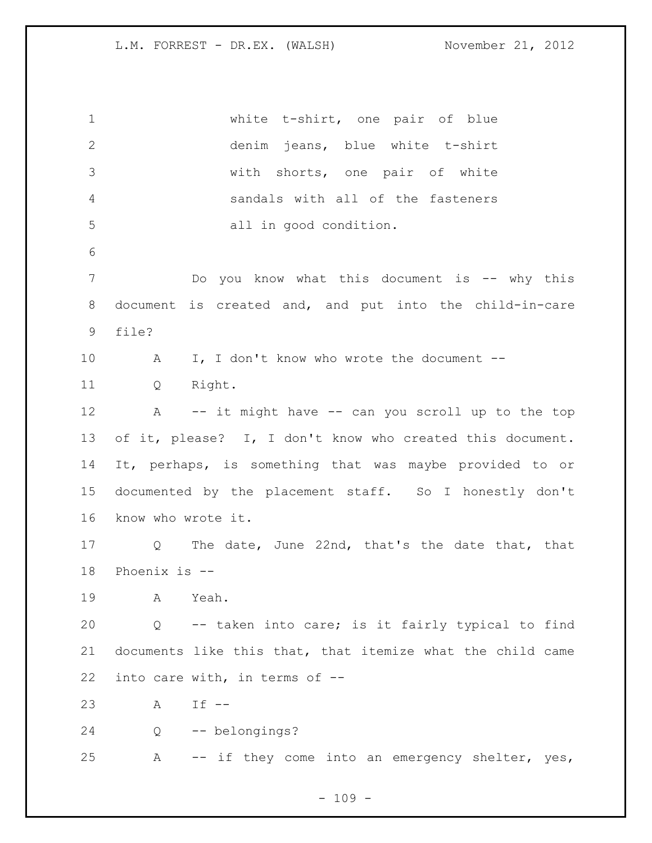white t-shirt, one pair of blue denim jeans, blue white t-shirt with shorts, one pair of white sandals with all of the fasteners all in good condition. 7 The Dougou know what this document is -- why this document is created and, and put into the child-in-care file? 10 A I, I don't know who wrote the document -- Q Right. A -- it might have -- can you scroll up to the top of it, please? I, I don't know who created this document. It, perhaps, is something that was maybe provided to or documented by the placement staff. So I honestly don't know who wrote it. Q The date, June 22nd, that's the date that, that Phoenix is -- A Yeah. Q -- taken into care; is it fairly typical to find documents like this that, that itemize what the child came into care with, in terms of -- A If -- Q -- belongings? A -- if they come into an emergency shelter, yes,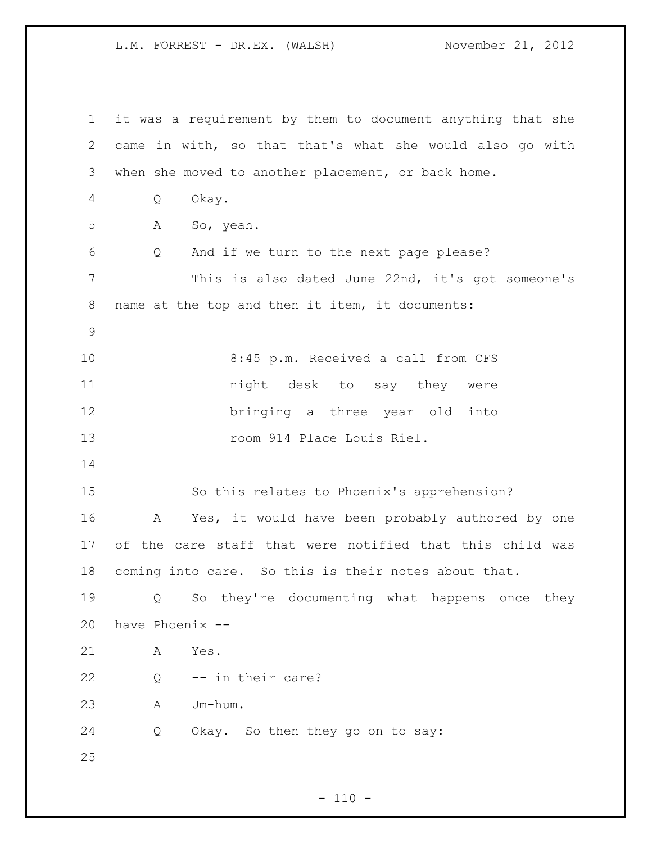it was a requirement by them to document anything that she came in with, so that that's what she would also go with when she moved to another placement, or back home. Q Okay. A So, yeah. Q And if we turn to the next page please? This is also dated June 22nd, it's got someone's name at the top and then it item, it documents: 8:45 p.m. Received a call from CFS **night** desk to say they were bringing a three year old into 13 room 914 Place Louis Riel. So this relates to Phoenix's apprehension? A Yes, it would have been probably authored by one of the care staff that were notified that this child was coming into care. So this is their notes about that. Q So they're documenting what happens once they have Phoenix -- A Yes. Q -- in their care? A Um-hum. Q Okay. So then they go on to say: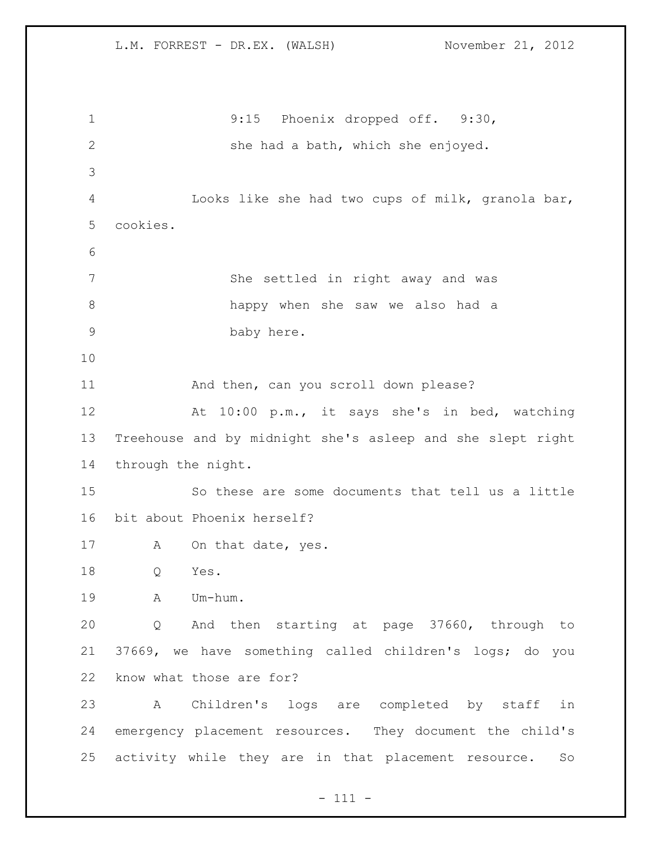L.M. FORREST - DR.EX. (WALSH) November 21, 2012 9:15 Phoenix dropped off. 9:30, she had a bath, which she enjoyed. Looks like she had two cups of milk, granola bar, cookies. She settled in right away and was happy when she saw we also had a baby here. 11 And then, can you scroll down please? At 10:00 p.m., it says she's in bed, watching Treehouse and by midnight she's asleep and she slept right through the night. So these are some documents that tell us a little bit about Phoenix herself? 17 A On that date, yes. Q Yes. A Um-hum. Q And then starting at page 37660, through to 37669, we have something called children's logs; do you know what those are for? A Children's logs are completed by staff in emergency placement resources. They document the child's activity while they are in that placement resource. So

- 111 -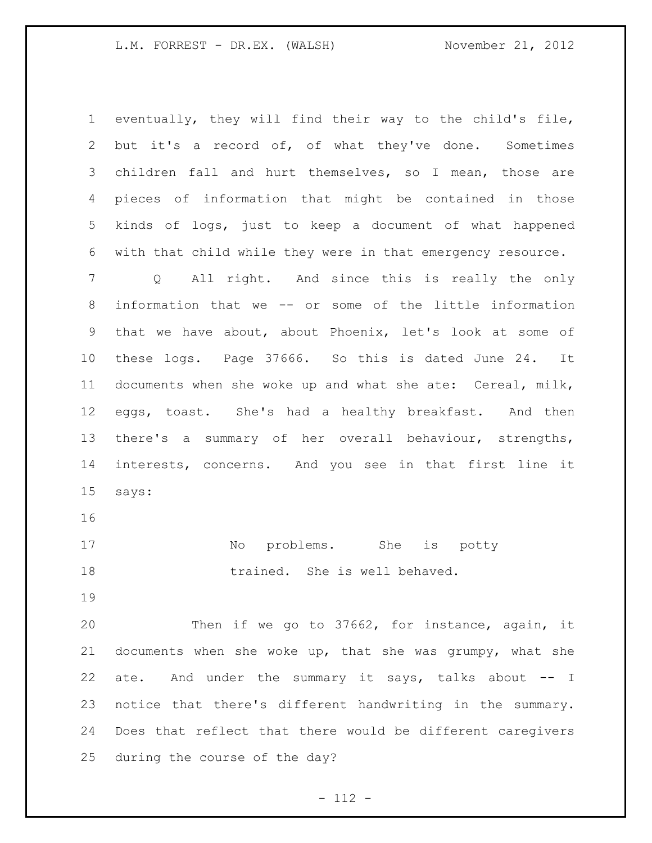eventually, they will find their way to the child's file, but it's a record of, of what they've done. Sometimes children fall and hurt themselves, so I mean, those are pieces of information that might be contained in those kinds of logs, just to keep a document of what happened with that child while they were in that emergency resource. Q All right. And since this is really the only information that we -- or some of the little information that we have about, about Phoenix, let's look at some of these logs. Page 37666. So this is dated June 24. It documents when she woke up and what she ate: Cereal, milk, eggs, toast. She's had a healthy breakfast. And then there's a summary of her overall behaviour, strengths, interests, concerns. And you see in that first line it says: 17 No problems. She is potty

18 trained. She is well behaved.

 Then if we go to 37662, for instance, again, it documents when she woke up, that she was grumpy, what she 22 ate. And under the summary it says, talks about -- I notice that there's different handwriting in the summary. Does that reflect that there would be different caregivers during the course of the day?

- 112 -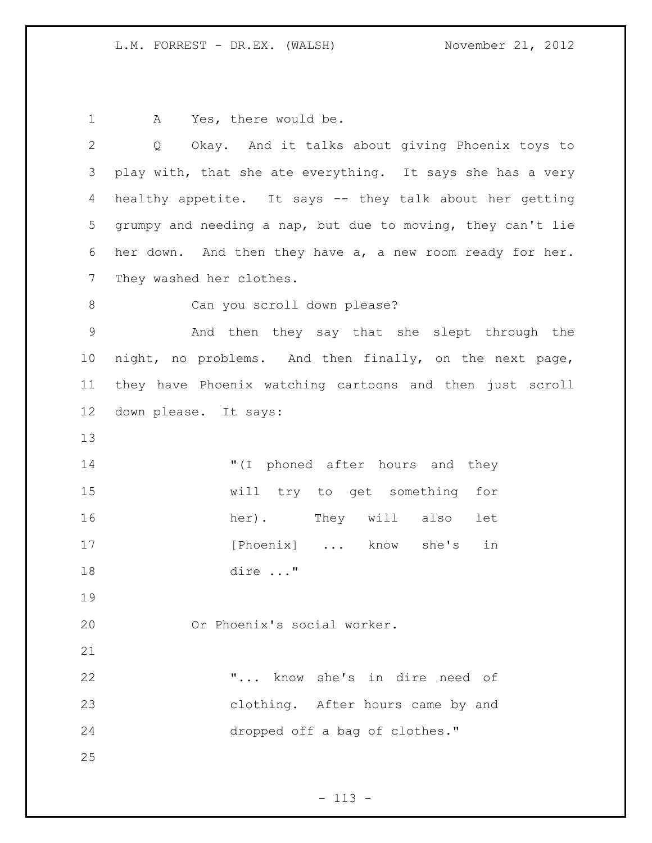1 A Yes, there would be.

| 2              | Okay. And it talks about giving Phoenix toys to<br>Q        |
|----------------|-------------------------------------------------------------|
| 3              | play with, that she ate everything. It says she has a very  |
| 4              | healthy appetite. It says -- they talk about her getting    |
| 5              | grumpy and needing a nap, but due to moving, they can't lie |
| 6              | her down. And then they have a, a new room ready for her.   |
| $7\phantom{.}$ | They washed her clothes.                                    |
| $8\,$          | Can you scroll down please?                                 |
| $\mathsf 9$    | And then they say that she slept through the                |
| 10             | night, no problems. And then finally, on the next page,     |
| 11             | they have Phoenix watching cartoons and then just scroll    |
| 12             | down please. It says:                                       |
| 13             |                                                             |
| 14             | "(I phoned after hours and they                             |
| 15             | will try to get something for                               |
| 16             | They will also<br>her).<br>let                              |
| 17             | [Phoenix]  know she's<br>in                                 |
| 18             | dire "                                                      |
| 19             |                                                             |
| 20             | Or Phoenix's social worker.                                 |
| 21             |                                                             |
| 22             | " know she's in dire need of                                |
| 23             | clothing. After hours came by and                           |
| 24             | dropped off a bag of clothes."                              |
| 25             |                                                             |
|                |                                                             |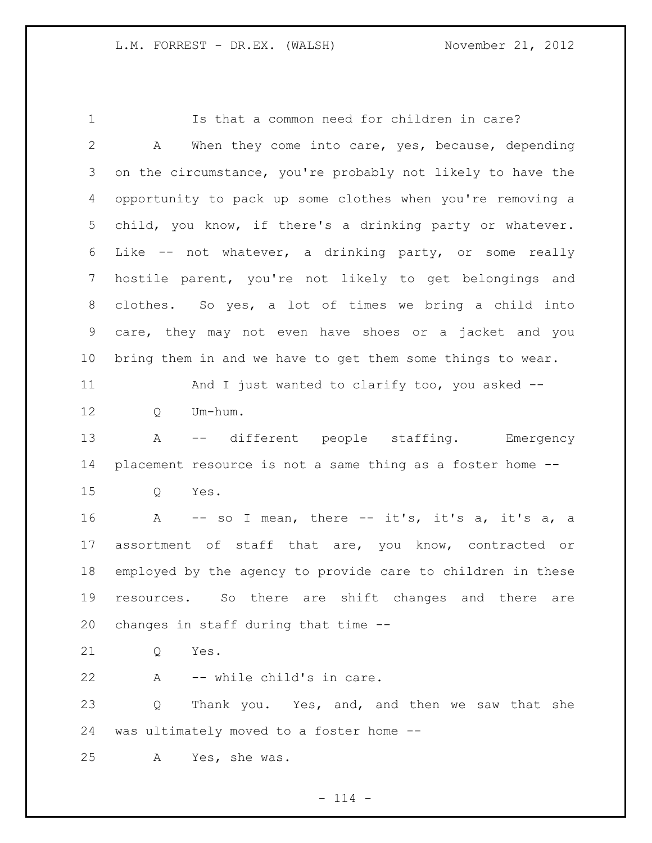Is that a common need for children in care? A When they come into care, yes, because, depending on the circumstance, you're probably not likely to have the opportunity to pack up some clothes when you're removing a child, you know, if there's a drinking party or whatever. Like -- not whatever, a drinking party, or some really hostile parent, you're not likely to get belongings and clothes. So yes, a lot of times we bring a child into care, they may not even have shoes or a jacket and you bring them in and we have to get them some things to wear. And I just wanted to clarify too, you asked -- 12 O Um-hum. A -- different people staffing. Emergency placement resource is not a same thing as a foster home -- Q Yes. 16 A -- so I mean, there -- it's, it's a, it's a, a assortment of staff that are, you know, contracted or employed by the agency to provide care to children in these resources. So there are shift changes and there are changes in staff during that time -- Q Yes. A -- while child's in care. 23 Q Thank you. Yes, and, and then we saw that she was ultimately moved to a foster home -- A Yes, she was.

 $- 114 -$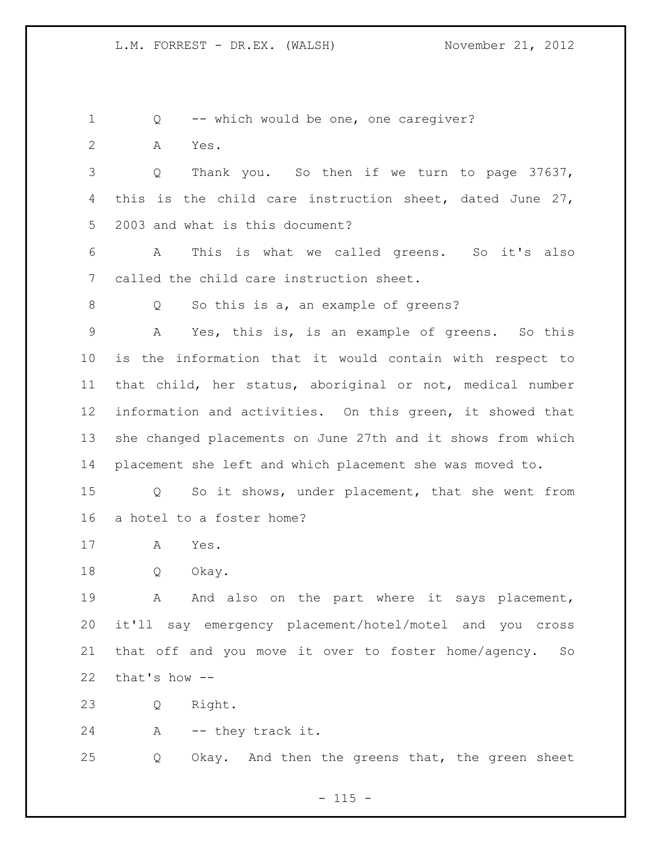Q -- which would be one, one caregiver?

A Yes.

 Q Thank you. So then if we turn to page 37637, this is the child care instruction sheet, dated June 27, 2003 and what is this document?

 A This is what we called greens. So it's also called the child care instruction sheet.

Q So this is a, an example of greens?

 A Yes, this is, is an example of greens. So this is the information that it would contain with respect to that child, her status, aboriginal or not, medical number information and activities. On this green, it showed that she changed placements on June 27th and it shows from which placement she left and which placement she was moved to.

 Q So it shows, under placement, that she went from a hotel to a foster home?

A Yes.

Q Okay.

19 A And also on the part where it says placement, it'll say emergency placement/hotel/motel and you cross that off and you move it over to foster home/agency. So that's how --

Q Right.

A -- they track it.

Q Okay. And then the greens that, the green sheet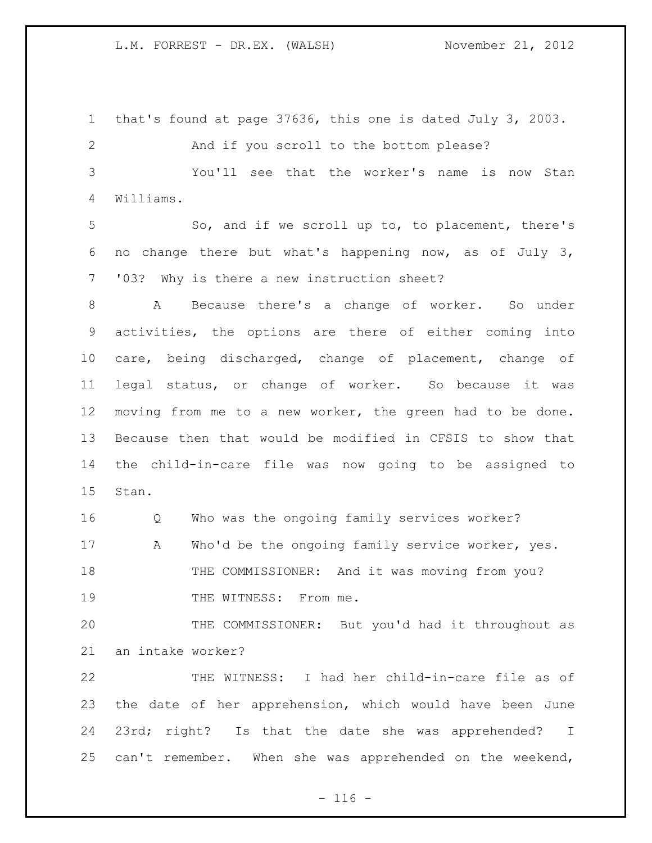that's found at page 37636, this one is dated July 3, 2003. And if you scroll to the bottom please? You'll see that the worker's name is now Stan Williams. So, and if we scroll up to, to placement, there's no change there but what's happening now, as of July 3, '03? Why is there a new instruction sheet? A Because there's a change of worker. So under activities, the options are there of either coming into care, being discharged, change of placement, change of legal status, or change of worker. So because it was moving from me to a new worker, the green had to be done. Because then that would be modified in CFSIS to show that the child-in-care file was now going to be assigned to Stan. Q Who was the ongoing family services worker? 17 A Who'd be the ongoing family service worker, yes. 18 THE COMMISSIONER: And it was moving from you? 19 THE WITNESS: From me. THE COMMISSIONER: But you'd had it throughout as an intake worker? THE WITNESS: I had her child-in-care file as of the date of her apprehension, which would have been June 23rd; right? Is that the date she was apprehended? I can't remember. When she was apprehended on the weekend,

 $- 116 -$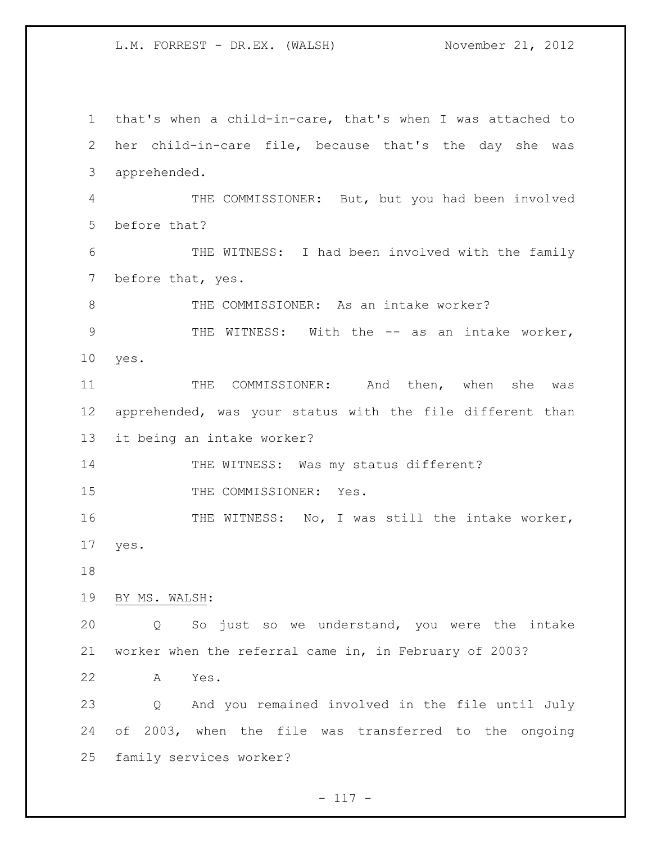that's when a child-in-care, that's when I was attached to her child-in-care file, because that's the day she was apprehended. THE COMMISSIONER: But, but you had been involved before that? THE WITNESS: I had been involved with the family before that, yes. 8 THE COMMISSIONER: As an intake worker? 9 THE WITNESS: With the -- as an intake worker, yes. THE COMMISSIONER: And then, when she was apprehended, was your status with the file different than it being an intake worker? 14 THE WITNESS: Was my status different? 15 THE COMMISSIONER: Yes. 16 THE WITNESS: No, I was still the intake worker, yes. BY MS. WALSH: Q So just so we understand, you were the intake worker when the referral came in, in February of 2003? A Yes. Q And you remained involved in the file until July of 2003, when the file was transferred to the ongoing family services worker?

 $- 117 -$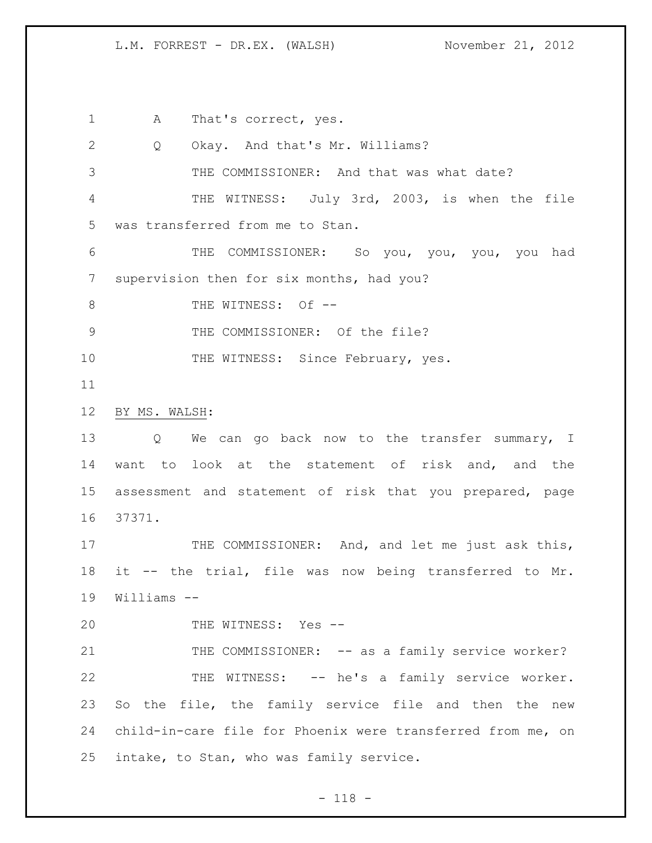1 A That's correct, yes. Q Okay. And that's Mr. Williams? THE COMMISSIONER: And that was what date? THE WITNESS: July 3rd, 2003, is when the file was transferred from me to Stan. THE COMMISSIONER: So you, you, you, you had supervision then for six months, had you? 8 THE WITNESS: Of --9 THE COMMISSIONER: Of the file? 10 THE WITNESS: Since February, yes. BY MS. WALSH: 13 Q We can go back now to the transfer summary, I want to look at the statement of risk and, and the assessment and statement of risk that you prepared, page 37371. 17 THE COMMISSIONER: And, and let me just ask this, it -- the trial, file was now being transferred to Mr. Williams -- THE WITNESS: Yes -- 21 THE COMMISSIONER: -- as a family service worker? THE WITNESS: -- he's a family service worker. 23 So the file, the family service file and then the new child-in-care file for Phoenix were transferred from me, on intake, to Stan, who was family service.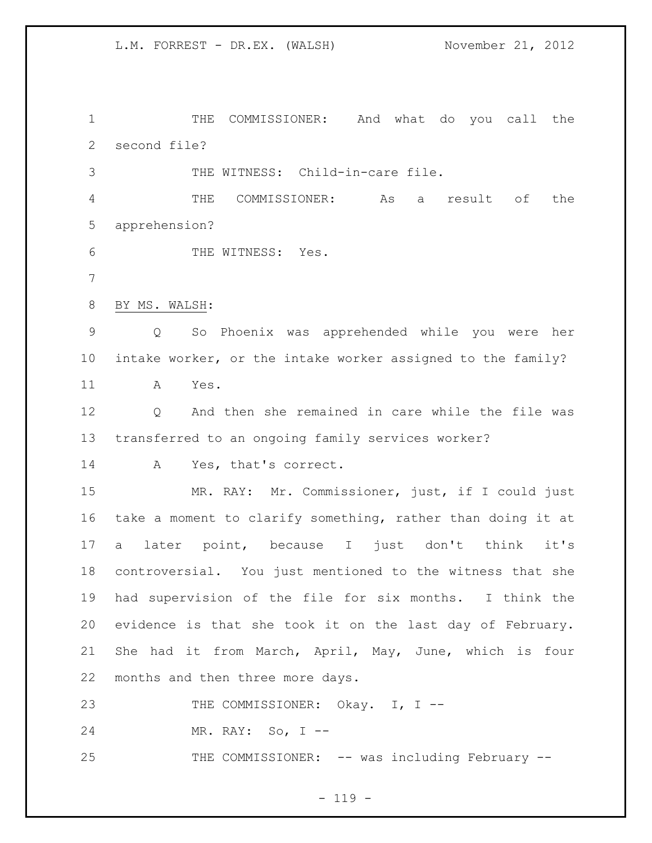THE COMMISSIONER: And what do you call the second file?

THE WITNESS: Child-in-care file.

 THE COMMISSIONER: As a result of the apprehension?

6 THE WITNESS: Yes.

BY MS. WALSH:

 Q So Phoenix was apprehended while you were her intake worker, or the intake worker assigned to the family? A Yes.

12 O And then she remained in care while the file was transferred to an ongoing family services worker?

A Yes, that's correct.

 MR. RAY: Mr. Commissioner, just, if I could just take a moment to clarify something, rather than doing it at a later point, because I just don't think it's controversial. You just mentioned to the witness that she had supervision of the file for six months. I think the evidence is that she took it on the last day of February. She had it from March, April, May, June, which is four months and then three more days.

23 THE COMMISSIONER: Okay. I, I --

MR. RAY: So, I --

25 THE COMMISSIONER: -- was including February --

 $- 119 -$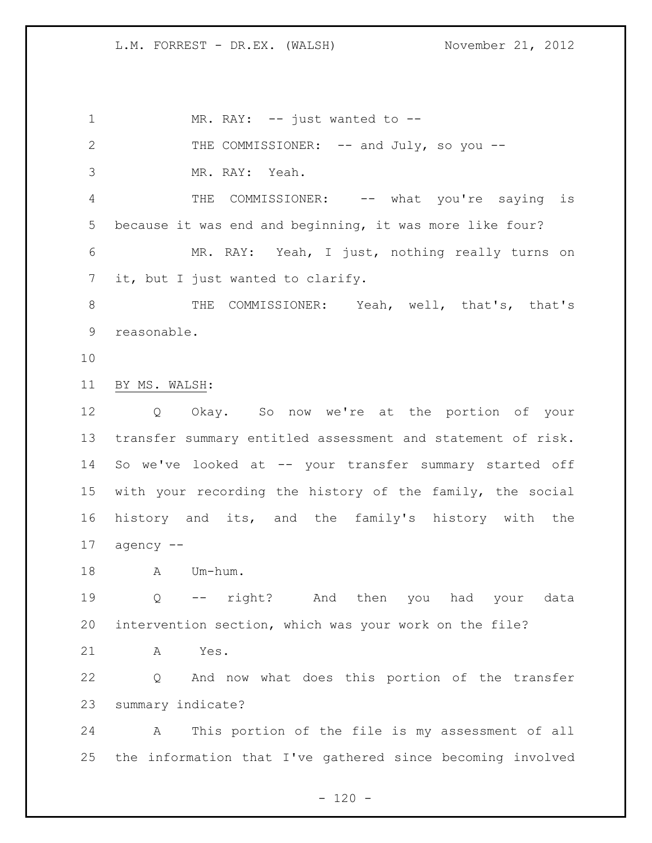1 MR. RAY: -- just wanted to --2 THE COMMISSIONER: -- and July, so you -- MR. RAY: Yeah. 4 THE COMMISSIONER: -- what you're saying is because it was end and beginning, it was more like four? MR. RAY: Yeah, I just, nothing really turns on it, but I just wanted to clarify. THE COMMISSIONER: Yeah, well, that's, that's reasonable. BY MS. WALSH: Q Okay. So now we're at the portion of your transfer summary entitled assessment and statement of risk. So we've looked at -- your transfer summary started off with your recording the history of the family, the social history and its, and the family's history with the agency -- 18 A Um-hum. Q -- right? And then you had your data intervention section, which was your work on the file? A Yes. Q And now what does this portion of the transfer summary indicate? A This portion of the file is my assessment of all the information that I've gathered since becoming involved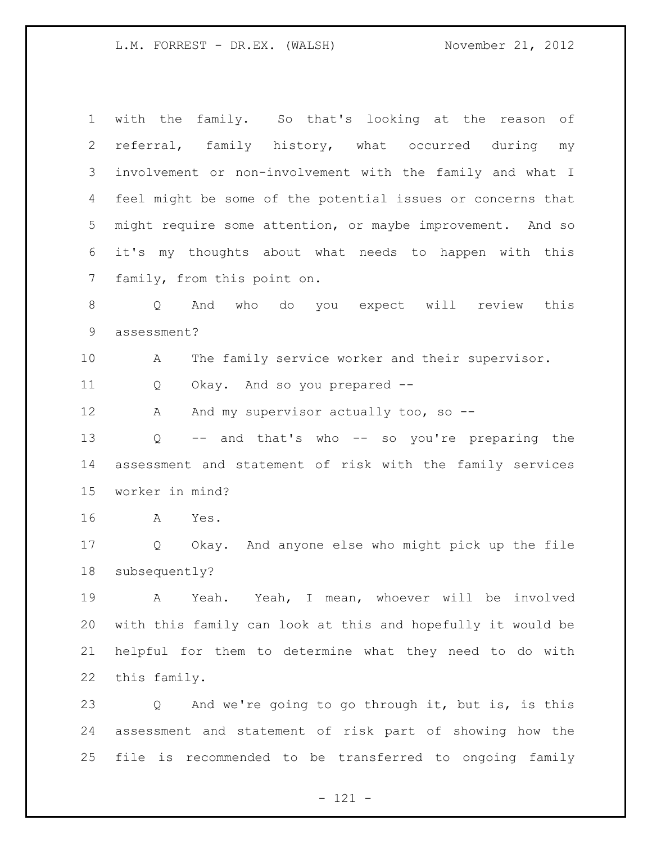| $\mathbf 1$    | with the family. So that's looking at the reason of         |
|----------------|-------------------------------------------------------------|
| $\overline{2}$ | referral, family history, what occurred during my           |
| 3              | involvement or non-involvement with the family and what I   |
| 4              | feel might be some of the potential issues or concerns that |
| 5              | might require some attention, or maybe improvement. And so  |
| 6              | it's my thoughts about what needs to happen with this       |
| 7              | family, from this point on.                                 |
| $8\,$          | And who do you expect will review<br>this<br>Q              |
| 9              | assessment?                                                 |
| 10             | The family service worker and their supervisor.<br>A        |
| 11             | Okay. And so you prepared --<br>Q                           |
| 12             | And my supervisor actually too, so --<br>Α                  |
| 13             | -- and that's who -- so you're preparing the<br>Q           |
| 14             | assessment and statement of risk with the family services   |
| 15             | worker in mind?                                             |
| 16             | Yes.<br>A                                                   |
| 17             | Okay. And anyone else who might pick up the file<br>Q       |
| 18             | subsequently?                                               |
| 19             | Yeah. Yeah, I mean, whoever will be involved<br>A           |
| 20             | with this family can look at this and hopefully it would be |
| 21             | helpful for them to determine what they need to do with     |
| 22             | this family.                                                |
| 23             | And we're going to go through it, but is, is this<br>Q      |
| 24             | assessment and statement of risk part of showing how the    |

file is recommended to be transferred to ongoing family

- 121 -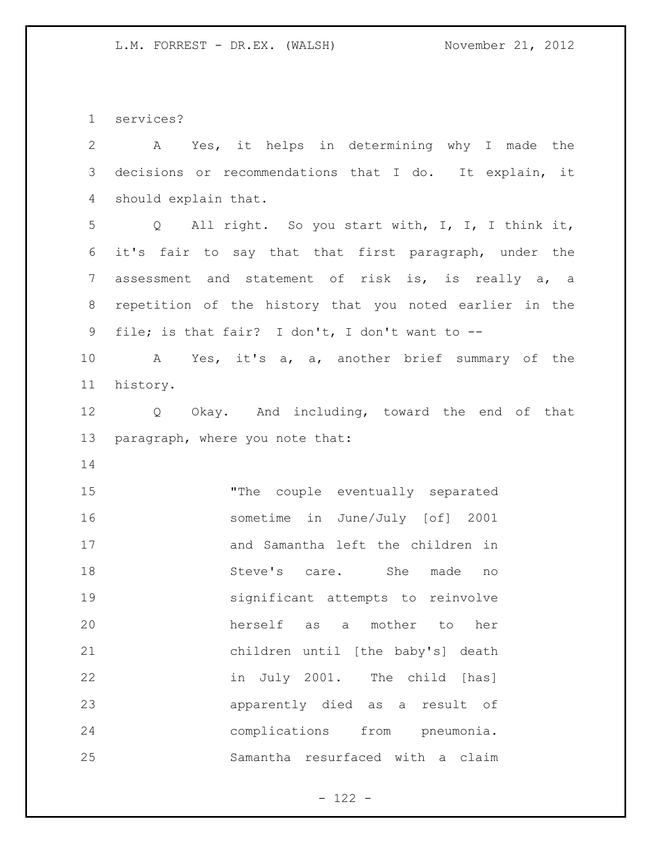services?

| $\overline{2}$ | Yes, it helps in determining why I made the<br>Α        |
|----------------|---------------------------------------------------------|
| 3              | decisions or recommendations that I do. It explain, it  |
| 4              | should explain that.                                    |
| 5              | Q All right. So you start with, I, I, I think it,       |
| 6              | it's fair to say that that first paragraph, under the   |
| $7\phantom{.}$ | assessment and statement of risk is, is really a, a     |
| 8              | repetition of the history that you noted earlier in the |
| 9              | file; is that fair? I don't, I don't want to --         |
| 10             | A Yes, it's a, a, another brief summary of the          |
| 11             | history.                                                |
| 12             | Q Okay. And including, toward the end of that           |
| 13             | paragraph, where you note that:                         |
| 14             |                                                         |
| 15             | "The couple eventually separated                        |
| 16             | sometime in June/July [of] 2001                         |
| 17             | and Samantha left the children in                       |
| 18             | Steve's care. She<br>made<br>no                         |
| 19             | significant attempts to reinvolve                       |
| 20             | herself as<br>mother<br>to<br>her<br>$\mathsf{a}$       |
| 21             | children until [the baby's] death                       |
| 22             | in July 2001. The child [has]                           |
| 23             | apparently died as a result of                          |
| 24             | complications from pneumonia.                           |
| 25             | Samantha resurfaced with a claim                        |

- 122 -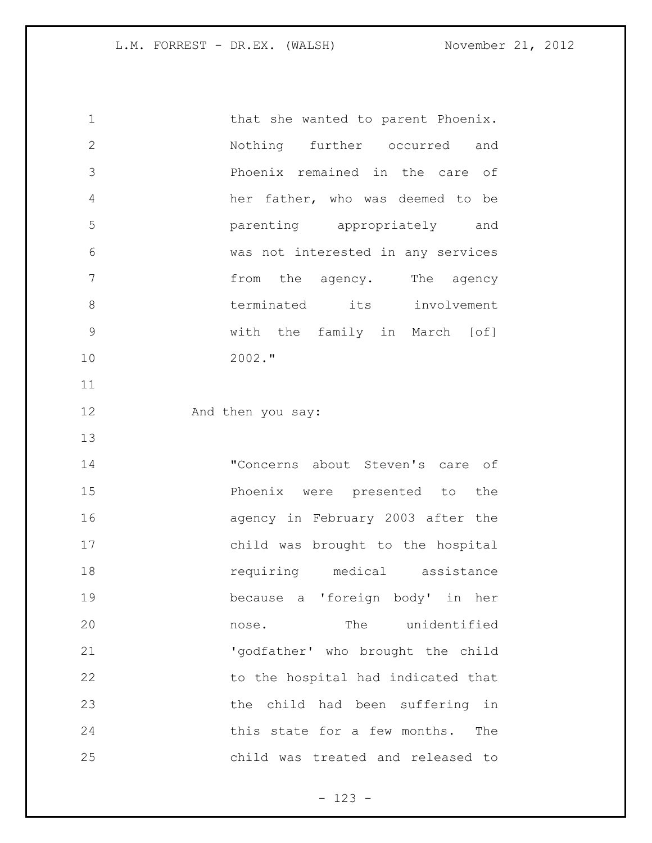1 that she wanted to parent Phoenix. Nothing further occurred and Phoenix remained in the care of her father, who was deemed to be parenting appropriately and was not interested in any services **from the agency.** The agency 8 terminated its involvement with the family in March [of] 2002." 12 And then you say: "Concerns about Steven's care of Phoenix were presented to the agency in February 2003 after the child was brought to the hospital **18** requiring medical assistance because a 'foreign body' in her nose. The unidentified 'godfather' who brought the child 22 to the hospital had indicated that the child had been suffering in this state for a few months. The child was treated and released to

- 123 -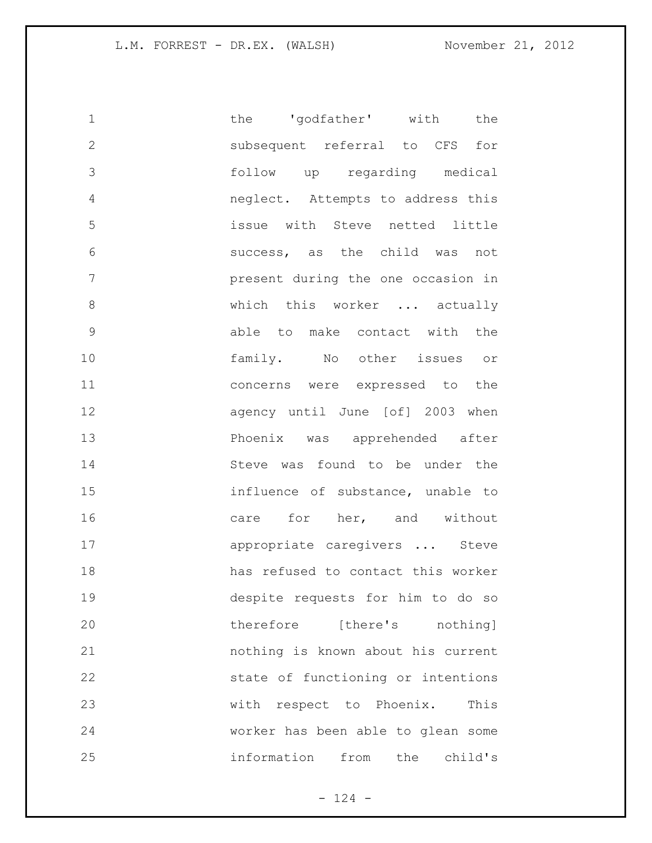| $\mathbf 1$   | the 'godfather' with the           |
|---------------|------------------------------------|
| $\mathbf{2}$  | subsequent referral to CFS<br>for  |
| 3             | follow up regarding medical        |
| 4             | neglect. Attempts to address this  |
| 5             | issue with Steve netted little     |
| 6             | success, as the child was not      |
| 7             | present during the one occasion in |
| 8             | which this worker  actually        |
| $\mathcal{G}$ | able to make contact with the      |
| 10            | family. No other issues or         |
| 11            | concerns were expressed to the     |
| 12            | agency until June [of] 2003 when   |
| 13            | Phoenix was apprehended after      |
| 14            | Steve was found to be under the    |
| 15            | influence of substance, unable to  |
| 16            | care for her, and without          |
| 17            | appropriate caregivers  Steve      |
| 18            | has refused to contact this worker |
| 19            | despite requests for him to do so  |
| 20            | therefore [there's nothing]        |
| 21            | nothing is known about his current |
| 22            | state of functioning or intentions |
| 23            | with respect to Phoenix. This      |
| 24            | worker has been able to glean some |
| 25            | information from the<br>child's    |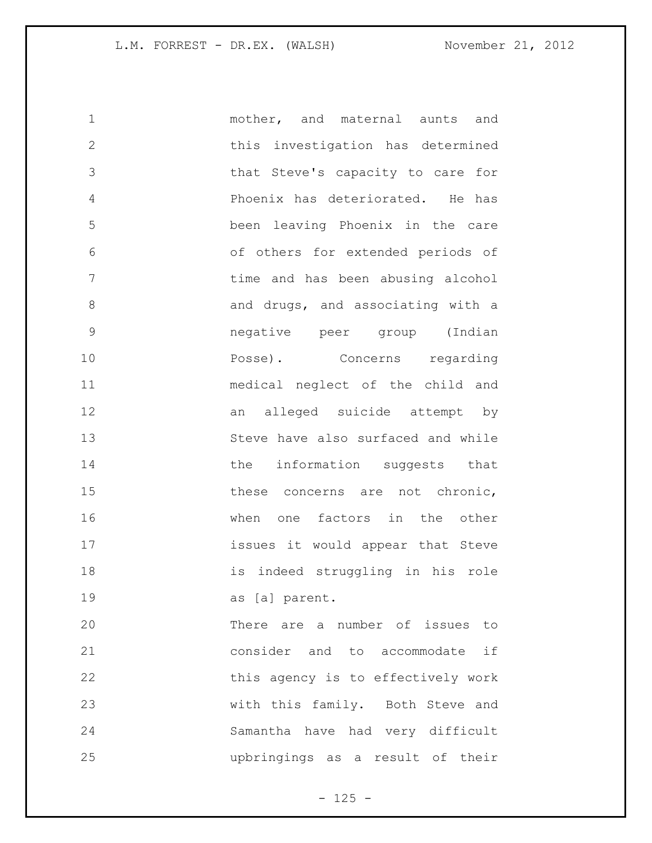| $\mathbf 1$  | mother, and maternal aunts and     |
|--------------|------------------------------------|
| $\mathbf{2}$ | this investigation has determined  |
| 3            | that Steve's capacity to care for  |
| 4            | Phoenix has deteriorated. He has   |
| 5            | been leaving Phoenix in the care   |
| 6            | of others for extended periods of  |
| 7            | time and has been abusing alcohol  |
| 8            | and drugs, and associating with a  |
| 9            | negative peer group (Indian        |
| 10           | Posse). Concerns regarding         |
| 11           | medical neglect of the child and   |
| 12           | an alleged suicide attempt by      |
| 13           | Steve have also surfaced and while |
| 14           | the information suggests that      |
| 15           | these concerns are not chronic,    |
| 16           | when one factors in the other      |
| 17           | issues it would appear that Steve  |
| 18           | is indeed struggling in his role   |
| 19           | as [a] parent.                     |
| 20           | There are a number of issues to    |
| 21           | consider and to accommodate if     |
| 22           | this agency is to effectively work |
| 23           | with this family. Both Steve and   |
| 24           | Samantha have had very difficult   |
| 25           | upbringings as a result of their   |

- 125 -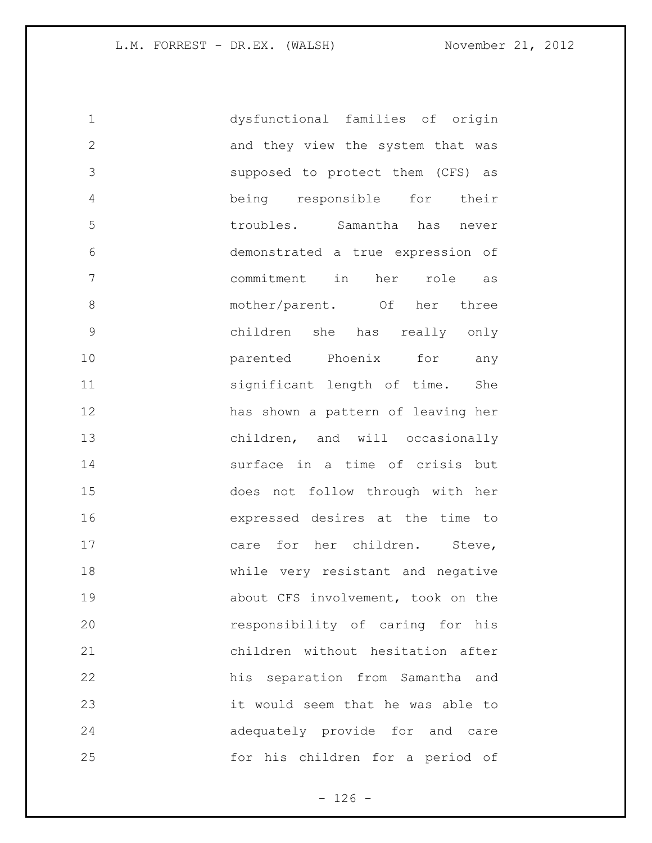| 1            | dysfunctional families of origin   |
|--------------|------------------------------------|
| $\mathbf{2}$ | and they view the system that was  |
| 3            | supposed to protect them (CFS) as  |
| 4            | being responsible for their        |
| 5            | troubles. Samantha has never       |
| 6            | demonstrated a true expression of  |
| 7            | commitment in<br>her role<br>as    |
| 8            | mother/parent. Of her three        |
| $\mathsf 9$  | children she has really only       |
| 10           | parented Phoenix for<br>any        |
| 11           | significant length of time. She    |
| 12           | has shown a pattern of leaving her |
| 13           | children, and will occasionally    |
| 14           | surface in a time of crisis but    |
| 15           | does not follow through with her   |
| 16           | expressed desires at the time to   |
| 17           | care for her children. Steve,      |
| 18           | while very resistant and negative  |
| 19           | about CFS involvement, took on the |
| 20           | responsibility of caring for his   |
| 21           | children without hesitation after  |
| 22           | his separation from Samantha and   |
| 23           | it would seem that he was able to  |
| 24           | adequately provide for and care    |
| 25           | for his children for a period of   |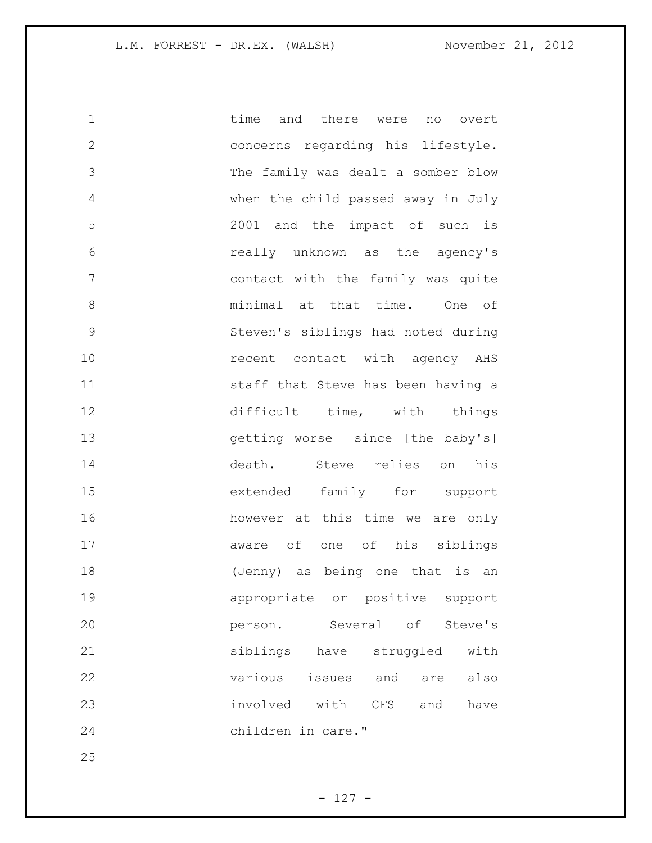| $\mathbf 1$   | time and there were no overt            |
|---------------|-----------------------------------------|
| $\mathbf{2}$  | concerns regarding his lifestyle.       |
| 3             | The family was dealt a somber blow      |
| 4             | when the child passed away in July      |
| 5             | 2001 and the impact of such is          |
| 6             | really unknown as the agency's          |
| 7             | contact with the family was quite       |
| 8             | minimal at that time. One of            |
| $\mathcal{G}$ | Steven's siblings had noted during      |
| 10            | recent contact with agency AHS          |
| 11            | staff that Steve has been having a      |
| 12            | difficult time, with things             |
| 13            | getting worse since [the baby's]        |
| 14            | death. Steve relies on his              |
| 15            | extended family for support             |
| 16            | however at this time we are only        |
| 17            | aware of one of his siblings            |
| 18            | (Jenny) as being one that is an         |
| 19            | appropriate or positive support         |
| 20            | Several of<br>Steve's<br>person.        |
| 21            | siblings<br>have<br>struggled<br>with   |
| 22            | various<br>issues<br>and<br>also<br>are |
| 23            | involved with<br>CFS<br>and<br>have     |
| 24            | children in care."                      |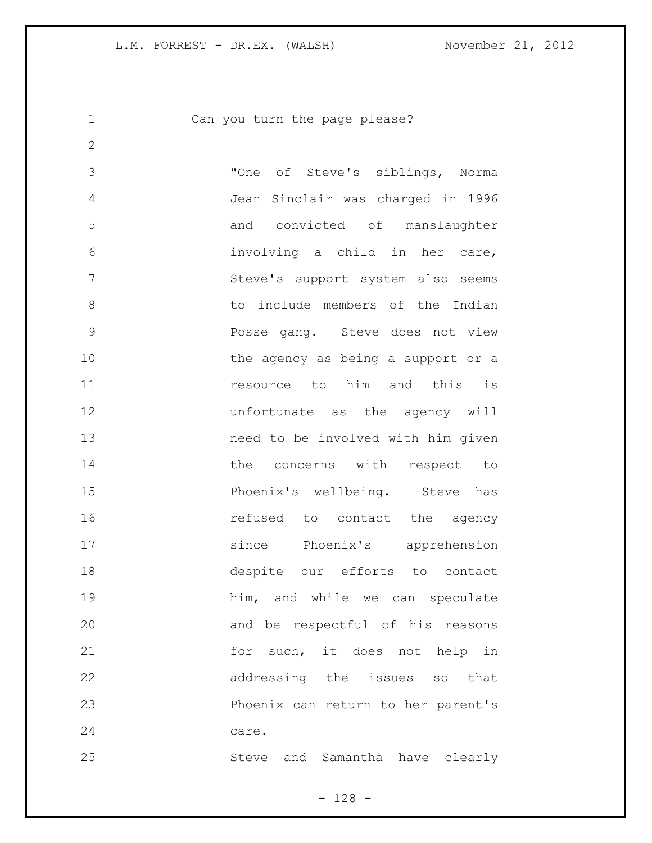Can you turn the page please?

 "One of Steve's siblings, Norma Jean Sinclair was charged in 1996 and convicted of manslaughter involving a child in her care, Steve's support system also seems 8 to include members of the Indian Posse gang. Steve does not view 10 the agency as being a support or a resource to him and this is unfortunate as the agency will need to be involved with him given 14 the concerns with respect to Phoenix's wellbeing. Steve has **16** refused to contact the agency since Phoenix's apprehension despite our efforts to contact him, and while we can speculate and be respectful of his reasons 21 for such, it does not help in addressing the issues so that Phoenix can return to her parent's care. Steve and Samantha have clearly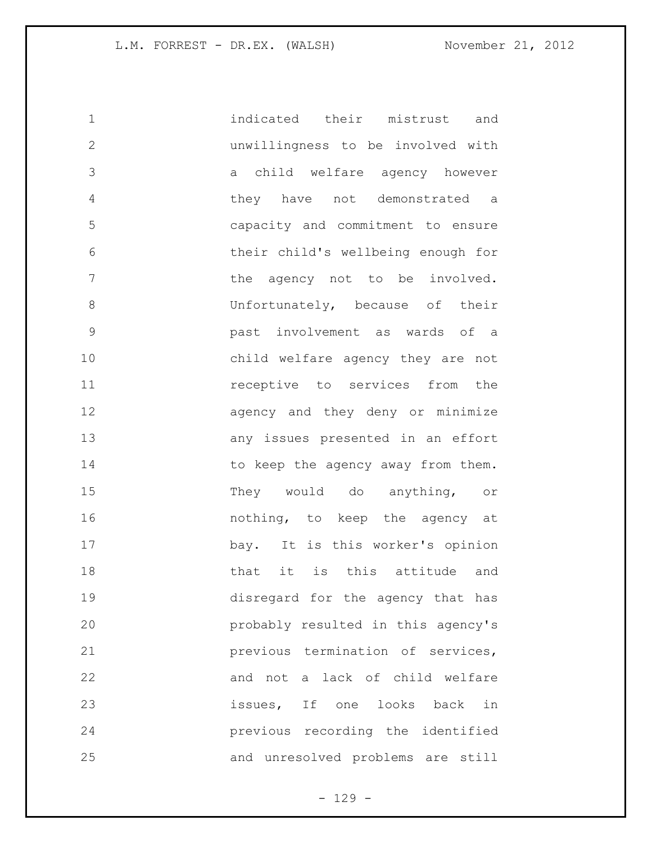indicated their mistrust and unwillingness to be involved with a child welfare agency however they have not demonstrated a capacity and commitment to ensure their child's wellbeing enough for 7 the agency not to be involved. 8 Unfortunately, because of their past involvement as wards of a child welfare agency they are not **11 receptive** to services from the 12 agency and they deny or minimize any issues presented in an effort 14 to keep the agency away from them. 15 They would do anything, or **16 nothing**, to keep the agency at bay. It is this worker's opinion that it is this attitude and disregard for the agency that has probably resulted in this agency's previous termination of services, 22 and not a lack of child welfare issues, If one looks back in previous recording the identified and unresolved problems are still

- 129 -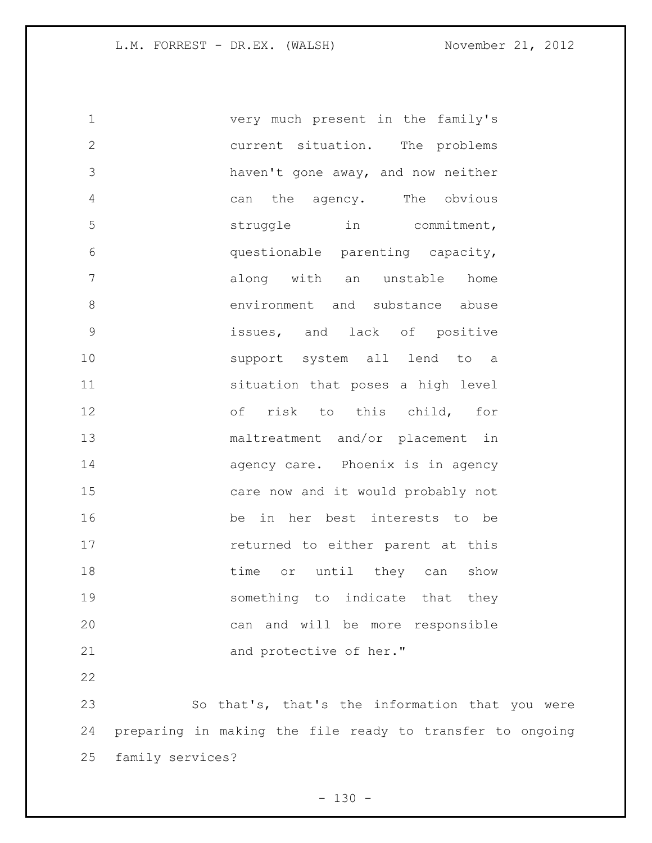very much present in the family's current situation. The problems haven't gone away, and now neither can the agency. The obvious 5 struggle in commitment, questionable parenting capacity, along with an unstable home 8 environment and substance abuse issues, and lack of positive support system all lend to a situation that poses a high level of risk to this child, for maltreatment and/or placement in **agency care.** Phoenix is in agency care now and it would probably not be in her best interests to be **returned to either parent at this** 18 time or until they can show something to indicate that they can and will be more responsible 21 and protective of her." So that's, that's the information that you were

 preparing in making the file ready to transfer to ongoing family services?

 $- 130 -$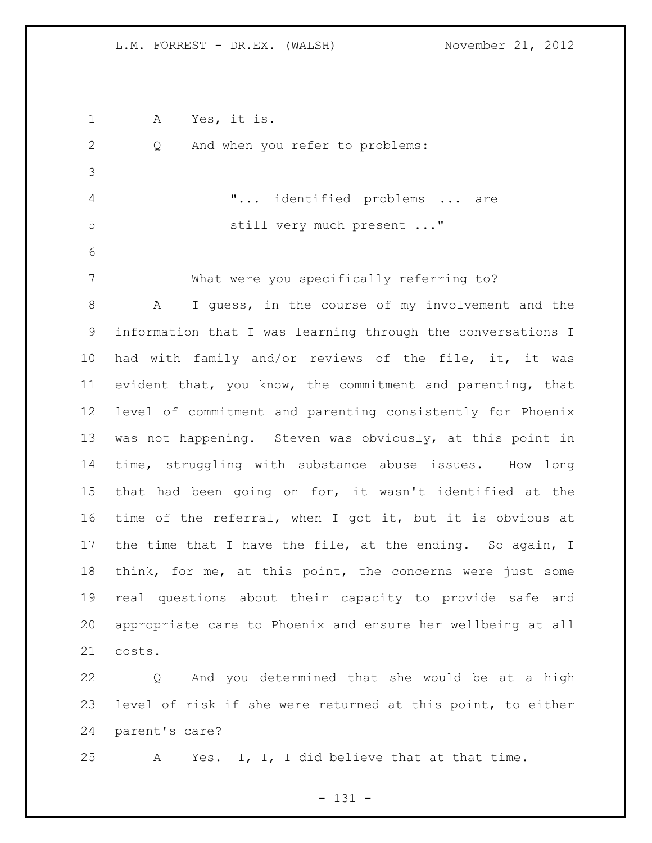| $\mathbf 1$  | Yes, it is.<br>А                                            |
|--------------|-------------------------------------------------------------|
| $\mathbf{2}$ | And when you refer to problems:<br>Q                        |
| 3            |                                                             |
| 4            | " identified problems  are                                  |
| 5            | still very much present "                                   |
| 6            |                                                             |
| 7            | What were you specifically referring to?                    |
| 8            | I guess, in the course of my involvement and the<br>A       |
| $\mathsf 9$  | information that I was learning through the conversations I |
| 10           | had with family and/or reviews of the file, it, it was      |
| 11           | evident that, you know, the commitment and parenting, that  |
| 12           | level of commitment and parenting consistently for Phoenix  |
| 13           | was not happening. Steven was obviously, at this point in   |
| 14           | time, struggling with substance abuse issues. How long      |
| 15           | that had been going on for, it wasn't identified at the     |
| 16           | time of the referral, when I got it, but it is obvious at   |
| 17           | the time that I have the file, at the ending. So again, I   |
| 18           | think, for me, at this point, the concerns were just some   |
| 19           | real questions about their capacity to provide safe and     |
| 20           | appropriate care to Phoenix and ensure her wellbeing at all |
| 21           | costs.                                                      |
| 22           | And you determined that she would be at a high<br>Q         |
| 23           | level of risk if she were returned at this point, to either |

parent's care?

A Yes. I, I, I did believe that at that time.

- 131 -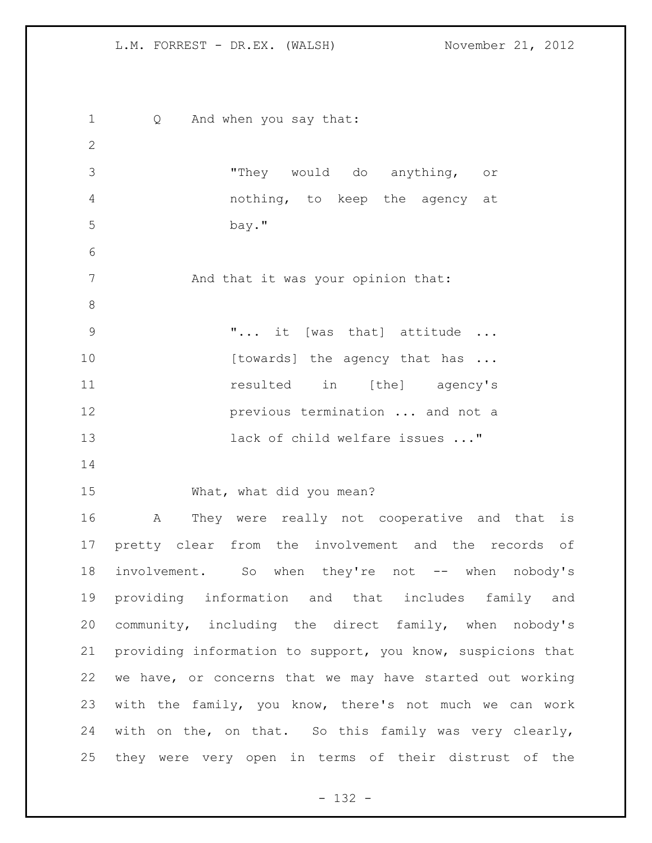1 Q And when you say that: "They would do anything, or nothing, to keep the agency at bay." 7 And that it was your opinion that: "... it [was that] attitude ... 10 [towards] the agency that has ... **11** resulted in [the] agency's **previous termination** ... and not a lack of child welfare issues ..." What, what did you mean? A They were really not cooperative and that is pretty clear from the involvement and the records of 18 involvement. So when they're not -- when nobody's providing information and that includes family and community, including the direct family, when nobody's providing information to support, you know, suspicions that we have, or concerns that we may have started out working with the family, you know, there's not much we can work with on the, on that. So this family was very clearly, they were very open in terms of their distrust of the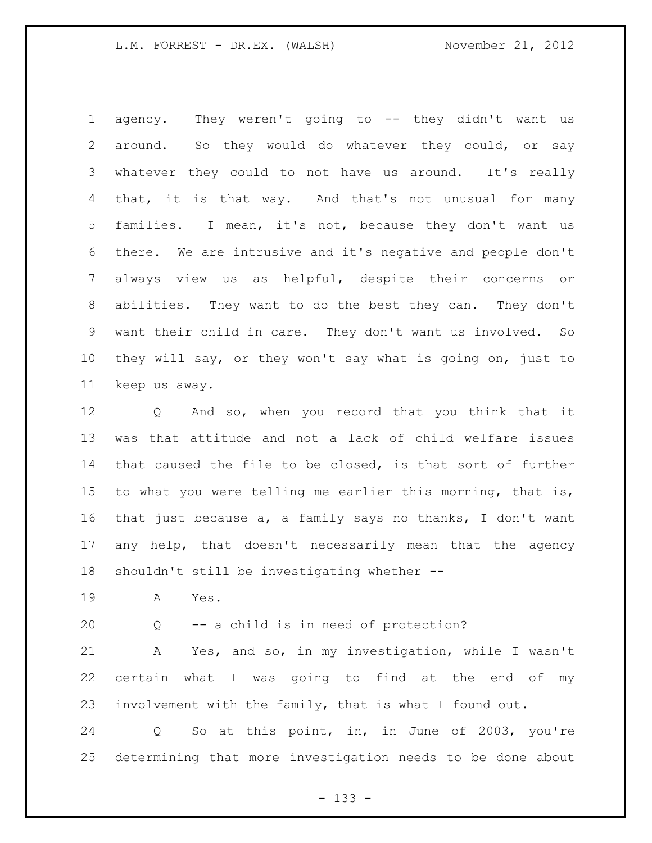agency. They weren't going to -- they didn't want us around. So they would do whatever they could, or say whatever they could to not have us around. It's really 4 that, it is that way. And that's not unusual for many families. I mean, it's not, because they don't want us there. We are intrusive and it's negative and people don't always view us as helpful, despite their concerns or abilities. They want to do the best they can. They don't want their child in care. They don't want us involved. So they will say, or they won't say what is going on, just to keep us away.

 Q And so, when you record that you think that it was that attitude and not a lack of child welfare issues that caused the file to be closed, is that sort of further to what you were telling me earlier this morning, that is, that just because a, a family says no thanks, I don't want any help, that doesn't necessarily mean that the agency shouldn't still be investigating whether --

A Yes.

Q -- a child is in need of protection?

 A Yes, and so, in my investigation, while I wasn't certain what I was going to find at the end of my involvement with the family, that is what I found out.

 Q So at this point, in, in June of 2003, you're determining that more investigation needs to be done about

- 133 -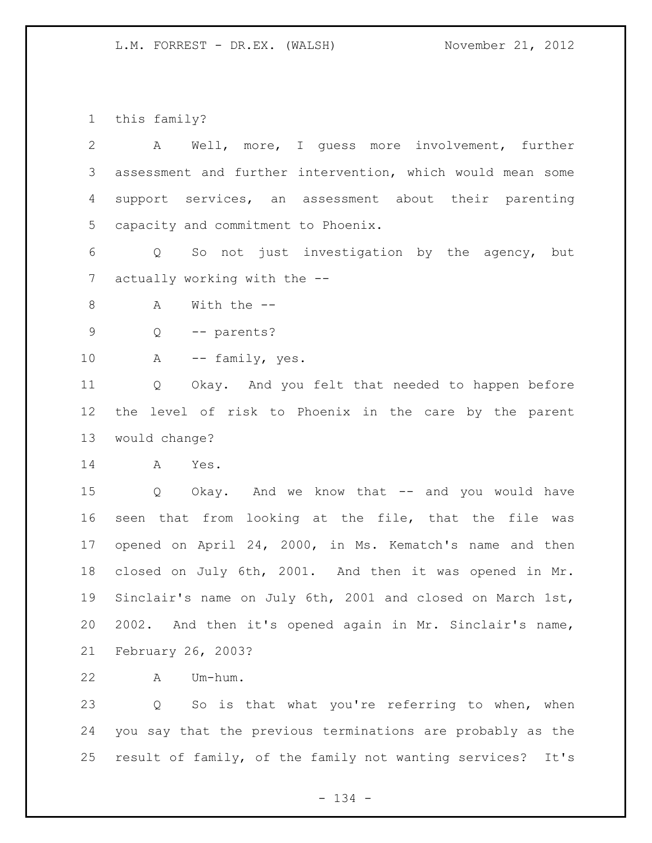this family?

| $\mathbf{2}$    | Well, more, I quess more involvement, further<br>Α         |
|-----------------|------------------------------------------------------------|
| 3               | assessment and further intervention, which would mean some |
| 4               | support services, an assessment about their parenting      |
| 5               | capacity and commitment to Phoenix.                        |
| 6               | So not just investigation by the agency, but<br>Q          |
| $7\phantom{.0}$ | actually working with the --                               |
| 8               | With the $-$<br>Α                                          |
| 9               | -- parents?<br>$Q \qquad \qquad$                           |
| 10              | A<br>-- family, yes.                                       |
| 11              | Okay. And you felt that needed to happen before<br>Q       |
| 12              | the level of risk to Phoenix in the care by the parent     |
| 13              | would change?                                              |
| 14              | Yes.<br>A                                                  |
| 15              | Q Okay. And we know that -- and you would have             |
| 16              | seen that from looking at the file, that the file was      |
| 17              | opened on April 24, 2000, in Ms. Kematch's name and then   |
| 18              | closed on July 6th, 2001. And then it was opened in Mr.    |
| 19              | Sinclair's name on July 6th, 2001 and closed on March 1st, |
| 20              | 2002. And then it's opened again in Mr. Sinclair's name,   |
| 21              | February 26, 2003?                                         |
| 22              | Um-hum.<br>Α                                               |

 Q So is that what you're referring to when, when you say that the previous terminations are probably as the result of family, of the family not wanting services? It's

- 134 -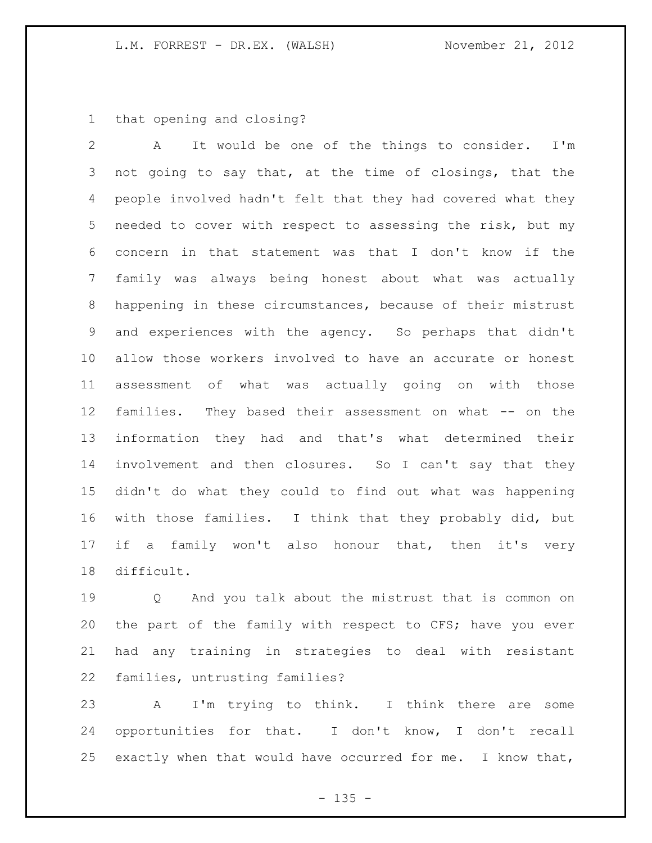that opening and closing?

 A It would be one of the things to consider. I'm not going to say that, at the time of closings, that the people involved hadn't felt that they had covered what they needed to cover with respect to assessing the risk, but my concern in that statement was that I don't know if the family was always being honest about what was actually happening in these circumstances, because of their mistrust and experiences with the agency. So perhaps that didn't allow those workers involved to have an accurate or honest assessment of what was actually going on with those families. They based their assessment on what -- on the information they had and that's what determined their involvement and then closures. So I can't say that they didn't do what they could to find out what was happening with those families. I think that they probably did, but if a family won't also honour that, then it's very difficult.

 Q And you talk about the mistrust that is common on the part of the family with respect to CFS; have you ever had any training in strategies to deal with resistant families, untrusting families?

 A I'm trying to think. I think there are some opportunities for that. I don't know, I don't recall exactly when that would have occurred for me. I know that,

 $- 135 -$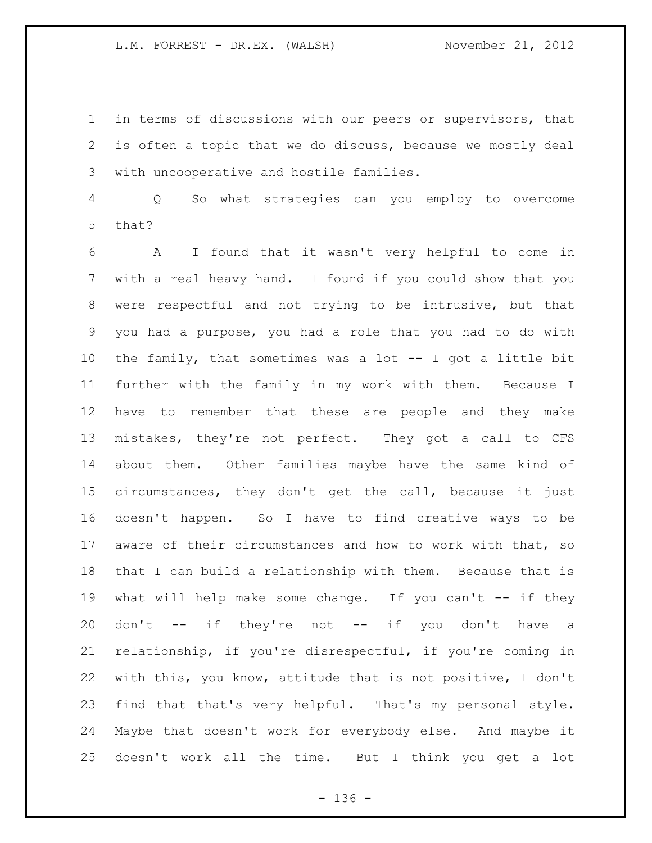in terms of discussions with our peers or supervisors, that is often a topic that we do discuss, because we mostly deal with uncooperative and hostile families.

 Q So what strategies can you employ to overcome that?

 A I found that it wasn't very helpful to come in with a real heavy hand. I found if you could show that you were respectful and not trying to be intrusive, but that you had a purpose, you had a role that you had to do with the family, that sometimes was a lot -- I got a little bit further with the family in my work with them. Because I have to remember that these are people and they make mistakes, they're not perfect. They got a call to CFS about them. Other families maybe have the same kind of circumstances, they don't get the call, because it just doesn't happen. So I have to find creative ways to be aware of their circumstances and how to work with that, so that I can build a relationship with them. Because that is 19 what will help make some change. If you can't -- if they don't -- if they're not -- if you don't have a relationship, if you're disrespectful, if you're coming in with this, you know, attitude that is not positive, I don't find that that's very helpful. That's my personal style. Maybe that doesn't work for everybody else. And maybe it doesn't work all the time. But I think you get a lot

- 136 -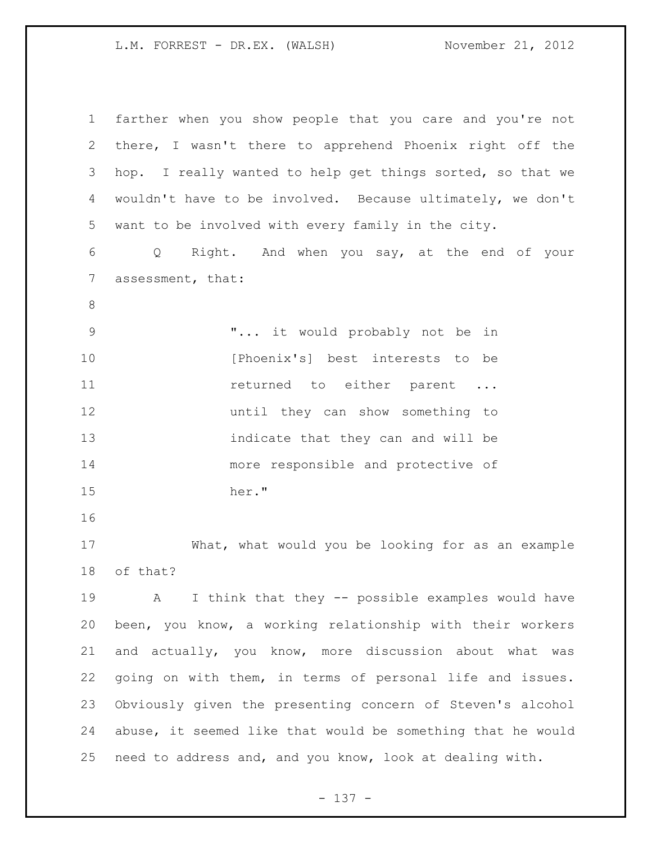| $\mathbf 1$    | farther when you show people that you care and you're not   |
|----------------|-------------------------------------------------------------|
| $\overline{2}$ | there, I wasn't there to apprehend Phoenix right off the    |
| 3              | hop. I really wanted to help get things sorted, so that we  |
| 4              | wouldn't have to be involved. Because ultimately, we don't  |
| 5              | want to be involved with every family in the city.          |
| 6              | Q Right. And when you say, at the end of your               |
| $\overline{7}$ | assessment, that:                                           |
| $8\,$          |                                                             |
| $\mathsf 9$    | " it would probably not be in                               |
| 10             | [Phoenix's] best interests to be                            |
| 11             | returned to either parent                                   |
| 12             | until they can show something to                            |
| 13             | indicate that they can and will be                          |
| 14             | more responsible and protective of                          |
| 15             | her."                                                       |
| 16             |                                                             |
| 17             | What, what would you be looking for as an example           |
| 18             | of that?                                                    |
| 19             | I think that they -- possible examples would have<br>A      |
| 20             | been, you know, a working relationship with their workers   |
| 21             | and actually, you know, more discussion about what was      |
| 22             | going on with them, in terms of personal life and issues.   |
| 23             | Obviously given the presenting concern of Steven's alcohol  |
| 24             | abuse, it seemed like that would be something that he would |
| 25             | need to address and, and you know, look at dealing with.    |

- 137 -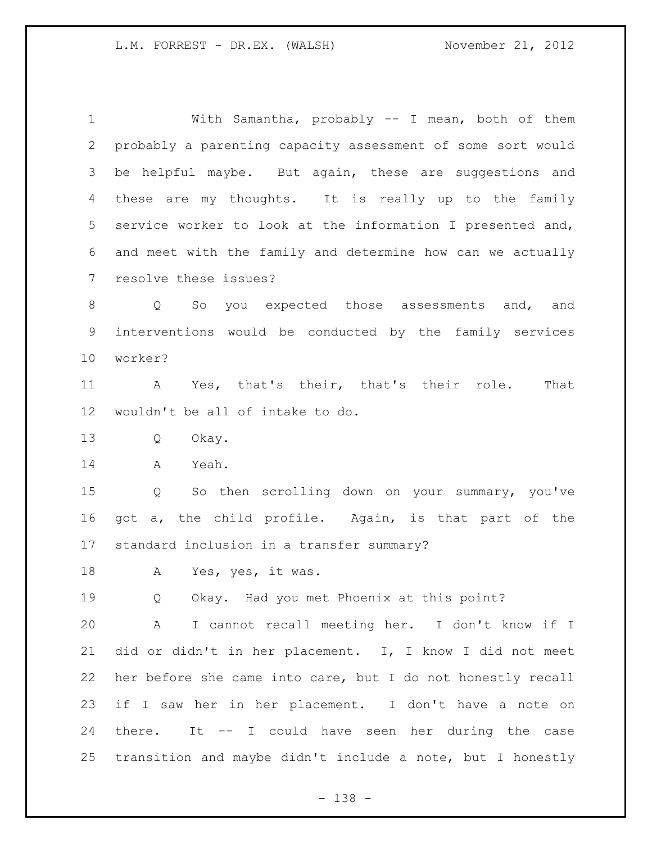With Samantha, probably -- I mean, both of them probably a parenting capacity assessment of some sort would be helpful maybe. But again, these are suggestions and these are my thoughts. It is really up to the family service worker to look at the information I presented and, and meet with the family and determine how can we actually resolve these issues?

 Q So you expected those assessments and, and interventions would be conducted by the family services worker?

 A Yes, that's their, that's their role. That wouldn't be all of intake to do.

Q Okay.

A Yeah.

 Q So then scrolling down on your summary, you've got a, the child profile. Again, is that part of the standard inclusion in a transfer summary?

A Yes, yes, it was.

Q Okay. Had you met Phoenix at this point?

 A I cannot recall meeting her. I don't know if I did or didn't in her placement. I, I know I did not meet her before she came into care, but I do not honestly recall if I saw her in her placement. I don't have a note on there. It -- I could have seen her during the case transition and maybe didn't include a note, but I honestly

- 138 -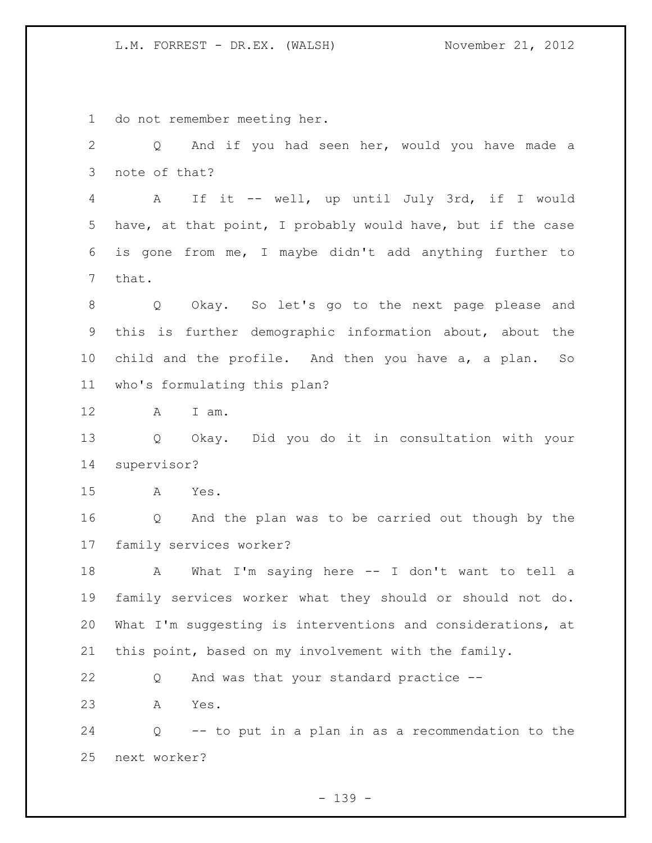do not remember meeting her.

 Q And if you had seen her, would you have made a note of that? A If it -- well, up until July 3rd, if I would have, at that point, I probably would have, but if the case is gone from me, I maybe didn't add anything further to that. Q Okay. So let's go to the next page please and this is further demographic information about, about the child and the profile. And then you have a, a plan. So who's formulating this plan? A I am. Q Okay. Did you do it in consultation with your supervisor? A Yes. Q And the plan was to be carried out though by the family services worker? A What I'm saying here -- I don't want to tell a family services worker what they should or should not do. What I'm suggesting is interventions and considerations, at this point, based on my involvement with the family. Q And was that your standard practice -- A Yes. Q -- to put in a plan in as a recommendation to the next worker?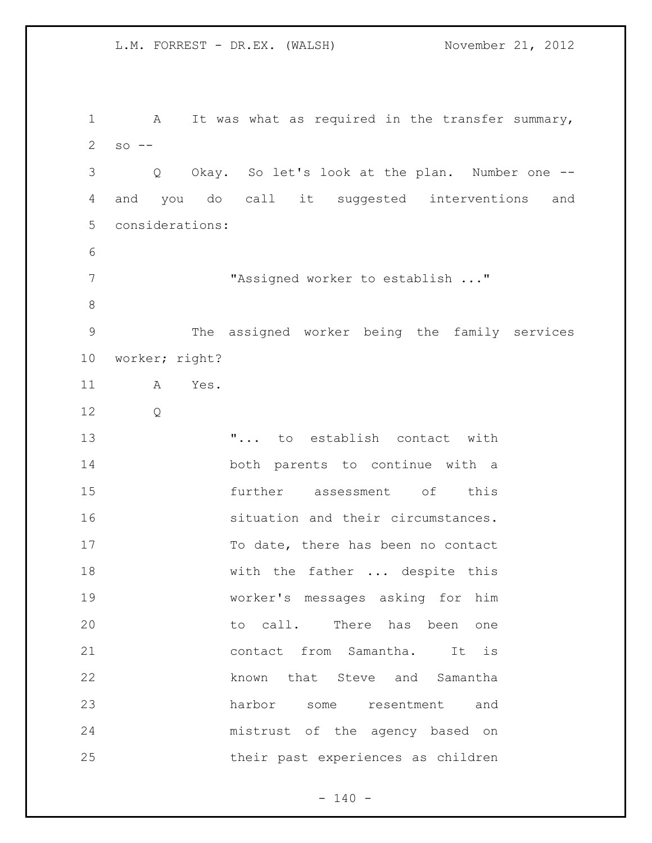L.M. FORREST - DR.EX. (WALSH) November 21, 2012 1 A It was what as required in the transfer summary, so  $-$  Q Okay. So let's look at the plan. Number one -- and you do call it suggested interventions and considerations: "Assigned worker to establish ..." The assigned worker being the family services worker; right? A Yes. Q "... to establish contact with both parents to continue with a further assessment of this situation and their circumstances. 17 To date, there has been no contact 18 with the father ... despite this worker's messages asking for him 20 to call. There has been one contact from Samantha. It is known that Steve and Samantha harbor some resentment and mistrust of the agency based on their past experiences as children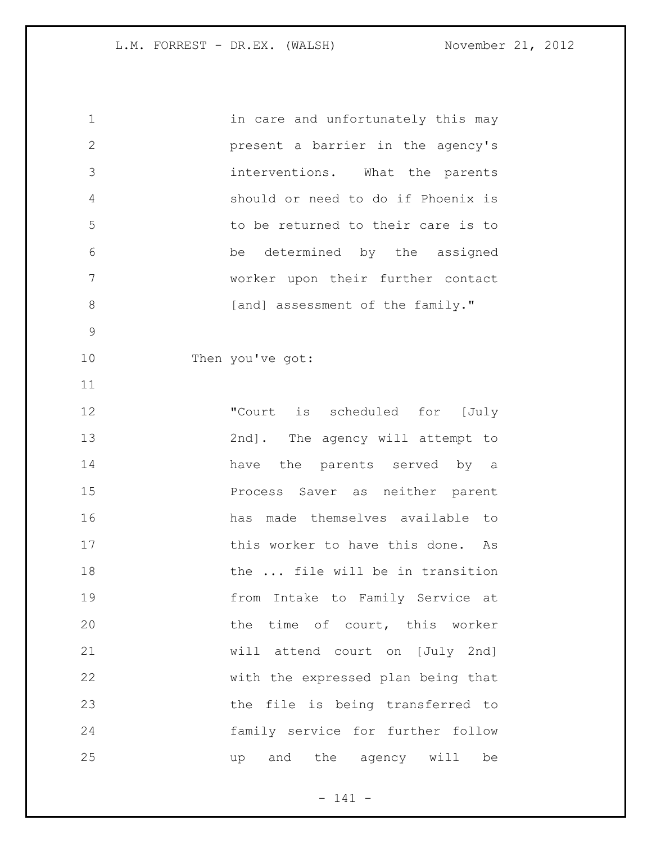| $\mathbf 1$  | in care and unfortunately this may |
|--------------|------------------------------------|
| $\mathbf{2}$ | present a barrier in the agency's  |
| 3            | interventions. What the parents    |
| 4            | should or need to do if Phoenix is |
| 5            | to be returned to their care is to |
| 6            | be determined by the assigned      |
| 7            | worker upon their further contact  |
| 8            | [and] assessment of the family."   |
| 9            |                                    |
| 10           | Then you've got:                   |
| 11           |                                    |
| 12           | "Court is scheduled for [July      |
| 13           | 2nd]. The agency will attempt to   |
| 14           | have the parents served by a       |
| 15           | Process Saver as neither parent    |
| 16           | has made themselves available to   |
| 17           | this worker to have this done. As  |
| 18           | the  file will be in transition    |
| 19           | from Intake to Family Service at   |
| 20           | the time of court, this worker     |
| 21           | will attend court on [July 2nd]    |
| 22           | with the expressed plan being that |
| 23           | the file is being transferred to   |
| 24           | family service for further follow  |
| 25           | and the agency will be<br>up       |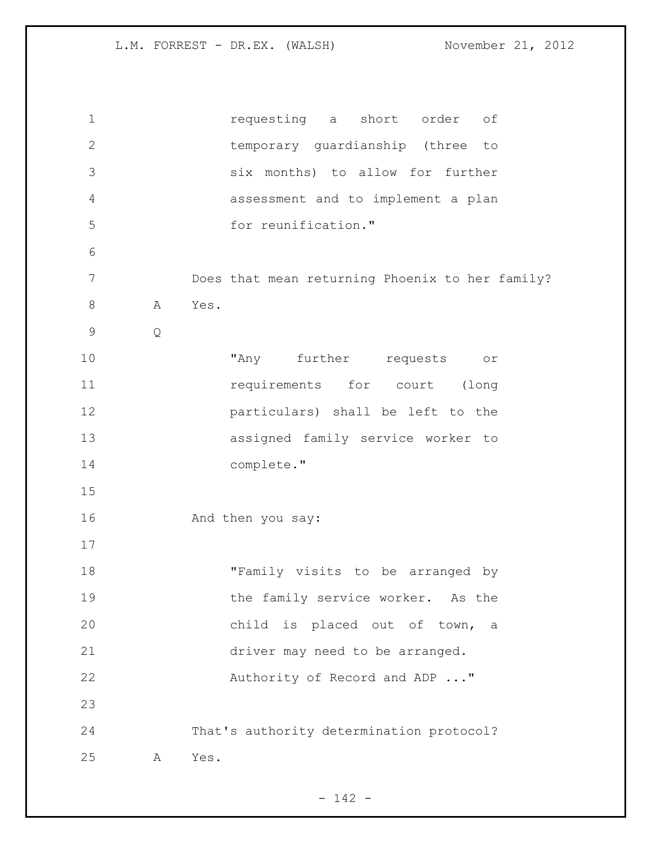| $\mathbf 1$  |   | requesting a short order<br>оf                  |
|--------------|---|-------------------------------------------------|
| $\mathbf{2}$ |   | temporary quardianship (three to                |
| 3            |   | six months) to allow for further                |
| 4            |   | assessment and to implement a plan              |
| 5            |   | for reunification."                             |
| 6            |   |                                                 |
| 7            |   | Does that mean returning Phoenix to her family? |
| $8\,$        | A | Yes.                                            |
| $\mathsf 9$  | Q |                                                 |
| 10           |   | "Any further requests<br>$\circ\texttt{r}$      |
| 11           |   | requirements for court (long                    |
| 12           |   | particulars) shall be left to the               |
| 13           |   | assigned family service worker to               |
| 14           |   | complete."                                      |
| 15           |   |                                                 |
| 16           |   | And then you say:                               |
| 17           |   |                                                 |
| 18           |   | "Family visits to be arranged by                |
| 19           |   | the family service worker. As the               |
| 20           |   | child is placed out of town,<br>a               |
| 21           |   | driver may need to be arranged.                 |
| 22           |   | Authority of Record and ADP "                   |
| 23           |   |                                                 |
| 24           |   | That's authority determination protocol?        |
| 25           | Α | Yes.                                            |

- 142 -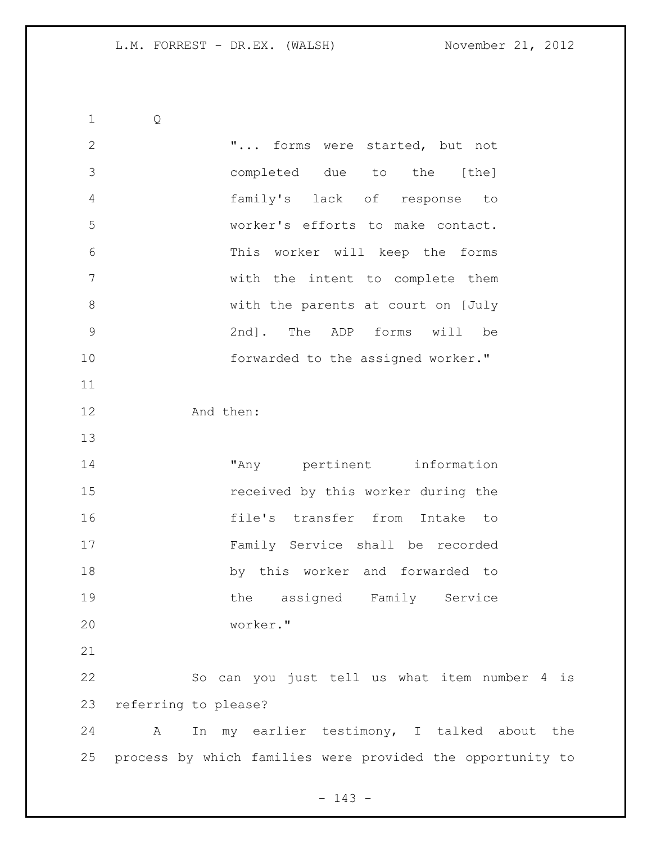Q "... forms were started, but not completed due to the [the] family's lack of response to worker's efforts to make contact. This worker will keep the forms with the intent to complete them with the parents at court on [July 2nd]. The ADP forms will be **forwarded** to the assigned worker." And then: "Any pertinent information received by this worker during the file's transfer from Intake to Family Service shall be recorded by this worker and forwarded to 19 the assigned Family Service worker." So can you just tell us what item number 4 is referring to please? A In my earlier testimony, I talked about the process by which families were provided the opportunity to

- 143 -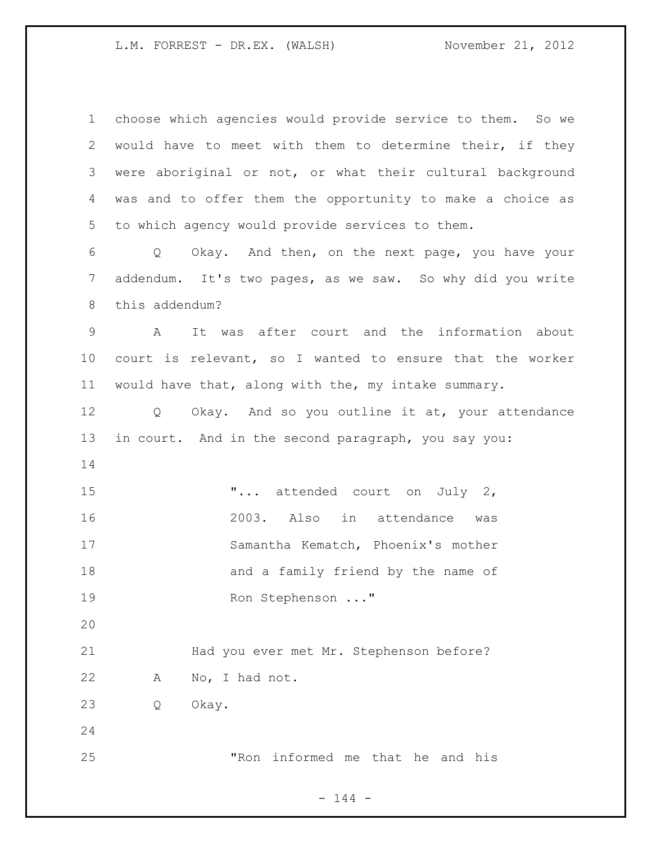| $\mathbf 1$ | choose which agencies would provide service to them. So we |
|-------------|------------------------------------------------------------|
| 2           | would have to meet with them to determine their, if they   |
| 3           | were aboriginal or not, or what their cultural background  |
| 4           | was and to offer them the opportunity to make a choice as  |
| 5           | to which agency would provide services to them.            |
| 6           | Okay. And then, on the next page, you have your<br>Q       |
| 7           | addendum. It's two pages, as we saw. So why did you write  |
| 8           | this addendum?                                             |
| 9           | It was after court and the information about<br>A          |
| 10          | court is relevant, so I wanted to ensure that the worker   |
| 11          | would have that, along with the, my intake summary.        |
| 12          | Okay. And so you outline it at, your attendance<br>$Q_{-}$ |
| 13          | in court. And in the second paragraph, you say you:        |
| 14          |                                                            |
| 15          | " attended court on July 2,                                |
| 16          | 2003. Also in attendance<br>was                            |
| 17          | Samantha Kematch, Phoenix's mother                         |
| 18          | and a family friend by the name of                         |
| 19          | Ron Stephenson "                                           |
| 20          |                                                            |
| 21          | Had you ever met Mr. Stephenson before?                    |
| 22          | No, I had not.<br>A                                        |
| 23          | Okay.<br>Q                                                 |
| 24          |                                                            |
|             |                                                            |

- 144 -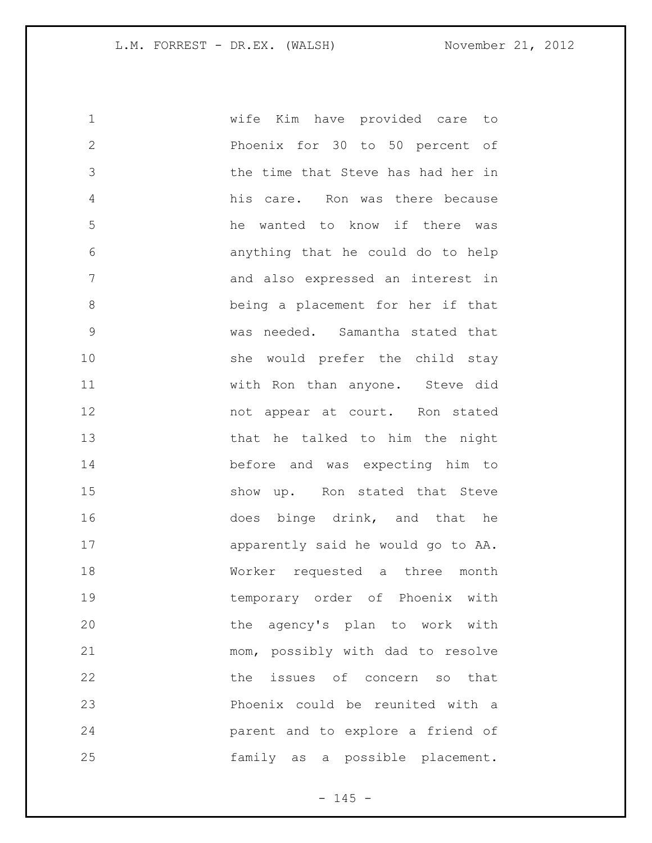| $\mathbf 1$   | wife Kim have provided care to     |
|---------------|------------------------------------|
| $\mathbf{2}$  | Phoenix for 30 to 50 percent of    |
| 3             | the time that Steve has had her in |
| 4             | his care. Ron was there because    |
| 5             | he wanted to know if there was     |
| 6             | anything that he could do to help  |
| 7             | and also expressed an interest in  |
| 8             | being a placement for her if that  |
| $\mathcal{G}$ | was needed. Samantha stated that   |
| 10            | she would prefer the child stay    |
| 11            | with Ron than anyone. Steve did    |
| 12            | not appear at court. Ron stated    |
| 13            | that he talked to him the night    |
| 14            | before and was expecting him to    |
| 15            | show up. Ron stated that Steve     |
| 16            | does binge drink, and that he      |
| 17            | apparently said he would go to AA. |
| 18            | Worker requested a three month     |
| 19            | temporary order of Phoenix with    |
| 20            | the agency's plan to work with     |
| 21            | mom, possibly with dad to resolve  |
| 22            | the issues of concern so that      |
| 23            | Phoenix could be reunited with a   |
| 24            | parent and to explore a friend of  |
| 25            | family as a possible placement.    |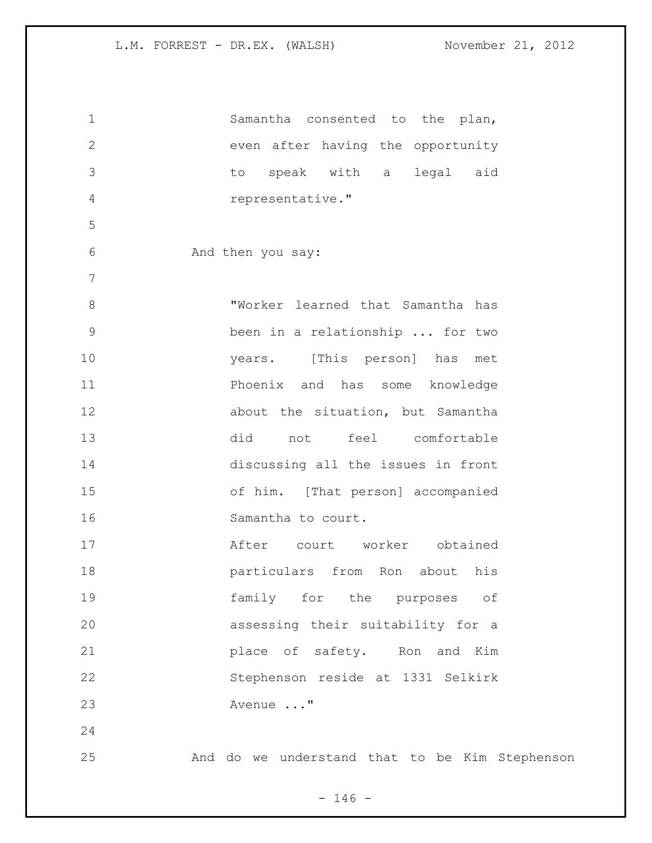| $\mathbf 1$    | Samantha consented to the plan,                |
|----------------|------------------------------------------------|
| $\overline{2}$ | even after having the opportunity              |
| 3              | to speak with a legal aid                      |
| 4              | representative."                               |
| 5              |                                                |
| 6              | And then you say:                              |
| $\overline{7}$ |                                                |
| 8              | "Worker learned that Samantha has              |
| 9              | been in a relationship  for two                |
| 10             | years. [This person] has met                   |
| 11             | Phoenix and has some knowledge                 |
| 12             | about the situation, but Samantha              |
| 13             | did not<br>feel comfortable                    |
| 14             | discussing all the issues in front             |
| 15             | of him. [That person] accompanied              |
| 16             | Samantha to court.                             |
| 17             | After court worker obtained                    |
| 18             | particulars from Ron about his                 |
| 19             | family for the purposes of                     |
| 20             | assessing their suitability for a              |
| 21             | place of safety. Ron and Kim                   |
| 22             | Stephenson reside at 1331 Selkirk              |
| 23             | Avenue "                                       |
| 24             |                                                |
| 25             | And do we understand that to be Kim Stephenson |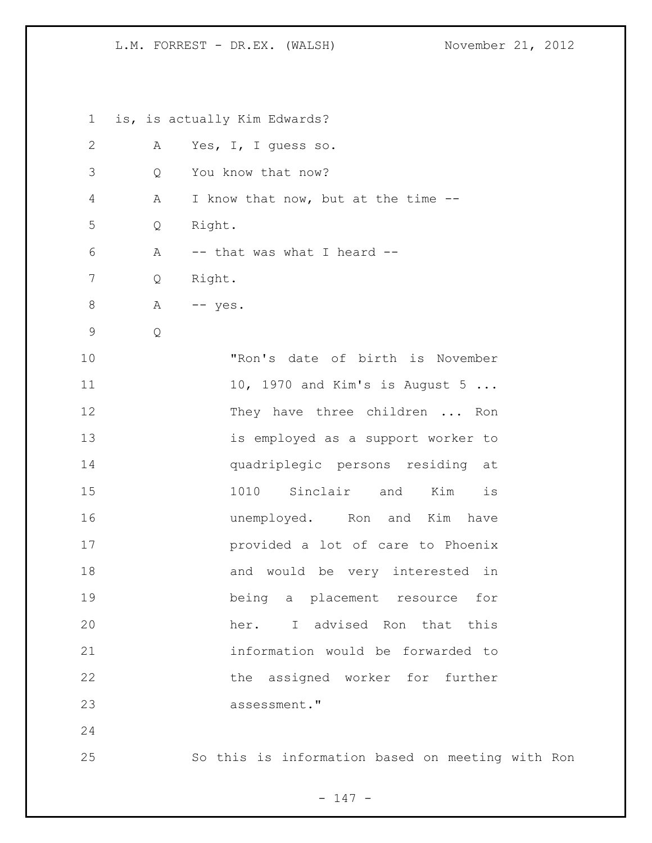L.M. FORREST - DR.EX. (WALSH) November 21, 2012

 is, is actually Kim Edwards? A Yes, I, I guess so. Q You know that now? A I know that now, but at the time -- Q Right. A -- that was what I heard -- Q Right. 8 A -- yes. Q "Ron's date of birth is November 11 10, 1970 and Kim's is August 5 ... 12 They have three children ... Ron is employed as a support worker to quadriplegic persons residing at 1010 Sinclair and Kim is **unemployed**. Ron and Kim have provided a lot of care to Phoenix 18 and would be very interested in being a placement resource for her. I advised Ron that this information would be forwarded to 22 the assigned worker for further assessment." So this is information based on meeting with Ron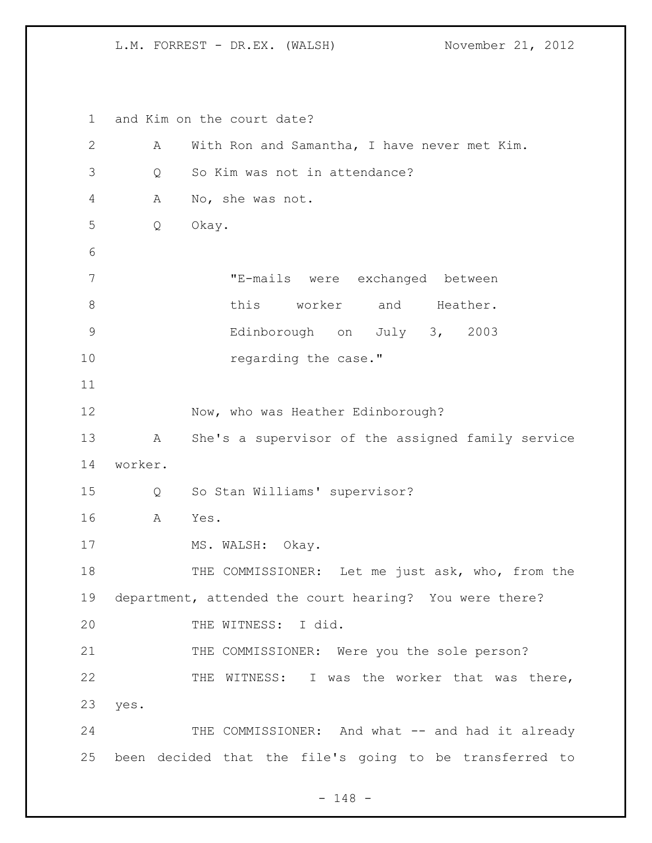L.M. FORREST - DR.EX. (WALSH) November 21, 2012

 and Kim on the court date? A With Ron and Samantha, I have never met Kim. Q So Kim was not in attendance? A No, she was not. Q Okay. "E-mails were exchanged between 8 this worker and Heather. Edinborough on July 3, 2003 10 regarding the case." 12 Now, who was Heather Edinborough? A She's a supervisor of the assigned family service worker. Q So Stan Williams' supervisor? A Yes. 17 MS. WALSH: Okay. 18 THE COMMISSIONER: Let me just ask, who, from the department, attended the court hearing? You were there? THE WITNESS: I did. 21 THE COMMISSIONER: Were you the sole person? THE WITNESS: I was the worker that was there, yes. 24 THE COMMISSIONER: And what -- and had it already been decided that the file's going to be transferred to

- 148 -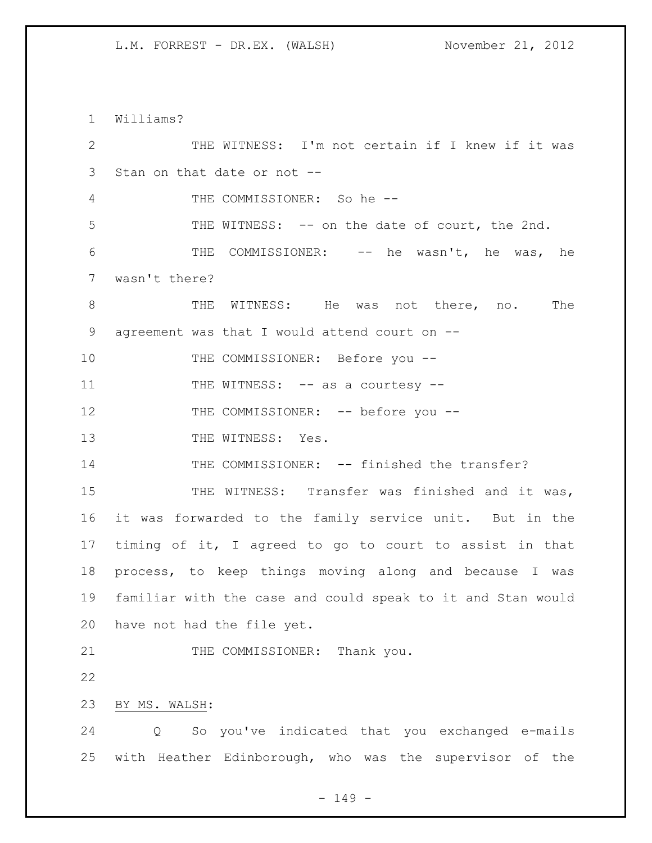L.M. FORREST - DR.EX. (WALSH) November 21, 2012

 Williams? THE WITNESS: I'm not certain if I knew if it was Stan on that date or not -- THE COMMISSIONER: So he -- THE WITNESS: -- on the date of court, the 2nd. THE COMMISSIONER: -- he wasn't, he was, he wasn't there? 8 THE WITNESS: He was not there, no. The agreement was that I would attend court on -- 10 THE COMMISSIONER: Before you --11 THE WITNESS: -- as a courtesy --12 THE COMMISSIONER: -- before you --13 THE WITNESS: Yes. 14 THE COMMISSIONER: -- finished the transfer? 15 THE WITNESS: Transfer was finished and it was, it was forwarded to the family service unit. But in the timing of it, I agreed to go to court to assist in that process, to keep things moving along and because I was familiar with the case and could speak to it and Stan would have not had the file yet. 21 THE COMMISSIONER: Thank you. BY MS. WALSH: Q So you've indicated that you exchanged e-mails with Heather Edinborough, who was the supervisor of the

- 149 -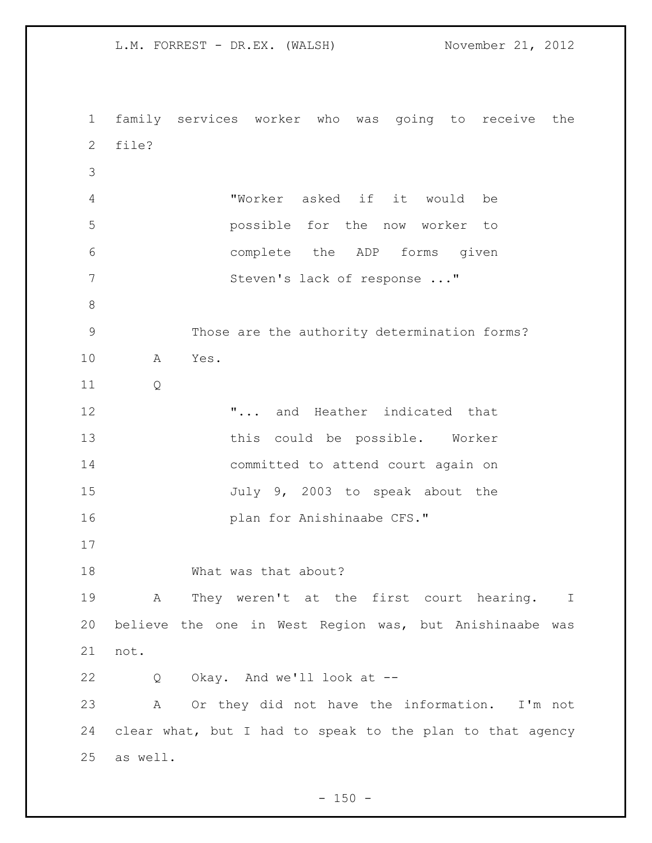L.M. FORREST - DR.EX. (WALSH) November 21, 2012 family services worker who was going to receive the file? "Worker asked if it would be possible for the now worker to complete the ADP forms given 7 Steven's lack of response ..." Those are the authority determination forms? A Yes. Q "... and Heather indicated that this could be possible. Worker committed to attend court again on 15 July 9, 2003 to speak about the **plan for Anishinaabe CFS."**  What was that about? A They weren't at the first court hearing. I believe the one in West Region was, but Anishinaabe was not. Q Okay. And we'll look at -- A Or they did not have the information. I'm not clear what, but I had to speak to the plan to that agency as well.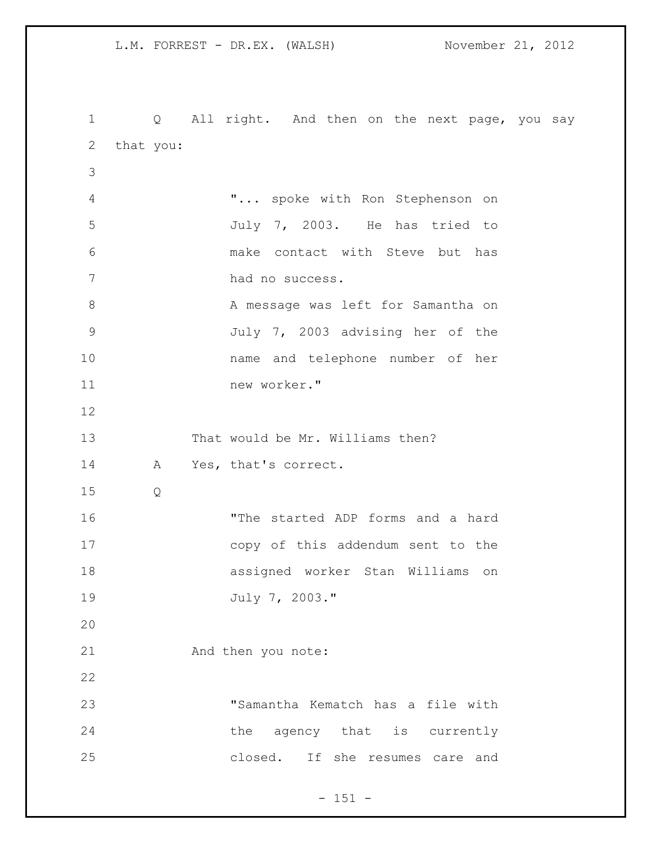1 Q All right. And then on the next page, you say that you: "... spoke with Ron Stephenson on July 7, 2003. He has tried to make contact with Steve but has had no success. 8 A message was left for Samantha on July 7, 2003 advising her of the name and telephone number of her new worker." That would be Mr. Williams then? A Yes, that's correct. Q "The started ADP forms and a hard copy of this addendum sent to the assigned worker Stan Williams on July 7, 2003." And then you note: "Samantha Kematch has a file with 24 the agency that is currently closed. If she resumes care and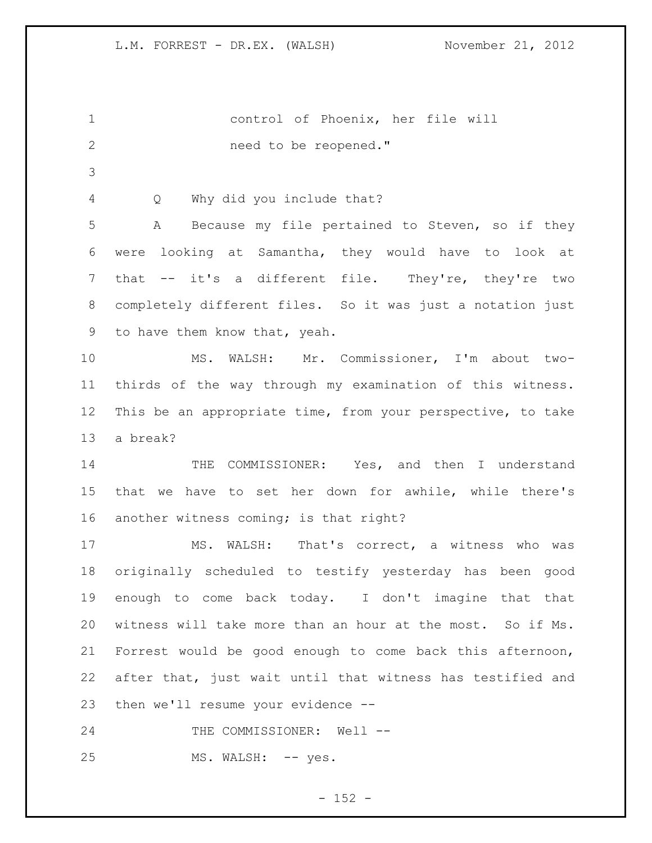control of Phoenix, her file will 2 need to be reopened." Q Why did you include that? A Because my file pertained to Steven, so if they were looking at Samantha, they would have to look at that -- it's a different file. They're, they're two completely different files. So it was just a notation just to have them know that, yeah. MS. WALSH: Mr. Commissioner, I'm about two- thirds of the way through my examination of this witness. This be an appropriate time, from your perspective, to take a break? THE COMMISSIONER: Yes, and then I understand that we have to set her down for awhile, while there's another witness coming; is that right? MS. WALSH: That's correct, a witness who was originally scheduled to testify yesterday has been good enough to come back today. I don't imagine that that witness will take more than an hour at the most. So if Ms. Forrest would be good enough to come back this afternoon, after that, just wait until that witness has testified and then we'll resume your evidence -- 24 THE COMMISSIONER: Well --25 MS. WALSH: -- yes.

 $- 152 -$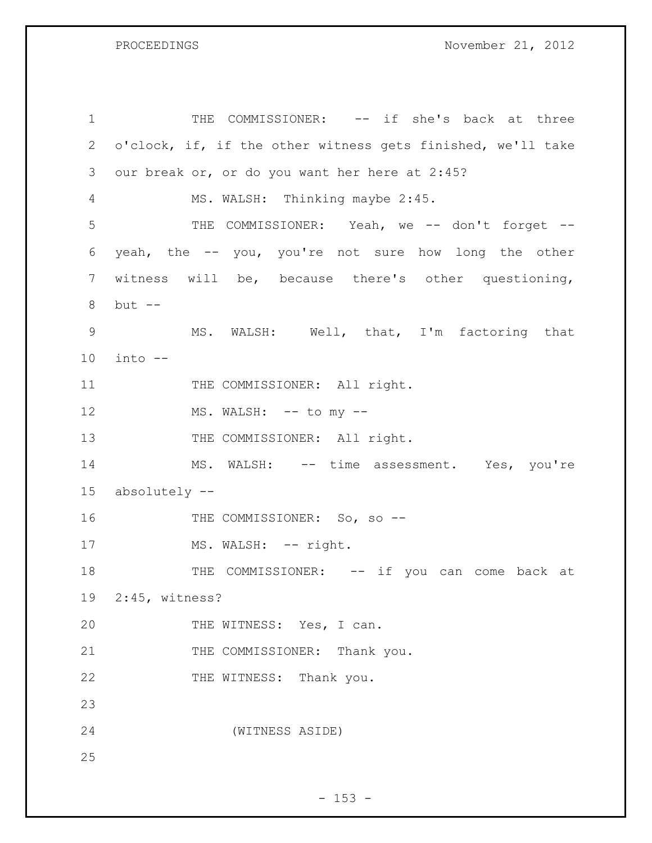PROCEEDINGS November 21, 2012

1 THE COMMISSIONER: -- if she's back at three 2 o'clock, if, if the other witness gets finished, we'll take 3 our break or, or do you want her here at 2:45? 4 MS. WALSH: Thinking maybe 2:45. 5 THE COMMISSIONER: Yeah, we -- don't forget --6 yeah, the -- you, you're not sure how long the other 7 witness will be, because there's other questioning, 8 but -- 9 MS. WALSH: Well, that, I'm factoring that 10 into -- 11 THE COMMISSIONER: All right. 12 MS. WALSH: -- to my --13 THE COMMISSIONER: All right. 14 MS. WALSH: -- time assessment. Yes, you're 15 absolutely -- 16 THE COMMISSIONER: So, so --17 MS. WALSH: -- right. 18 THE COMMISSIONER: -- if you can come back at 19 2:45, witness? 20 THE WITNESS: Yes, I can. 21 THE COMMISSIONER: Thank you. 22 THE WITNESS: Thank you. 23 24 (WITNESS ASIDE) 25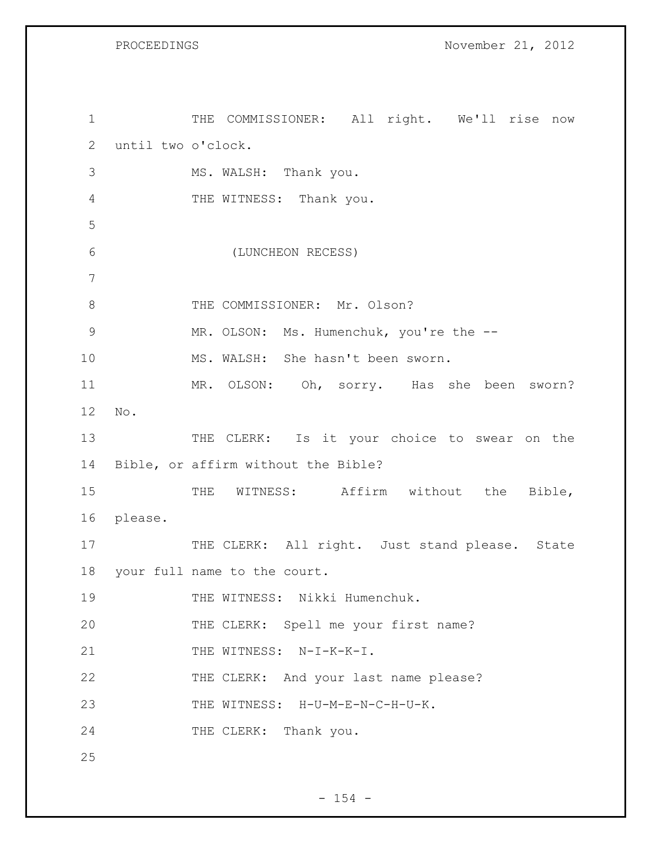PROCEEDINGS November 21, 2012

1 THE COMMISSIONER: All right. We'll rise now 2 until two o'clock. 3 MS. WALSH: Thank you. 4 THE WITNESS: Thank you. 5 6 (LUNCHEON RECESS) 7 8 THE COMMISSIONER: Mr. Olson? 9 MR. OLSON: Ms. Humenchuk, you're the -- 10 MS. WALSH: She hasn't been sworn. 11 MR. OLSON: Oh, sorry. Has she been sworn? 12 No. 13 THE CLERK: Is it your choice to swear on the 14 Bible, or affirm without the Bible? 15 THE WITNESS: Affirm without the Bible, 16 please. 17 THE CLERK: All right. Just stand please. State 18 your full name to the court. 19 THE WITNESS: Nikki Humenchuk. 20 THE CLERK: Spell me your first name? 21 THE WITNESS: N-I-K-K-I. 22 THE CLERK: And your last name please? 23 THE WITNESS: H-U-M-E-N-C-H-U-K. 24 THE CLERK: Thank you. 25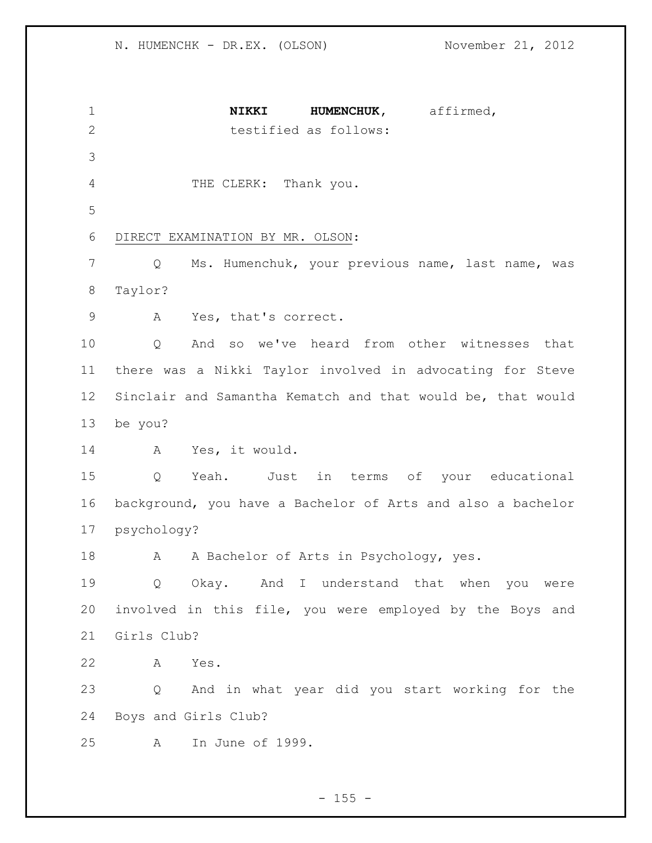**NIKKI HUMENCHUK,** affirmed, testified as follows: THE CLERK: Thank you. DIRECT EXAMINATION BY MR. OLSON: Q Ms. Humenchuk, your previous name, last name, was Taylor? A Yes, that's correct. Q And so we've heard from other witnesses that there was a Nikki Taylor involved in advocating for Steve Sinclair and Samantha Kematch and that would be, that would be you? A Yes, it would. Q Yeah. Just in terms of your educational background, you have a Bachelor of Arts and also a bachelor psychology? 18 A A Bachelor of Arts in Psychology, yes. Q Okay. And I understand that when you were involved in this file, you were employed by the Boys and Girls Club? A Yes. Q And in what year did you start working for the Boys and Girls Club? A In June of 1999.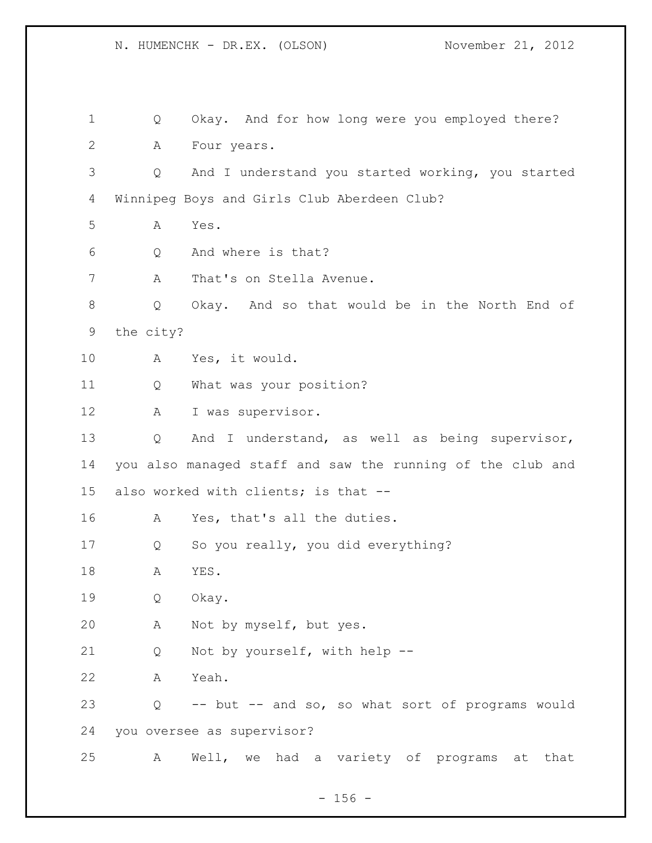Q Okay. And for how long were you employed there? A Four years. Q And I understand you started working, you started Winnipeg Boys and Girls Club Aberdeen Club? A Yes. Q And where is that? 7 A That's on Stella Avenue. Q Okay. And so that would be in the North End of the city? A Yes, it would. Q What was your position? A I was supervisor. Q And I understand, as well as being supervisor, you also managed staff and saw the running of the club and also worked with clients; is that -- A Yes, that's all the duties. Q So you really, you did everything? A YES. Q Okay. A Not by myself, but yes. Q Not by yourself, with help -- A Yeah. Q -- but -- and so, so what sort of programs would you oversee as supervisor? A Well, we had a variety of programs at that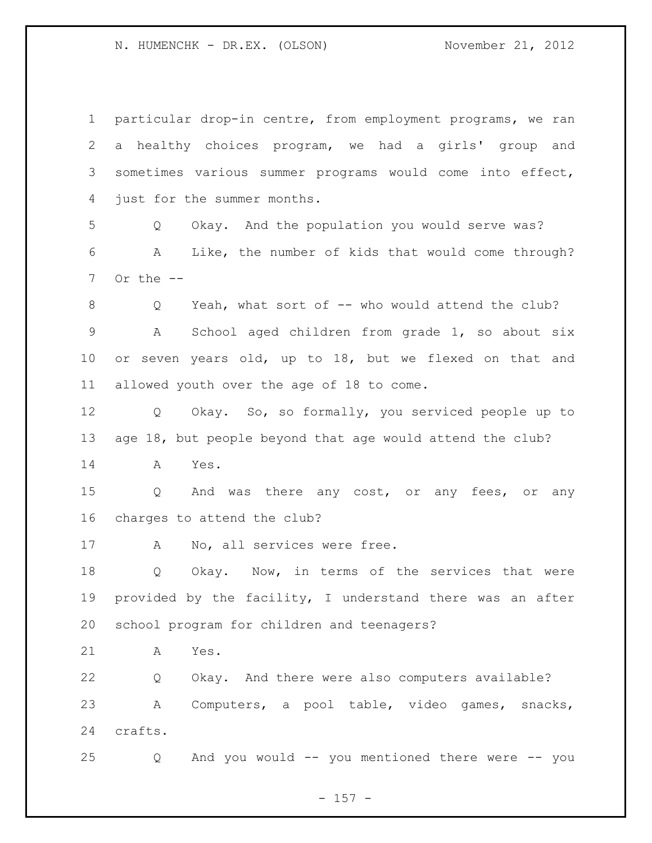particular drop-in centre, from employment programs, we ran a healthy choices program, we had a girls' group and sometimes various summer programs would come into effect, just for the summer months. Q Okay. And the population you would serve was? A Like, the number of kids that would come through? Or the  $-$ 8 O Yeah, what sort of -- who would attend the club? A School aged children from grade 1, so about six or seven years old, up to 18, but we flexed on that and allowed youth over the age of 18 to come. Q Okay. So, so formally, you serviced people up to age 18, but people beyond that age would attend the club? A Yes. Q And was there any cost, or any fees, or any charges to attend the club? 17 A No, all services were free. Q Okay. Now, in terms of the services that were provided by the facility, I understand there was an after school program for children and teenagers? A Yes. Q Okay. And there were also computers available? A Computers, a pool table, video games, snacks, crafts. Q And you would -- you mentioned there were -- you

- 157 -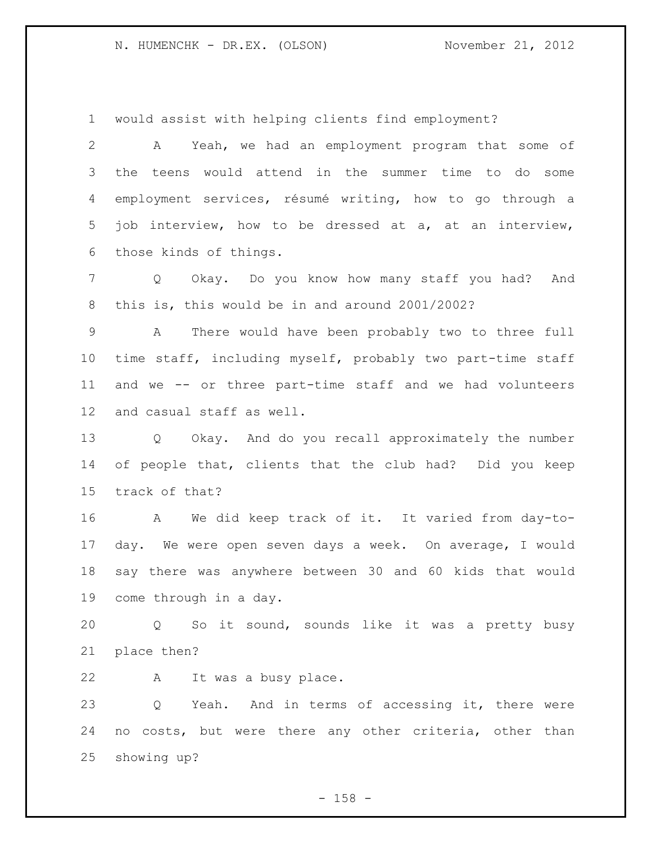would assist with helping clients find employment?

 A Yeah, we had an employment program that some of the teens would attend in the summer time to do some employment services, résumé writing, how to go through a job interview, how to be dressed at a, at an interview, those kinds of things.

 Q Okay. Do you know how many staff you had? And this is, this would be in and around 2001/2002?

 A There would have been probably two to three full time staff, including myself, probably two part-time staff and we -- or three part-time staff and we had volunteers and casual staff as well.

 Q Okay. And do you recall approximately the number of people that, clients that the club had? Did you keep track of that?

 A We did keep track of it. It varied from day-to- day. We were open seven days a week. On average, I would say there was anywhere between 30 and 60 kids that would come through in a day.

 Q So it sound, sounds like it was a pretty busy place then?

A It was a busy place.

 Q Yeah. And in terms of accessing it, there were no costs, but were there any other criteria, other than showing up?

- 158 -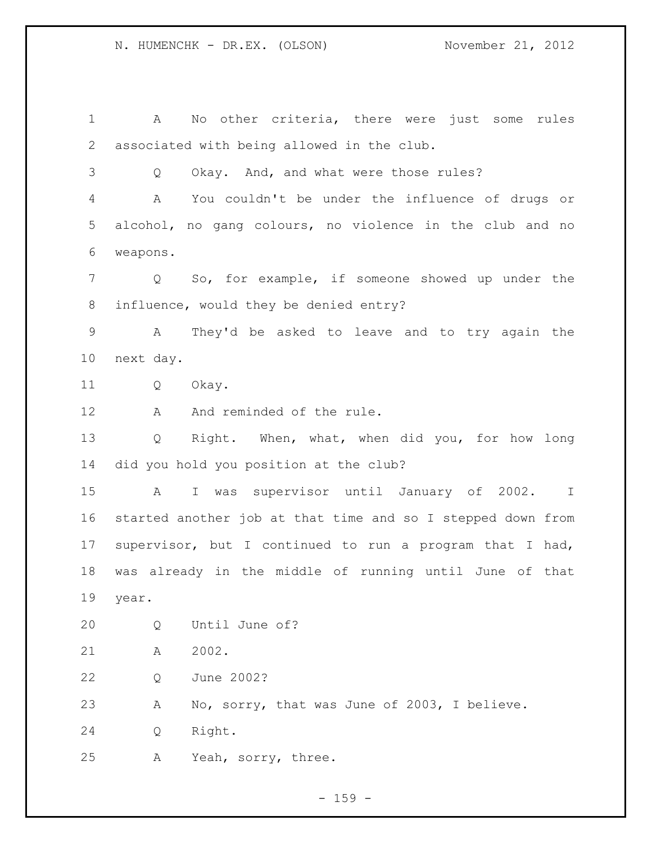A No other criteria, there were just some rules associated with being allowed in the club. Q Okay. And, and what were those rules? A You couldn't be under the influence of drugs or alcohol, no gang colours, no violence in the club and no weapons. Q So, for example, if someone showed up under the influence, would they be denied entry? A They'd be asked to leave and to try again the next day. Q Okay. 12 A And reminded of the rule. Q Right. When, what, when did you, for how long did you hold you position at the club? A I was supervisor until January of 2002. I started another job at that time and so I stepped down from supervisor, but I continued to run a program that I had, was already in the middle of running until June of that year. Q Until June of? A 2002. Q June 2002? A No, sorry, that was June of 2003, I believe. Q Right. A Yeah, sorry, three.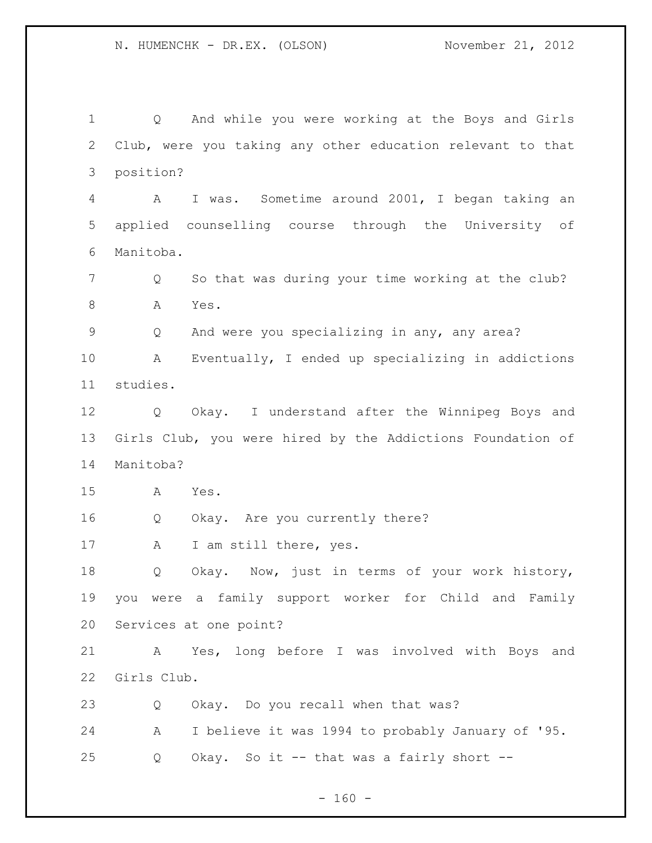Q And while you were working at the Boys and Girls Club, were you taking any other education relevant to that position? A I was. Sometime around 2001, I began taking an applied counselling course through the University of Manitoba. 7 Q So that was during your time working at the club? 8 A Yes. Q And were you specializing in any, any area? A Eventually, I ended up specializing in addictions studies. Q Okay. I understand after the Winnipeg Boys and Girls Club, you were hired by the Addictions Foundation of Manitoba? A Yes. Q Okay. Are you currently there? A I am still there, yes. Q Okay. Now, just in terms of your work history, you were a family support worker for Child and Family Services at one point? A Yes, long before I was involved with Boys and Girls Club. Q Okay. Do you recall when that was? A I believe it was 1994 to probably January of '95. Q Okay. So it -- that was a fairly short --

 $- 160 -$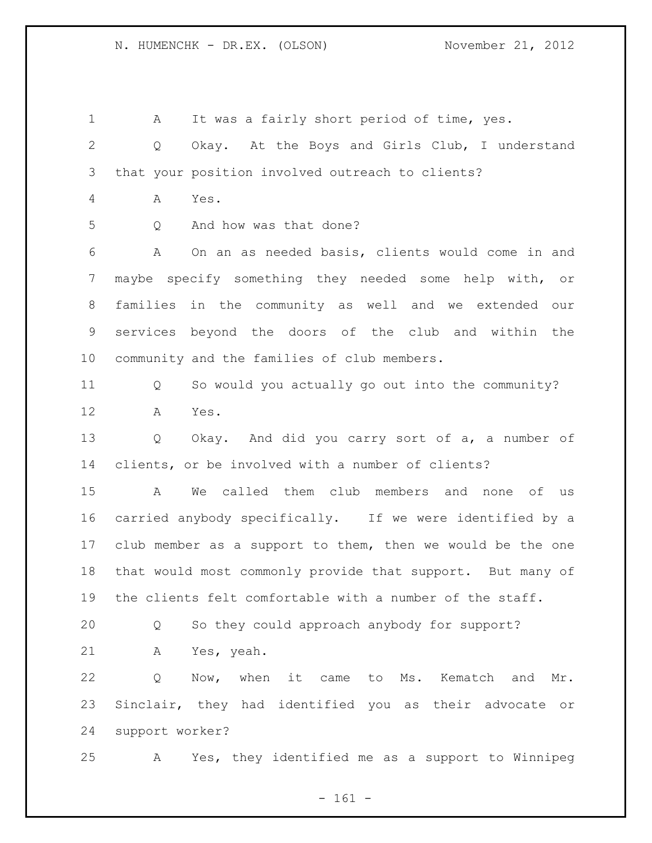1 A It was a fairly short period of time, yes. Q Okay. At the Boys and Girls Club, I understand that your position involved outreach to clients? A Yes. Q And how was that done? A On an as needed basis, clients would come in and maybe specify something they needed some help with, or families in the community as well and we extended our services beyond the doors of the club and within the community and the families of club members. Q So would you actually go out into the community? A Yes. Q Okay. And did you carry sort of a, a number of clients, or be involved with a number of clients? A We called them club members and none of us carried anybody specifically. If we were identified by a club member as a support to them, then we would be the one that would most commonly provide that support. But many of the clients felt comfortable with a number of the staff. Q So they could approach anybody for support? A Yes, yeah. Q Now, when it came to Ms. Kematch and Mr. Sinclair, they had identified you as their advocate or support worker? A Yes, they identified me as a support to Winnipeg

- 161 -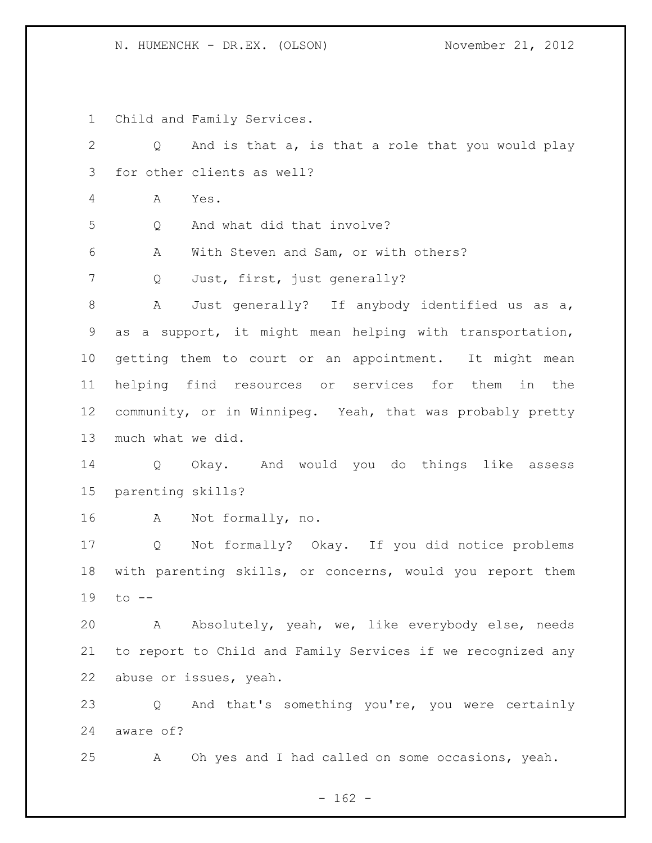Child and Family Services.

| $\overline{2}$ | And is that a, is that a role that you would play<br>Q      |
|----------------|-------------------------------------------------------------|
| 3              | for other clients as well?                                  |
| 4              | Α<br>Yes.                                                   |
| 5              | And what did that involve?<br>Q                             |
| 6              | With Steven and Sam, or with others?<br>A                   |
| 7              | Just, first, just generally?<br>Q                           |
| $\,8\,$        | Just generally? If anybody identified us as a,<br>A         |
| $\mathsf 9$    | as a support, it might mean helping with transportation,    |
| 10             | getting them to court or an appointment. It might mean      |
| 11             | helping find resources or services for them in the          |
| 12             | community, or in Winnipeg. Yeah, that was probably pretty   |
| 13             | much what we did.                                           |
| 14             | Q Okay. And would you do things like assess                 |
| 15             | parenting skills?                                           |
| 16             | A Not formally, no.                                         |
| 17             | Q Not formally? Okay. If you did notice problems            |
| 18             | with parenting skills, or concerns, would you report them   |
| 19             | $\circ$ --                                                  |
| 20             | Absolutely, yeah, we, like everybody else, needs<br>A       |
| 21             | to report to Child and Family Services if we recognized any |
| 22             | abuse or issues, yeah.                                      |
| 23             | And that's something you're, you were certainly<br>Q        |
| 24             | aware of?                                                   |
| 25             | Oh yes and I had called on some occasions, yeah.<br>A       |

- 162 -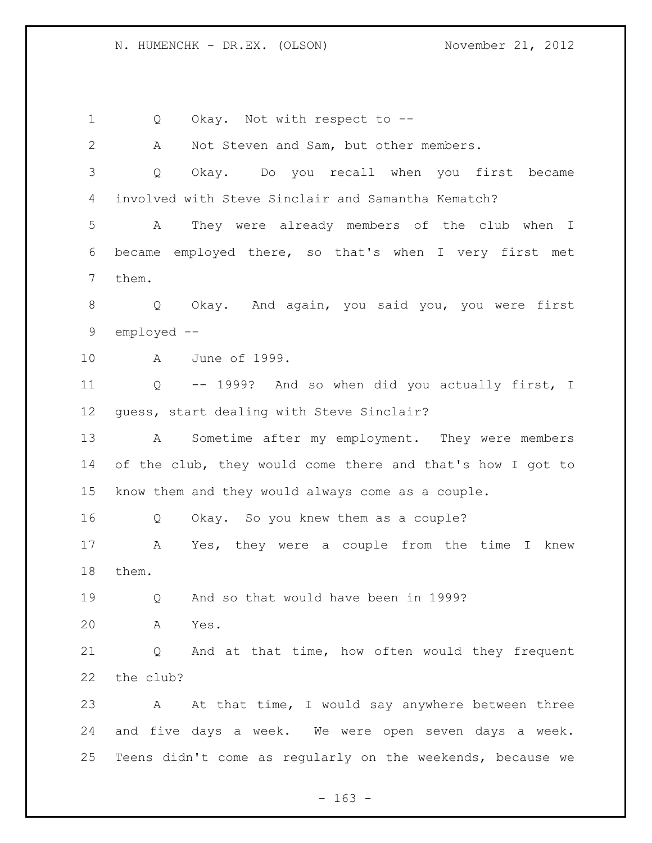1 Q Okay. Not with respect to -- A Not Steven and Sam, but other members. Q Okay. Do you recall when you first became involved with Steve Sinclair and Samantha Kematch? A They were already members of the club when I became employed there, so that's when I very first met them. Q Okay. And again, you said you, you were first employed -- A June of 1999. Q -- 1999? And so when did you actually first, I guess, start dealing with Steve Sinclair? A Sometime after my employment. They were members of the club, they would come there and that's how I got to know them and they would always come as a couple. Q Okay. So you knew them as a couple? A Yes, they were a couple from the time I knew them. Q And so that would have been in 1999? A Yes. Q And at that time, how often would they frequent the club? 23 A At that time, I would say anywhere between three and five days a week. We were open seven days a week. Teens didn't come as regularly on the weekends, because we

 $- 163 -$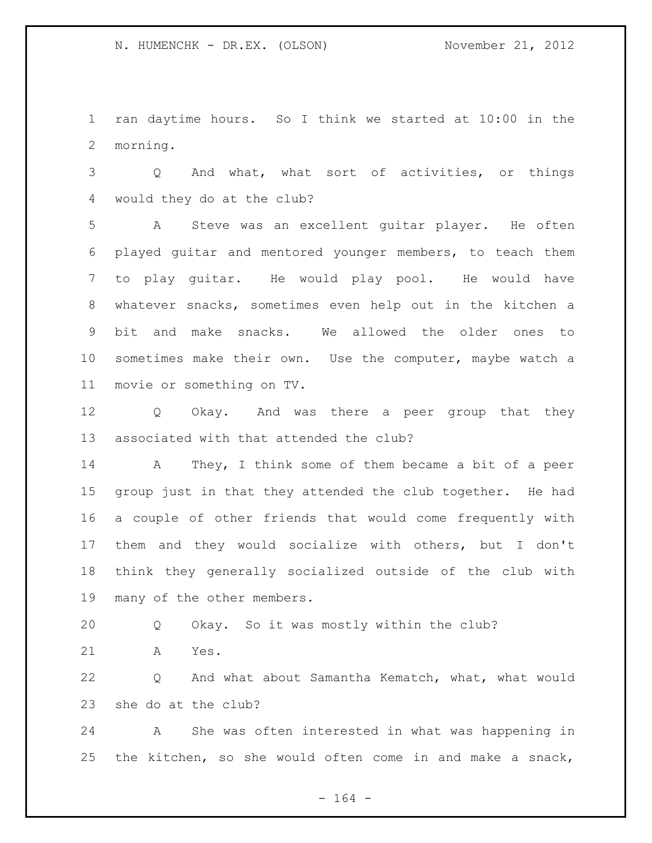ran daytime hours. So I think we started at 10:00 in the morning.

 Q And what, what sort of activities, or things would they do at the club?

 A Steve was an excellent guitar player. He often played guitar and mentored younger members, to teach them to play guitar. He would play pool. He would have whatever snacks, sometimes even help out in the kitchen a bit and make snacks. We allowed the older ones to sometimes make their own. Use the computer, maybe watch a movie or something on TV.

 Q Okay. And was there a peer group that they associated with that attended the club?

 A They, I think some of them became a bit of a peer group just in that they attended the club together. He had a couple of other friends that would come frequently with them and they would socialize with others, but I don't think they generally socialized outside of the club with many of the other members.

Q Okay. So it was mostly within the club?

A Yes.

 Q And what about Samantha Kematch, what, what would she do at the club?

 A She was often interested in what was happening in the kitchen, so she would often come in and make a snack,

- 164 -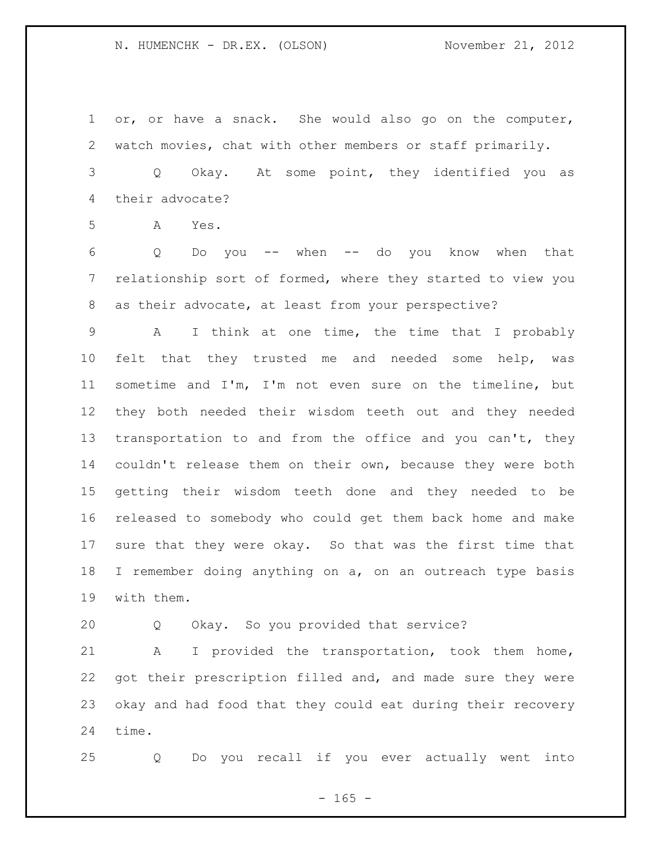or, or have a snack. She would also go on the computer, watch movies, chat with other members or staff primarily.

 Q Okay. At some point, they identified you as their advocate?

A Yes.

 Q Do you -- when -- do you know when that relationship sort of formed, where they started to view you as their advocate, at least from your perspective?

 A I think at one time, the time that I probably felt that they trusted me and needed some help, was sometime and I'm, I'm not even sure on the timeline, but they both needed their wisdom teeth out and they needed 13 transportation to and from the office and you can't, they couldn't release them on their own, because they were both getting their wisdom teeth done and they needed to be released to somebody who could get them back home and make sure that they were okay. So that was the first time that I remember doing anything on a, on an outreach type basis with them.

Q Okay. So you provided that service?

 A I provided the transportation, took them home, got their prescription filled and, and made sure they were okay and had food that they could eat during their recovery time.

Q Do you recall if you ever actually went into

 $- 165 -$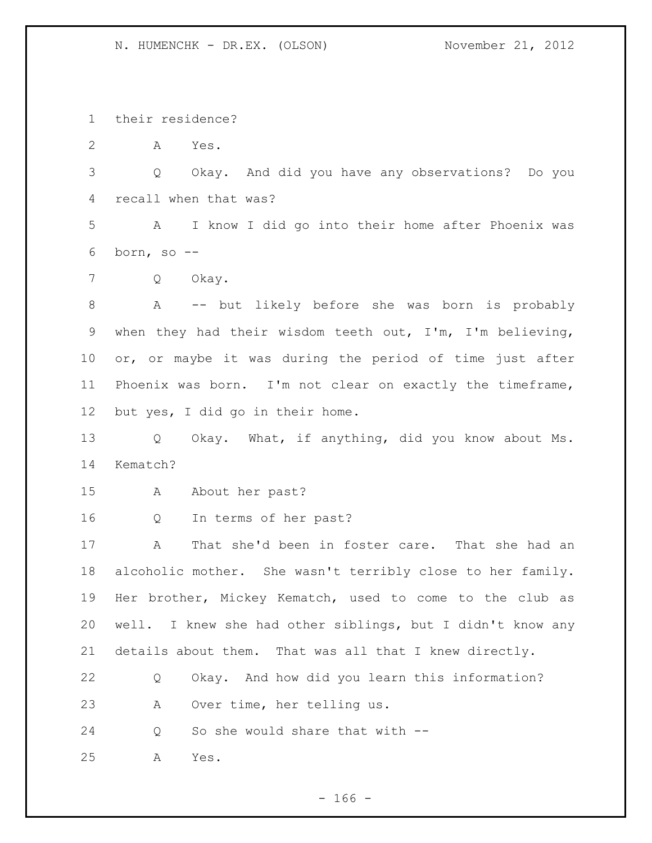their residence?

A Yes.

 Q Okay. And did you have any observations? Do you recall when that was?

 A I know I did go into their home after Phoenix was born, so --

Q Okay.

 A -- but likely before she was born is probably when they had their wisdom teeth out, I'm, I'm believing, or, or maybe it was during the period of time just after Phoenix was born. I'm not clear on exactly the timeframe, but yes, I did go in their home.

 Q Okay. What, if anything, did you know about Ms. Kematch?

A About her past?

Q In terms of her past?

 A That she'd been in foster care. That she had an alcoholic mother. She wasn't terribly close to her family. Her brother, Mickey Kematch, used to come to the club as well. I knew she had other siblings, but I didn't know any details about them. That was all that I knew directly.

 Q Okay. And how did you learn this information? A Over time, her telling us.

Q So she would share that with --

A Yes.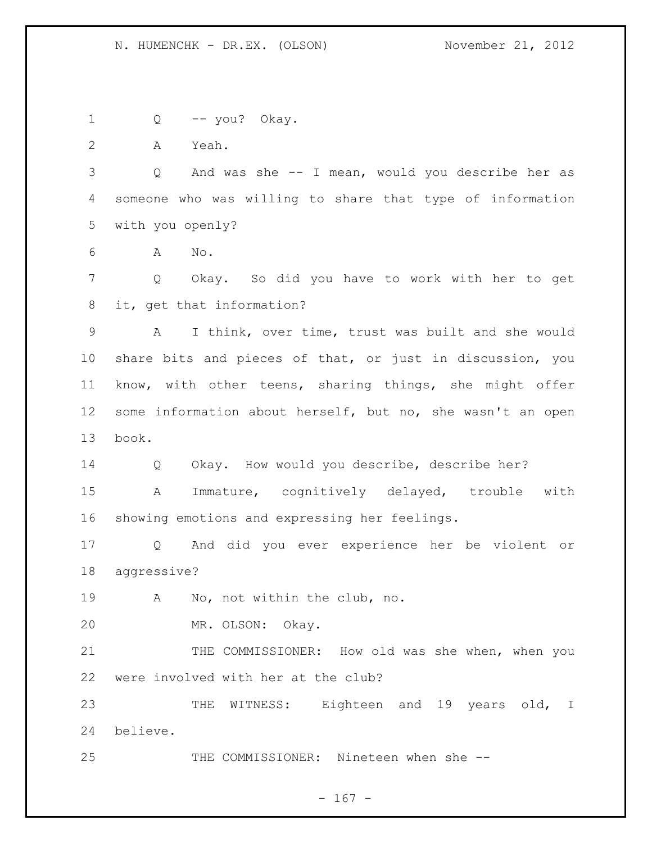Q -- you? Okay.

with you openly?

A Yeah.

A No.

 Q Okay. So did you have to work with her to get it, get that information?

Q And was she -- I mean, would you describe her as

someone who was willing to share that type of information

 A I think, over time, trust was built and she would share bits and pieces of that, or just in discussion, you know, with other teens, sharing things, she might offer some information about herself, but no, she wasn't an open book.

 Q Okay. How would you describe, describe her? A Immature, cognitively delayed, trouble with showing emotions and expressing her feelings.

 Q And did you ever experience her be violent or aggressive?

A No, not within the club, no.

MR. OLSON: Okay.

21 THE COMMISSIONER: How old was she when, when you were involved with her at the club?

23 THE WITNESS: Eighteen and 19 years old, I believe.

THE COMMISSIONER: Nineteen when she --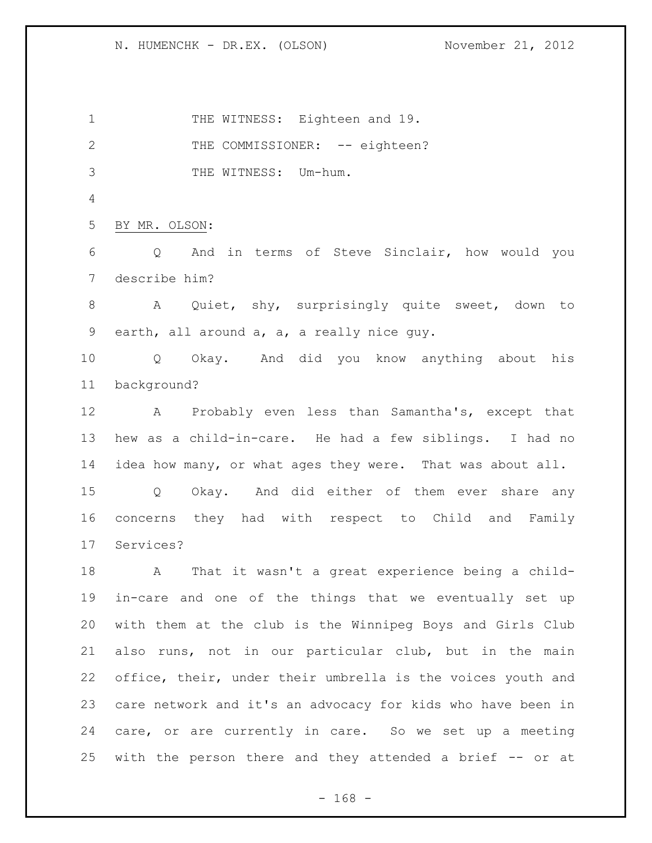1 THE WITNESS: Eighteen and 19. 2 THE COMMISSIONER: -- eighteen? THE WITNESS: Um-hum. BY MR. OLSON: Q And in terms of Steve Sinclair, how would you describe him? A Quiet, shy, surprisingly quite sweet, down to earth, all around a, a, a really nice guy. Q Okay. And did you know anything about his background? A Probably even less than Samantha's, except that hew as a child-in-care. He had a few siblings. I had no idea how many, or what ages they were. That was about all. Q Okay. And did either of them ever share any concerns they had with respect to Child and Family Services? A That it wasn't a great experience being a child- in-care and one of the things that we eventually set up with them at the club is the Winnipeg Boys and Girls Club also runs, not in our particular club, but in the main office, their, under their umbrella is the voices youth and care network and it's an advocacy for kids who have been in care, or are currently in care. So we set up a meeting with the person there and they attended a brief -- or at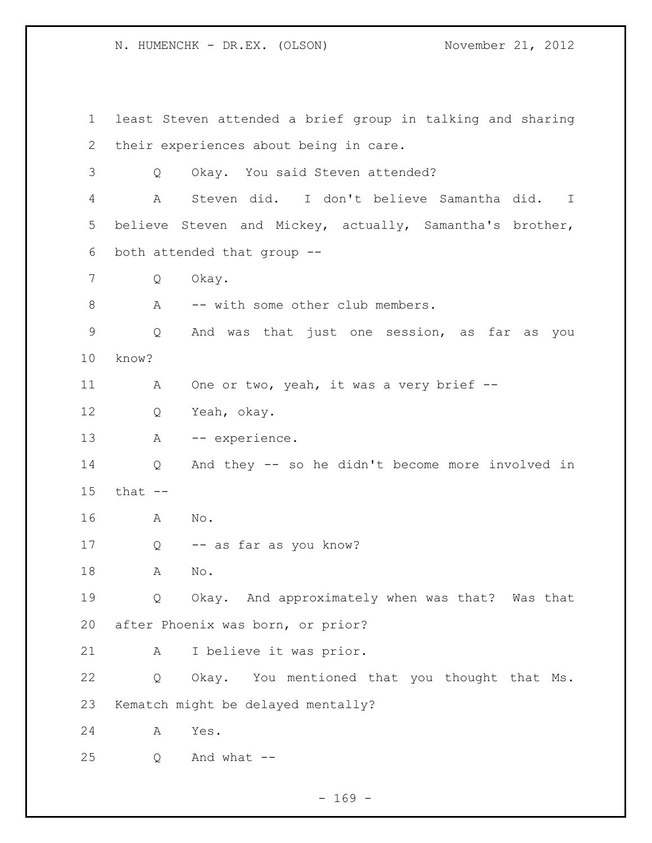least Steven attended a brief group in talking and sharing their experiences about being in care. Q Okay. You said Steven attended? A Steven did. I don't believe Samantha did. I believe Steven and Mickey, actually, Samantha's brother, both attended that group -- Q Okay. 8 A -- with some other club members. Q And was that just one session, as far as you know? 11 A One or two, yeah, it was a very brief -- Q Yeah, okay. 13 A -- experience. Q And they -- so he didn't become more involved in that -- A No. Q -- as far as you know? A No. Q Okay. And approximately when was that? Was that after Phoenix was born, or prior? A I believe it was prior. Q Okay. You mentioned that you thought that Ms. Kematch might be delayed mentally? A Yes. Q And what  $-$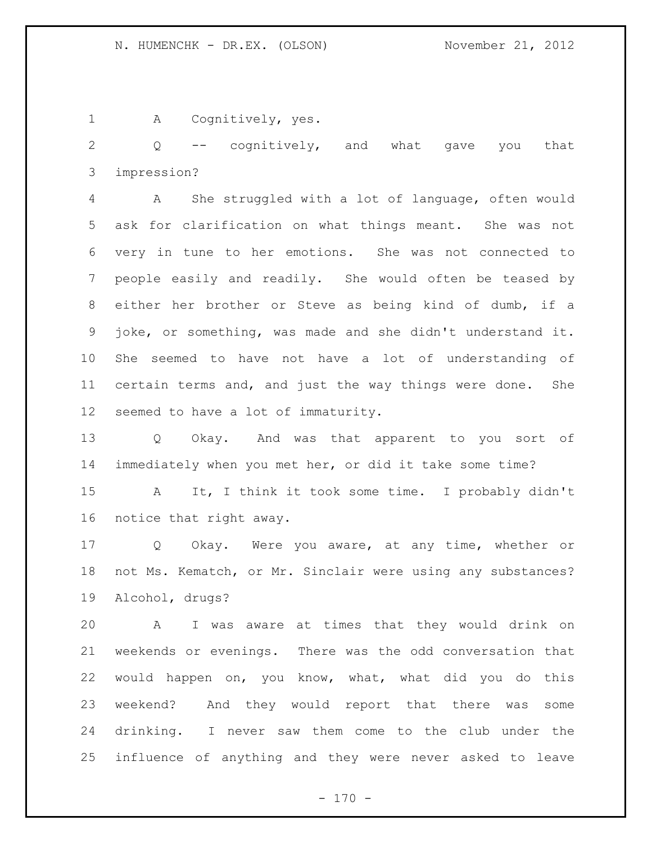1 A Cognitively, yes.

 Q -- cognitively, and what gave you that impression?

 A She struggled with a lot of language, often would ask for clarification on what things meant. She was not very in tune to her emotions. She was not connected to people easily and readily. She would often be teased by either her brother or Steve as being kind of dumb, if a joke, or something, was made and she didn't understand it. She seemed to have not have a lot of understanding of certain terms and, and just the way things were done. She seemed to have a lot of immaturity.

 Q Okay. And was that apparent to you sort of immediately when you met her, or did it take some time?

 A It, I think it took some time. I probably didn't notice that right away.

 Q Okay. Were you aware, at any time, whether or not Ms. Kematch, or Mr. Sinclair were using any substances? Alcohol, drugs?

 A I was aware at times that they would drink on weekends or evenings. There was the odd conversation that would happen on, you know, what, what did you do this weekend? And they would report that there was some drinking. I never saw them come to the club under the influence of anything and they were never asked to leave

 $- 170 -$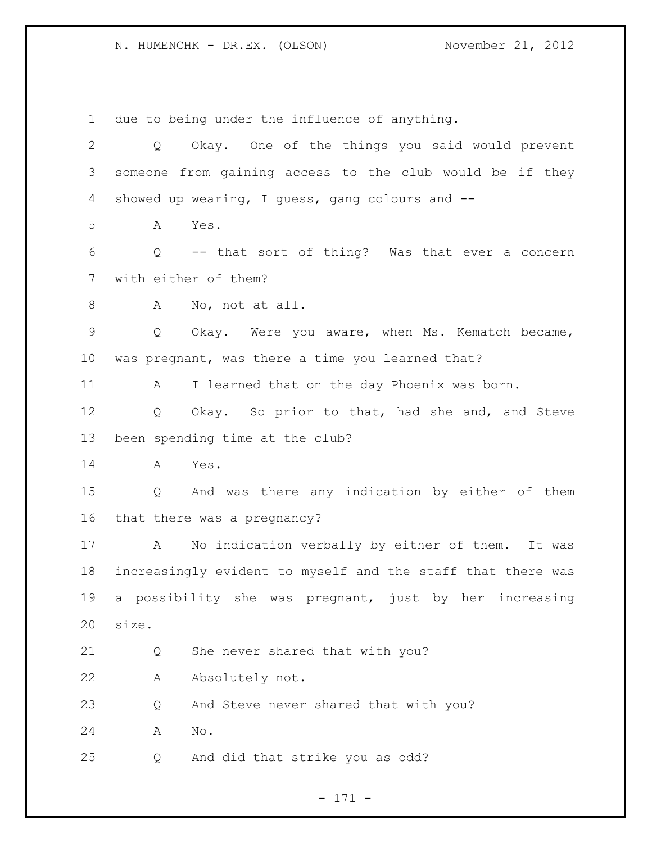due to being under the influence of anything. Q Okay. One of the things you said would prevent someone from gaining access to the club would be if they showed up wearing, I guess, gang colours and -- A Yes. Q -- that sort of thing? Was that ever a concern with either of them? 8 A No, not at all. Q Okay. Were you aware, when Ms. Kematch became, was pregnant, was there a time you learned that? A I learned that on the day Phoenix was born. Q Okay. So prior to that, had she and, and Steve been spending time at the club? A Yes. Q And was there any indication by either of them that there was a pregnancy? A No indication verbally by either of them. It was increasingly evident to myself and the staff that there was a possibility she was pregnant, just by her increasing size. Q She never shared that with you? A Absolutely not. Q And Steve never shared that with you? A No. Q And did that strike you as odd?

## - 171 -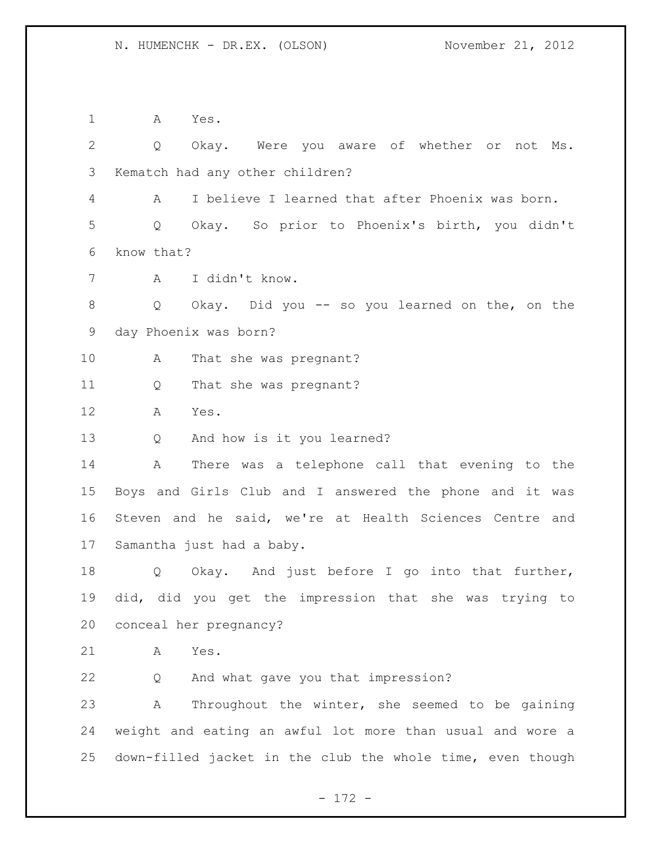A Yes. Q Okay. Were you aware of whether or not Ms. Kematch had any other children? A I believe I learned that after Phoenix was born. Q Okay. So prior to Phoenix's birth, you didn't know that? A I didn't know. Q Okay. Did you -- so you learned on the, on the day Phoenix was born? 10 A That she was pregnant? Q That she was pregnant? A Yes. Q And how is it you learned? A There was a telephone call that evening to the Boys and Girls Club and I answered the phone and it was Steven and he said, we're at Health Sciences Centre and Samantha just had a baby. Q Okay. And just before I go into that further, did, did you get the impression that she was trying to conceal her pregnancy? A Yes. Q And what gave you that impression? A Throughout the winter, she seemed to be gaining weight and eating an awful lot more than usual and wore a down-filled jacket in the club the whole time, even though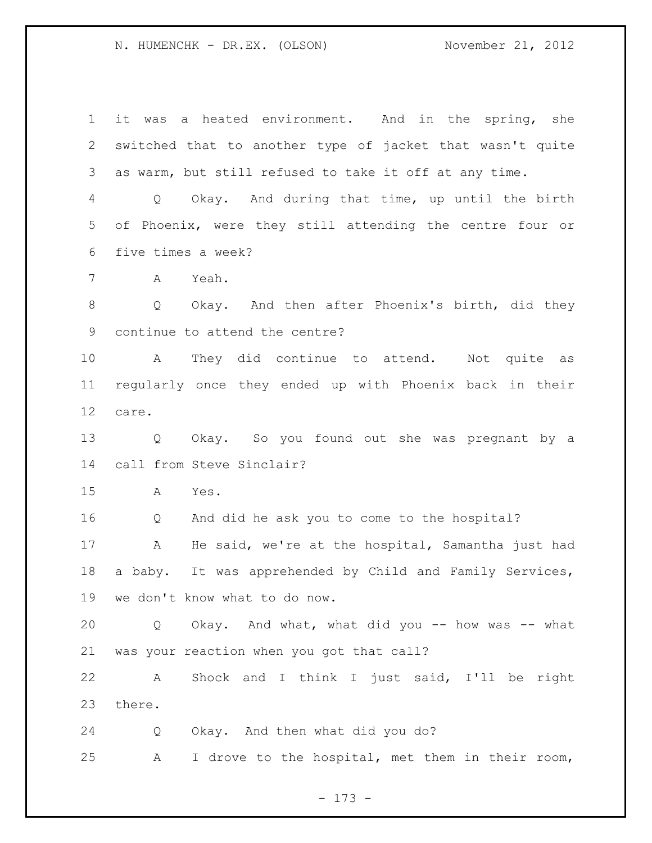it was a heated environment. And in the spring, she switched that to another type of jacket that wasn't quite as warm, but still refused to take it off at any time. Q Okay. And during that time, up until the birth of Phoenix, were they still attending the centre four or five times a week? A Yeah. 8 Q Okay. And then after Phoenix's birth, did they continue to attend the centre? A They did continue to attend. Not quite as regularly once they ended up with Phoenix back in their care. Q Okay. So you found out she was pregnant by a call from Steve Sinclair? A Yes. Q And did he ask you to come to the hospital? A He said, we're at the hospital, Samantha just had a baby. It was apprehended by Child and Family Services, we don't know what to do now. Q Okay. And what, what did you -- how was -- what was your reaction when you got that call? A Shock and I think I just said, I'll be right there. Q Okay. And then what did you do? A I drove to the hospital, met them in their room,

- 173 -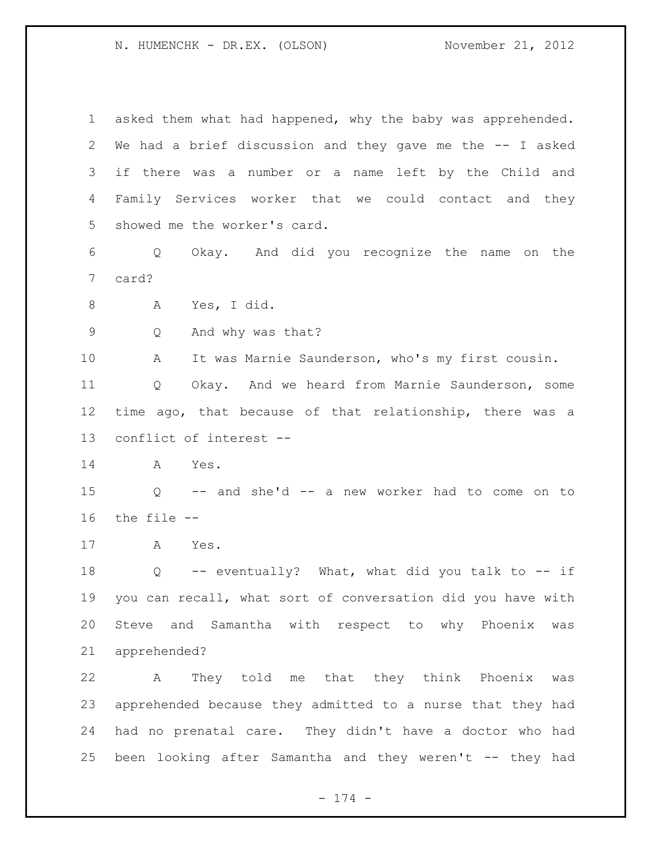asked them what had happened, why the baby was apprehended. We had a brief discussion and they gave me the -- I asked if there was a number or a name left by the Child and Family Services worker that we could contact and they showed me the worker's card. Q Okay. And did you recognize the name on the card? A Yes, I did. Q And why was that? A It was Marnie Saunderson, who's my first cousin. Q Okay. And we heard from Marnie Saunderson, some time ago, that because of that relationship, there was a conflict of interest -- A Yes. Q -- and she'd -- a new worker had to come on to the file -- A Yes. Q -- eventually? What, what did you talk to -- if you can recall, what sort of conversation did you have with Steve and Samantha with respect to why Phoenix was apprehended? A They told me that they think Phoenix was apprehended because they admitted to a nurse that they had had no prenatal care. They didn't have a doctor who had been looking after Samantha and they weren't -- they had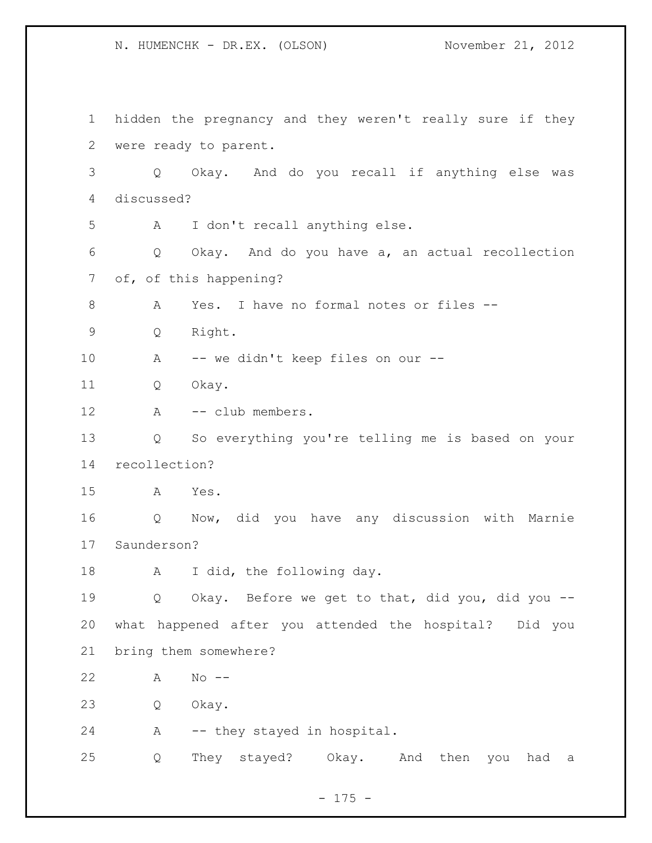hidden the pregnancy and they weren't really sure if they were ready to parent. Q Okay. And do you recall if anything else was discussed? A I don't recall anything else. Q Okay. And do you have a, an actual recollection of, of this happening? A Yes. I have no formal notes or files -- Q Right. A -- we didn't keep files on our -- Q Okay. 12 A -- club members. Q So everything you're telling me is based on your recollection? A Yes. Q Now, did you have any discussion with Marnie Saunderson? 18 A I did, the following day. Q Okay. Before we get to that, did you, did you -- what happened after you attended the hospital? Did you bring them somewhere? A No -- Q Okay. A -- they stayed in hospital. Q They stayed? Okay. And then you had a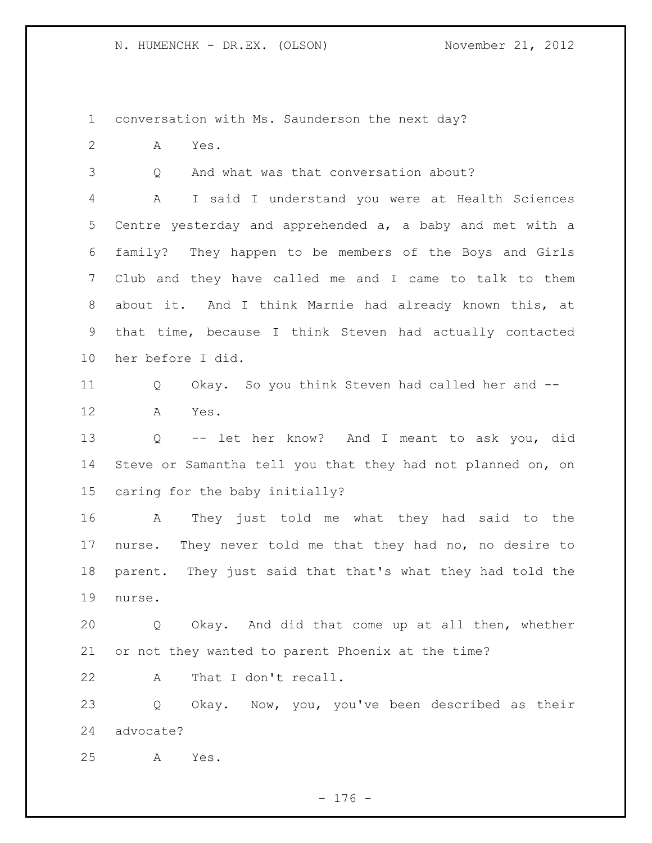conversation with Ms. Saunderson the next day?

A Yes.

Q And what was that conversation about?

 A I said I understand you were at Health Sciences Centre yesterday and apprehended a, a baby and met with a family? They happen to be members of the Boys and Girls Club and they have called me and I came to talk to them about it. And I think Marnie had already known this, at that time, because I think Steven had actually contacted her before I did.

 Q Okay. So you think Steven had called her and -- A Yes.

 Q -- let her know? And I meant to ask you, did Steve or Samantha tell you that they had not planned on, on caring for the baby initially?

 A They just told me what they had said to the nurse. They never told me that they had no, no desire to parent. They just said that that's what they had told the nurse.

 Q Okay. And did that come up at all then, whether or not they wanted to parent Phoenix at the time?

A That I don't recall.

 Q Okay. Now, you, you've been described as their advocate?

A Yes.

- 176 -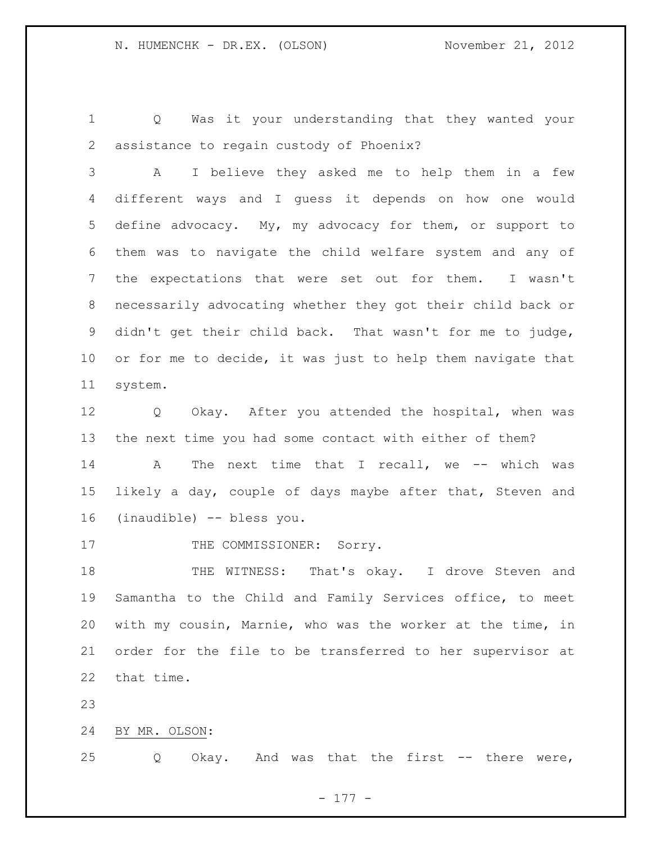Q Was it your understanding that they wanted your assistance to regain custody of Phoenix?

 A I believe they asked me to help them in a few different ways and I guess it depends on how one would define advocacy. My, my advocacy for them, or support to them was to navigate the child welfare system and any of the expectations that were set out for them. I wasn't necessarily advocating whether they got their child back or didn't get their child back. That wasn't for me to judge, or for me to decide, it was just to help them navigate that system.

 Q Okay. After you attended the hospital, when was the next time you had some contact with either of them? 14 A The next time that I recall, we -- which was likely a day, couple of days maybe after that, Steven and (inaudible) -- bless you.

17 THE COMMISSIONER: Sorry.

18 THE WITNESS: That's okay. I drove Steven and Samantha to the Child and Family Services office, to meet with my cousin, Marnie, who was the worker at the time, in order for the file to be transferred to her supervisor at that time.

BY MR. OLSON:

Q Okay. And was that the first -- there were,

- 177 -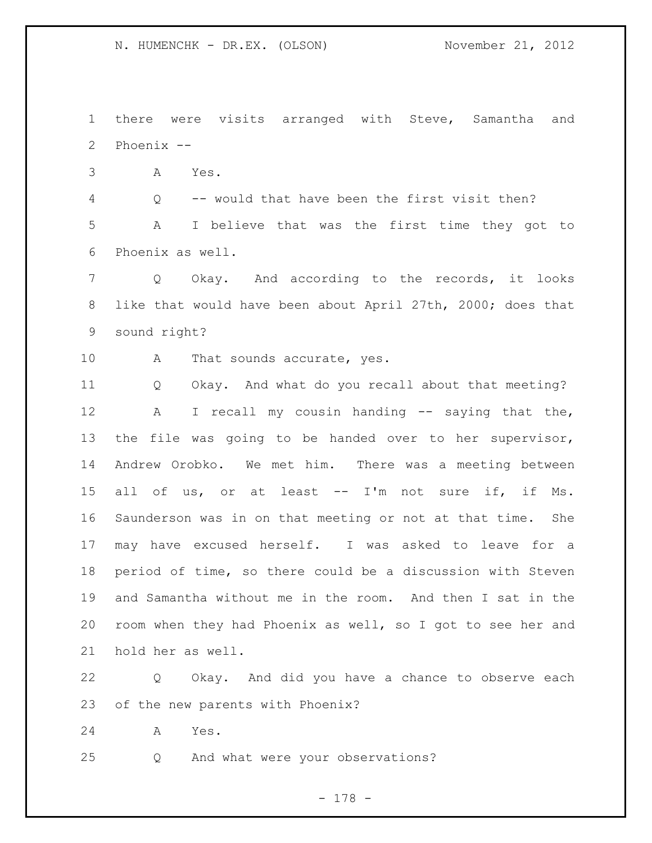there were visits arranged with Steve, Samantha and Phoenix --

A Yes.

 Q -- would that have been the first visit then? A I believe that was the first time they got to Phoenix as well.

 Q Okay. And according to the records, it looks like that would have been about April 27th, 2000; does that sound right?

10 A That sounds accurate, yes.

 Q Okay. And what do you recall about that meeting? 12 A I recall my cousin handing -- saying that the, the file was going to be handed over to her supervisor, Andrew Orobko. We met him. There was a meeting between all of us, or at least -- I'm not sure if, if Ms. Saunderson was in on that meeting or not at that time. She may have excused herself. I was asked to leave for a period of time, so there could be a discussion with Steven and Samantha without me in the room. And then I sat in the room when they had Phoenix as well, so I got to see her and hold her as well.

 Q Okay. And did you have a chance to observe each of the new parents with Phoenix?

A Yes.

Q And what were your observations?

- 178 -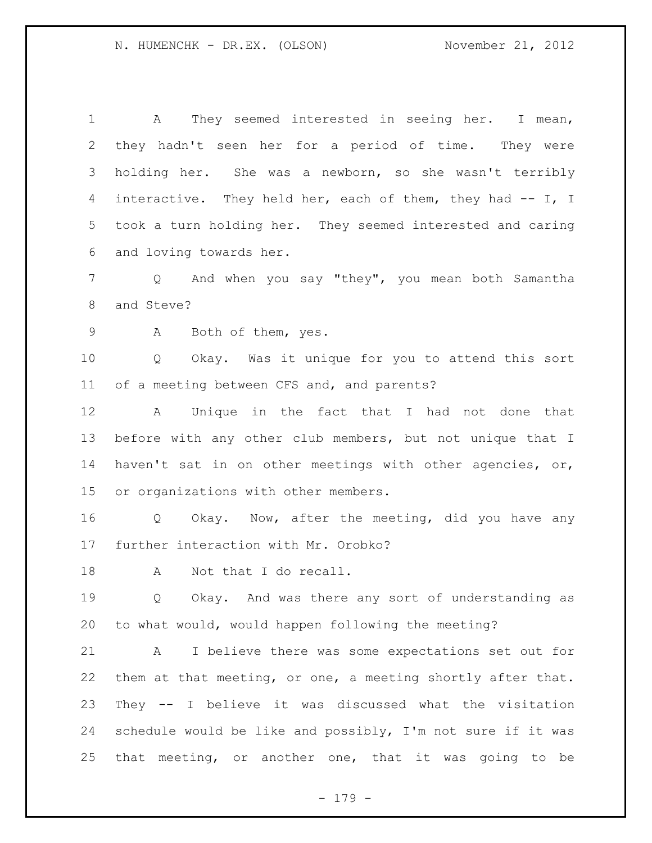A They seemed interested in seeing her. I mean, they hadn't seen her for a period of time. They were holding her. She was a newborn, so she wasn't terribly 4 interactive. They held her, each of them, they had -- I, I took a turn holding her. They seemed interested and caring and loving towards her.

 Q And when you say "they", you mean both Samantha and Steve?

A Both of them, yes.

 Q Okay. Was it unique for you to attend this sort of a meeting between CFS and, and parents?

 A Unique in the fact that I had not done that before with any other club members, but not unique that I haven't sat in on other meetings with other agencies, or, or organizations with other members.

 Q Okay. Now, after the meeting, did you have any further interaction with Mr. Orobko?

18 A Not that I do recall.

19 0 Okay. And was there any sort of understanding as to what would, would happen following the meeting?

 A I believe there was some expectations set out for them at that meeting, or one, a meeting shortly after that. They -- I believe it was discussed what the visitation 24 schedule would be like and possibly, I'm not sure if it was that meeting, or another one, that it was going to be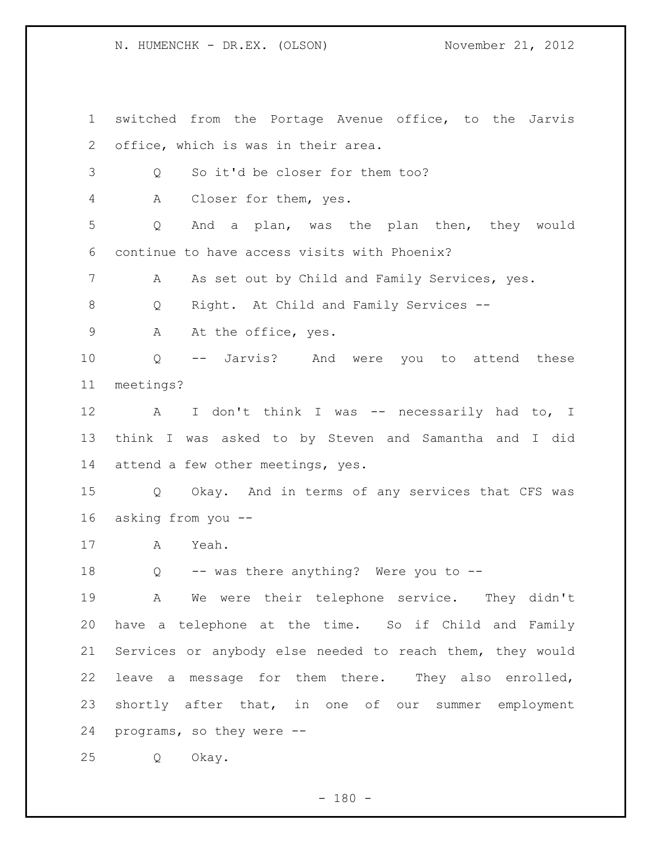switched from the Portage Avenue office, to the Jarvis office, which is was in their area. Q So it'd be closer for them too? A Closer for them, yes. Q And a plan, was the plan then, they would continue to have access visits with Phoenix? A As set out by Child and Family Services, yes. Q Right. At Child and Family Services -- 9 A At the office, yes. Q -- Jarvis? And were you to attend these meetings? 12 A I don't think I was -- necessarily had to, I think I was asked to by Steven and Samantha and I did attend a few other meetings, yes. Q Okay. And in terms of any services that CFS was asking from you -- A Yeah. 18 Q -- was there anything? Were you to -- A We were their telephone service. They didn't have a telephone at the time. So if Child and Family Services or anybody else needed to reach them, they would leave a message for them there. They also enrolled, shortly after that, in one of our summer employment programs, so they were -- Q Okay.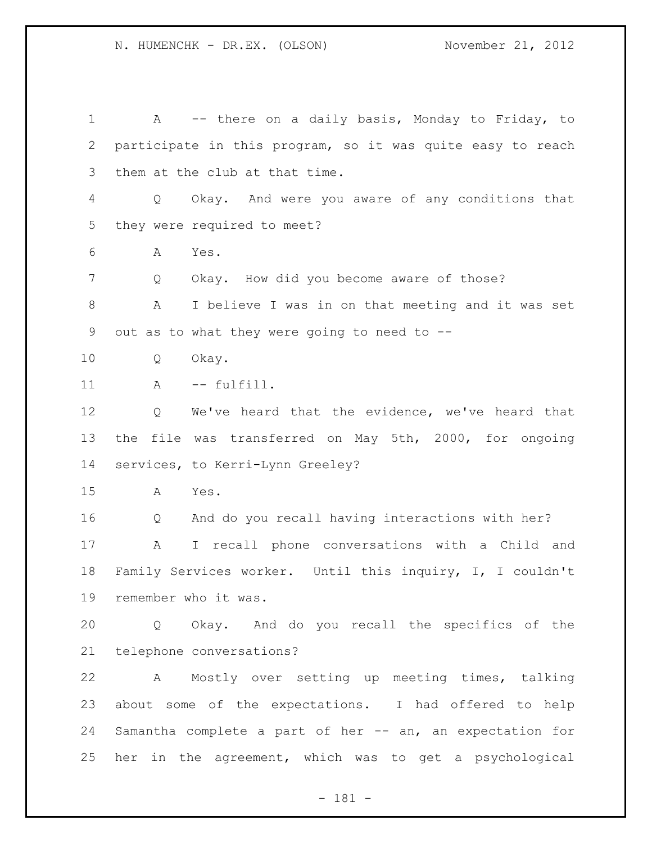1 A -- there on a daily basis, Monday to Friday, to participate in this program, so it was quite easy to reach them at the club at that time. Q Okay. And were you aware of any conditions that they were required to meet? A Yes. Q Okay. How did you become aware of those? A I believe I was in on that meeting and it was set out as to what they were going to need to -- Q Okay. 11 A -- fulfill. Q We've heard that the evidence, we've heard that the file was transferred on May 5th, 2000, for ongoing services, to Kerri-Lynn Greeley? A Yes. Q And do you recall having interactions with her? A I recall phone conversations with a Child and Family Services worker. Until this inquiry, I, I couldn't remember who it was. Q Okay. And do you recall the specifics of the telephone conversations? A Mostly over setting up meeting times, talking about some of the expectations. I had offered to help Samantha complete a part of her -- an, an expectation for her in the agreement, which was to get a psychological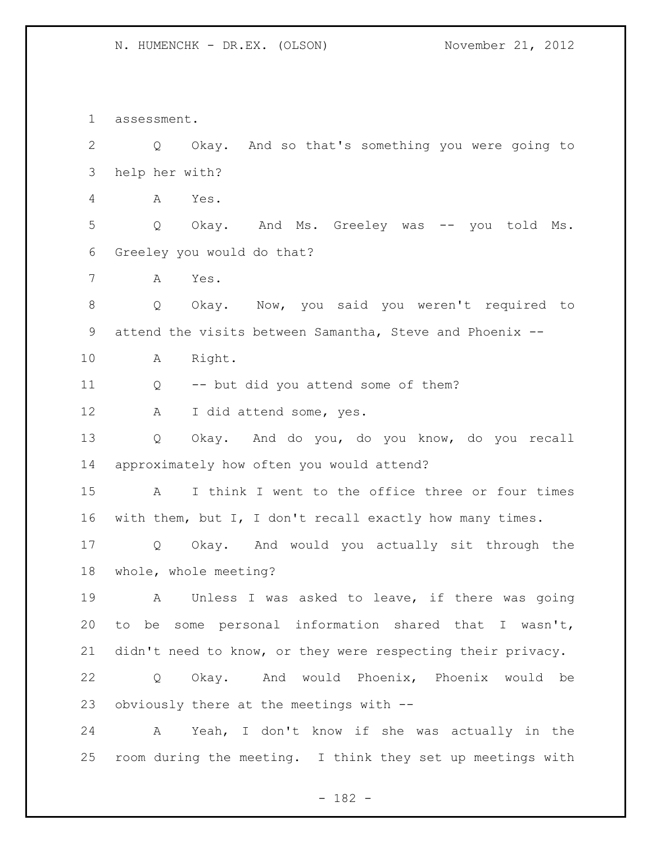assessment. Q Okay. And so that's something you were going to help her with? A Yes. Q Okay. And Ms. Greeley was -- you told Ms. Greeley you would do that? A Yes. Q Okay. Now, you said you weren't required to attend the visits between Samantha, Steve and Phoenix -- A Right. Q -- but did you attend some of them? 12 A I did attend some, yes. Q Okay. And do you, do you know, do you recall approximately how often you would attend? A I think I went to the office three or four times with them, but I, I don't recall exactly how many times. Q Okay. And would you actually sit through the whole, whole meeting? A Unless I was asked to leave, if there was going to be some personal information shared that I wasn't, didn't need to know, or they were respecting their privacy. Q Okay. And would Phoenix, Phoenix would be obviously there at the meetings with -- A Yeah, I don't know if she was actually in the room during the meeting. I think they set up meetings with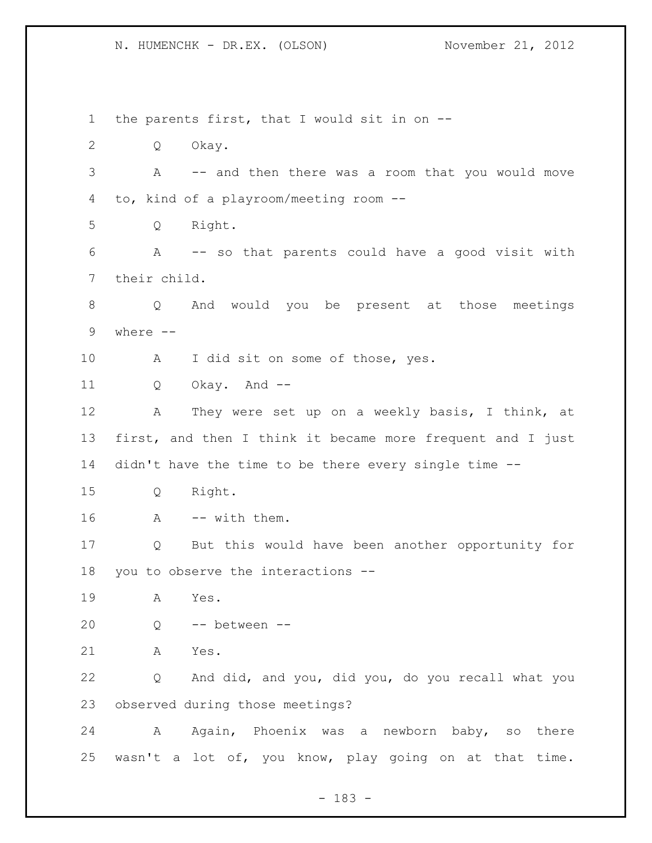the parents first, that I would sit in on -- Q Okay. A -- and then there was a room that you would move to, kind of a playroom/meeting room -- Q Right. A -- so that parents could have a good visit with their child. Q And would you be present at those meetings where -- 10 A I did sit on some of those, yes. Q Okay. And -- A They were set up on a weekly basis, I think, at first, and then I think it became more frequent and I just didn't have the time to be there every single time -- Q Right. 16 A -- with them. Q But this would have been another opportunity for you to observe the interactions -- A Yes. Q -- between -- A Yes. Q And did, and you, did you, do you recall what you observed during those meetings? 24 A Again, Phoenix was a newborn baby, so there wasn't a lot of, you know, play going on at that time.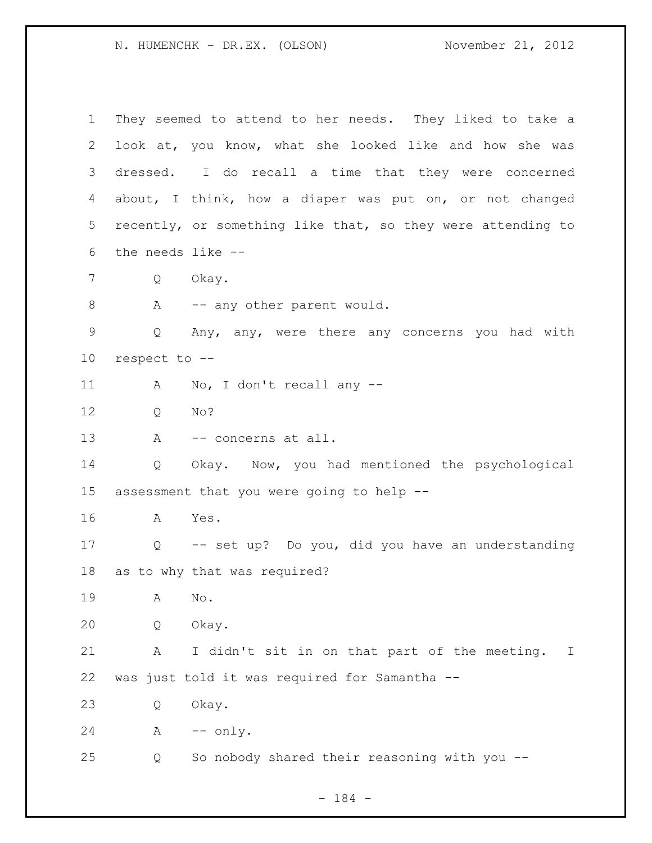They seemed to attend to her needs. They liked to take a look at, you know, what she looked like and how she was dressed. I do recall a time that they were concerned about, I think, how a diaper was put on, or not changed recently, or something like that, so they were attending to the needs like -- Q Okay. 8 A -- any other parent would. Q Any, any, were there any concerns you had with respect to -- A No, I don't recall any -- Q No? 13 A -- concerns at all. Q Okay. Now, you had mentioned the psychological assessment that you were going to help -- A Yes. Q -- set up? Do you, did you have an understanding as to why that was required? A No. Q Okay. A I didn't sit in on that part of the meeting. I was just told it was required for Samantha -- Q Okay. A -- only. Q So nobody shared their reasoning with you --

- 184 -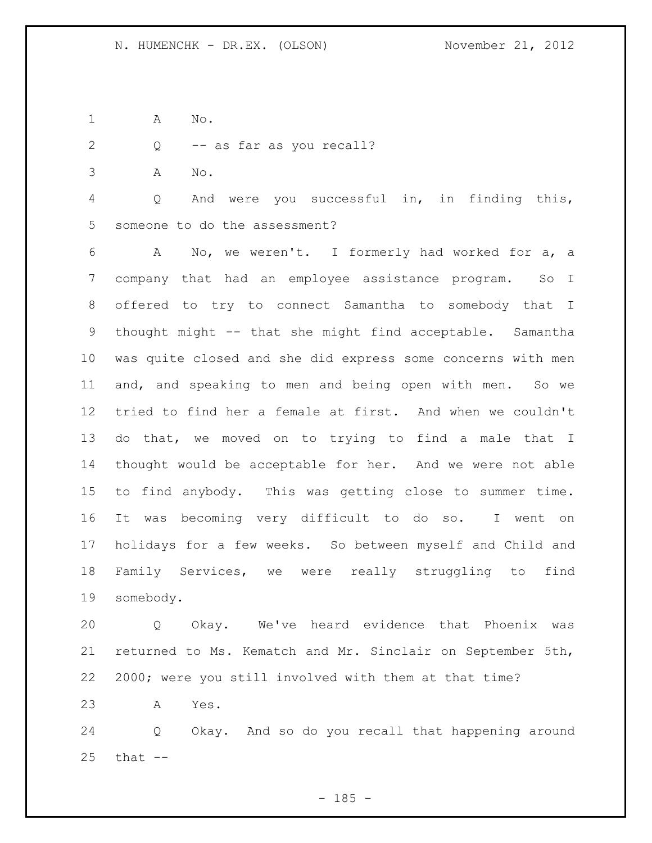- A No.
- Q -- as far as you recall?
- A No.

 Q And were you successful in, in finding this, someone to do the assessment?

 A No, we weren't. I formerly had worked for a, a company that had an employee assistance program. So I offered to try to connect Samantha to somebody that I thought might -- that she might find acceptable. Samantha was quite closed and she did express some concerns with men and, and speaking to men and being open with men. So we tried to find her a female at first. And when we couldn't do that, we moved on to trying to find a male that I thought would be acceptable for her. And we were not able to find anybody. This was getting close to summer time. It was becoming very difficult to do so. I went on holidays for a few weeks. So between myself and Child and Family Services, we were really struggling to find somebody.

 Q Okay. We've heard evidence that Phoenix was returned to Ms. Kematch and Mr. Sinclair on September 5th, 2000; were you still involved with them at that time?

A Yes.

 Q Okay. And so do you recall that happening around that  $-$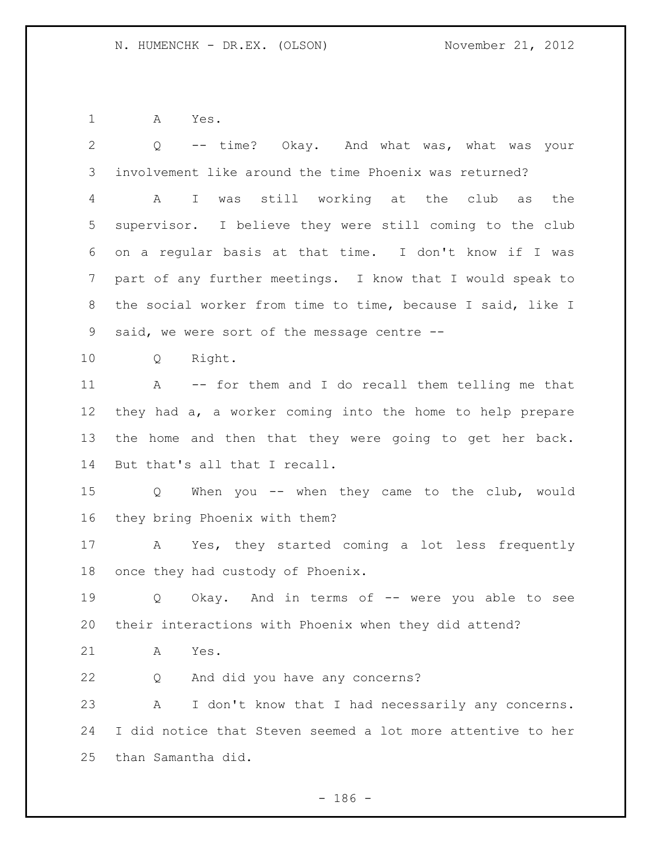A Yes.

| $\overline{2}$ | -- time? Okay. And what was, what was your<br>Q             |
|----------------|-------------------------------------------------------------|
| 3              | involvement like around the time Phoenix was returned?      |
| 4              | A I was still working at the club as<br>the                 |
| 5              | supervisor. I believe they were still coming to the club    |
| 6              | on a regular basis at that time. I don't know if I was      |
| 7              | part of any further meetings. I know that I would speak to  |
| 8              | the social worker from time to time, because I said, like I |
| 9              | said, we were sort of the message centre --                 |
| 10             | Q Right.                                                    |
| 11             | A -- for them and I do recall them telling me that          |
| 12             | they had a, a worker coming into the home to help prepare   |
| 13             | the home and then that they were going to get her back.     |
| 14             | But that's all that I recall.                               |
| 15             | Q When you -- when they came to the club, would             |
| 16             | they bring Phoenix with them?                               |
| 17             | A Yes, they started coming a lot less frequently            |
| 18             | once they had custody of Phoenix.                           |
| 19             | Okay. And in terms of -- were you able to see<br>Q          |
| 20             | their interactions with Phoenix when they did attend?       |
| 21             | Yes.<br>A                                                   |
| 22             | And did you have any concerns?<br>Q                         |
| 23             | Α<br>I don't know that I had necessarily any concerns.      |
| 24             | I did notice that Steven seemed a lot more attentive to her |
| 25             | than Samantha did.                                          |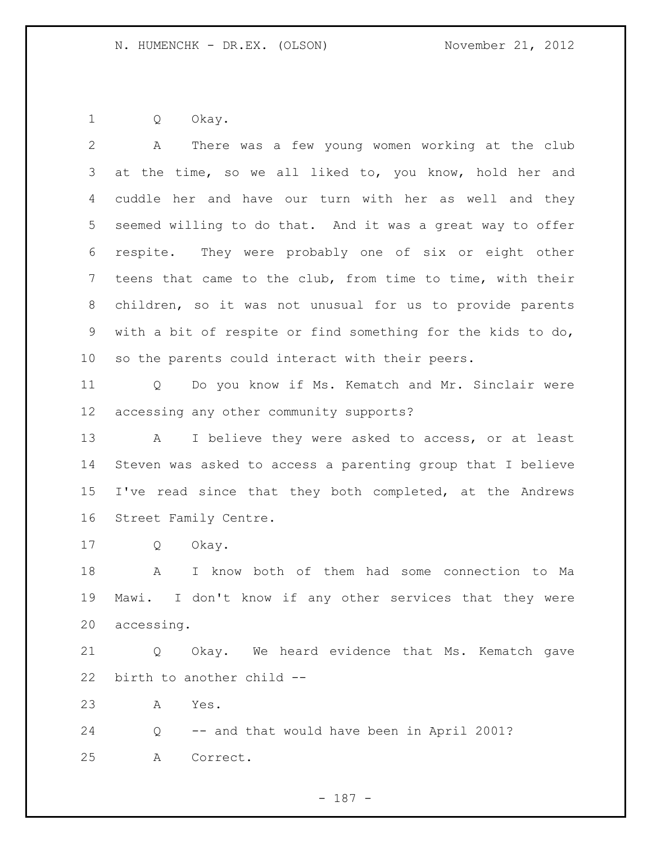Q Okay.

 A There was a few young women working at the club 3 at the time, so we all liked to, you know, hold her and cuddle her and have our turn with her as well and they seemed willing to do that. And it was a great way to offer respite. They were probably one of six or eight other teens that came to the club, from time to time, with their children, so it was not unusual for us to provide parents with a bit of respite or find something for the kids to do, so the parents could interact with their peers. Q Do you know if Ms. Kematch and Mr. Sinclair were accessing any other community supports? A I believe they were asked to access, or at least Steven was asked to access a parenting group that I believe I've read since that they both completed, at the Andrews Street Family Centre. Q Okay. A I know both of them had some connection to Ma Mawi. I don't know if any other services that they were accessing. Q Okay. We heard evidence that Ms. Kematch gave birth to another child -- A Yes. Q -- and that would have been in April 2001? A Correct.

- 187 -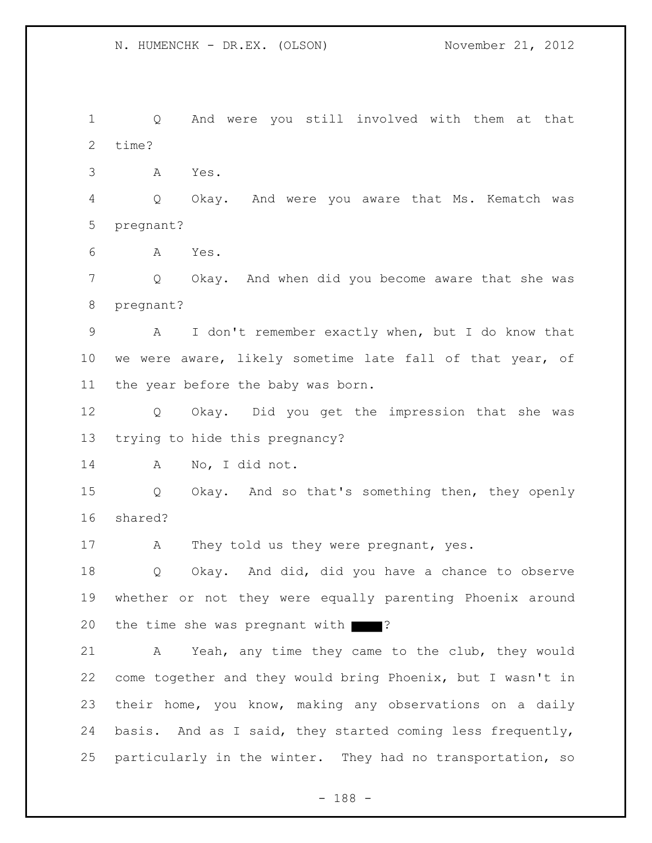1 Q And were you still involved with them at that 2 time? 3 A Yes. 4 Q Okay. And were you aware that Ms. Kematch was 5 pregnant? 6 A Yes. 7 Q Okay. And when did you become aware that she was 8 pregnant? 9 A I don't remember exactly when, but I do know that 10 we were aware, likely sometime late fall of that year, of 11 the year before the baby was born. 12 Q Okay. Did you get the impression that she was 13 trying to hide this pregnancy? 14 A No, I did not. 15 Q Okay. And so that's something then, they openly 16 shared? 17 A They told us they were pregnant, yes. 18 Q Okay. And did, did you have a chance to observe 19 whether or not they were equally parenting Phoenix around 20 the time she was pregnant with ? 21 A Yeah, any time they came to the club, they would 22 come together and they would bring Phoenix, but I wasn't in 23 their home, you know, making any observations on a daily 24 basis. And as I said, they started coming less frequently, 25 particularly in the winter. They had no transportation, so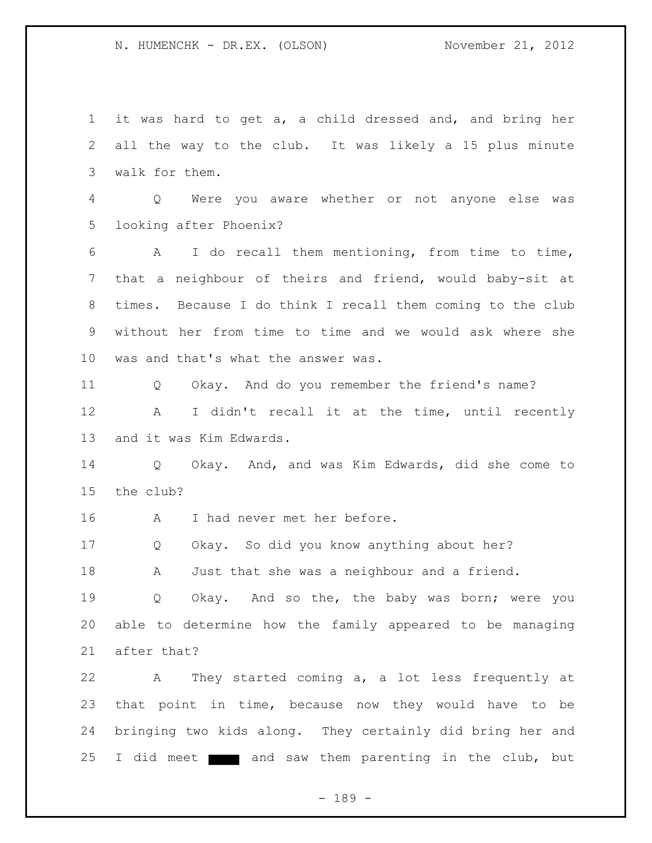1 it was hard to get a, a child dressed and, and bring her 2 all the way to the club. It was likely a 15 plus minute 3 walk for them. 4 Q Were you aware whether or not anyone else was 5 looking after Phoenix? 6 A I do recall them mentioning, from time to time, 7 that a neighbour of theirs and friend, would baby-sit at 8 times. Because I do think I recall them coming to the club 9 without her from time to time and we would ask where she 10 was and that's what the answer was. 11 Q Okay. And do you remember the friend's name? 12 A I didn't recall it at the time, until recently 13 and it was Kim Edwards. 14 Q Okay. And, and was Kim Edwards, did she come to 15 the club? 16 A I had never met her before. 17 Q Okay. So did you know anything about her? 18 A Just that she was a neighbour and a friend. 19 Q Okay. And so the, the baby was born; were you 20 able to determine how the family appeared to be managing 21 after that? 22 A They started coming a, a lot less frequently at 23 that point in time, because now they would have to be 24 bringing two kids along. They certainly did bring her and 25 I did meet  $\blacksquare$  and saw them parenting in the club, but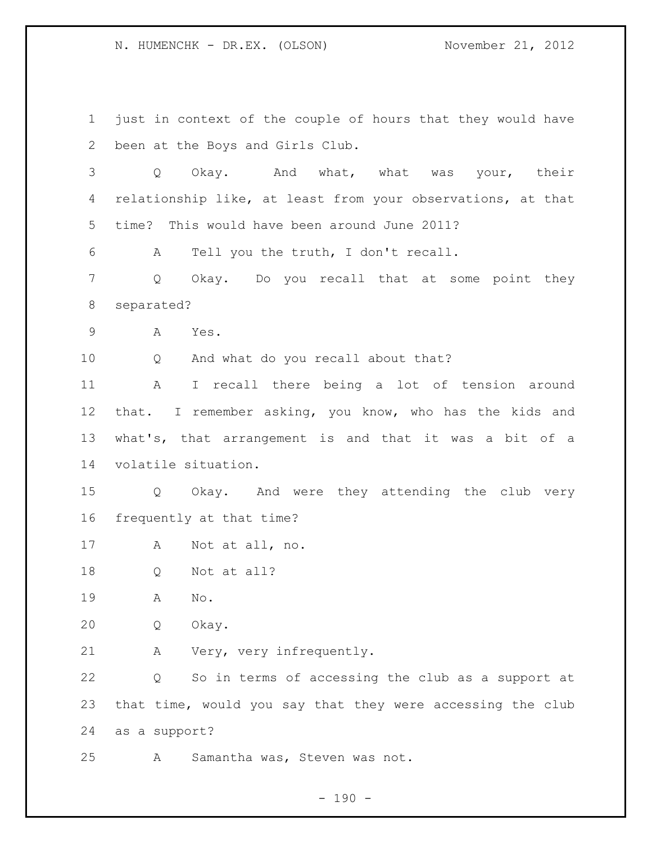just in context of the couple of hours that they would have been at the Boys and Girls Club. Q Okay. And what, what was your, their relationship like, at least from your observations, at that time? This would have been around June 2011? A Tell you the truth, I don't recall. Q Okay. Do you recall that at some point they separated? A Yes. Q And what do you recall about that? A I recall there being a lot of tension around that. I remember asking, you know, who has the kids and what's, that arrangement is and that it was a bit of a volatile situation. Q Okay. And were they attending the club very frequently at that time? A Not at all, no. Q Not at all? A No. Q Okay. A Very, very infrequently. Q So in terms of accessing the club as a support at that time, would you say that they were accessing the club as a support? A Samantha was, Steven was not.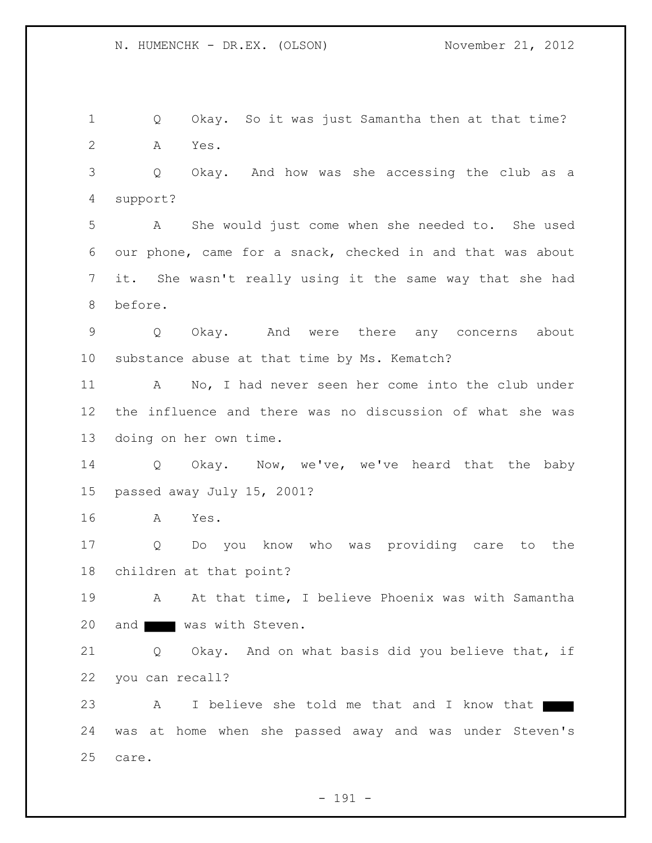1 Q Okay. So it was just Samantha then at that time? 2 A Yes. 3 Q Okay. And how was she accessing the club as a 4 support? 5 A She would just come when she needed to. She used 6 our phone, came for a snack, checked in and that was about 7 it. She wasn't really using it the same way that she had 8 before. 9 Q Okay. And were there any concerns about 10 substance abuse at that time by Ms. Kematch? 11 A No, I had never seen her come into the club under 12 the influence and there was no discussion of what she was 13 doing on her own time. 14 Q Okay. Now, we've, we've heard that the baby 15 passed away July 15, 2001? 16 A Yes. 17 Q Do you know who was providing care to the 18 children at that point? 19 A At that time, I believe Phoenix was with Samantha 20 and was with Steven. 21 Q Okay. And on what basis did you believe that, if 22 you can recall? 23 A I believe she told me that and I know that 24 was at home when she passed away and was under Steven's 25 care.

- 191 -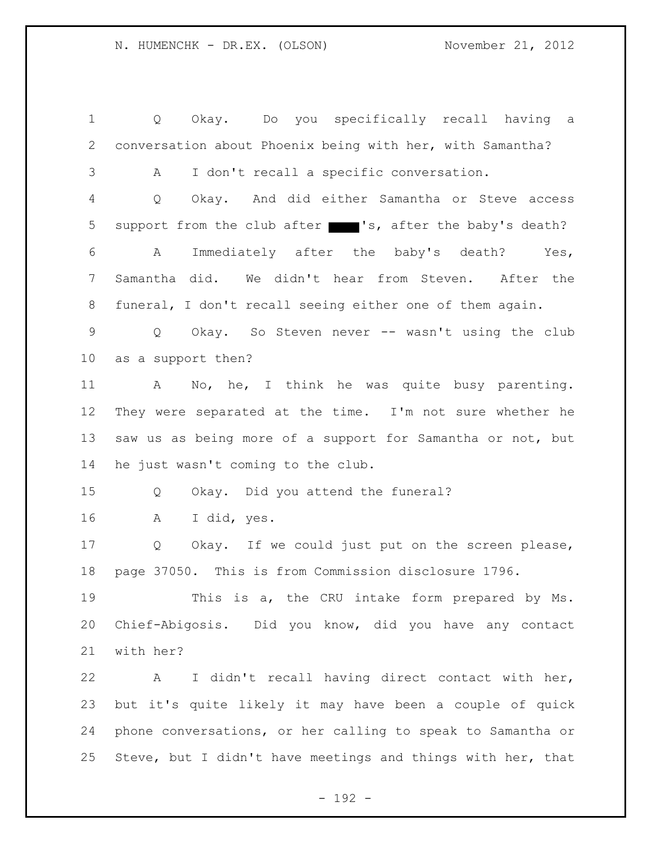1 Q Okay. Do you specifically recall having a 2 conversation about Phoenix being with her, with Samantha? 3 A I don't recall a specific conversation. 4 Q Okay. And did either Samantha or Steve access 5 support from the club after 's, after the baby's death? 6 A Immediately after the baby's death? Yes, 7 Samantha did. We didn't hear from Steven. After the 8 funeral, I don't recall seeing either one of them again. 9 Q Okay. So Steven never -- wasn't using the club 10 as a support then? 11 A No, he, I think he was quite busy parenting. 12 They were separated at the time. I'm not sure whether he 13 saw us as being more of a support for Samantha or not, but 14 he just wasn't coming to the club. 15 Q Okay. Did you attend the funeral? 16 A I did, yes. 17 Q Okay. If we could just put on the screen please, 18 page 37050. This is from Commission disclosure 1796. 19 This is a, the CRU intake form prepared by Ms. 20 Chief-Abigosis. Did you know, did you have any contact 21 with her? 22 A I didn't recall having direct contact with her, 23 but it's quite likely it may have been a couple of quick 24 phone conversations, or her calling to speak to Samantha or 25 Steve, but I didn't have meetings and things with her, that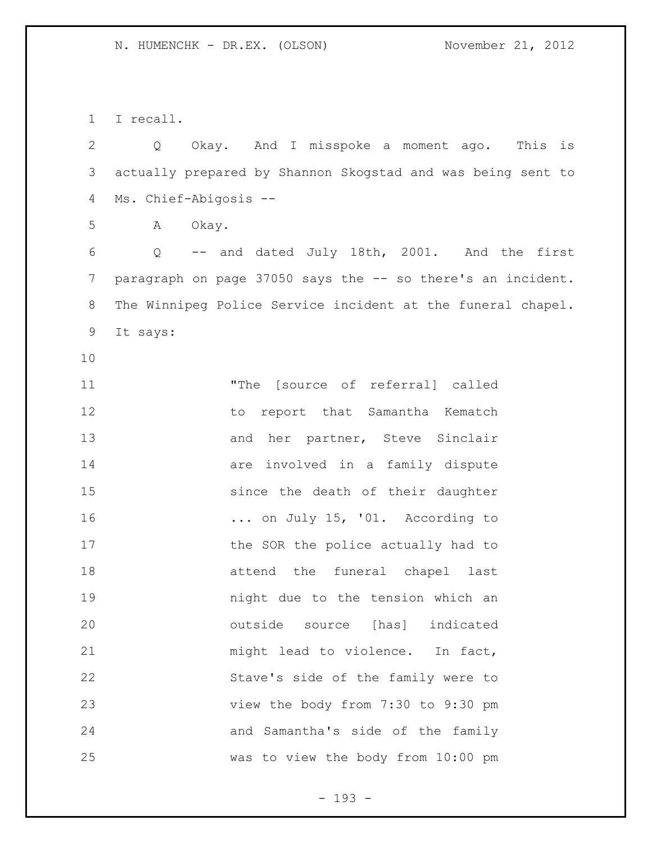I recall.

 Q Okay. And I misspoke a moment ago. This is actually prepared by Shannon Skogstad and was being sent to Ms. Chief-Abigosis --

A Okay.

 Q -- and dated July 18th, 2001. And the first 7 paragraph on page 37050 says the -- so there's an incident. The Winnipeg Police Service incident at the funeral chapel. It says:

 "The [source of referral] called to report that Samantha Kematch 13 and her partner, Steve Sinclair **are involved in a family dispute**  since the death of their daughter ... on July 15, '01. According to 17 the SOR the police actually had to attend the funeral chapel last night due to the tension which an outside source [has] indicated 21 might lead to violence. In fact, Stave's side of the family were to view the body from 7:30 to 9:30 pm and Samantha's side of the family was to view the body from 10:00 pm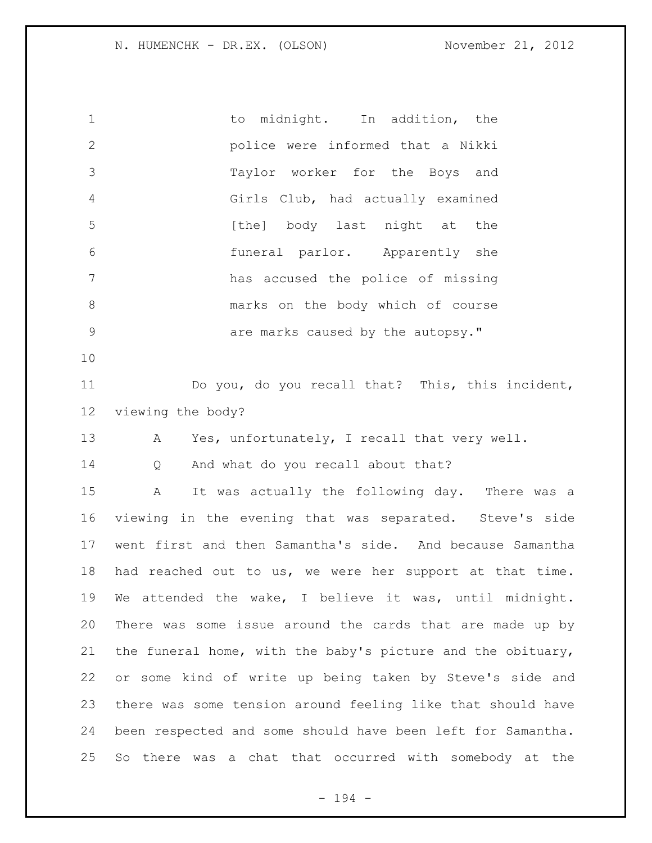| $\mathbf 1$    | to midnight. In addition, the                               |
|----------------|-------------------------------------------------------------|
| $\mathbf{2}$   | police were informed that a Nikki                           |
| 3              | Taylor worker for the Boys and                              |
| $\overline{4}$ | Girls Club, had actually examined                           |
| 5              | [the] body last night at the                                |
| $\sqrt{6}$     | funeral parlor. Apparently she                              |
| 7              | has accused the police of missing                           |
| 8              | marks on the body which of course                           |
| $\mathsf 9$    | are marks caused by the autopsy."                           |
| 10             |                                                             |
| 11             | Do you, do you recall that? This, this incident,            |
| 12             | viewing the body?                                           |
| 13             | Yes, unfortunately, I recall that very well.<br>A           |
| 14             | And what do you recall about that?<br>Q                     |
| 15             | It was actually the following day. There was a<br>Α         |
| 16             | viewing in the evening that was separated. Steve's side     |
| 17             | went first and then Samantha's side. And because Samantha   |
| 18             | had reached out to us, we were her support at that time.    |
| 19             | We attended the wake, I believe it was, until midnight.     |
| 20             | There was some issue around the cards that are made up by   |
| 21             | the funeral home, with the baby's picture and the obituary, |
| 22             | or some kind of write up being taken by Steve's side and    |
| 23             | there was some tension around feeling like that should have |
| 24             | been respected and some should have been left for Samantha. |
| 25             | there was a chat that occurred with somebody at the<br>So   |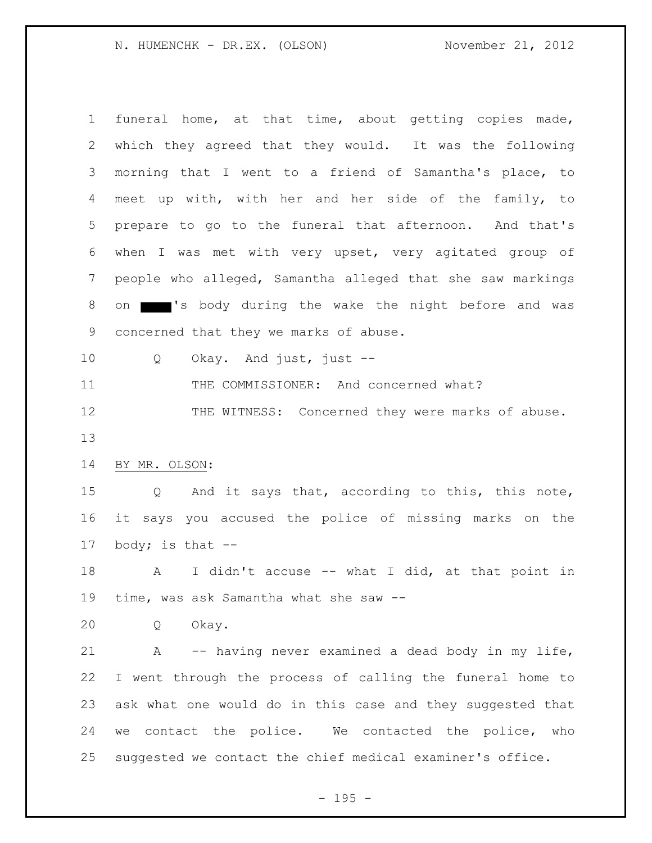| $\mathbf 1$     | funeral home, at that time, about getting copies made,     |
|-----------------|------------------------------------------------------------|
| 2               | which they agreed that they would. It was the following    |
| 3               | morning that I went to a friend of Samantha's place, to    |
| 4               | meet up with, with her and her side of the family, to      |
| 5               | prepare to go to the funeral that afternoon. And that's    |
| 6               | when I was met with very upset, very agitated group of     |
| 7               | people who alleged, Samantha alleged that she saw markings |
| 8               | on state of the wake the night before and was              |
| 9               | concerned that they we marks of abuse.                     |
| 10 <sub>o</sub> | Okay. And just, just $-$<br>Q                              |
| 11              | THE COMMISSIONER: And concerned what?                      |
| 12              | THE WITNESS: Concerned they were marks of abuse.           |
| 13              |                                                            |
| 14              | BY MR. OLSON:                                              |
| 15 <sub>2</sub> | And it says that, according to this, this note,<br>Q       |
| 16              | it says you accused the police of missing marks on the     |
| 17              | body; is that $--$                                         |
| 18              | I didn't accuse -- what I did, at that point in<br>A       |
| 19              | time, was ask Samantha what she saw --                     |
| 20              | Okay.<br>Q                                                 |
| 21              | A -- having never examined a dead body in my life,         |
| 22              | I went through the process of calling the funeral home to  |
| 23              | ask what one would do in this case and they suggested that |
| 24              | we contact the police. We contacted the police, who        |
| 25              | suggested we contact the chief medical examiner's office.  |
|                 |                                                            |

- 195 -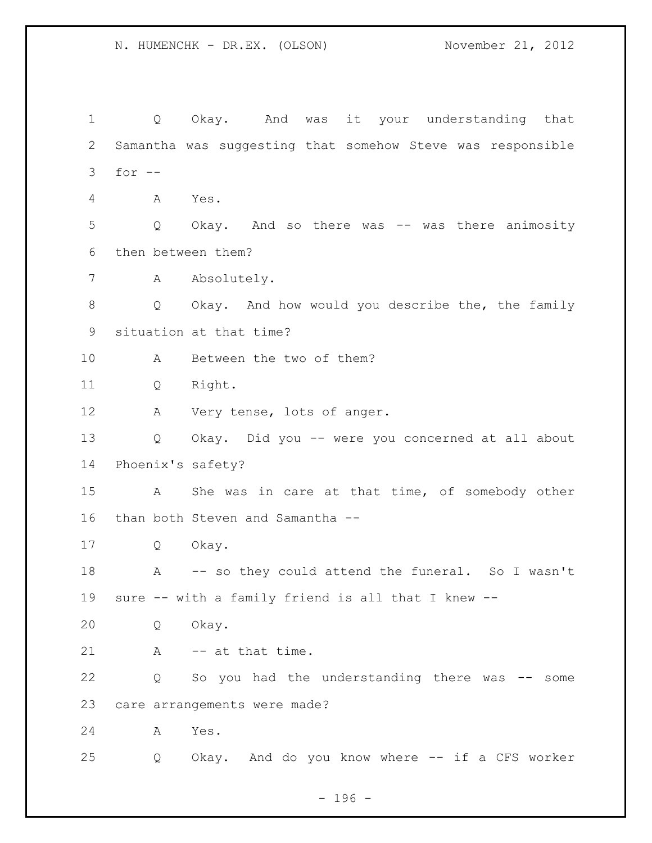Q Okay. And was it your understanding that Samantha was suggesting that somehow Steve was responsible for -- A Yes. Q Okay. And so there was -- was there animosity then between them? A Absolutely. Q Okay. And how would you describe the, the family situation at that time? A Between the two of them? Q Right. A Very tense, lots of anger. Q Okay. Did you -- were you concerned at all about Phoenix's safety? A She was in care at that time, of somebody other than both Steven and Samantha -- Q Okay. 18 A -- so they could attend the funeral. So I wasn't sure -- with a family friend is all that I knew -- Q Okay. 21 A -- at that time. Q So you had the understanding there was -- some care arrangements were made? A Yes. Q Okay. And do you know where -- if a CFS worker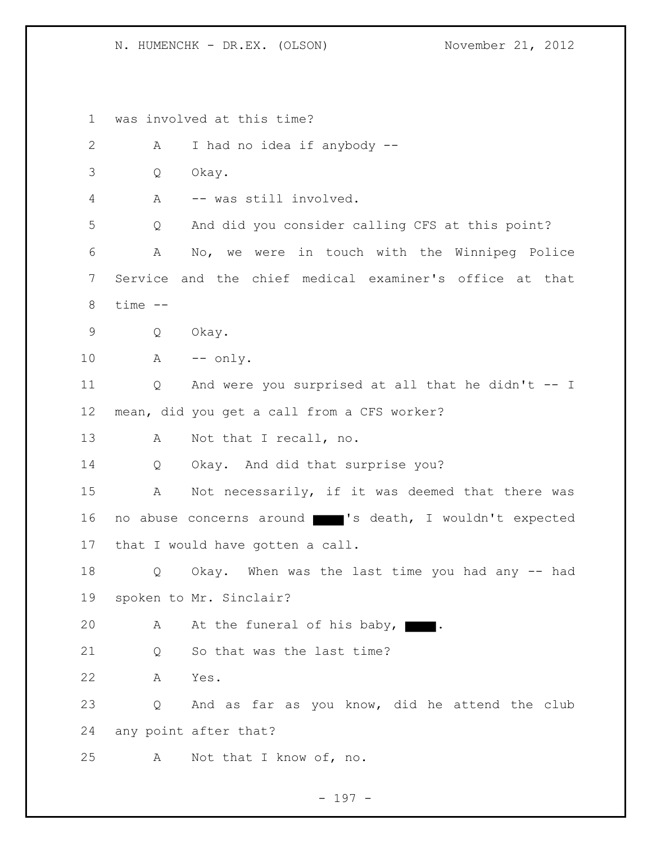1 was involved at this time? 2 A I had no idea if anybody -- 3 Q Okay. 4 A -- was still involved. 5 Q And did you consider calling CFS at this point? 6 A No, we were in touch with the Winnipeg Police 7 Service and the chief medical examiner's office at that 8 time -- 9 Q Okay. 10 A -- only. 11 Q And were you surprised at all that he didn't -- I 12 mean, did you get a call from a CFS worker? 13 A Not that I recall, no. 14 Q Okay. And did that surprise you? 15 A Not necessarily, if it was deemed that there was 16 no abuse concerns around 's death, I wouldn't expected 17 that I would have gotten a call. 18 Q Okay. When was the last time you had any -- had 19 spoken to Mr. Sinclair? 20 A At the funeral of his baby, 21 O So that was the last time? 22 A Yes. 23 Q And as far as you know, did he attend the club 24 any point after that? 25 A Not that I know of, no.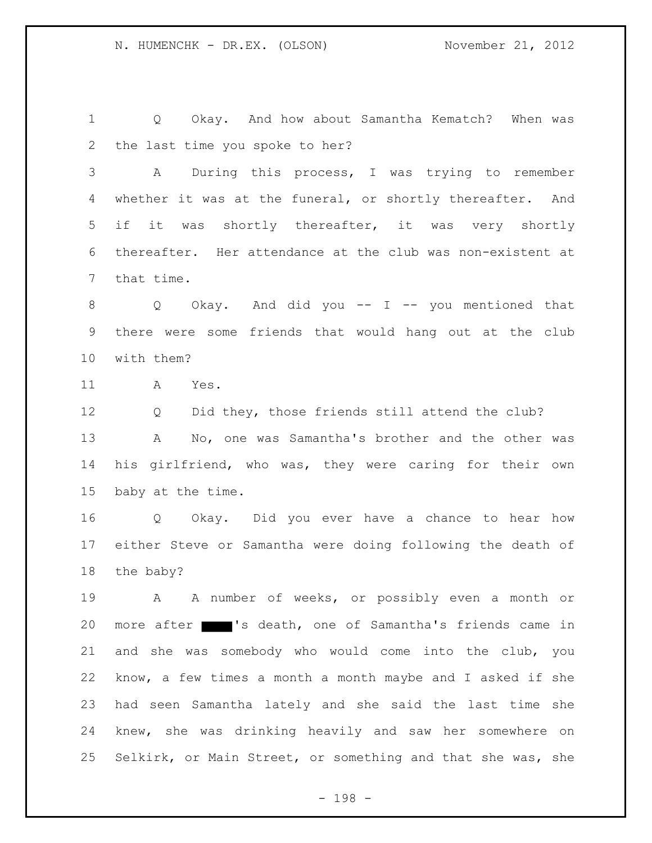1 Q Okay. And how about Samantha Kematch? When was the last time you spoke to her?

3 A During this process, I was trying to remember whether it was at the funeral, or shortly thereafter. And if it was shortly thereafter, it was very shortly thereafter. Her attendance at the club was non-existent at that time.

8 Q Okay. And did you -- I -- you mentioned that there were some friends that would hang out at the club with them?

11 A Yes.

12 Q Did they, those friends still attend the club? 13 A No, one was Samantha's brother and the other was his girlfriend, who was, they were caring for their own baby at the time.

16 Q Okay. Did you ever have a chance to hear how either Steve or Samantha were doing following the death of the baby?

19 A A number of weeks, or possibly even a month or more after 's death, one of Samantha's friends came in and she was somebody who would come into the club, you know, a few times a month a month maybe and I asked if she had seen Samantha lately and she said the last time she knew, she was drinking heavily and saw her somewhere on Selkirk, or Main Street, or something and that she was, she

- 198 -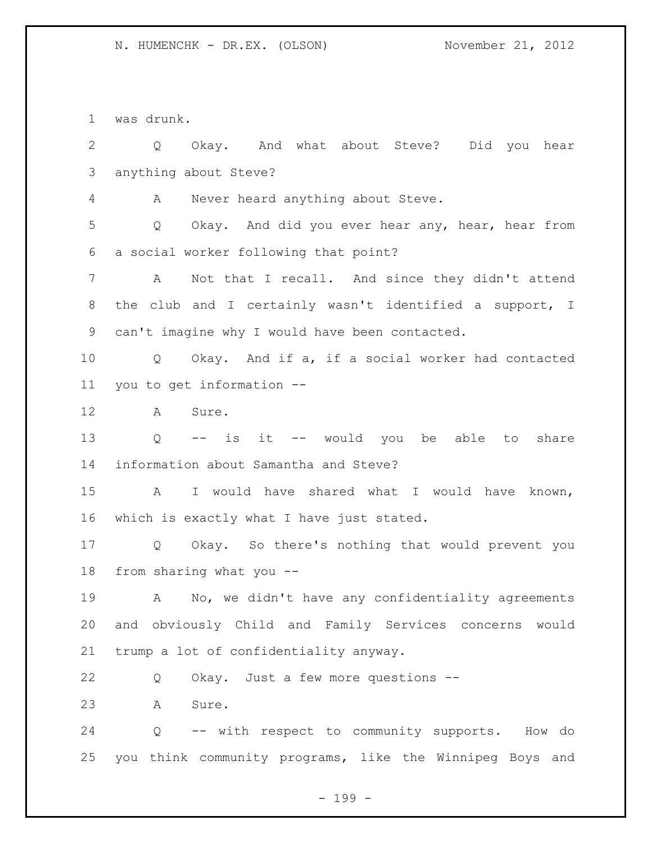was drunk.

 Q Okay. And what about Steve? Did you hear anything about Steve? A Never heard anything about Steve. Q Okay. And did you ever hear any, hear, hear from a social worker following that point? A Not that I recall. And since they didn't attend the club and I certainly wasn't identified a support, I can't imagine why I would have been contacted. Q Okay. And if a, if a social worker had contacted you to get information -- A Sure. Q -- is it -- would you be able to share information about Samantha and Steve? A I would have shared what I would have known, which is exactly what I have just stated. Q Okay. So there's nothing that would prevent you from sharing what you -- A No, we didn't have any confidentiality agreements and obviously Child and Family Services concerns would trump a lot of confidentiality anyway. Q Okay. Just a few more questions -- A Sure. Q -- with respect to community supports. How do you think community programs, like the Winnipeg Boys and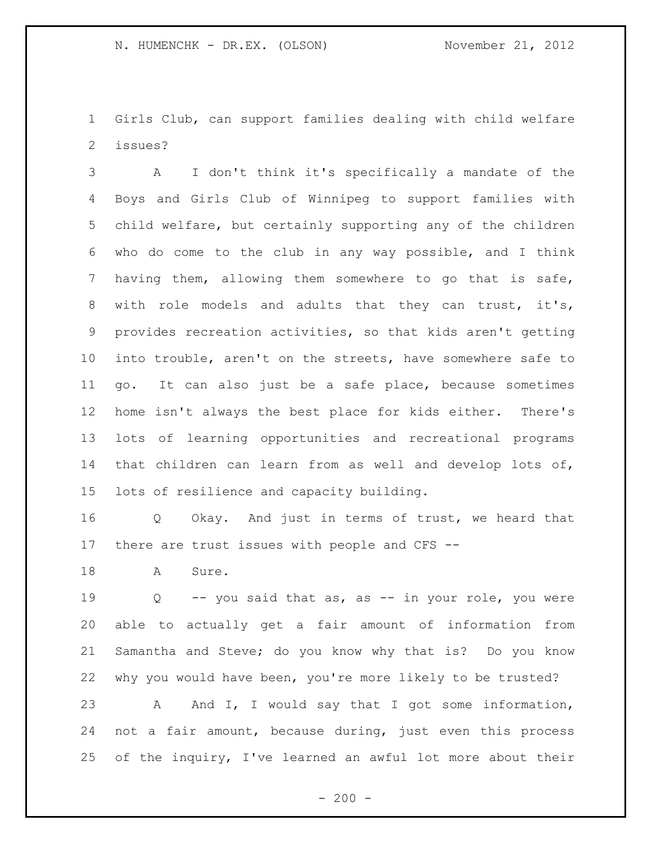Girls Club, can support families dealing with child welfare issues?

 A I don't think it's specifically a mandate of the Boys and Girls Club of Winnipeg to support families with child welfare, but certainly supporting any of the children who do come to the club in any way possible, and I think having them, allowing them somewhere to go that is safe, with role models and adults that they can trust, it's, provides recreation activities, so that kids aren't getting into trouble, aren't on the streets, have somewhere safe to go. It can also just be a safe place, because sometimes home isn't always the best place for kids either. There's lots of learning opportunities and recreational programs that children can learn from as well and develop lots of, lots of resilience and capacity building.

 Q Okay. And just in terms of trust, we heard that there are trust issues with people and CFS --

18 A Sure.

 Q -- you said that as, as -- in your role, you were able to actually get a fair amount of information from Samantha and Steve; do you know why that is? Do you know why you would have been, you're more likely to be trusted? A And I, I would say that I got some information, not a fair amount, because during, just even this process of the inquiry, I've learned an awful lot more about their

 $-200 -$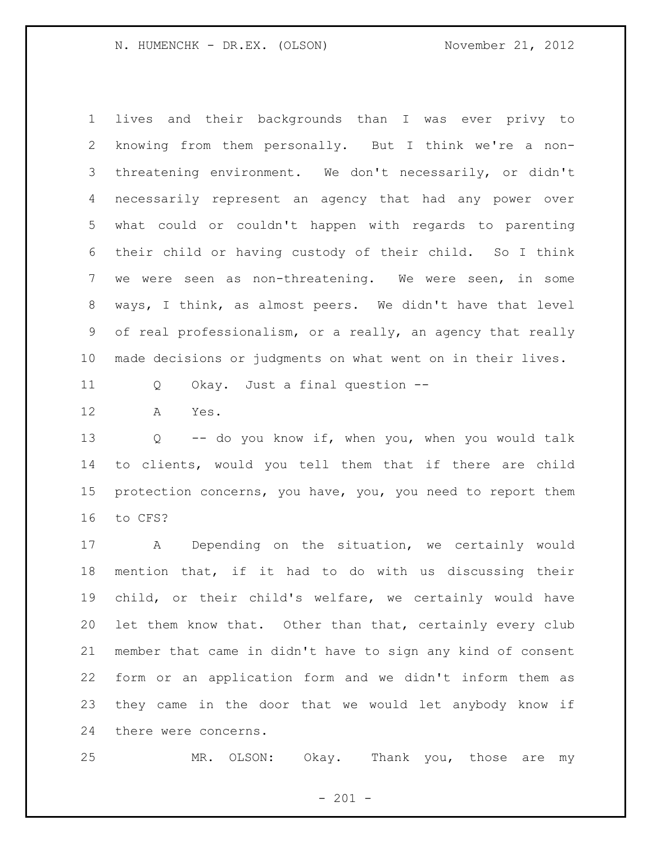lives and their backgrounds than I was ever privy to knowing from them personally. But I think we're a non- threatening environment. We don't necessarily, or didn't necessarily represent an agency that had any power over what could or couldn't happen with regards to parenting their child or having custody of their child. So I think we were seen as non-threatening. We were seen, in some ways, I think, as almost peers. We didn't have that level of real professionalism, or a really, an agency that really made decisions or judgments on what went on in their lives.

Q Okay. Just a final question --

A Yes.

 Q -- do you know if, when you, when you would talk to clients, would you tell them that if there are child protection concerns, you have, you, you need to report them to CFS?

 A Depending on the situation, we certainly would mention that, if it had to do with us discussing their child, or their child's welfare, we certainly would have let them know that. Other than that, certainly every club member that came in didn't have to sign any kind of consent form or an application form and we didn't inform them as they came in the door that we would let anybody know if there were concerns.

MR. OLSON: Okay. Thank you, those are my

 $- 201 -$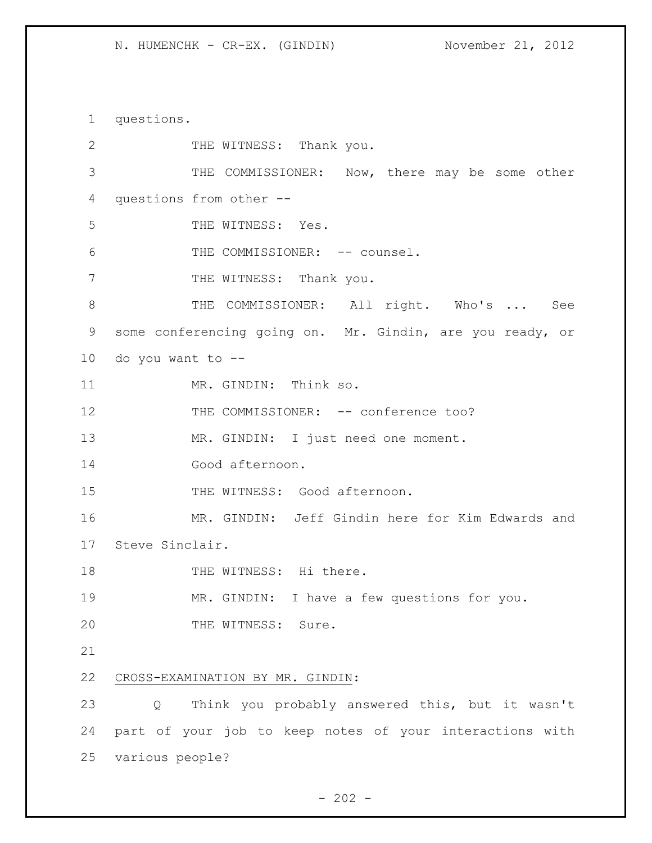questions. 2 THE WITNESS: Thank you. THE COMMISSIONER: Now, there may be some other questions from other -- THE WITNESS: Yes. 6 THE COMMISSIONER: -- counsel. 7 THE WITNESS: Thank you. THE COMMISSIONER: All right. Who's ... See some conferencing going on. Mr. Gindin, are you ready, or do you want to -- 11 MR. GINDIN: Think so. 12 THE COMMISSIONER: -- conference too? MR. GINDIN: I just need one moment. Good afternoon. 15 THE WITNESS: Good afternoon. MR. GINDIN: Jeff Gindin here for Kim Edwards and Steve Sinclair. 18 THE WITNESS: Hi there. MR. GINDIN: I have a few questions for you. 20 THE WITNESS: Sure. CROSS-EXAMINATION BY MR. GINDIN: Q Think you probably answered this, but it wasn't part of your job to keep notes of your interactions with various people?

 $- 202 -$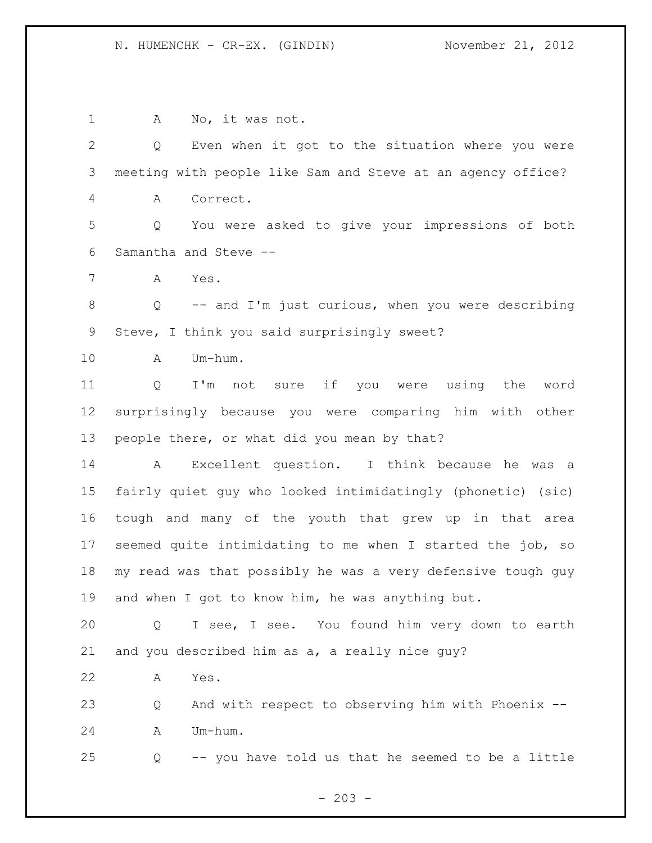1 A No, it was not. Q Even when it got to the situation where you were meeting with people like Sam and Steve at an agency office? A Correct. Q You were asked to give your impressions of both Samantha and Steve -- A Yes. Q -- and I'm just curious, when you were describing Steve, I think you said surprisingly sweet? A Um-hum. Q I'm not sure if you were using the word surprisingly because you were comparing him with other people there, or what did you mean by that? A Excellent question. I think because he was a fairly quiet guy who looked intimidatingly (phonetic) (sic) tough and many of the youth that grew up in that area seemed quite intimidating to me when I started the job, so my read was that possibly he was a very defensive tough guy and when I got to know him, he was anything but. Q I see, I see. You found him very down to earth and you described him as a, a really nice guy? A Yes. Q And with respect to observing him with Phoenix -- A Um-hum. Q -- you have told us that he seemed to be a little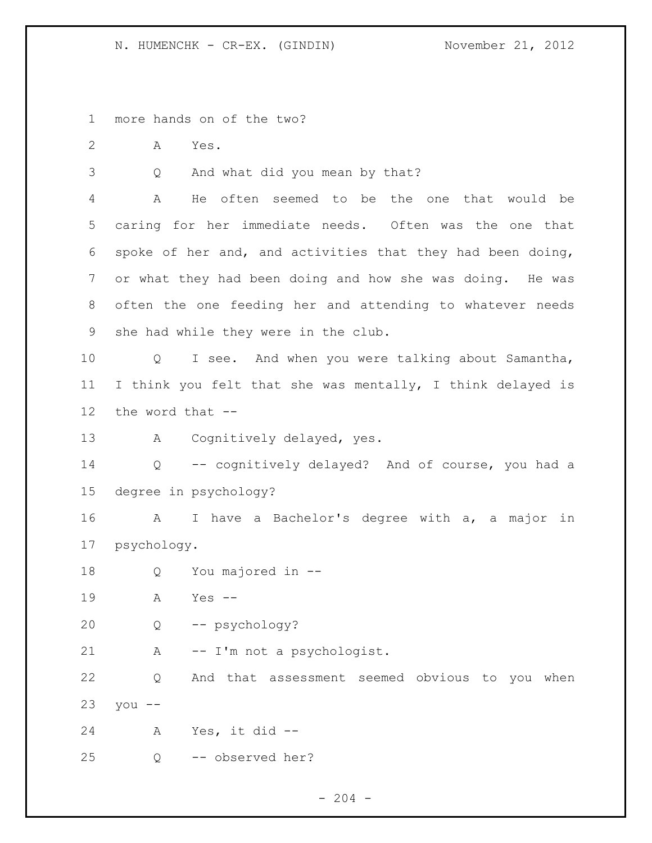more hands on of the two?

A Yes.

Q And what did you mean by that?

 A He often seemed to be the one that would be caring for her immediate needs. Often was the one that spoke of her and, and activities that they had been doing, or what they had been doing and how she was doing. He was often the one feeding her and attending to whatever needs she had while they were in the club.

 Q I see. And when you were talking about Samantha, I think you felt that she was mentally, I think delayed is the word that --

A Cognitively delayed, yes.

 Q -- cognitively delayed? And of course, you had a degree in psychology?

 A I have a Bachelor's degree with a, a major in psychology.

Q You majored in --

A Yes --

Q -- psychology?

21 A -- I'm not a psychologist.

 Q And that assessment seemed obvious to you when you  $-$ 

A Yes, it did --

Q -- observed her?

 $-204 -$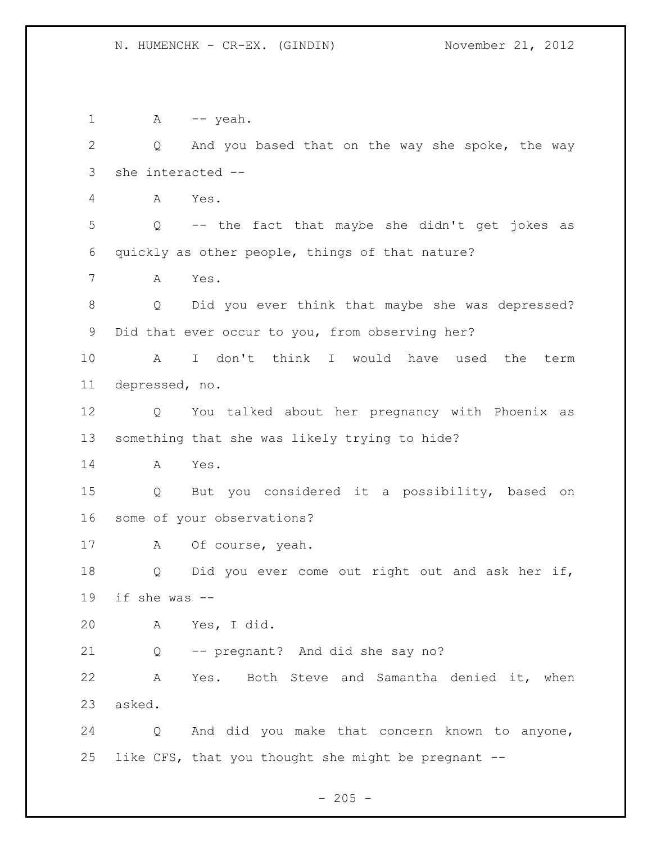1 A -- yeah. Q And you based that on the way she spoke, the way she interacted -- A Yes. Q -- the fact that maybe she didn't get jokes as quickly as other people, things of that nature? A Yes. Q Did you ever think that maybe she was depressed? Did that ever occur to you, from observing her? A I don't think I would have used the term depressed, no. Q You talked about her pregnancy with Phoenix as something that she was likely trying to hide? A Yes. Q But you considered it a possibility, based on some of your observations? A Of course, yeah. Q Did you ever come out right out and ask her if, if she was -- A Yes, I did. Q -- pregnant? And did she say no? A Yes. Both Steve and Samantha denied it, when asked. Q And did you make that concern known to anyone, like CFS, that you thought she might be pregnant --

 $- 205 -$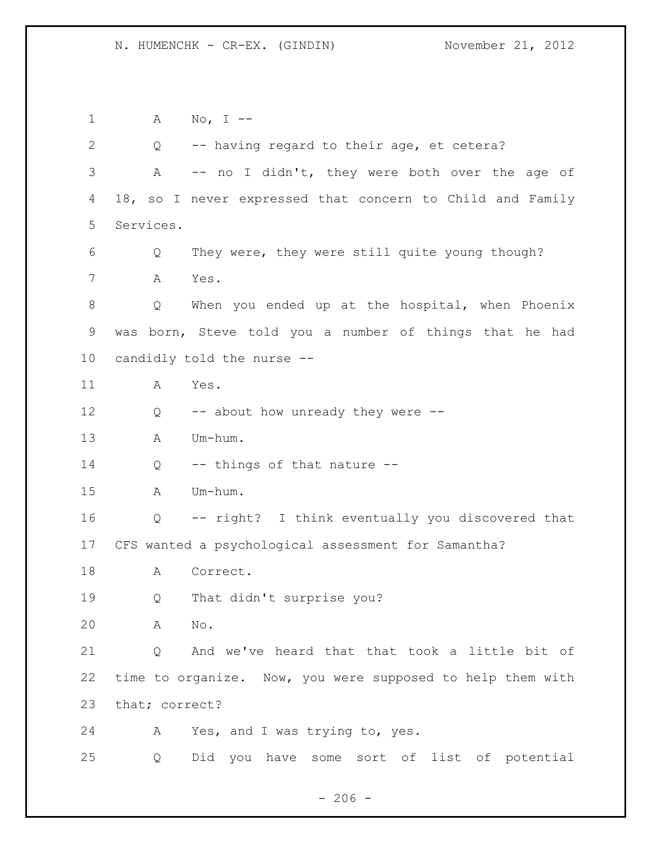A No, I -- Q -- having regard to their age, et cetera? A -- no I didn't, they were both over the age of 18, so I never expressed that concern to Child and Family Services. Q They were, they were still quite young though? A Yes. Q When you ended up at the hospital, when Phoenix was born, Steve told you a number of things that he had candidly told the nurse -- A Yes. 12 Q -- about how unready they were -- A Um-hum. 14 Q -- things of that nature -- A Um-hum. Q -- right? I think eventually you discovered that CFS wanted a psychological assessment for Samantha? A Correct. Q That didn't surprise you? A No. Q And we've heard that that took a little bit of time to organize. Now, you were supposed to help them with that; correct? A Yes, and I was trying to, yes. Q Did you have some sort of list of potential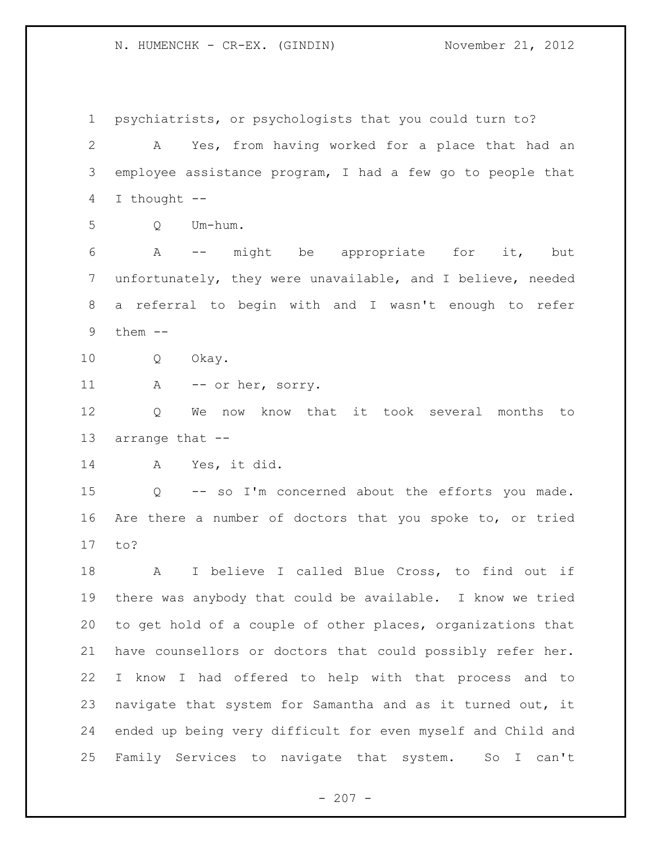psychiatrists, or psychologists that you could turn to? A Yes, from having worked for a place that had an employee assistance program, I had a few go to people that I thought -- Q Um-hum. A -- might be appropriate for it, but unfortunately, they were unavailable, and I believe, needed a referral to begin with and I wasn't enough to refer them -- Q Okay. 11 A -- or her, sorry. Q We now know that it took several months to arrange that -- A Yes, it did. Q -- so I'm concerned about the efforts you made. Are there a number of doctors that you spoke to, or tried to? A I believe I called Blue Cross, to find out if there was anybody that could be available. I know we tried to get hold of a couple of other places, organizations that have counsellors or doctors that could possibly refer her. I know I had offered to help with that process and to navigate that system for Samantha and as it turned out, it ended up being very difficult for even myself and Child and Family Services to navigate that system. So I can't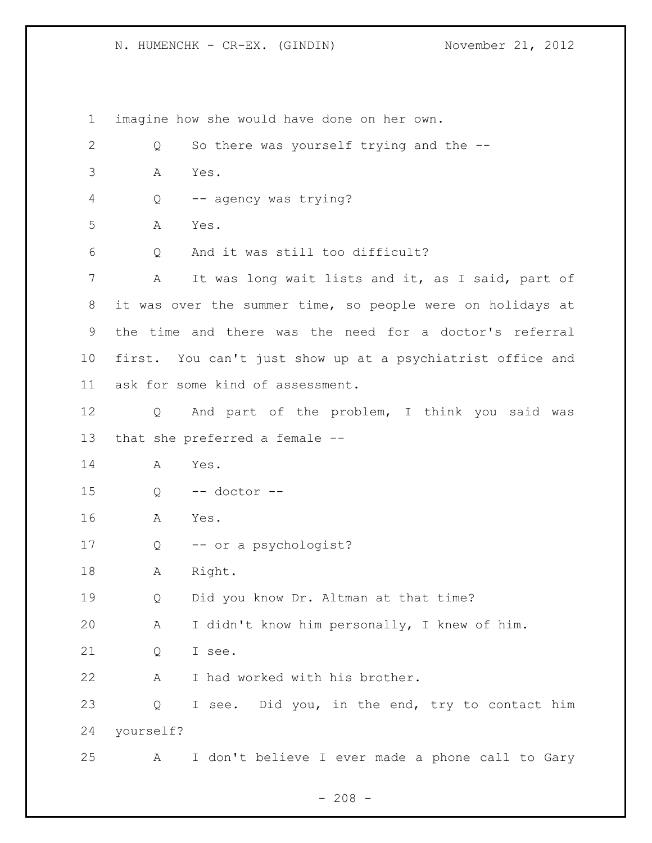imagine how she would have done on her own. Q So there was yourself trying and the -- A Yes. Q -- agency was trying? A Yes. Q And it was still too difficult? A It was long wait lists and it, as I said, part of it was over the summer time, so people were on holidays at the time and there was the need for a doctor's referral first. You can't just show up at a psychiatrist office and ask for some kind of assessment. Q And part of the problem, I think you said was that she preferred a female -- A Yes. Q -- doctor -- A Yes. Q -- or a psychologist? A Right. Q Did you know Dr. Altman at that time? A I didn't know him personally, I knew of him. 21 O I see. A I had worked with his brother. Q I see. Did you, in the end, try to contact him yourself? A I don't believe I ever made a phone call to Gary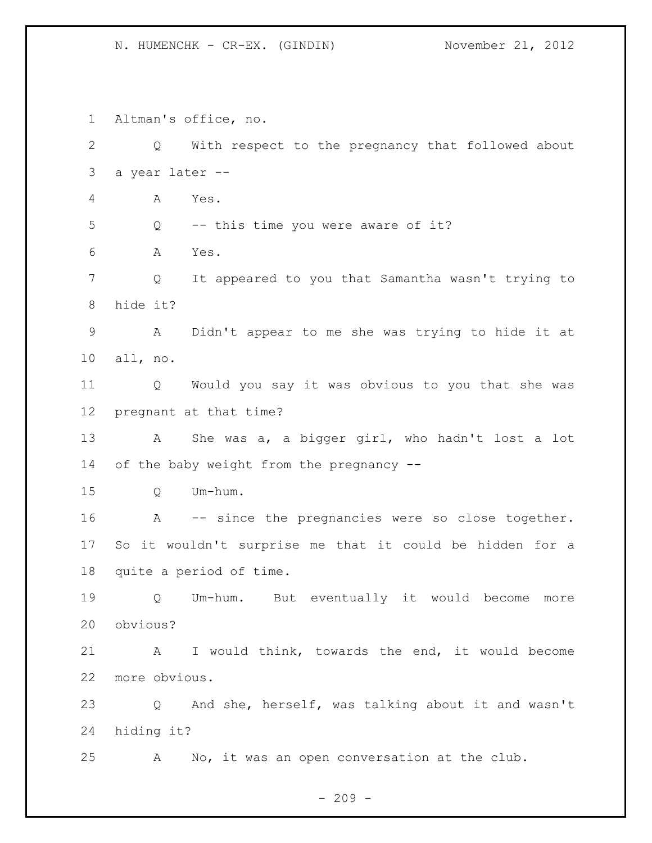Altman's office, no. Q With respect to the pregnancy that followed about a year later -- A Yes. Q -- this time you were aware of it? A Yes. Q It appeared to you that Samantha wasn't trying to hide it? A Didn't appear to me she was trying to hide it at all, no. Q Would you say it was obvious to you that she was pregnant at that time? A She was a, a bigger girl, who hadn't lost a lot 14 of the baby weight from the pregnancy -- Q Um-hum. A -- since the pregnancies were so close together. So it wouldn't surprise me that it could be hidden for a quite a period of time. Q Um-hum. But eventually it would become more obvious? A I would think, towards the end, it would become more obvious. Q And she, herself, was talking about it and wasn't hiding it? A No, it was an open conversation at the club.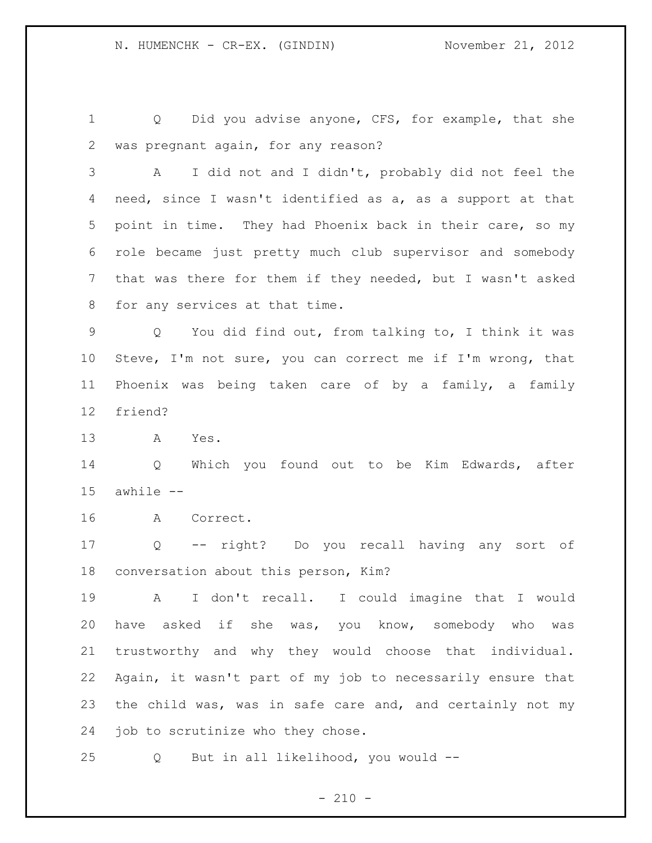1 Q Did you advise anyone, CFS, for example, that she was pregnant again, for any reason?

 A I did not and I didn't, probably did not feel the need, since I wasn't identified as a, as a support at that point in time. They had Phoenix back in their care, so my role became just pretty much club supervisor and somebody that was there for them if they needed, but I wasn't asked for any services at that time.

 Q You did find out, from talking to, I think it was Steve, I'm not sure, you can correct me if I'm wrong, that Phoenix was being taken care of by a family, a family friend?

A Yes.

 Q Which you found out to be Kim Edwards, after awhile --

A Correct.

 Q -- right? Do you recall having any sort of conversation about this person, Kim?

 A I don't recall. I could imagine that I would have asked if she was, you know, somebody who was trustworthy and why they would choose that individual. Again, it wasn't part of my job to necessarily ensure that the child was, was in safe care and, and certainly not my job to scrutinize who they chose.

Q But in all likelihood, you would --

 $- 210 -$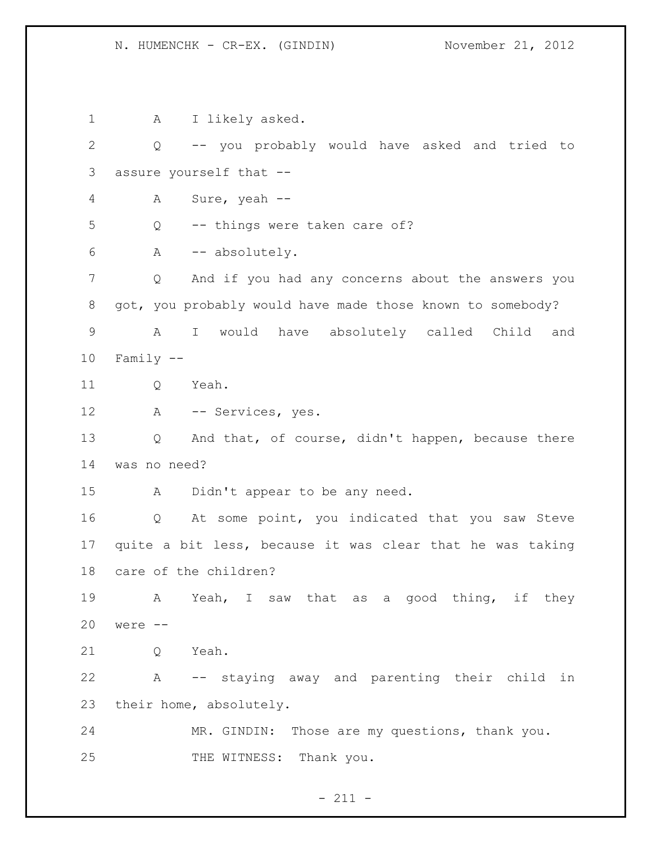1 A I likely asked. Q -- you probably would have asked and tried to assure yourself that -- A Sure, yeah -- Q -- things were taken care of? A -- absolutely. Q And if you had any concerns about the answers you got, you probably would have made those known to somebody? A I would have absolutely called Child and Family -- 11 O Yeah. A -- Services, yes. Q And that, of course, didn't happen, because there was no need? A Didn't appear to be any need. Q At some point, you indicated that you saw Steve quite a bit less, because it was clear that he was taking care of the children? A Yeah, I saw that as a good thing, if they were -- 21 O Yeah. A -- staying away and parenting their child in their home, absolutely. MR. GINDIN: Those are my questions, thank you. 25 THE WITNESS: Thank you.

 $- 211 -$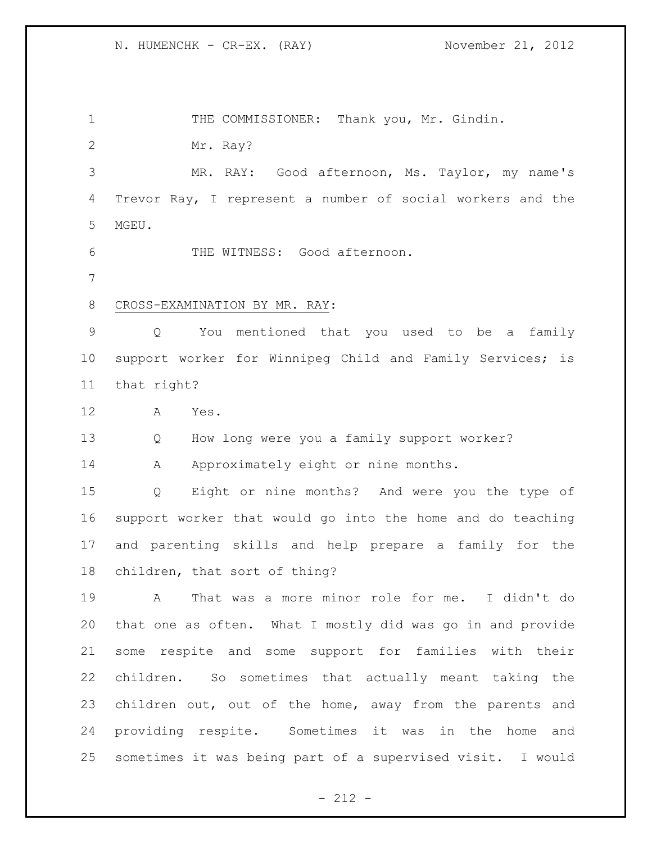1 THE COMMISSIONER: Thank you, Mr. Gindin.

Mr. Ray?

 MR. RAY: Good afternoon, Ms. Taylor, my name's Trevor Ray, I represent a number of social workers and the MGEU.

THE WITNESS: Good afternoon.

## CROSS-EXAMINATION BY MR. RAY:

 Q You mentioned that you used to be a family support worker for Winnipeg Child and Family Services; is that right?

- A Yes.
- Q How long were you a family support worker?

14 A Approximately eight or nine months.

 Q Eight or nine months? And were you the type of support worker that would go into the home and do teaching and parenting skills and help prepare a family for the children, that sort of thing?

 A That was a more minor role for me. I didn't do that one as often. What I mostly did was go in and provide some respite and some support for families with their children. So sometimes that actually meant taking the children out, out of the home, away from the parents and providing respite. Sometimes it was in the home and sometimes it was being part of a supervised visit. I would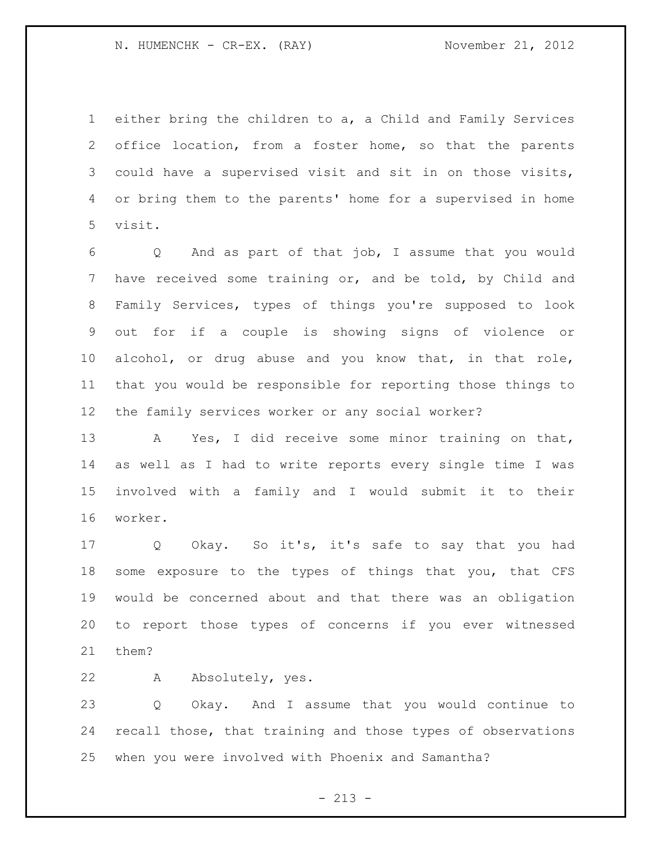either bring the children to a, a Child and Family Services office location, from a foster home, so that the parents could have a supervised visit and sit in on those visits, or bring them to the parents' home for a supervised in home visit.

 Q And as part of that job, I assume that you would have received some training or, and be told, by Child and Family Services, types of things you're supposed to look out for if a couple is showing signs of violence or alcohol, or drug abuse and you know that, in that role, that you would be responsible for reporting those things to the family services worker or any social worker?

 A Yes, I did receive some minor training on that, as well as I had to write reports every single time I was involved with a family and I would submit it to their worker.

 Q Okay. So it's, it's safe to say that you had some exposure to the types of things that you, that CFS would be concerned about and that there was an obligation to report those types of concerns if you ever witnessed them?

A Absolutely, yes.

 Q Okay. And I assume that you would continue to recall those, that training and those types of observations when you were involved with Phoenix and Samantha?

 $- 213 -$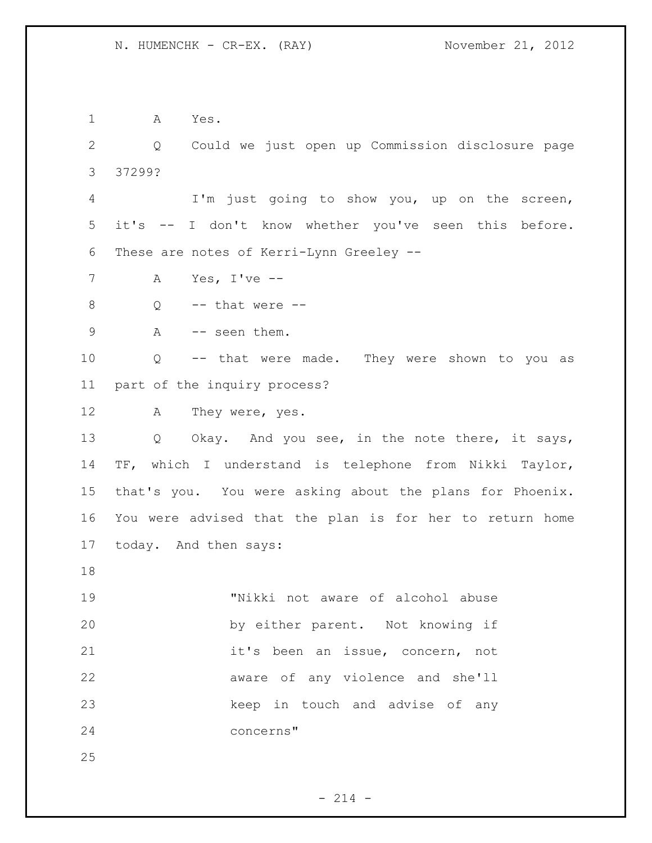A Yes.

 Q Could we just open up Commission disclosure page 37299?

 I'm just going to show you, up on the screen, it's -- I don't know whether you've seen this before. These are notes of Kerri-Lynn Greeley --

A Yes, I've --

- 8  $Q \rightarrow -t$  that were  $-$
- 9 A -- seen them.

 Q -- that were made. They were shown to you as part of the inquiry process?

A They were, yes.

13 Q Okay. And you see, in the note there, it says, TF, which I understand is telephone from Nikki Taylor, that's you. You were asking about the plans for Phoenix. You were advised that the plan is for her to return home today. And then says:

 "Nikki not aware of alcohol abuse by either parent. Not knowing if it's been an issue, concern, not aware of any violence and she'll keep in touch and advise of any concerns"

 $- 214 -$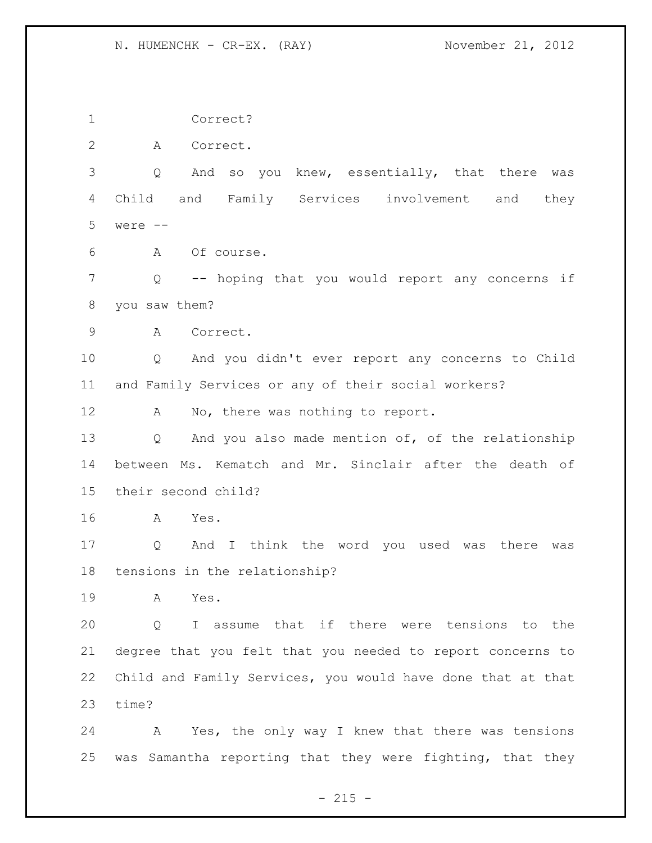N. HUMENCHK - CR-EX. (RAY) November 21, 2012

 Correct? A Correct. Q And so you knew, essentially, that there was Child and Family Services involvement and they were -- A Of course. Q -- hoping that you would report any concerns if you saw them? A Correct. Q And you didn't ever report any concerns to Child and Family Services or any of their social workers? 12 A No, there was nothing to report. Q And you also made mention of, of the relationship between Ms. Kematch and Mr. Sinclair after the death of their second child? A Yes. Q And I think the word you used was there was tensions in the relationship? A Yes. Q I assume that if there were tensions to the degree that you felt that you needed to report concerns to Child and Family Services, you would have done that at that time? A Yes, the only way I knew that there was tensions was Samantha reporting that they were fighting, that they

 $- 215 -$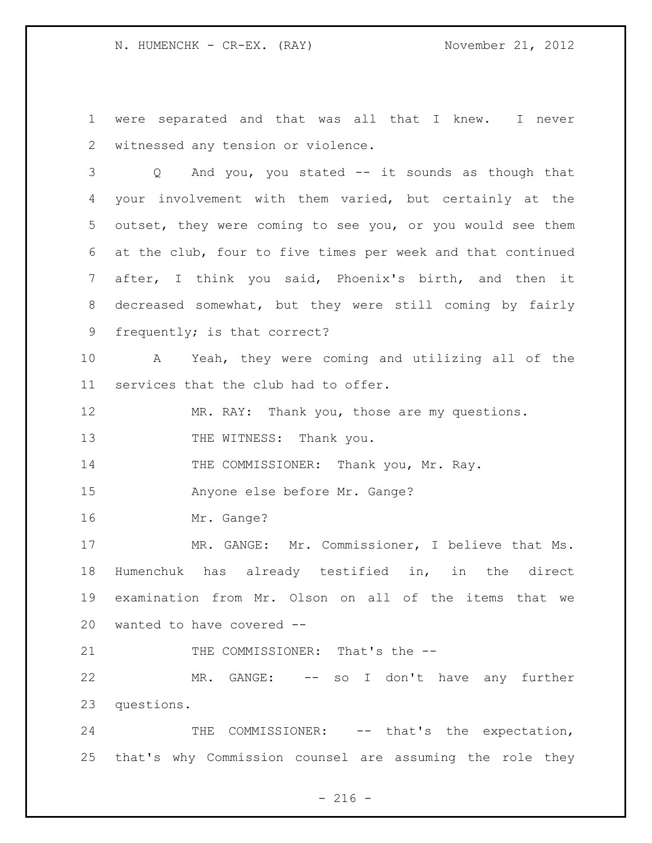N. HUMENCHK - CR-EX. (RAY) November 21, 2012

 were separated and that was all that I knew. I never witnessed any tension or violence.

 Q And you, you stated -- it sounds as though that your involvement with them varied, but certainly at the outset, they were coming to see you, or you would see them at the club, four to five times per week and that continued after, I think you said, Phoenix's birth, and then it decreased somewhat, but they were still coming by fairly frequently; is that correct?

 A Yeah, they were coming and utilizing all of the services that the club had to offer.

MR. RAY: Thank you, those are my questions.

13 THE WITNESS: Thank you.

14 THE COMMISSIONER: Thank you, Mr. Ray.

Anyone else before Mr. Gange?

Mr. Gange?

17 MR. GANGE: Mr. Commissioner, I believe that Ms. Humenchuk has already testified in, in the direct examination from Mr. Olson on all of the items that we wanted to have covered --

21 THE COMMISSIONER: That's the --

 MR. GANGE: -- so I don't have any further questions.

24 THE COMMISSIONER: -- that's the expectation, that's why Commission counsel are assuming the role they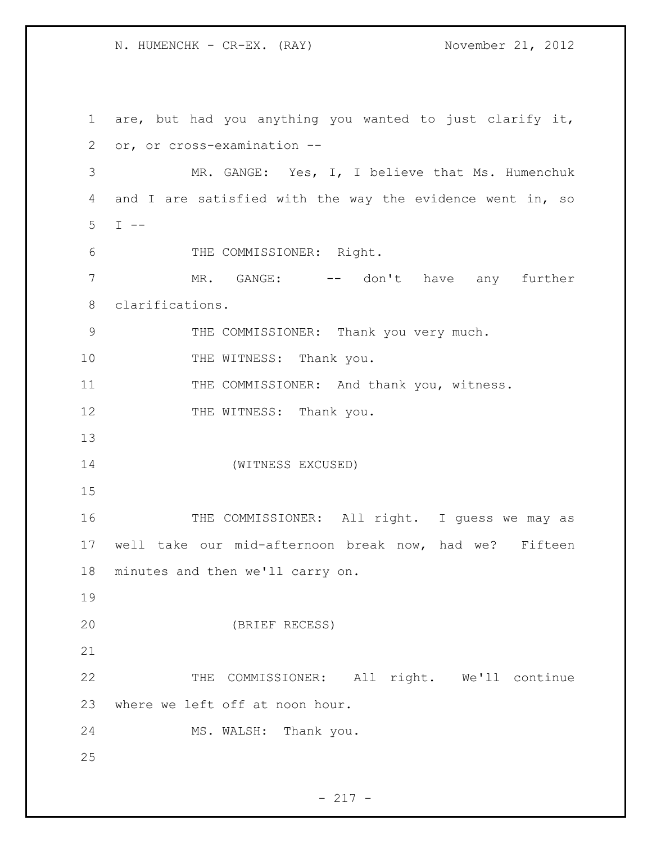N. HUMENCHK - CR-EX. (RAY) November 21, 2012

 are, but had you anything you wanted to just clarify it, or, or cross-examination -- MR. GANGE: Yes, I, I believe that Ms. Humenchuk and I are satisfied with the way the evidence went in, so  $5 \t I \t -$  THE COMMISSIONER: Right. 7 MR. GANGE: -- don't have any further clarifications. THE COMMISSIONER: Thank you very much. 10 THE WITNESS: Thank you. 11 THE COMMISSIONER: And thank you, witness. 12 THE WITNESS: Thank you. (WITNESS EXCUSED) 16 THE COMMISSIONER: All right. I guess we may as well take our mid-afternoon break now, had we? Fifteen minutes and then we'll carry on. (BRIEF RECESS) THE COMMISSIONER: All right. We'll continue where we left off at noon hour. MS. WALSH: Thank you.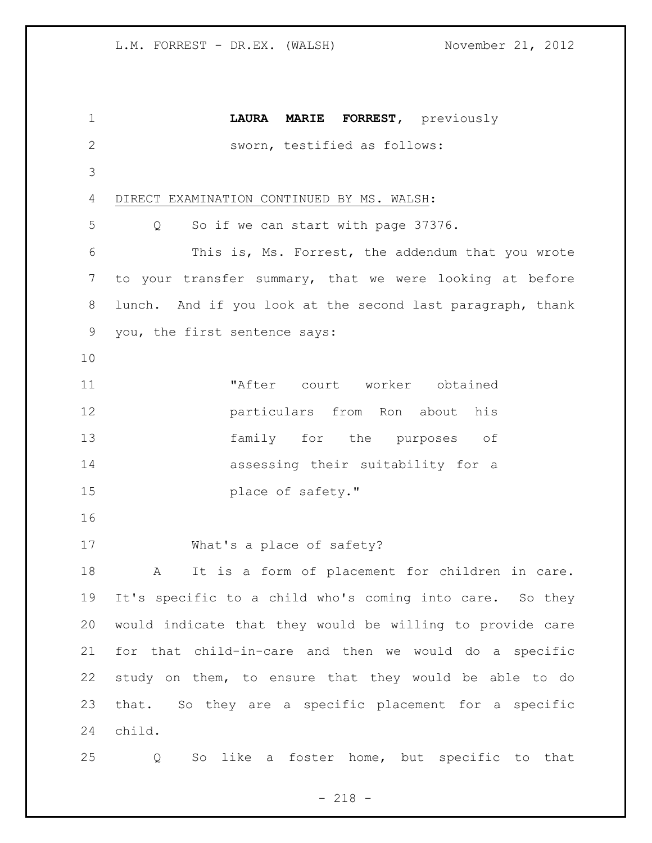| 1              | LAURA MARIE FORREST, previously                            |
|----------------|------------------------------------------------------------|
| $\overline{2}$ | sworn, testified as follows:                               |
| 3              |                                                            |
| 4              | DIRECT EXAMINATION CONTINUED BY MS. WALSH:                 |
| 5              | So if we can start with page 37376.<br>Q                   |
| 6              | This is, Ms. Forrest, the addendum that you wrote          |
| 7              | to your transfer summary, that we were looking at before   |
| 8              | lunch. And if you look at the second last paragraph, thank |
| 9              | you, the first sentence says:                              |
| 10             |                                                            |
| 11             | "After court worker obtained                               |
| 12             | particulars from Ron about his                             |
| 13             | family for the purposes of                                 |
| 14             | assessing their suitability for a                          |
| 15             | place of safety."                                          |
| 16             |                                                            |
| 17             | What's a place of safety?                                  |
| 18             | It is a form of placement for children in care.<br>A       |
| 19             | It's specific to a child who's coming into care. So they   |
| 20             | would indicate that they would be willing to provide care  |
| 21             | for that child-in-care and then we would do a specific     |
| 22             | study on them, to ensure that they would be able to do     |
| 23             | that. So they are a specific placement for a specific      |
| 24             | child.                                                     |
| 25             | like a foster home, but specific to that<br>So<br>Q        |

- 218 -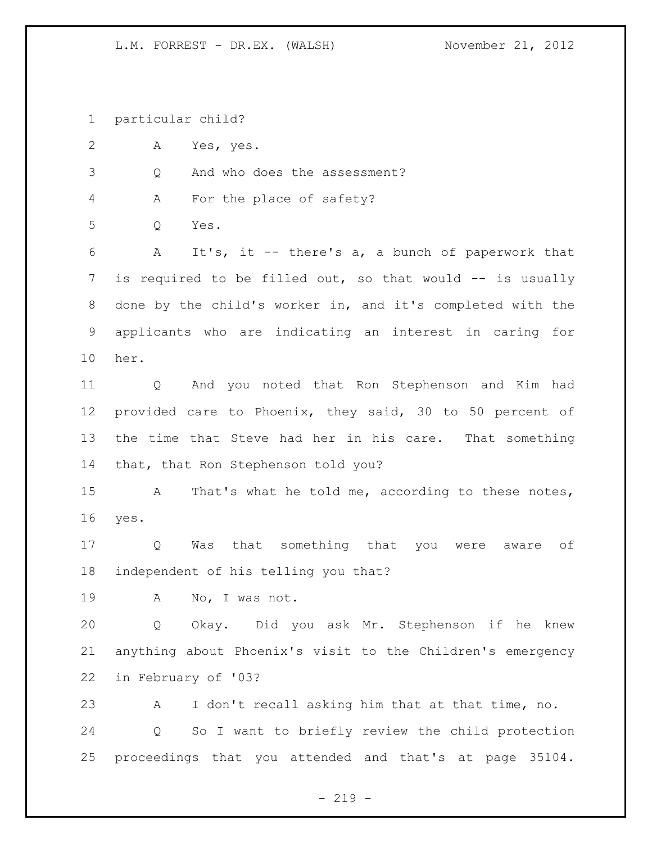particular child?

A Yes, yes.

Q And who does the assessment?

A For the place of safety?

Q Yes.

 A It's, it -- there's a, a bunch of paperwork that 7 is required to be filled out, so that would -- is usually done by the child's worker in, and it's completed with the applicants who are indicating an interest in caring for her.

 Q And you noted that Ron Stephenson and Kim had provided care to Phoenix, they said, 30 to 50 percent of the time that Steve had her in his care. That something that, that Ron Stephenson told you?

 A That's what he told me, according to these notes, yes.

 Q Was that something that you were aware of independent of his telling you that?

A No, I was not.

 Q Okay. Did you ask Mr. Stephenson if he knew anything about Phoenix's visit to the Children's emergency in February of '03?

 A I don't recall asking him that at that time, no. Q So I want to briefly review the child protection proceedings that you attended and that's at page 35104.

 $-219 -$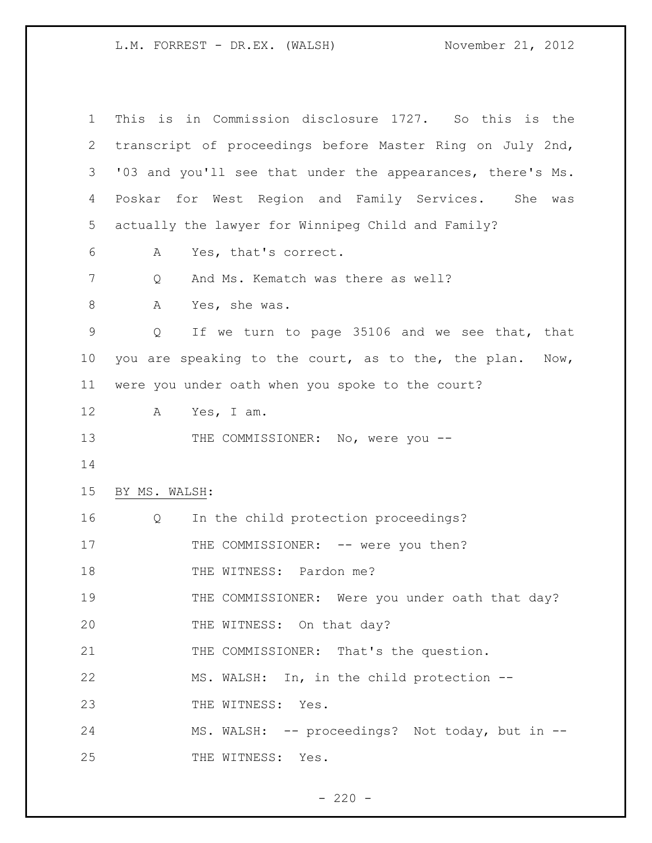| 1       | This is in Commission disclosure 1727. So this is the                   |
|---------|-------------------------------------------------------------------------|
| 2       | transcript of proceedings before Master Ring on July 2nd,               |
| 3       | '03 and you'll see that under the appearances, there's Ms.              |
| 4       | Poskar for West Region and Family Services. She<br>was                  |
| 5       | actually the lawyer for Winnipeg Child and Family?                      |
| 6       | Yes, that's correct.<br>A                                               |
| 7       | And Ms. Kematch was there as well?<br>Q                                 |
| $\,8\,$ | A<br>Yes, she was.                                                      |
| 9       | If we turn to page 35106 and we see that, that<br>Q                     |
| 10      | you are speaking to the court, as to the, the plan.<br>$\texttt{Now}$ , |
| 11      | were you under oath when you spoke to the court?                        |
| 12      | A<br>Yes, I am.                                                         |
| 13      | THE COMMISSIONER: No, were you --                                       |
| 14      |                                                                         |
| 15      | BY MS. WALSH:                                                           |
| 16      | In the child protection proceedings?<br>Q                               |
| 17      | THE COMMISSIONER: -- were you then?                                     |
| 18      | THE WITNESS: Pardon me?                                                 |
| 19      | THE COMMISSIONER: Were you under oath that day?                         |
| 20      | THE WITNESS: On that day?                                               |
| 21      | THE COMMISSIONER: That's the question.                                  |
| 22      | MS. WALSH: In, in the child protection --                               |
| 23      | THE WITNESS: Yes.                                                       |
| 24      | MS. WALSH: -- proceedings? Not today, but in --                         |
| 25      | THE WITNESS: Yes.                                                       |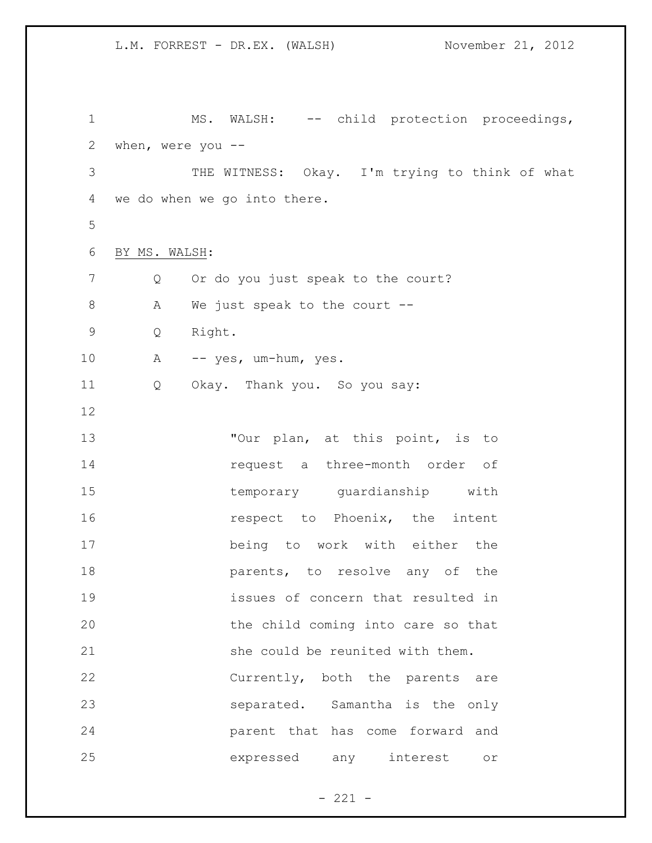1 MS. WALSH: -- child protection proceedings, when, were you -- THE WITNESS: Okay. I'm trying to think of what we do when we go into there. BY MS. WALSH: 7 Q Or do you just speak to the court? 8 A We just speak to the court -- Q Right. A -- yes, um-hum, yes. Q Okay. Thank you. So you say: 13 Tour plan, at this point, is to request a three-month order of temporary guardianship with **16** respect to Phoenix, the intent being to work with either the **parents**, to resolve any of the issues of concern that resulted in the child coming into care so that 21 she could be reunited with them. Currently, both the parents are separated. Samantha is the only parent that has come forward and expressed any interest or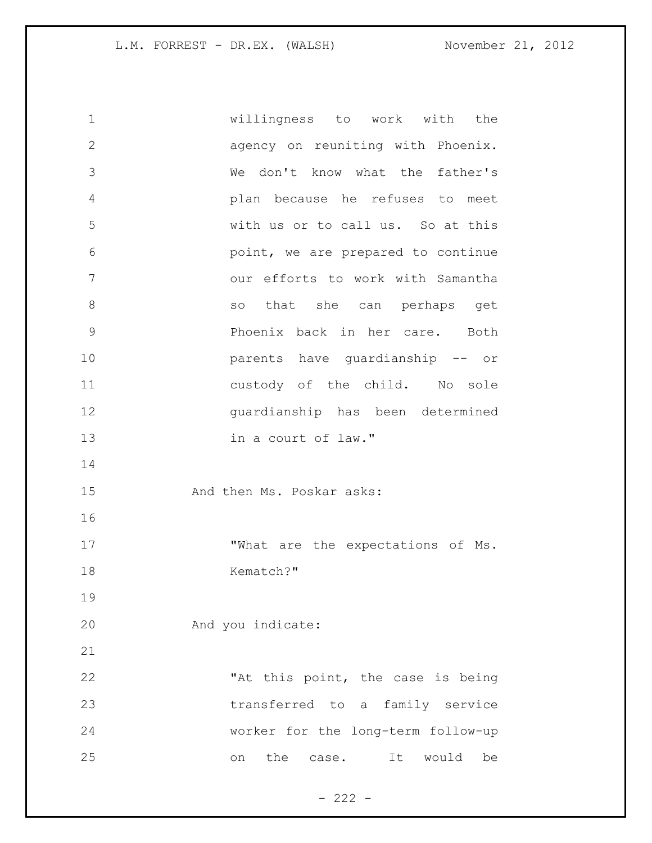willingness to work with the agency on reuniting with Phoenix. We don't know what the father's plan because he refuses to meet with us or to call us. So at this point, we are prepared to continue our efforts to work with Samantha 8 and so that she can perhaps get Phoenix back in her care. Both parents have guardianship -- or custody of the child. No sole guardianship has been determined in a court of law." 15 And then Ms. Poskar asks: 17 What are the expectations of Ms. 18 Kematch?" And you indicate: 22 This point, the case is being transferred to a family service worker for the long-term follow-up on the case. It would be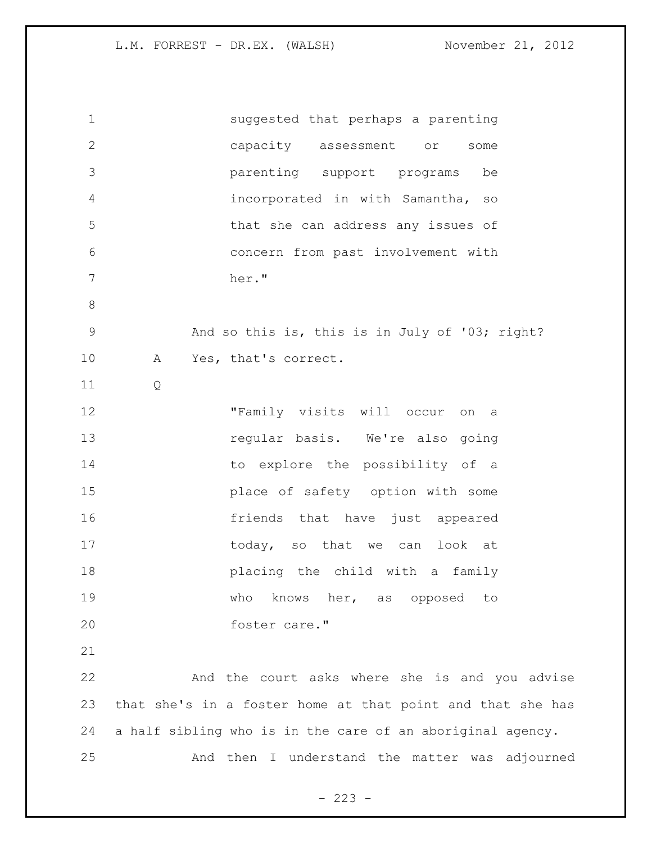| $\mathbf 1$    | suggested that perhaps a parenting                         |
|----------------|------------------------------------------------------------|
| 2              | capacity assessment or<br>some                             |
| 3              | parenting support programs<br>be                           |
| 4              | incorporated in with Samantha, so                          |
| 5              | that she can address any issues of                         |
| 6              | concern from past involvement with                         |
| $7\phantom{.}$ | her."                                                      |
| 8              |                                                            |
| $\mathsf 9$    | And so this is, this is in July of '03; right?             |
| 10             | Yes, that's correct.<br>Α                                  |
| 11             | Q                                                          |
| 12             | "Family visits will occur on a                             |
| 13             | regular basis. We're also going                            |
| 14             | to explore the possibility of a                            |
| 15             | place of safety option with some                           |
| 16             | friends that have just appeared                            |
| 17             | today, so that we can look at                              |
| 18             | placing the child with a family                            |
| 19             | who<br>knows her, as opposed to                            |
| 20             | foster care."                                              |
| 21             |                                                            |
| 22             | And the court asks where she is and you advise             |
| 23             | that she's in a foster home at that point and that she has |
| 24             | a half sibling who is in the care of an aboriginal agency. |
| 25             | And then I understand the matter was adjourned             |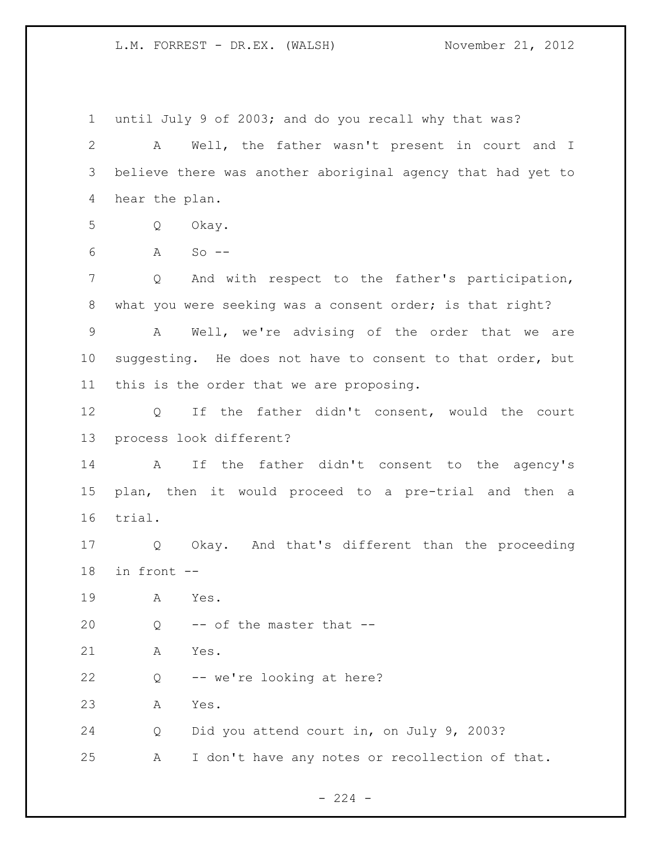until July 9 of 2003; and do you recall why that was? A Well, the father wasn't present in court and I believe there was another aboriginal agency that had yet to hear the plan. Q Okay. A So -- Q And with respect to the father's participation, 8 what you were seeking was a consent order; is that right? A Well, we're advising of the order that we are suggesting. He does not have to consent to that order, but this is the order that we are proposing. Q If the father didn't consent, would the court process look different? A If the father didn't consent to the agency's plan, then it would proceed to a pre-trial and then a trial. Q Okay. And that's different than the proceeding in front -- A Yes.  $Q \rightarrow -$  of the master that  $-$  A Yes. Q -- we're looking at here? A Yes. Q Did you attend court in, on July 9, 2003? A I don't have any notes or recollection of that.

 $-224 -$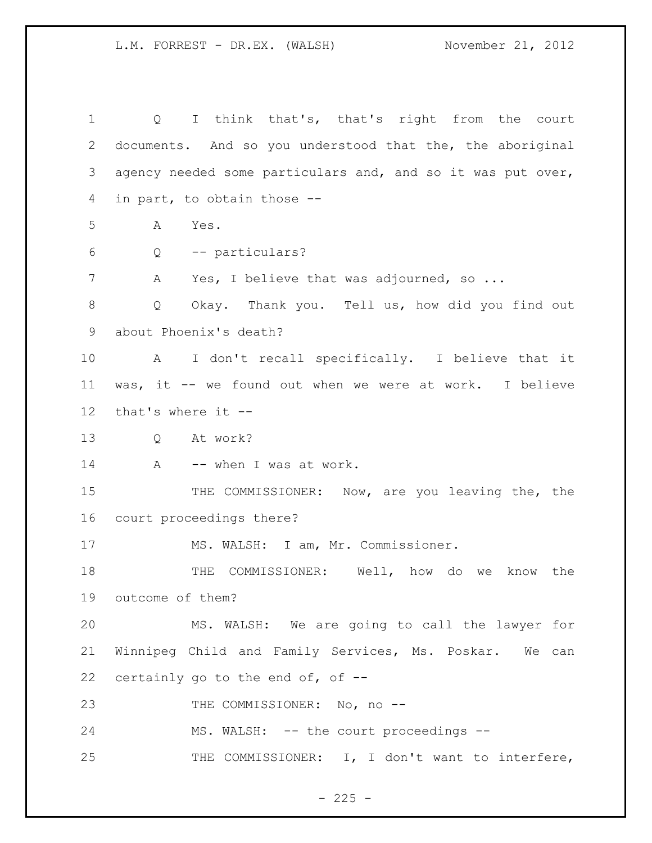Q I think that's, that's right from the court documents. And so you understood that the, the aboriginal agency needed some particulars and, and so it was put over, in part, to obtain those -- A Yes. Q -- particulars? A Yes, I believe that was adjourned, so ... Q Okay. Thank you. Tell us, how did you find out about Phoenix's death? A I don't recall specifically. I believe that it was, it -- we found out when we were at work. I believe that's where it -- Q At work? 14 A -- when I was at work. 15 THE COMMISSIONER: Now, are you leaving the, the court proceedings there? 17 MS. WALSH: I am, Mr. Commissioner. 18 THE COMMISSIONER: Well, how do we know the outcome of them? MS. WALSH: We are going to call the lawyer for Winnipeg Child and Family Services, Ms. Poskar. We can certainly go to the end of, of -- 23 THE COMMISSIONER: No, no --24 MS. WALSH: -- the court proceedings --25 THE COMMISSIONER: I, I don't want to interfere,

 $- 225 -$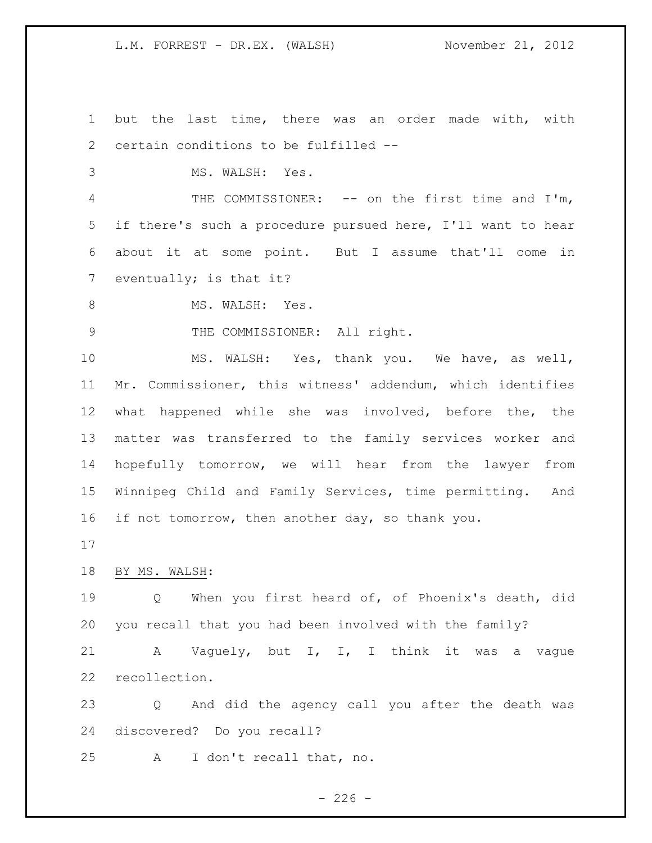but the last time, there was an order made with, with certain conditions to be fulfilled -- MS. WALSH: Yes. THE COMMISSIONER: -- on the first time and I'm, if there's such a procedure pursued here, I'll want to hear about it at some point. But I assume that'll come in 7 eventually; is that it? 8 MS. WALSH: Yes. 9 THE COMMISSIONER: All right. MS. WALSH: Yes, thank you. We have, as well, Mr. Commissioner, this witness' addendum, which identifies what happened while she was involved, before the, the matter was transferred to the family services worker and hopefully tomorrow, we will hear from the lawyer from Winnipeg Child and Family Services, time permitting. And if not tomorrow, then another day, so thank you. BY MS. WALSH: Q When you first heard of, of Phoenix's death, did you recall that you had been involved with the family? A Vaguely, but I, I, I think it was a vague recollection. Q And did the agency call you after the death was discovered? Do you recall?

A I don't recall that, no.

 $-226 -$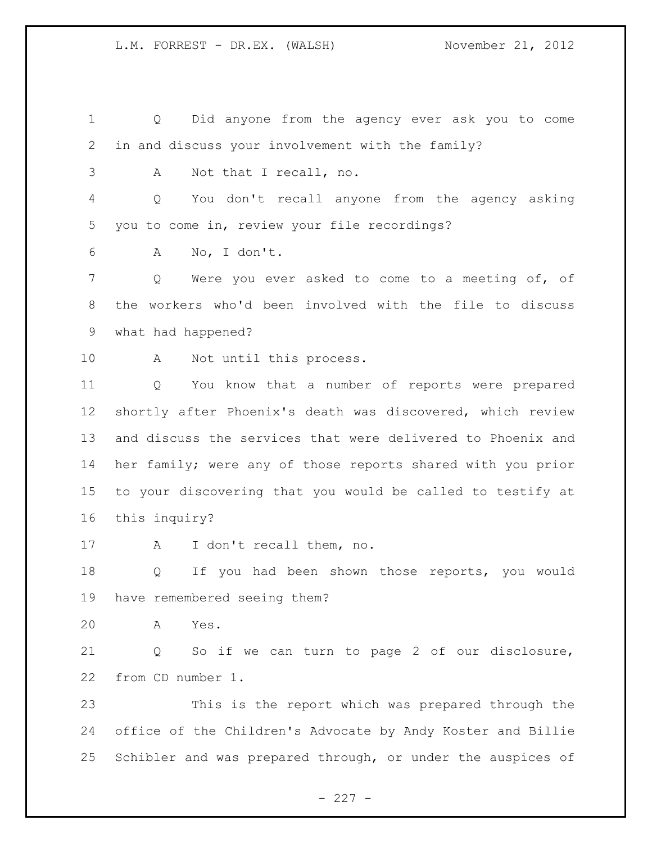Q Did anyone from the agency ever ask you to come in and discuss your involvement with the family?

A Not that I recall, no.

 Q You don't recall anyone from the agency asking you to come in, review your file recordings?

A No, I don't.

 Q Were you ever asked to come to a meeting of, of the workers who'd been involved with the file to discuss what had happened?

10 A Not until this process.

 Q You know that a number of reports were prepared shortly after Phoenix's death was discovered, which review and discuss the services that were delivered to Phoenix and her family; were any of those reports shared with you prior to your discovering that you would be called to testify at this inquiry?

17 A I don't recall them, no.

 Q If you had been shown those reports, you would have remembered seeing them?

A Yes.

 Q So if we can turn to page 2 of our disclosure, from CD number 1.

 This is the report which was prepared through the office of the Children's Advocate by Andy Koster and Billie Schibler and was prepared through, or under the auspices of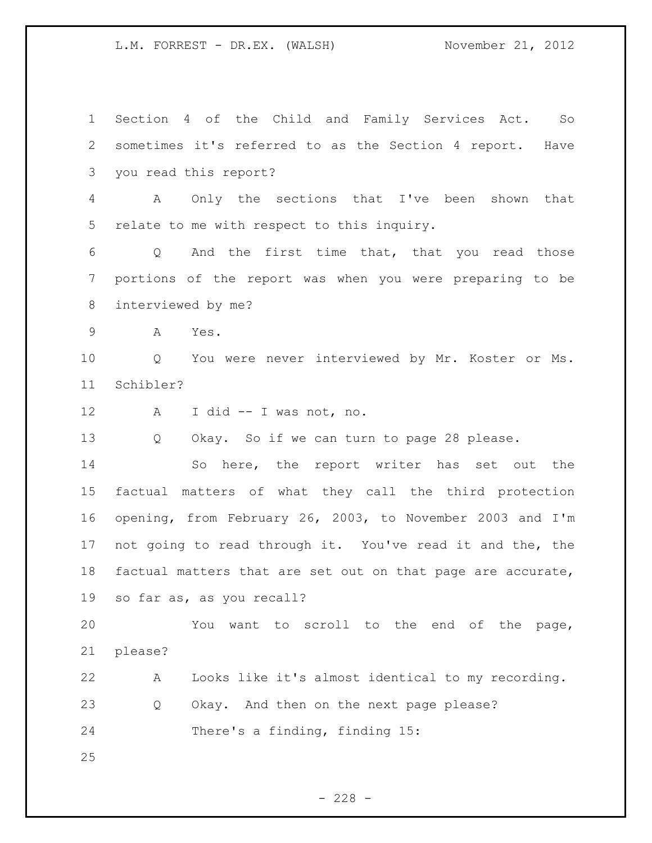Section 4 of the Child and Family Services Act. So sometimes it's referred to as the Section 4 report. Have you read this report? A Only the sections that I've been shown that relate to me with respect to this inquiry. Q And the first time that, that you read those portions of the report was when you were preparing to be interviewed by me? A Yes. Q You were never interviewed by Mr. Koster or Ms. Schibler? A I did -- I was not, no. Q Okay. So if we can turn to page 28 please. So here, the report writer has set out the factual matters of what they call the third protection opening, from February 26, 2003, to November 2003 and I'm not going to read through it. You've read it and the, the factual matters that are set out on that page are accurate, so far as, as you recall? You want to scroll to the end of the page, please? A Looks like it's almost identical to my recording. Q Okay. And then on the next page please? There's a finding, finding 15: 

 $- 228 -$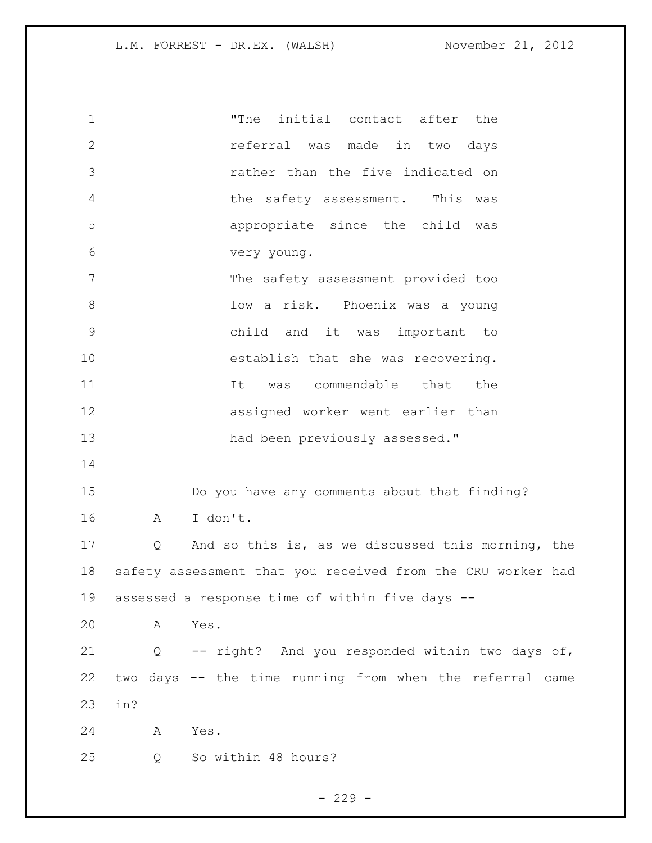| $\mathbf 1$    |     | "The<br>initial contact after the                           |
|----------------|-----|-------------------------------------------------------------|
| $\mathbf{2}$   |     | referral was made in two days                               |
| 3              |     | rather than the five indicated on                           |
| $\overline{4}$ |     | the safety assessment. This was                             |
| 5              |     | appropriate since the child was                             |
| 6              |     | very young.                                                 |
| 7              |     | The safety assessment provided too                          |
| $8\,$          |     | low a risk. Phoenix was a young                             |
| $\mathsf 9$    |     | child and it was important to                               |
| 10             |     | establish that she was recovering.                          |
| 11             |     | was commendable that the<br>It                              |
| 12             |     | assigned worker went earlier than                           |
| 13             |     | had been previously assessed."                              |
| 14             |     |                                                             |
| 15             |     | Do you have any comments about that finding?                |
| 16             | Α   | I don't.                                                    |
| 17             | Q   | And so this is, as we discussed this morning, the           |
| 18             |     | safety assessment that you received from the CRU worker had |
| 19             |     | assessed a response time of within five days --             |
| 20             | Α   | Yes.                                                        |
| 21             | Q   | -- right? And you responded within two days of,             |
| 22             |     | two days -- the time running from when the referral came    |
| 23             | in? |                                                             |
| 24             | Α   | Yes.                                                        |
| 25             | Q   | So within 48 hours?                                         |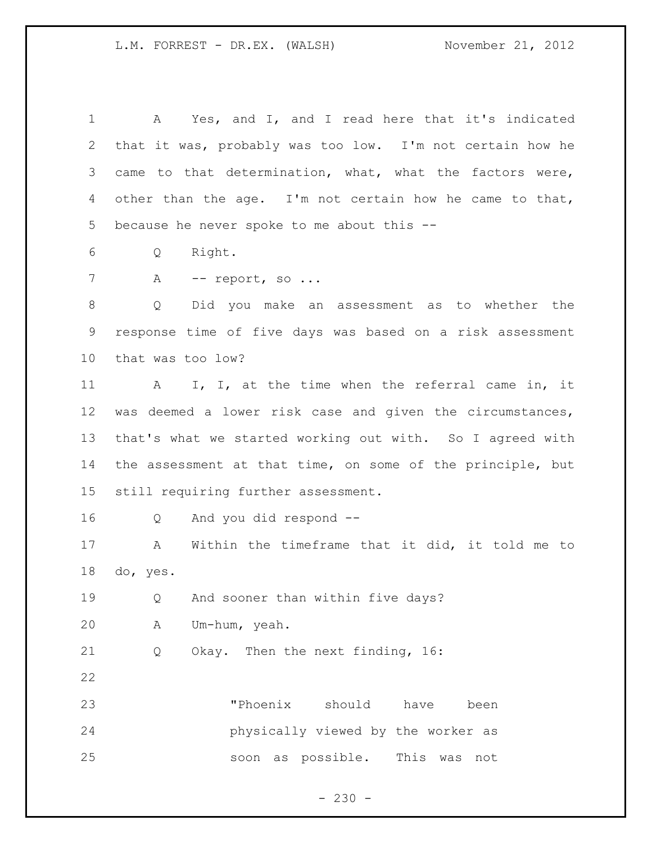A Yes, and I, and I read here that it's indicated that it was, probably was too low. I'm not certain how he came to that determination, what, what the factors were, other than the age. I'm not certain how he came to that, because he never spoke to me about this -- Q Right. 7 A -- report, so ... Q Did you make an assessment as to whether the response time of five days was based on a risk assessment that was too low? A I, I, at the time when the referral came in, it was deemed a lower risk case and given the circumstances, that's what we started working out with. So I agreed with the assessment at that time, on some of the principle, but still requiring further assessment. Q And you did respond -- A Within the timeframe that it did, it told me to do, yes. Q And sooner than within five days? A Um-hum, yeah. Q Okay. Then the next finding, 16: "Phoenix should have been physically viewed by the worker as soon as possible. This was not

 $- 230 -$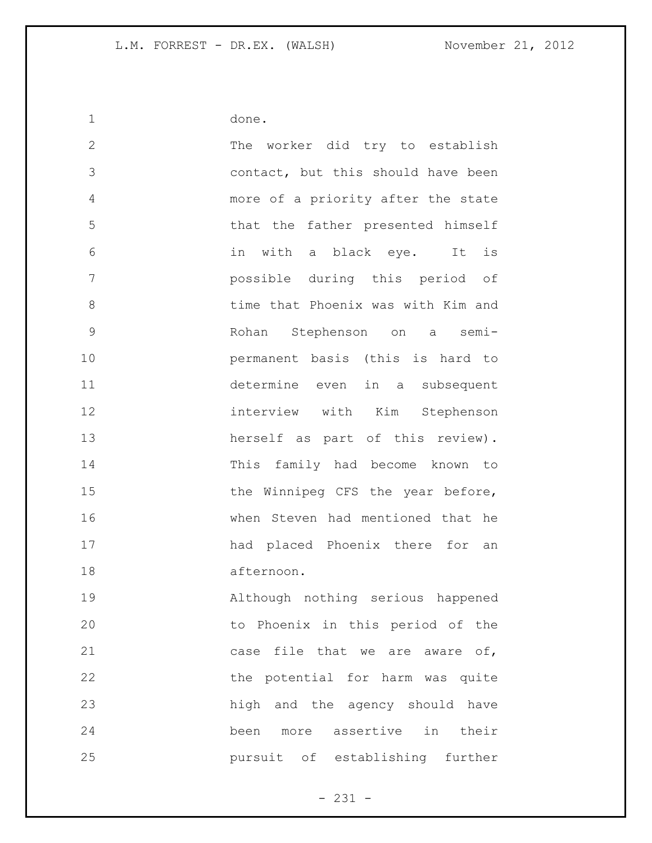done.

 The worker did try to establish contact, but this should have been more of a priority after the state that the father presented himself in with a black eye. It is possible during this period of time that Phoenix was with Kim and Rohan Stephenson on a semi- permanent basis (this is hard to determine even in a subsequent interview with Kim Stephenson herself as part of this review). This family had become known to 15 the Winnipeg CFS the year before, when Steven had mentioned that he had placed Phoenix there for an afternoon. Although nothing serious happened to Phoenix in this period of the 21 case file that we are aware of, 22 the potential for harm was quite high and the agency should have

 been more assertive in their pursuit of establishing further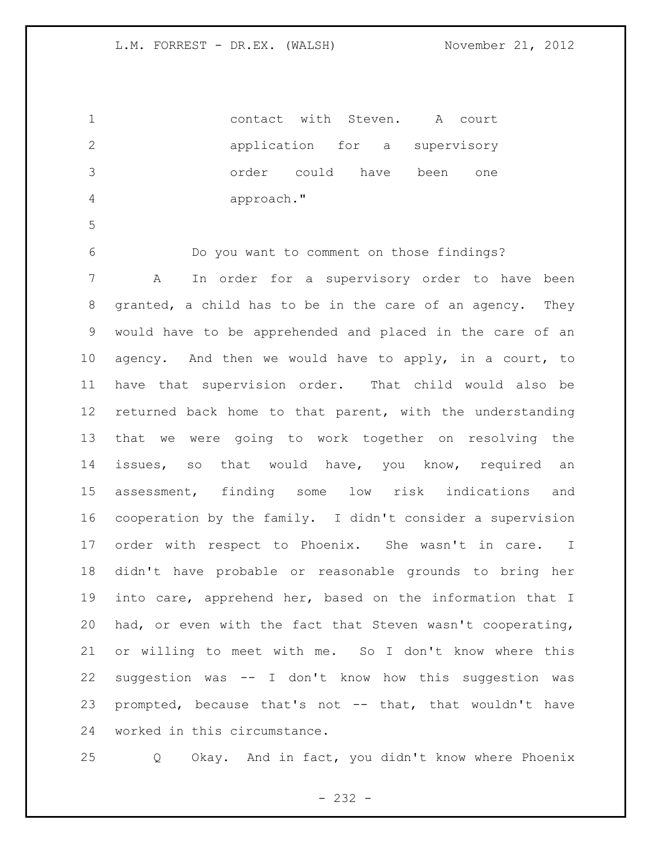contact with Steven. A court application for a supervisory order could have been one approach." Do you want to comment on those findings? A In order for a supervisory order to have been granted, a child has to be in the care of an agency. They would have to be apprehended and placed in the care of an agency. And then we would have to apply, in a court, to have that supervision order. That child would also be returned back home to that parent, with the understanding that we were going to work together on resolving the issues, so that would have, you know, required an assessment, finding some low risk indications and cooperation by the family. I didn't consider a supervision order with respect to Phoenix. She wasn't in care. I didn't have probable or reasonable grounds to bring her into care, apprehend her, based on the information that I had, or even with the fact that Steven wasn't cooperating, or willing to meet with me. So I don't know where this suggestion was -- I don't know how this suggestion was prompted, because that's not -- that, that wouldn't have worked in this circumstance. Q Okay. And in fact, you didn't know where Phoenix

- 232 -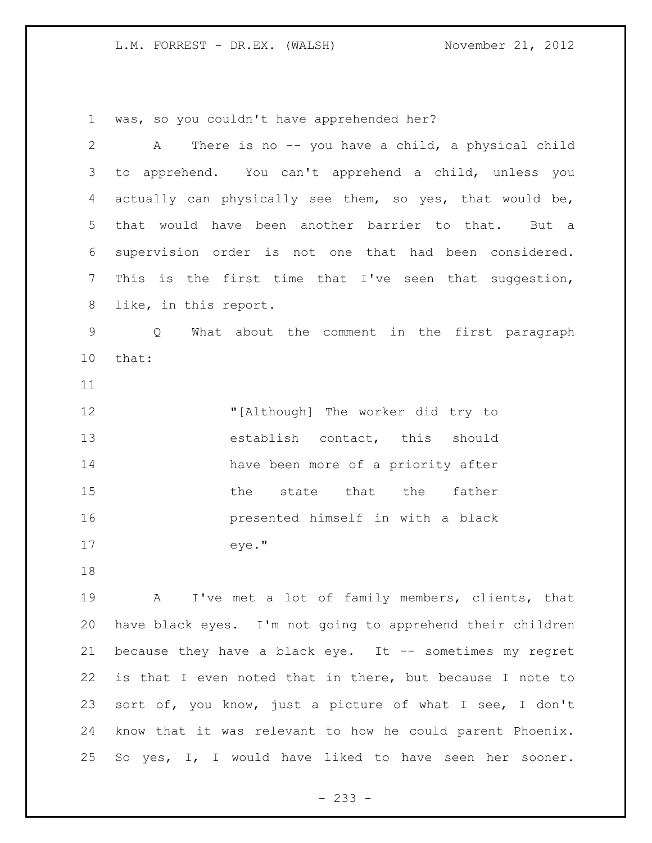was, so you couldn't have apprehended her?

| $\overline{2}$ | There is no -- you have a child, a physical child<br>Α     |
|----------------|------------------------------------------------------------|
| 3              | to apprehend. You can't apprehend a child, unless you      |
| 4              | actually can physically see them, so yes, that would be,   |
| 5              | that would have been another barrier to that. But a        |
| 6              | supervision order is not one that had been considered.     |
| $\overline{7}$ | This is the first time that I've seen that suggestion,     |
| 8              | like, in this report.                                      |
| $\mathsf 9$    | What about the comment in the first paragraph<br>Q         |
| 10             | that:                                                      |
| 11             |                                                            |
| 12             | "[Although] The worker did try to                          |
| 13             | establish contact, this should                             |
| 14             | have been more of a priority after                         |
| 15             | state that the<br>the<br>father                            |
| 16             | presented himself in with a black                          |
| 17             | eye."                                                      |
| 18             |                                                            |
| 19             | I've met a lot of family members, clients, that<br>Α       |
| 20             | have black eyes. I'm not going to apprehend their children |
| 21             | because they have a black eye. It -- sometimes my regret   |
| 22             | is that I even noted that in there, but because I note to  |
| 23             | sort of, you know, just a picture of what I see, I don't   |
| 24             | know that it was relevant to how he could parent Phoenix.  |
| 25             | So yes, I, I would have liked to have seen her sooner.     |

- 233 -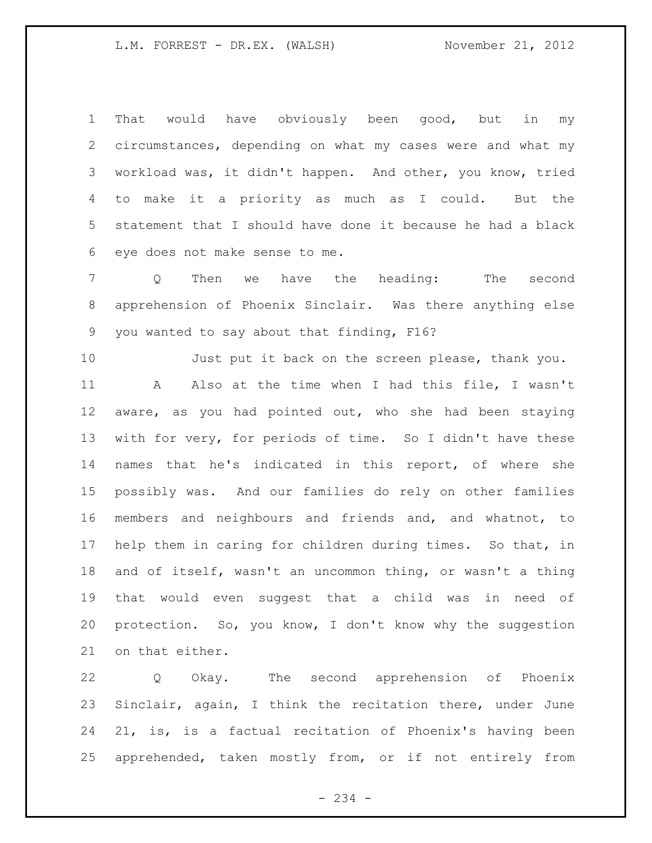That would have obviously been good, but in my circumstances, depending on what my cases were and what my workload was, it didn't happen. And other, you know, tried to make it a priority as much as I could. But the statement that I should have done it because he had a black eye does not make sense to me.

 Q Then we have the heading: The second apprehension of Phoenix Sinclair. Was there anything else you wanted to say about that finding, F16?

10 Just put it back on the screen please, thank you. A Also at the time when I had this file, I wasn't aware, as you had pointed out, who she had been staying with for very, for periods of time. So I didn't have these names that he's indicated in this report, of where she possibly was. And our families do rely on other families members and neighbours and friends and, and whatnot, to help them in caring for children during times. So that, in and of itself, wasn't an uncommon thing, or wasn't a thing that would even suggest that a child was in need of protection. So, you know, I don't know why the suggestion on that either.

 Q Okay. The second apprehension of Phoenix Sinclair, again, I think the recitation there, under June 21, is, is a factual recitation of Phoenix's having been apprehended, taken mostly from, or if not entirely from

- 234 -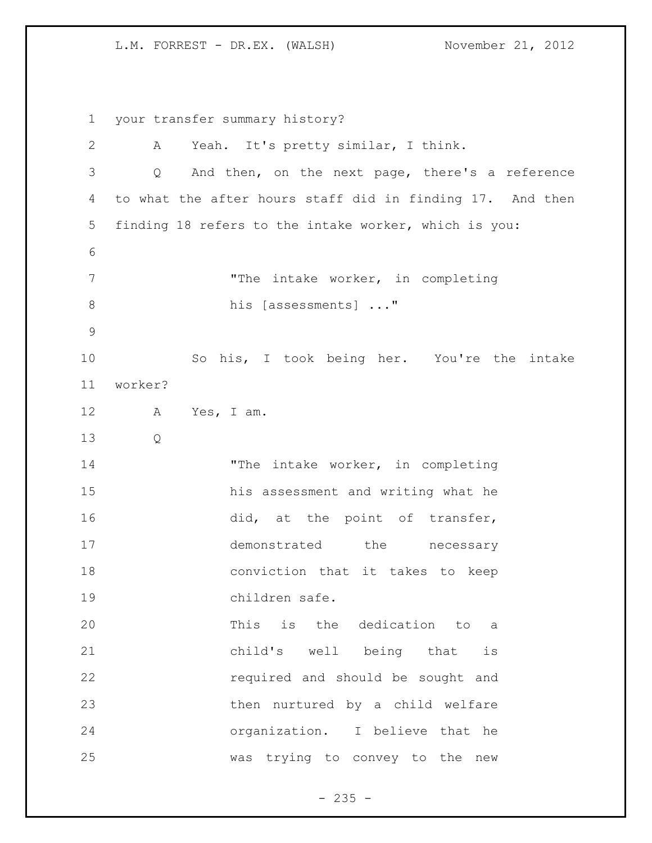your transfer summary history? A Yeah. It's pretty similar, I think. Q And then, on the next page, there's a reference to what the after hours staff did in finding 17. And then finding 18 refers to the intake worker, which is you: 7 The intake worker, in completing 8 his [assessments] ..." So his, I took being her. You're the intake worker? A Yes, I am. Q 14 The intake worker, in completing his assessment and writing what he 16 did, at the point of transfer, 17 demonstrated the necessary conviction that it takes to keep children safe. This is the dedication to a child's well being that is required and should be sought and then nurtured by a child welfare organization. I believe that he was trying to convey to the new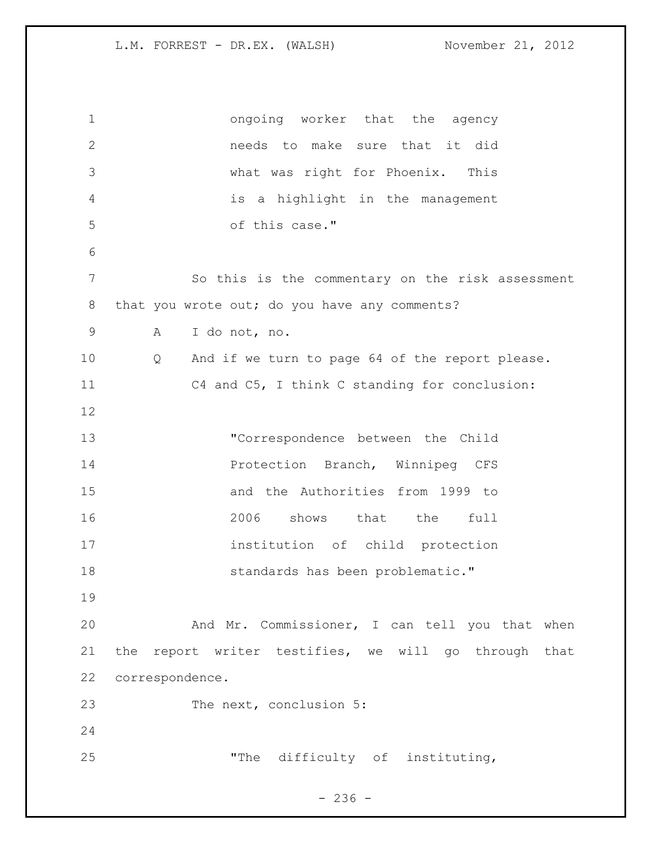ongoing worker that the agency needs to make sure that it did what was right for Phoenix. This is a highlight in the management of this case." So this is the commentary on the risk assessment 8 that you wrote out; do you have any comments? A I do not, no. Q And if we turn to page 64 of the report please. C4 and C5, I think C standing for conclusion: "Correspondence between the Child Protection Branch, Winnipeg CFS and the Authorities from 1999 to 2006 shows that the full institution of child protection **Standards** has been problematic." And Mr. Commissioner, I can tell you that when the report writer testifies, we will go through that correspondence. 23 The next, conclusion 5: "The difficulty of instituting,

 $-236 -$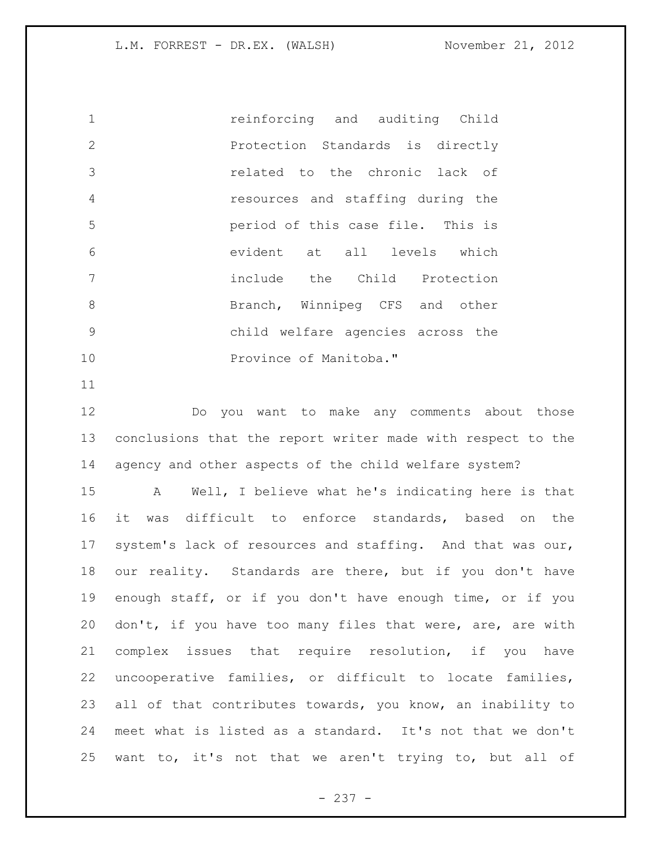reinforcing and auditing Child Protection Standards is directly related to the chronic lack of resources and staffing during the period of this case file. This is evident at all levels which include the Child Protection 8 Branch, Winnipeg CFS and other child welfare agencies across the 10 Province of Manitoba."

 Do you want to make any comments about those conclusions that the report writer made with respect to the agency and other aspects of the child welfare system?

 A Well, I believe what he's indicating here is that it was difficult to enforce standards, based on the system's lack of resources and staffing. And that was our, our reality. Standards are there, but if you don't have enough staff, or if you don't have enough time, or if you 20 don't, if you have too many files that were, are, are with complex issues that require resolution, if you have uncooperative families, or difficult to locate families, all of that contributes towards, you know, an inability to meet what is listed as a standard. It's not that we don't want to, it's not that we aren't trying to, but all of

- 237 -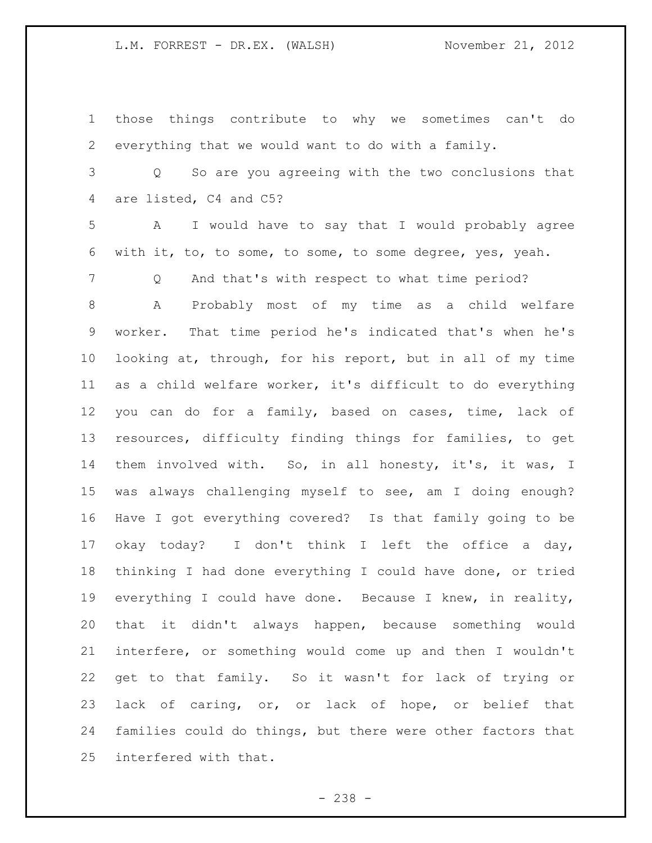those things contribute to why we sometimes can't do everything that we would want to do with a family.

 Q So are you agreeing with the two conclusions that are listed, C4 and C5?

 A I would have to say that I would probably agree with it, to, to some, to some, to some degree, yes, yeah.

Q And that's with respect to what time period?

 A Probably most of my time as a child welfare worker. That time period he's indicated that's when he's looking at, through, for his report, but in all of my time as a child welfare worker, it's difficult to do everything you can do for a family, based on cases, time, lack of resources, difficulty finding things for families, to get them involved with. So, in all honesty, it's, it was, I was always challenging myself to see, am I doing enough? Have I got everything covered? Is that family going to be okay today? I don't think I left the office a day, thinking I had done everything I could have done, or tried everything I could have done. Because I knew, in reality, that it didn't always happen, because something would interfere, or something would come up and then I wouldn't get to that family. So it wasn't for lack of trying or lack of caring, or, or lack of hope, or belief that families could do things, but there were other factors that interfered with that.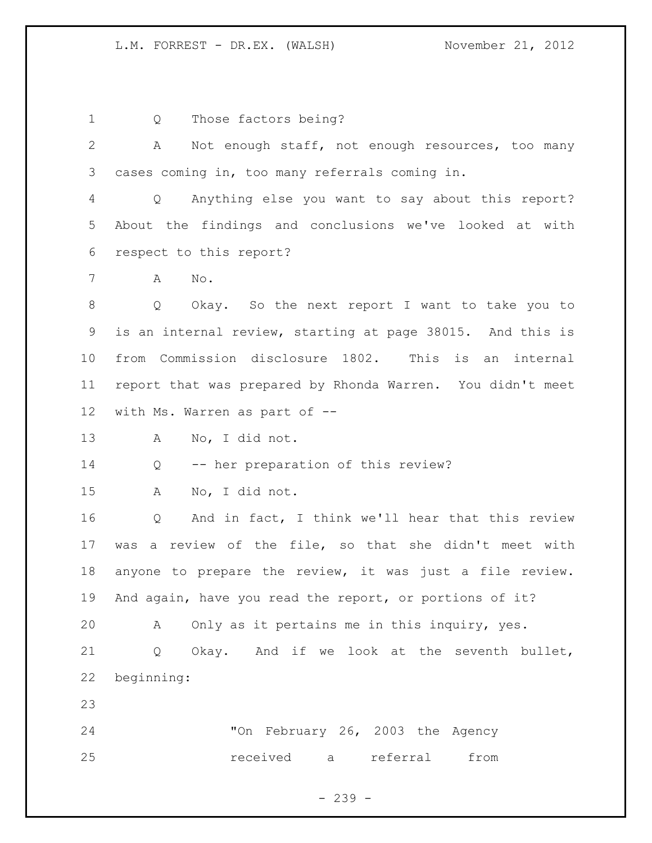Q Those factors being?

 A Not enough staff, not enough resources, too many cases coming in, too many referrals coming in.

 Q Anything else you want to say about this report? About the findings and conclusions we've looked at with respect to this report?

A No.

 Q Okay. So the next report I want to take you to is an internal review, starting at page 38015. And this is from Commission disclosure 1802. This is an internal report that was prepared by Rhonda Warren. You didn't meet with Ms. Warren as part of --

A No, I did not.

Q -- her preparation of this review?

A No, I did not.

 Q And in fact, I think we'll hear that this review was a review of the file, so that she didn't meet with anyone to prepare the review, it was just a file review. And again, have you read the report, or portions of it?

A Only as it pertains me in this inquiry, yes.

 Q Okay. And if we look at the seventh bullet, beginning:

 "On February 26, 2003 the Agency received a referral from

- 239 -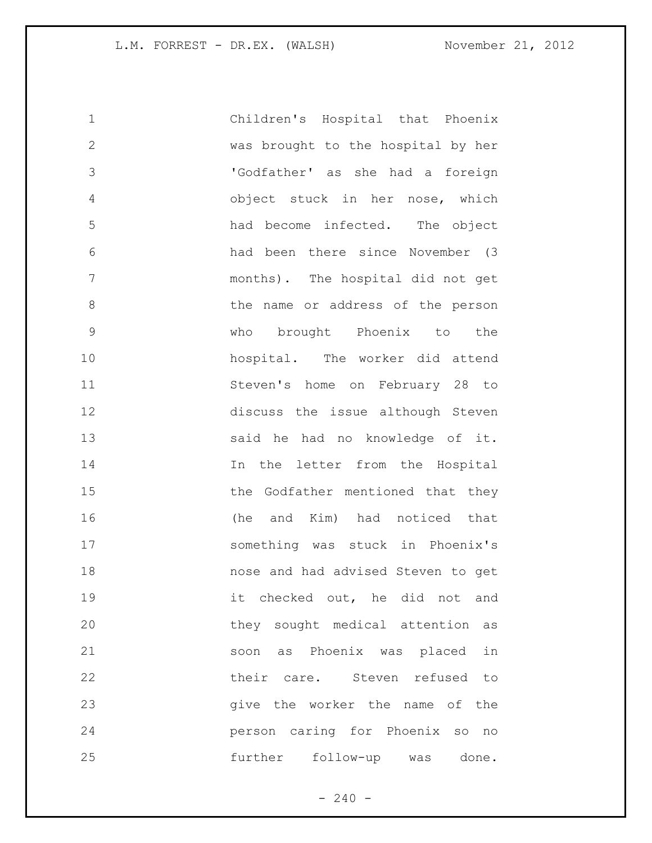| $\mathbf 1$   | Children's Hospital that Phoenix   |
|---------------|------------------------------------|
| $\mathbf{2}$  | was brought to the hospital by her |
| $\mathcal{S}$ | 'Godfather' as she had a foreign   |
| 4             | object stuck in her nose, which    |
| 5             | had become infected. The object    |
| 6             | had been there since November (3   |
| 7             | months). The hospital did not get  |
| 8             | the name or address of the person  |
| $\mathsf 9$   | who brought Phoenix to<br>the      |
| 10            | hospital. The worker did attend    |
| 11            | Steven's home on February 28 to    |
| 12            | discuss the issue although Steven  |
| 13            | said he had no knowledge of it.    |
| 14            | In the letter from the Hospital    |
| 15            | the Godfather mentioned that they  |
| 16            | and Kim) had noticed that<br>(he   |
| 17            | something was stuck in Phoenix's   |
| 18            | nose and had advised Steven to get |
| 19            | it checked out, he did not and     |
| 20            | they sought medical attention as   |
| 21            | soon as Phoenix was placed in      |
| 22            | their care. Steven refused to      |
| 23            | give the worker the name of the    |
| 24            | person caring for Phoenix so no    |
| 25            | further follow-up was done.        |

- 240 -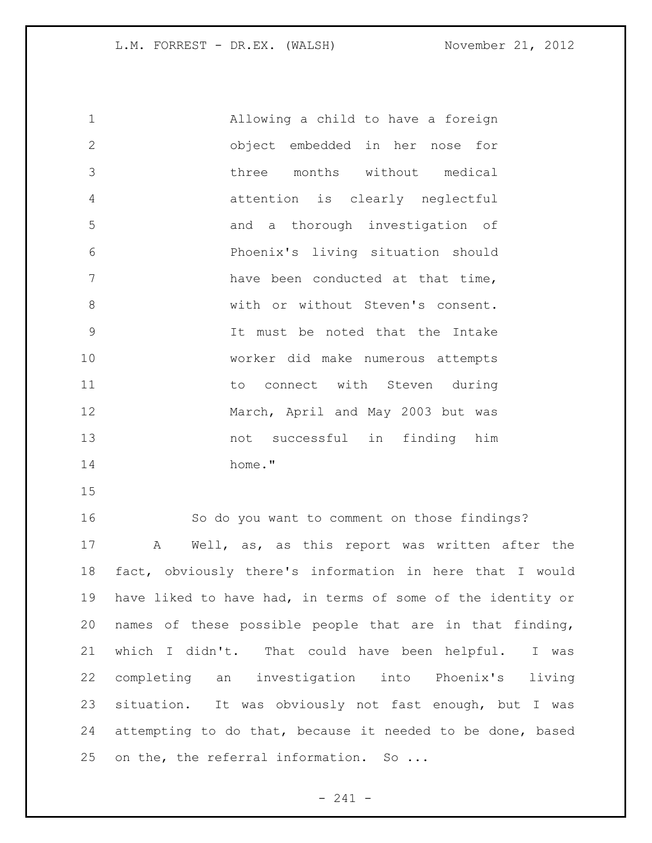Allowing a child to have a foreign object embedded in her nose for three months without medical attention is clearly neglectful and a thorough investigation of Phoenix's living situation should 7 have been conducted at that time, 8 with or without Steven's consent. It must be noted that the Intake worker did make numerous attempts 11 to connect with Steven during 12 March, April and May 2003 but was not successful in finding him home."

 So do you want to comment on those findings? A Well, as, as this report was written after the fact, obviously there's information in here that I would have liked to have had, in terms of some of the identity or names of these possible people that are in that finding, which I didn't. That could have been helpful. I was completing an investigation into Phoenix's living situation. It was obviously not fast enough, but I was attempting to do that, because it needed to be done, based 25 on the, the referral information. So ...

- 241 -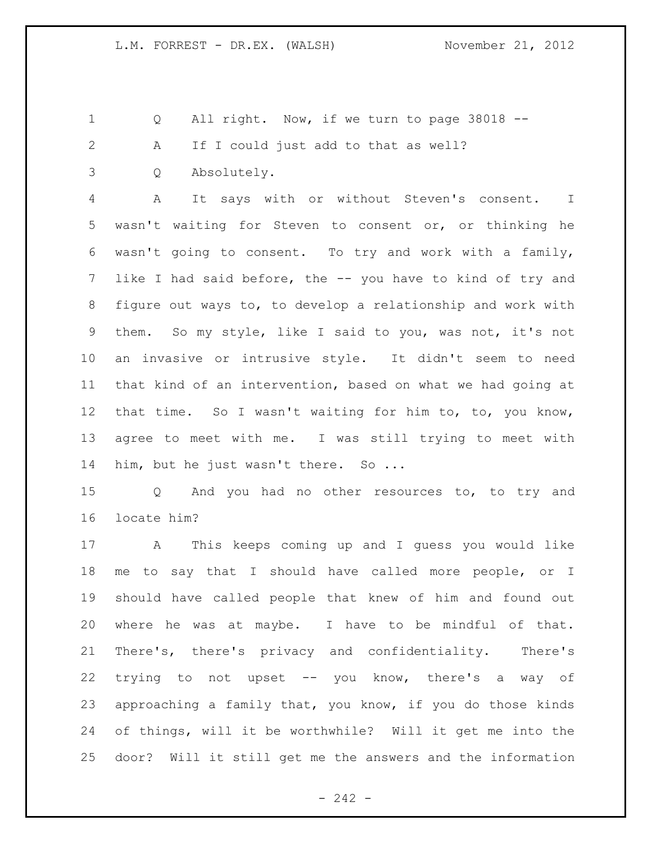1 Q All right. Now, if we turn to page 38018 --

A If I could just add to that as well?

Q Absolutely.

 A It says with or without Steven's consent. I wasn't waiting for Steven to consent or, or thinking he wasn't going to consent. To try and work with a family, like I had said before, the -- you have to kind of try and figure out ways to, to develop a relationship and work with them. So my style, like I said to you, was not, it's not an invasive or intrusive style. It didn't seem to need that kind of an intervention, based on what we had going at that time. So I wasn't waiting for him to, to, you know, agree to meet with me. I was still trying to meet with 14 him, but he just wasn't there. So ...

 Q And you had no other resources to, to try and locate him?

 A This keeps coming up and I guess you would like me to say that I should have called more people, or I should have called people that knew of him and found out where he was at maybe. I have to be mindful of that. There's, there's privacy and confidentiality. There's trying to not upset -- you know, there's a way of approaching a family that, you know, if you do those kinds of things, will it be worthwhile? Will it get me into the door? Will it still get me the answers and the information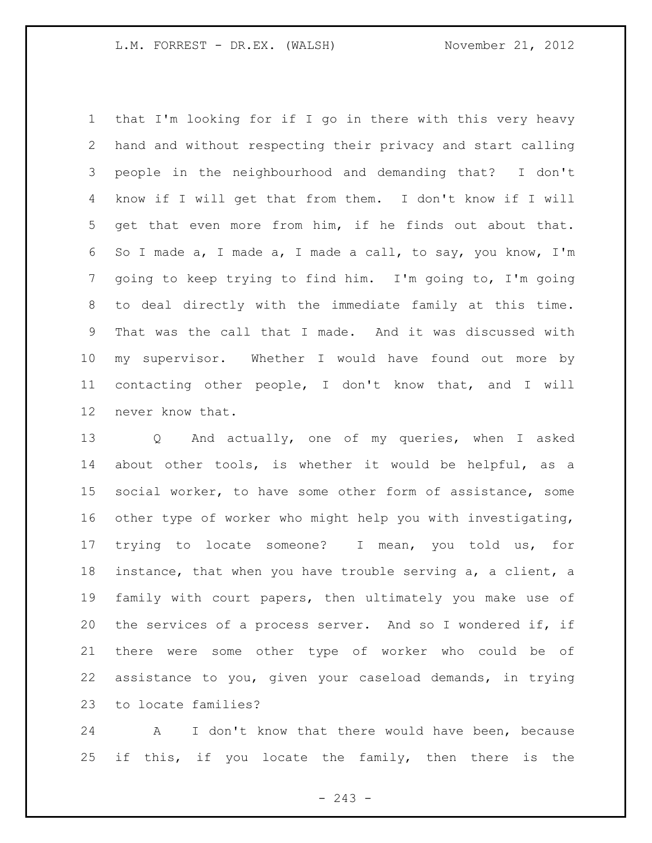that I'm looking for if I go in there with this very heavy hand and without respecting their privacy and start calling people in the neighbourhood and demanding that? I don't know if I will get that from them. I don't know if I will get that even more from him, if he finds out about that. So I made a, I made a, I made a call, to say, you know, I'm going to keep trying to find him. I'm going to, I'm going to deal directly with the immediate family at this time. That was the call that I made. And it was discussed with my supervisor. Whether I would have found out more by contacting other people, I don't know that, and I will never know that.

 Q And actually, one of my queries, when I asked about other tools, is whether it would be helpful, as a social worker, to have some other form of assistance, some other type of worker who might help you with investigating, trying to locate someone? I mean, you told us, for instance, that when you have trouble serving a, a client, a family with court papers, then ultimately you make use of the services of a process server. And so I wondered if, if there were some other type of worker who could be of assistance to you, given your caseload demands, in trying to locate families?

 A I don't know that there would have been, because 25 if this, if you locate the family, then there is the

 $-243 -$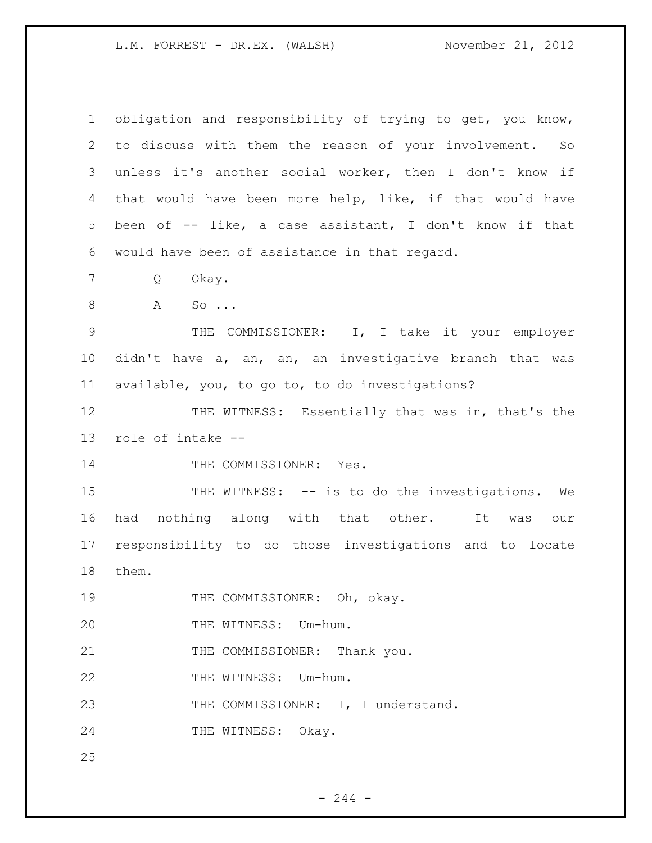| $\mathbf 1$ | obligation and responsibility of trying to get, you know,  |
|-------------|------------------------------------------------------------|
| 2           | to discuss with them the reason of your involvement.<br>So |
| 3           | unless it's another social worker, then I don't know if    |
| 4           | that would have been more help, like, if that would have   |
| 5           | been of -- like, a case assistant, I don't know if that    |
| 6           | would have been of assistance in that regard.              |
| 7           | Okay.<br>Q                                                 |
| $8\,$       | A<br>$\mathsf{SO}$                                         |
| $\mathsf 9$ | THE COMMISSIONER: I, I take it your employer               |
| 10          | didn't have a, an, an, an investigative branch that was    |
| 11          | available, you, to go to, to do investigations?            |
| 12          | THE WITNESS: Essentially that was in, that's the           |
| 13          | role of intake --                                          |
| 14          | THE COMMISSIONER: Yes.                                     |
| 15          | THE WITNESS: -- is to do the investigations. We            |
| 16          | nothing along with that other. It<br>had<br>was<br>our     |
| 17          | responsibility to do those investigations and to locate    |
| 18          | them.                                                      |
| 19          | THE COMMISSIONER: Oh, okay.                                |
| 20          | THE WITNESS: Um-hum.                                       |
| 21          | THE COMMISSIONER: Thank you.                               |
| 22          | THE WITNESS: Um-hum.                                       |
|             |                                                            |
| 23          | THE COMMISSIONER: I, I understand.                         |
| 24          | THE WITNESS: Okay.                                         |

- 244 -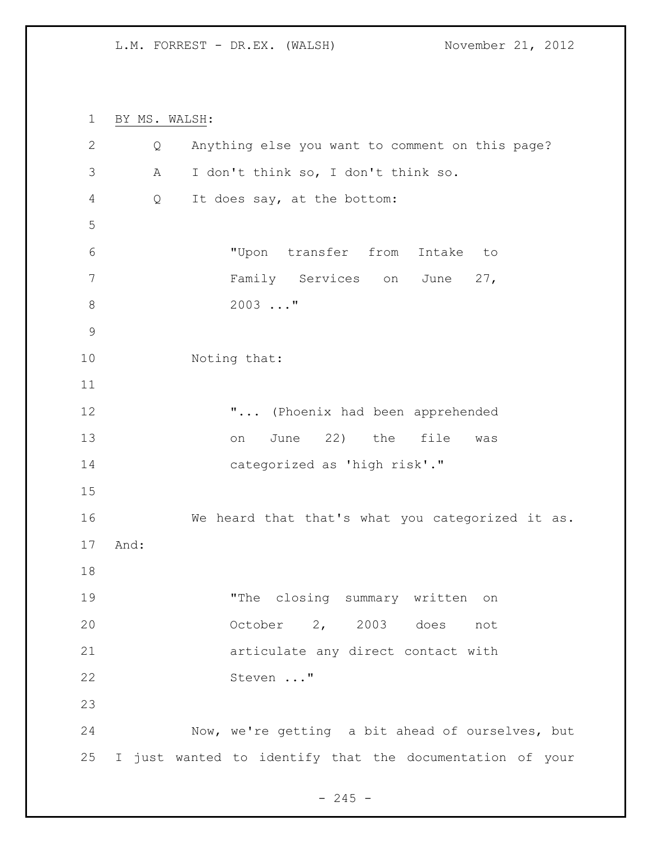BY MS. WALSH: Q Anything else you want to comment on this page? A I don't think so, I don't think so. Q It does say, at the bottom: "Upon transfer from Intake to Family Services on June 27, 2003 ..." Noting that: "... (Phoenix had been apprehended 13 on June 22) the file was categorized as 'high risk'." We heard that that's what you categorized it as. And: "The closing summary written on October 2, 2003 does not articulate any direct contact with Steven ..." Now, we're getting a bit ahead of ourselves, but I just wanted to identify that the documentation of your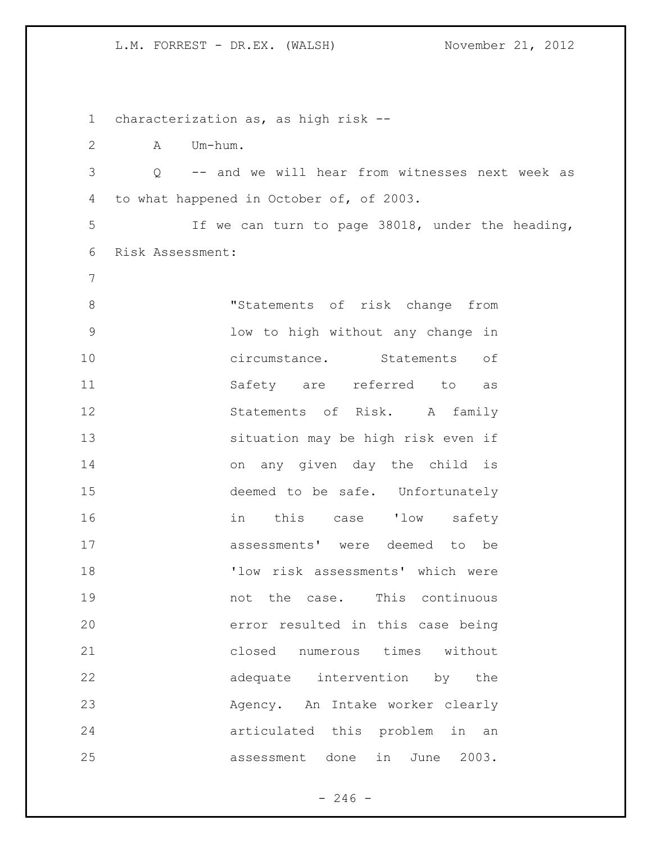characterization as, as high risk -- A Um-hum. Q -- and we will hear from witnesses next week as to what happened in October of, of 2003. If we can turn to page 38018, under the heading, Risk Assessment: "Statements of risk change from low to high without any change in circumstance. Statements of Safety are referred to as Statements of Risk. A family situation may be high risk even if on any given day the child is deemed to be safe. Unfortunately in this case 'low safety assessments' were deemed to be 'low risk assessments' which were 19 mot the case. This continuous error resulted in this case being closed numerous times without 22 adequate intervention by the Agency. An Intake worker clearly articulated this problem in an assessment done in June 2003.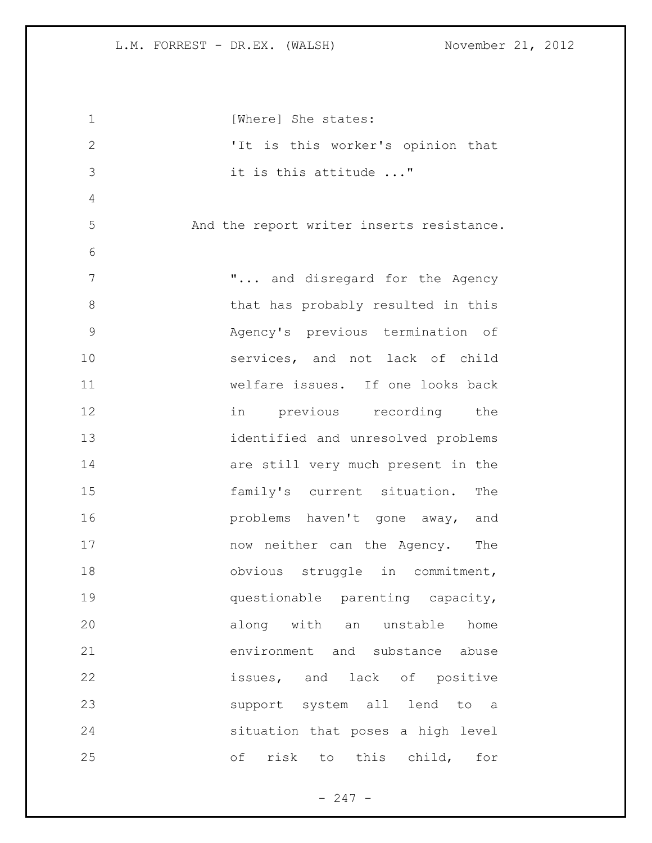| $\mathbf 1$   | [Where] She states:                       |
|---------------|-------------------------------------------|
| $\mathbf{2}$  | 'It is this worker's opinion that         |
| 3             | it is this attitude "                     |
| 4             |                                           |
| 5             | And the report writer inserts resistance. |
| 6             |                                           |
| 7             | " and disregard for the Agency            |
| 8             | that has probably resulted in this        |
| $\mathcal{G}$ | Agency's previous termination of          |
| 10            | services, and not lack of child           |
| 11            | welfare issues. If one looks back         |
| 12            | in previous recording the                 |
| 13            | identified and unresolved problems        |
| 14            | are still very much present in the        |
| 15            | family's current situation.<br>The        |
| 16            | problems haven't gone away, and           |
| 17            | now neither can the Agency. The           |
| 18            | obvious struggle in commitment,           |
| 19            | questionable parenting capacity,          |
| 20            | along with an unstable home               |
| 21            | environment and substance abuse           |
| 22            | issues, and lack of positive              |
| 23            | support system all lend to a              |
| 24            | situation that poses a high level         |
| 25            | оf<br>risk<br>this child,<br>for<br>to    |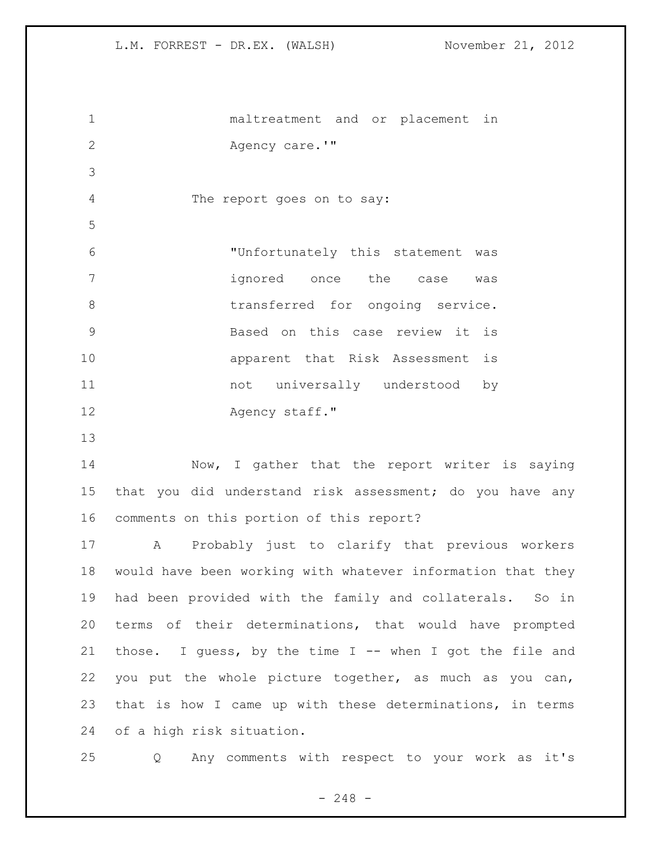maltreatment and or placement in 2 Agency care.'" The report goes on to say: "Unfortunately this statement was ignored once the case was 8 transferred for ongoing service. Based on this case review it is apparent that Risk Assessment is 11 11 not universally understood by 12 Agency staff." 14 Now, I gather that the report writer is saying that you did understand risk assessment; do you have any comments on this portion of this report? A Probably just to clarify that previous workers would have been working with whatever information that they had been provided with the family and collaterals. So in terms of their determinations, that would have prompted 21 those. I guess, by the time I -- when I got the file and you put the whole picture together, as much as you can, that is how I came up with these determinations, in terms

of a high risk situation.

Q Any comments with respect to your work as it's

 $- 248 -$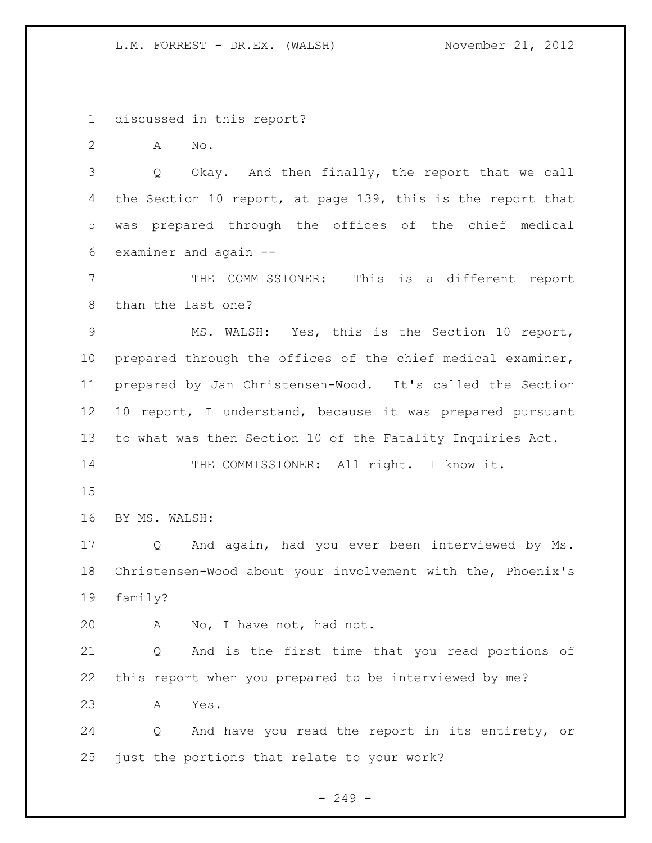discussed in this report?

A No.

 Q Okay. And then finally, the report that we call the Section 10 report, at page 139, this is the report that was prepared through the offices of the chief medical examiner and again --

 THE COMMISSIONER: This is a different report than the last one?

 MS. WALSH: Yes, this is the Section 10 report, prepared through the offices of the chief medical examiner, prepared by Jan Christensen-Wood. It's called the Section 10 report, I understand, because it was prepared pursuant to what was then Section 10 of the Fatality Inquiries Act.

14 THE COMMISSIONER: All right. I know it.

BY MS. WALSH:

 Q And again, had you ever been interviewed by Ms. Christensen-Wood about your involvement with the, Phoenix's family?

A No, I have not, had not.

 Q And is the first time that you read portions of this report when you prepared to be interviewed by me?

A Yes.

 Q And have you read the report in its entirety, or just the portions that relate to your work?

 $-249 -$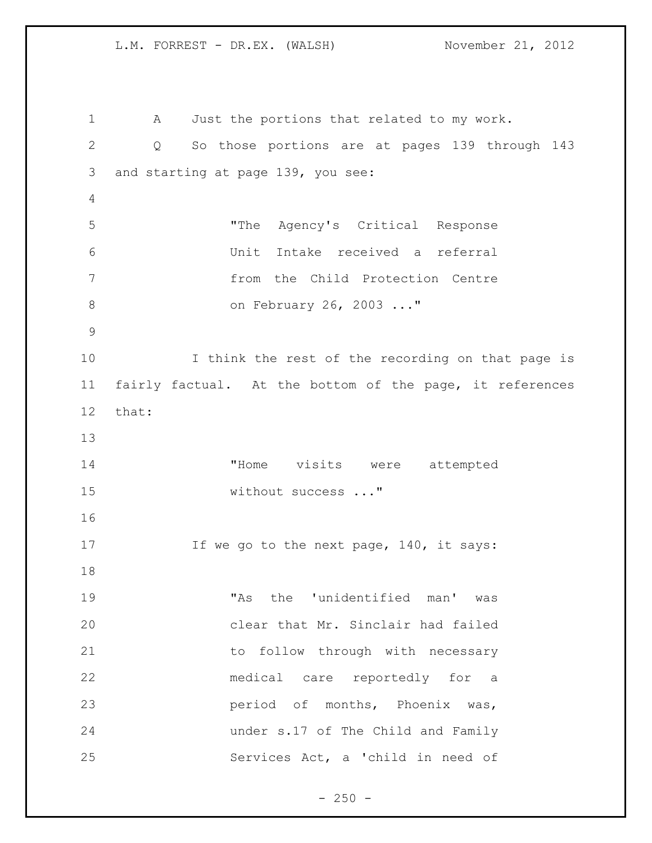A Just the portions that related to my work. Q So those portions are at pages 139 through 143 and starting at page 139, you see: "The Agency's Critical Response Unit Intake received a referral from the Child Protection Centre on February 26, 2003 ..." I think the rest of the recording on that page is fairly factual. At the bottom of the page, it references that: "Home visits were attempted 15 without success ..." 17 If we go to the next page, 140, it says: "As the 'unidentified man' was clear that Mr. Sinclair had failed 21 to follow through with necessary medical care reportedly for a period of months, Phoenix was, under s.17 of The Child and Family Services Act, a 'child in need of

 $- 250 -$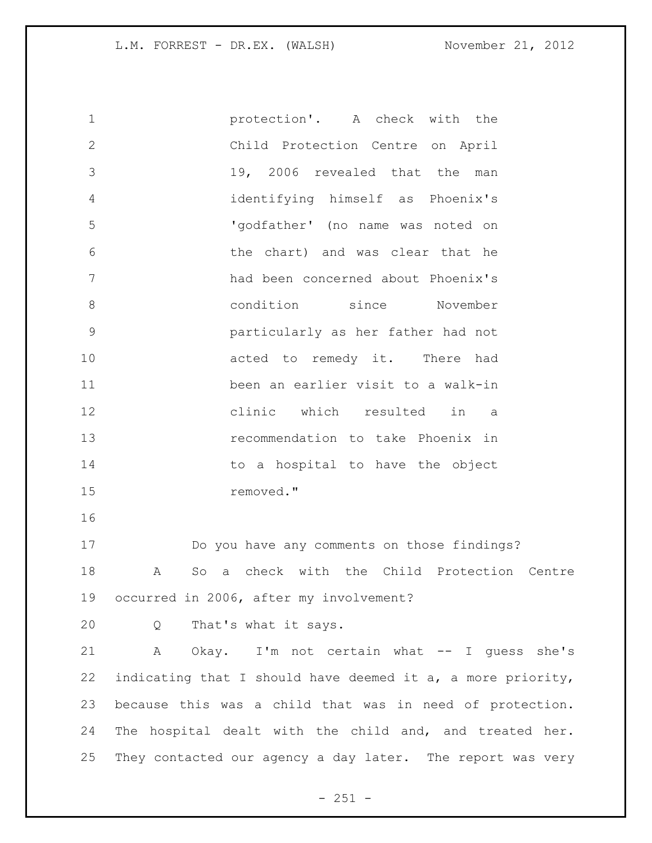protection'. A check with the Child Protection Centre on April 19, 2006 revealed that the man identifying himself as Phoenix's 'godfather' (no name was noted on the chart) and was clear that he had been concerned about Phoenix's condition since November particularly as her father had not 10 acted to remedy it. There had been an earlier visit to a walk-in clinic which resulted in a recommendation to take Phoenix in 14 to a hospital to have the object removed." Do you have any comments on those findings? A So a check with the Child Protection Centre occurred in 2006, after my involvement? Q That's what it says. A Okay. I'm not certain what -- I guess she's 22 indicating that I should have deemed it  $a_i$ , a more priority, because this was a child that was in need of protection. The hospital dealt with the child and, and treated her. They contacted our agency a day later. The report was very

 $- 251 -$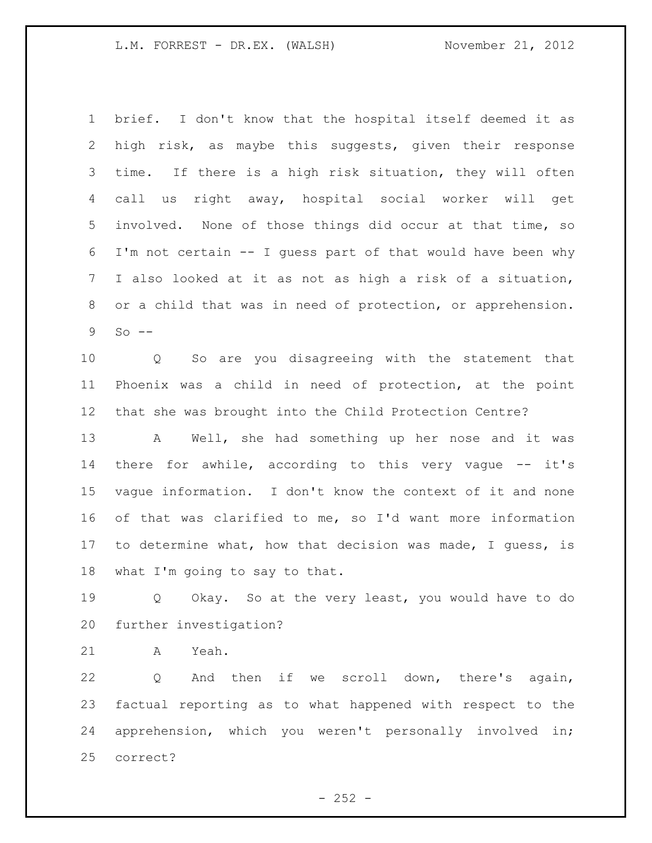brief. I don't know that the hospital itself deemed it as high risk, as maybe this suggests, given their response time. If there is a high risk situation, they will often call us right away, hospital social worker will get involved. None of those things did occur at that time, so I'm not certain -- I guess part of that would have been why I also looked at it as not as high a risk of a situation, or a child that was in need of protection, or apprehension. So  $-$ 

 Q So are you disagreeing with the statement that Phoenix was a child in need of protection, at the point that she was brought into the Child Protection Centre?

 A Well, she had something up her nose and it was there for awhile, according to this very vague -- it's vague information. I don't know the context of it and none of that was clarified to me, so I'd want more information to determine what, how that decision was made, I guess, is what I'm going to say to that.

 Q Okay. So at the very least, you would have to do further investigation?

A Yeah.

 Q And then if we scroll down, there's again, factual reporting as to what happened with respect to the apprehension, which you weren't personally involved in; correct?

 $- 252 -$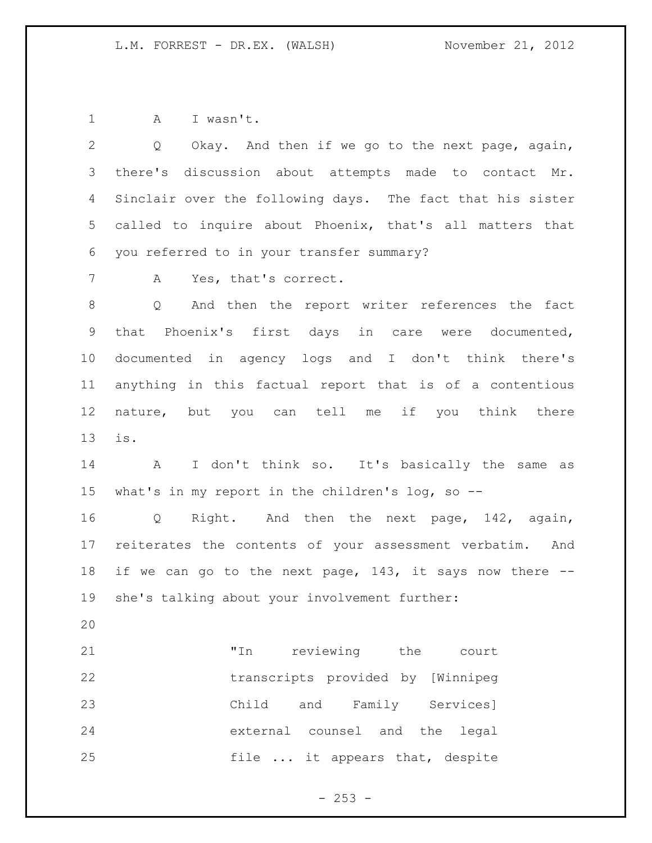1 A I wasn't.

 Q Okay. And then if we go to the next page, again, there's discussion about attempts made to contact Mr. Sinclair over the following days. The fact that his sister called to inquire about Phoenix, that's all matters that you referred to in your transfer summary?

7 A Yes, that's correct.

 Q And then the report writer references the fact that Phoenix's first days in care were documented, documented in agency logs and I don't think there's anything in this factual report that is of a contentious nature, but you can tell me if you think there is.

 A I don't think so. It's basically the same as what's in my report in the children's log, so --

 Q Right. And then the next page, 142, again, reiterates the contents of your assessment verbatim. And if we can go to the next page, 143, it says now there -- she's talking about your involvement further:

 "In reviewing the court transcripts provided by [Winnipeg Child and Family Services] external counsel and the legal file ... it appears that, despite

 $-253 -$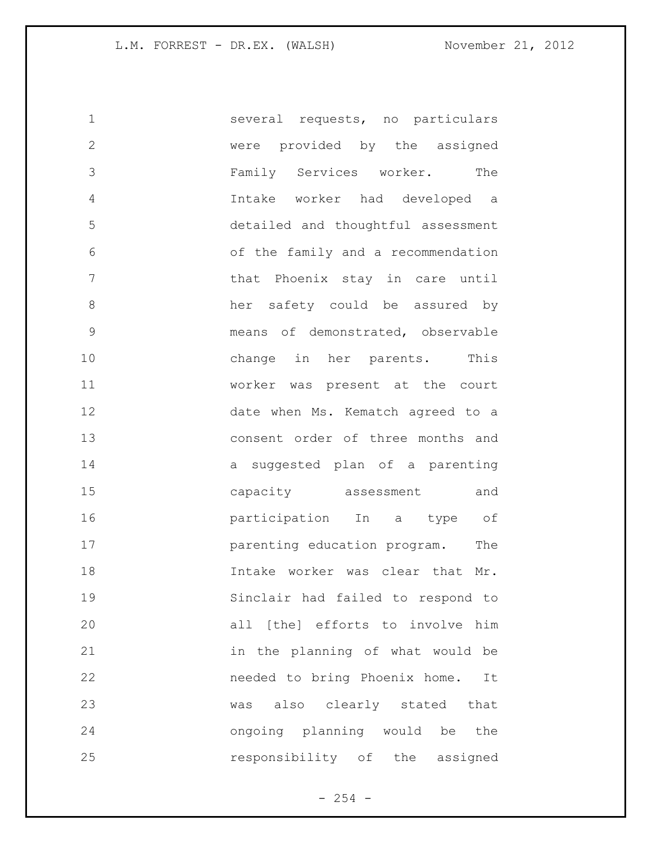| $\mathbf 1$   | several requests, no particulars   |
|---------------|------------------------------------|
| $\mathbf{2}$  | were provided by the assigned      |
| 3             | Family Services worker. The        |
| 4             | Intake worker had developed a      |
| 5             | detailed and thoughtful assessment |
| 6             | of the family and a recommendation |
| 7             | that Phoenix stay in care until    |
| 8             | her safety could be assured by     |
| $\mathcal{G}$ | means of demonstrated, observable  |
| 10            | change in her parents. This        |
| 11            | worker was present at the court    |
| 12            | date when Ms. Kematch agreed to a  |
| 13            | consent order of three months and  |
| 14            | a suggested plan of a parenting    |
| 15            | capacity assessment and            |
| 16            | participation In a type of         |
| 17            | parenting education program. The   |
| 18            | Intake worker was clear that Mr.   |
| 19            | Sinclair had failed to respond to  |
| 20            | all [the] efforts to involve him   |
| 21            | in the planning of what would be   |
| 22            | needed to bring Phoenix home. It   |
| 23            | was also clearly stated that       |
| 24            | ongoing planning would be the      |
| 25            | responsibility of the assigned     |

- 254 -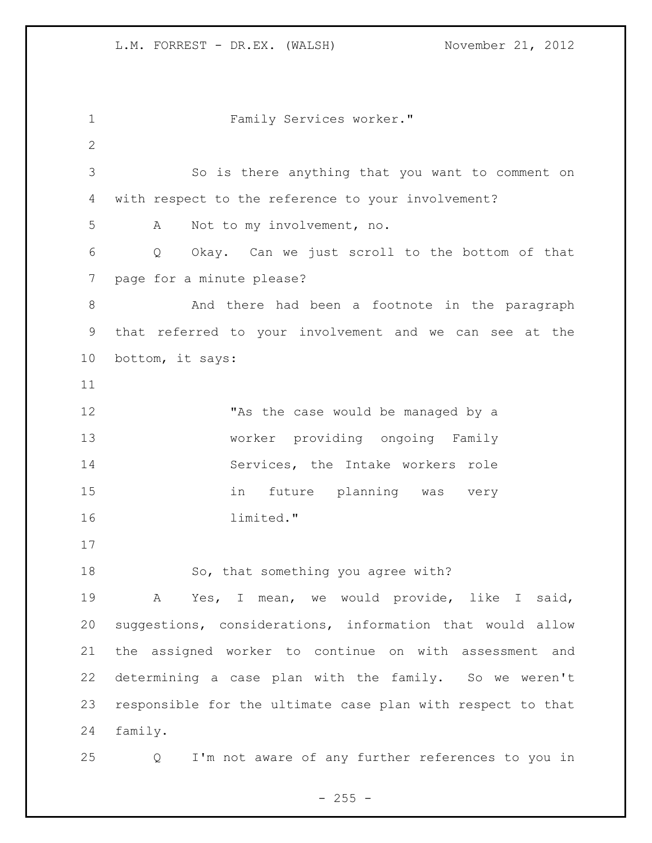Family Services worker." So is there anything that you want to comment on with respect to the reference to your involvement? A Not to my involvement, no. Q Okay. Can we just scroll to the bottom of that page for a minute please? 8 And there had been a footnote in the paragraph that referred to your involvement and we can see at the bottom, it says: 12 TAs the case would be managed by a worker providing ongoing Family Services, the Intake workers role in future planning was very limited." 18 So, that something you agree with? A Yes, I mean, we would provide, like I said, suggestions, considerations, information that would allow the assigned worker to continue on with assessment and determining a case plan with the family. So we weren't responsible for the ultimate case plan with respect to that family. Q I'm not aware of any further references to you in

 $- 255 -$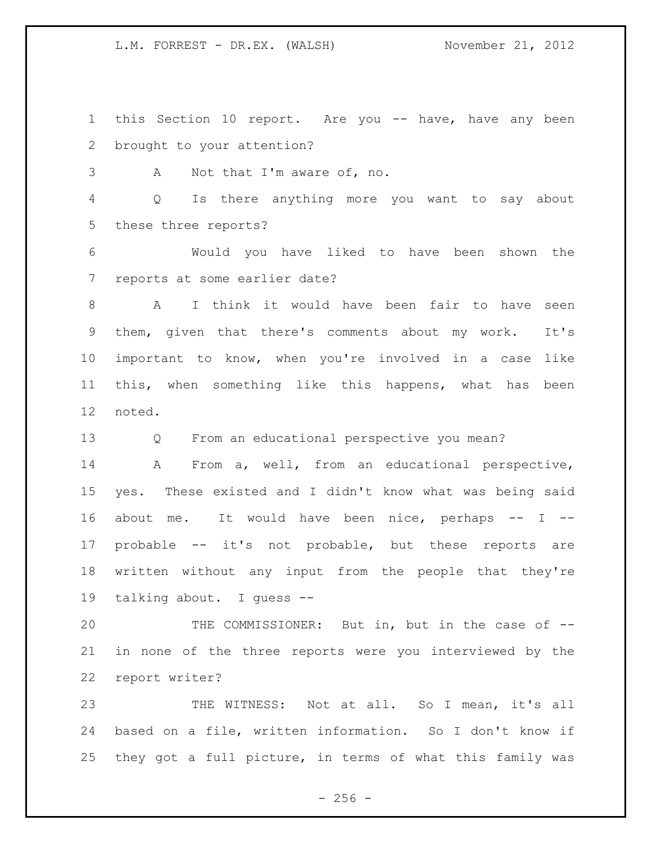this Section 10 report. Are you -- have, have any been brought to your attention?

A Not that I'm aware of, no.

 Q Is there anything more you want to say about these three reports?

 Would you have liked to have been shown the reports at some earlier date?

 A I think it would have been fair to have seen them, given that there's comments about my work. It's important to know, when you're involved in a case like this, when something like this happens, what has been noted.

Q From an educational perspective you mean?

 A From a, well, from an educational perspective, yes. These existed and I didn't know what was being said about me. It would have been nice, perhaps -- I -- probable -- it's not probable, but these reports are written without any input from the people that they're talking about. I guess --

 THE COMMISSIONER: But in, but in the case of -- in none of the three reports were you interviewed by the report writer?

 THE WITNESS: Not at all. So I mean, it's all based on a file, written information. So I don't know if they got a full picture, in terms of what this family was

 $- 256 -$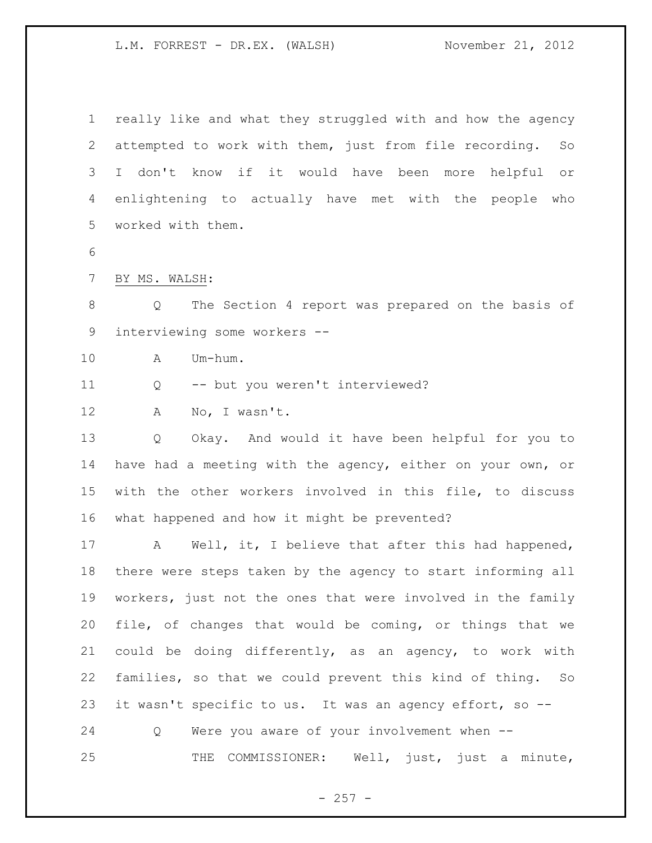really like and what they struggled with and how the agency attempted to work with them, just from file recording. So I don't know if it would have been more helpful or enlightening to actually have met with the people who worked with them.

BY MS. WALSH:

 Q The Section 4 report was prepared on the basis of interviewing some workers --

A Um-hum.

Q -- but you weren't interviewed?

12 A No, I wasn't.

 Q Okay. And would it have been helpful for you to have had a meeting with the agency, either on your own, or with the other workers involved in this file, to discuss what happened and how it might be prevented?

 A Well, it, I believe that after this had happened, there were steps taken by the agency to start informing all workers, just not the ones that were involved in the family file, of changes that would be coming, or things that we could be doing differently, as an agency, to work with families, so that we could prevent this kind of thing. So it wasn't specific to us. It was an agency effort, so --

Q Were you aware of your involvement when --

25 THE COMMISSIONER: Well, just, just a minute,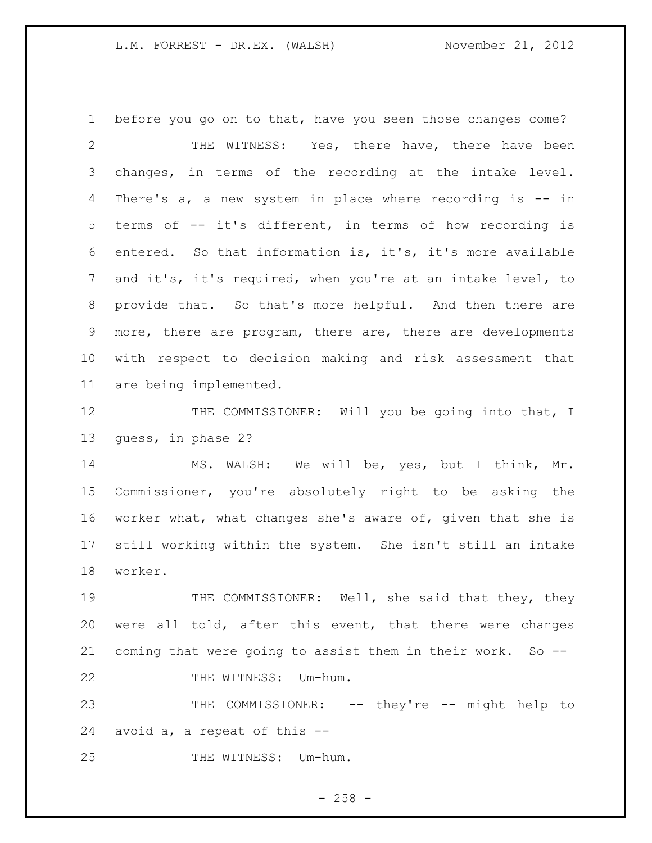before you go on to that, have you seen those changes come? THE WITNESS: Yes, there have, there have been changes, in terms of the recording at the intake level. There's a, a new system in place where recording is -- in terms of -- it's different, in terms of how recording is entered. So that information is, it's, it's more available and it's, it's required, when you're at an intake level, to provide that. So that's more helpful. And then there are more, there are program, there are, there are developments with respect to decision making and risk assessment that are being implemented. 12 THE COMMISSIONER: Will you be going into that, I

guess, in phase 2?

 MS. WALSH: We will be, yes, but I think, Mr. Commissioner, you're absolutely right to be asking the worker what, what changes she's aware of, given that she is still working within the system. She isn't still an intake worker.

19 THE COMMISSIONER: Well, she said that they, they were all told, after this event, that there were changes coming that were going to assist them in their work. So -- 22 THE WITNESS: Um-hum.

 THE COMMISSIONER: -- they're -- might help to avoid a, a repeat of this --

25 THE WITNESS: Um-hum.

 $- 258 -$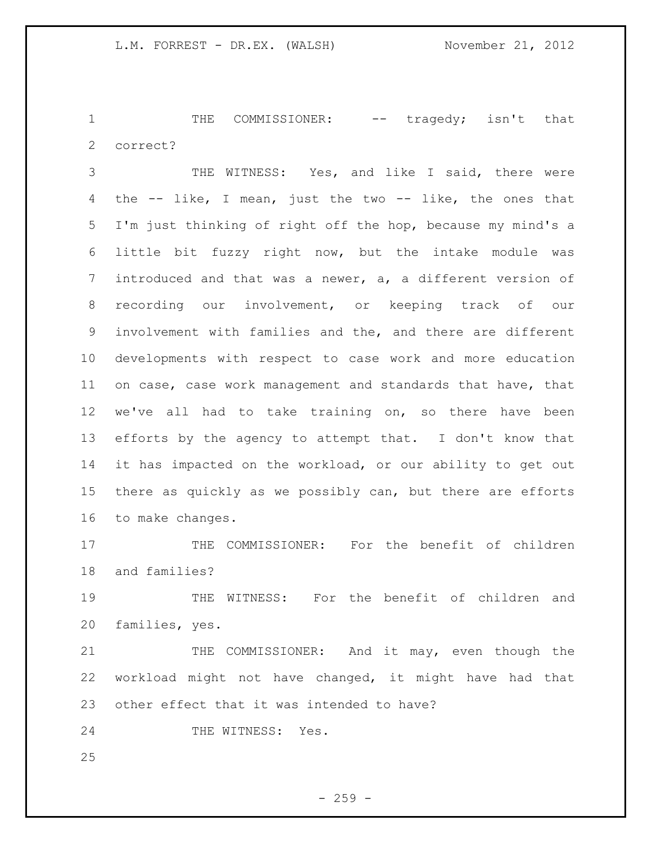1 THE COMMISSIONER: -- tragedy; isn't that correct?

 THE WITNESS: Yes, and like I said, there were the -- like, I mean, just the two -- like, the ones that I'm just thinking of right off the hop, because my mind's a little bit fuzzy right now, but the intake module was introduced and that was a newer, a, a different version of recording our involvement, or keeping track of our involvement with families and the, and there are different developments with respect to case work and more education on case, case work management and standards that have, that we've all had to take training on, so there have been efforts by the agency to attempt that. I don't know that it has impacted on the workload, or our ability to get out there as quickly as we possibly can, but there are efforts to make changes.

17 THE COMMISSIONER: For the benefit of children and families?

19 THE WITNESS: For the benefit of children and families, yes.

21 THE COMMISSIONER: And it may, even though the workload might not have changed, it might have had that other effect that it was intended to have?

24 THE WITNESS: Yes.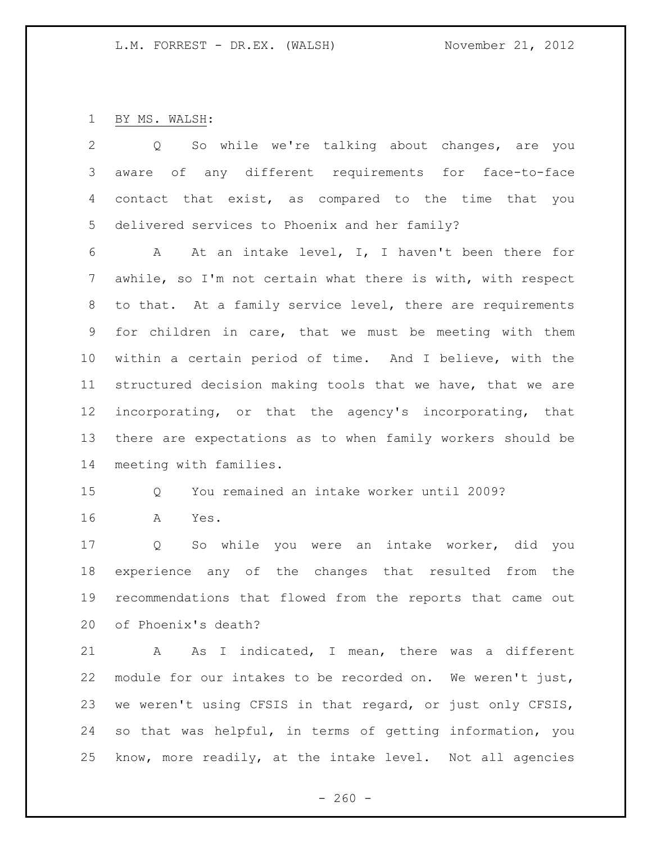BY MS. WALSH:

 Q So while we're talking about changes, are you aware of any different requirements for face-to-face contact that exist, as compared to the time that you delivered services to Phoenix and her family?

 A At an intake level, I, I haven't been there for awhile, so I'm not certain what there is with, with respect to that. At a family service level, there are requirements for children in care, that we must be meeting with them within a certain period of time. And I believe, with the structured decision making tools that we have, that we are incorporating, or that the agency's incorporating, that there are expectations as to when family workers should be meeting with families.

## Q You remained an intake worker until 2009?

A Yes.

 Q So while you were an intake worker, did you experience any of the changes that resulted from the recommendations that flowed from the reports that came out of Phoenix's death?

 A As I indicated, I mean, there was a different module for our intakes to be recorded on. We weren't just, we weren't using CFSIS in that regard, or just only CFSIS, so that was helpful, in terms of getting information, you know, more readily, at the intake level. Not all agencies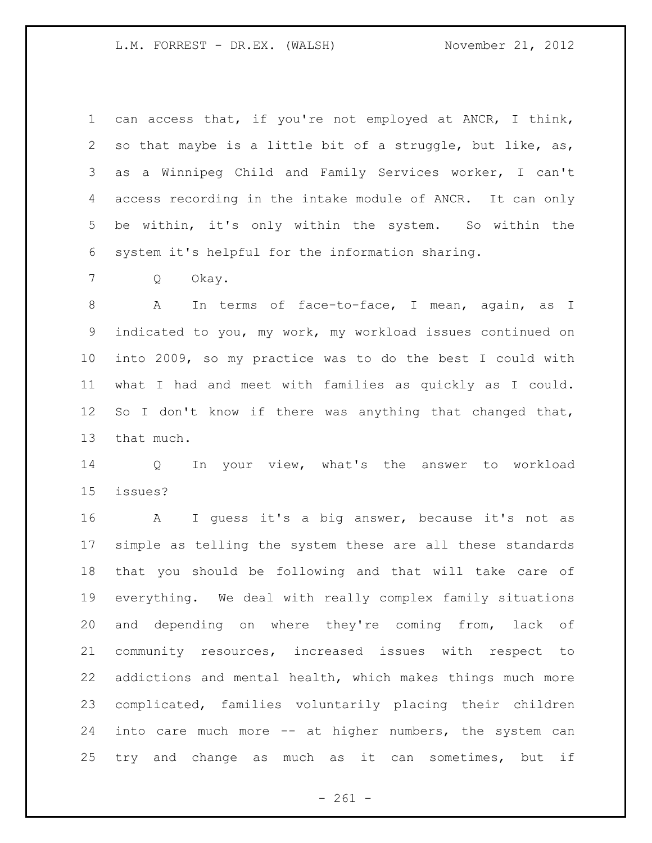can access that, if you're not employed at ANCR, I think, so that maybe is a little bit of a struggle, but like, as, as a Winnipeg Child and Family Services worker, I can't access recording in the intake module of ANCR. It can only be within, it's only within the system. So within the system it's helpful for the information sharing.

Q Okay.

 A In terms of face-to-face, I mean, again, as I indicated to you, my work, my workload issues continued on into 2009, so my practice was to do the best I could with what I had and meet with families as quickly as I could. So I don't know if there was anything that changed that, that much.

 Q In your view, what's the answer to workload issues?

 A I guess it's a big answer, because it's not as simple as telling the system these are all these standards that you should be following and that will take care of everything. We deal with really complex family situations and depending on where they're coming from, lack of community resources, increased issues with respect to addictions and mental health, which makes things much more complicated, families voluntarily placing their children into care much more -- at higher numbers, the system can try and change as much as it can sometimes, but if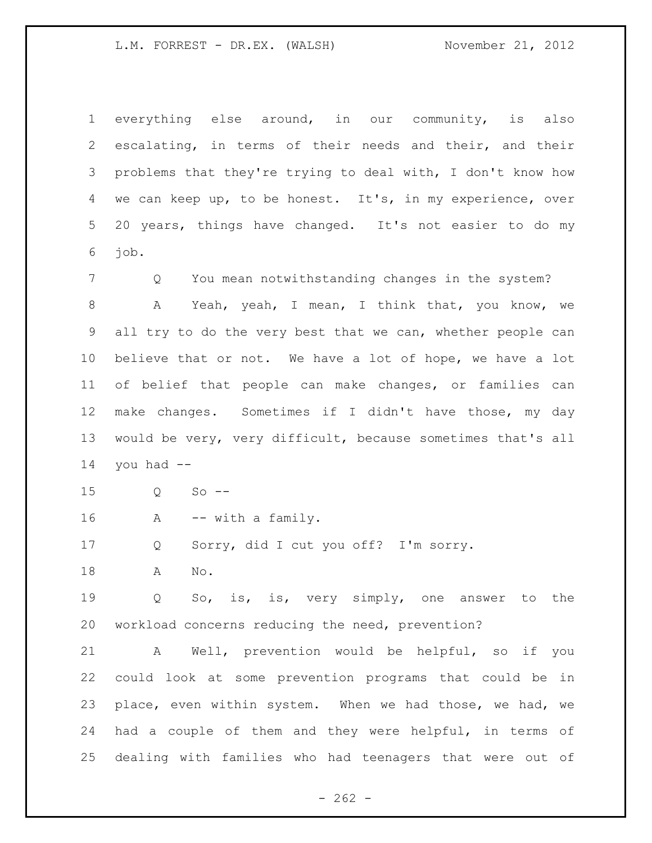everything else around, in our community, is also escalating, in terms of their needs and their, and their problems that they're trying to deal with, I don't know how we can keep up, to be honest. It's, in my experience, over 20 years, things have changed. It's not easier to do my job.

Q You mean notwithstanding changes in the system?

8 A Yeah, yeah, I mean, I think that, you know, we all try to do the very best that we can, whether people can believe that or not. We have a lot of hope, we have a lot of belief that people can make changes, or families can make changes. Sometimes if I didn't have those, my day would be very, very difficult, because sometimes that's all you had  $-$ 

Q So --

A -- with a family.

Q Sorry, did I cut you off? I'm sorry.

A No.

 Q So, is, is, very simply, one answer to the workload concerns reducing the need, prevention?

 A Well, prevention would be helpful, so if you could look at some prevention programs that could be in place, even within system. When we had those, we had, we had a couple of them and they were helpful, in terms of dealing with families who had teenagers that were out of

 $- 262 -$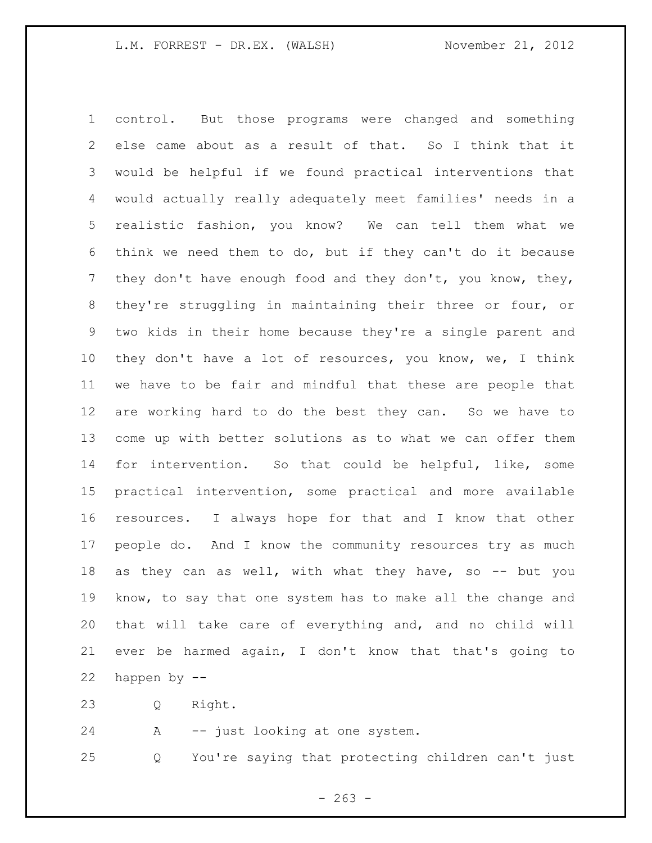control. But those programs were changed and something else came about as a result of that. So I think that it would be helpful if we found practical interventions that would actually really adequately meet families' needs in a realistic fashion, you know? We can tell them what we think we need them to do, but if they can't do it because they don't have enough food and they don't, you know, they, they're struggling in maintaining their three or four, or two kids in their home because they're a single parent and they don't have a lot of resources, you know, we, I think we have to be fair and mindful that these are people that are working hard to do the best they can. So we have to come up with better solutions as to what we can offer them for intervention. So that could be helpful, like, some practical intervention, some practical and more available resources. I always hope for that and I know that other people do. And I know the community resources try as much as they can as well, with what they have, so -- but you know, to say that one system has to make all the change and that will take care of everything and, and no child will ever be harmed again, I don't know that that's going to happen by --

Q Right.

A -- just looking at one system.

Q You're saying that protecting children can't just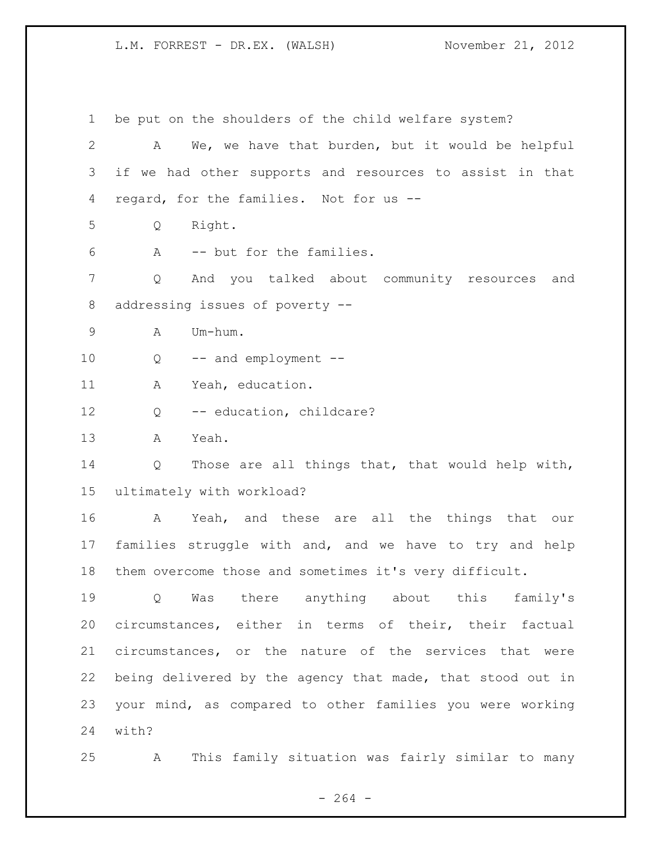be put on the shoulders of the child welfare system? A We, we have that burden, but it would be helpful if we had other supports and resources to assist in that regard, for the families. Not for us -- Q Right. A -- but for the families. Q And you talked about community resources and addressing issues of poverty -- A Um-hum. 10 Q -- and employment -- A Yeah, education. 12 Q -- education, childcare? A Yeah. Q Those are all things that, that would help with, ultimately with workload? A Yeah, and these are all the things that our families struggle with and, and we have to try and help them overcome those and sometimes it's very difficult. Q Was there anything about this family's circumstances, either in terms of their, their factual circumstances, or the nature of the services that were being delivered by the agency that made, that stood out in your mind, as compared to other families you were working with? A This family situation was fairly similar to many

 $- 264 -$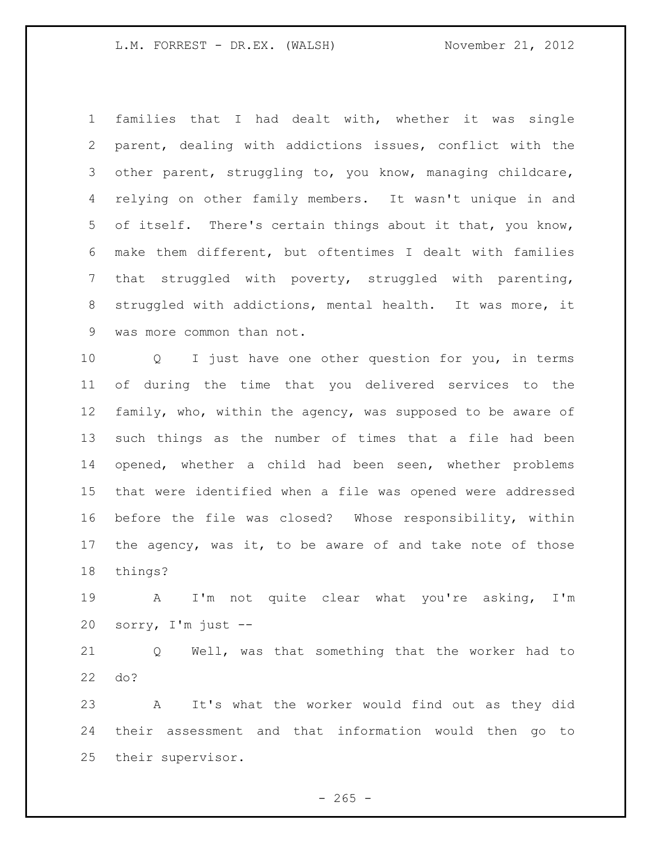families that I had dealt with, whether it was single parent, dealing with addictions issues, conflict with the other parent, struggling to, you know, managing childcare, relying on other family members. It wasn't unique in and of itself. There's certain things about it that, you know, make them different, but oftentimes I dealt with families that struggled with poverty, struggled with parenting, struggled with addictions, mental health. It was more, it was more common than not.

 Q I just have one other question for you, in terms of during the time that you delivered services to the family, who, within the agency, was supposed to be aware of such things as the number of times that a file had been opened, whether a child had been seen, whether problems that were identified when a file was opened were addressed before the file was closed? Whose responsibility, within the agency, was it, to be aware of and take note of those things?

 A I'm not quite clear what you're asking, I'm sorry, I'm just --

 Q Well, was that something that the worker had to do?

 A It's what the worker would find out as they did their assessment and that information would then go to their supervisor.

 $- 265 -$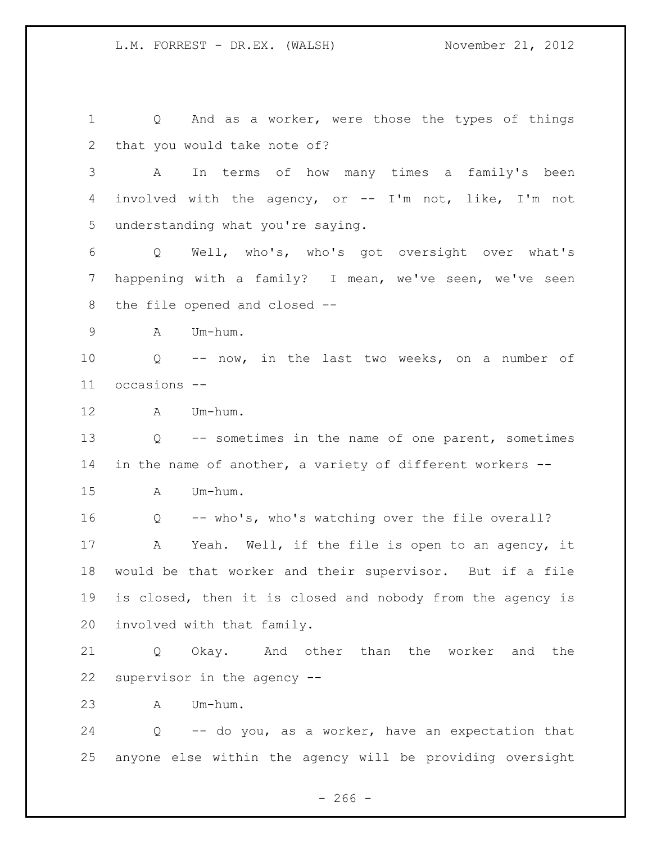Q And as a worker, were those the types of things that you would take note of? A In terms of how many times a family's been involved with the agency, or -- I'm not, like, I'm not understanding what you're saying. Q Well, who's, who's got oversight over what's happening with a family? I mean, we've seen, we've seen the file opened and closed -- A Um-hum. Q -- now, in the last two weeks, on a number of occasions -- A Um-hum. Q -- sometimes in the name of one parent, sometimes in the name of another, a variety of different workers -- A Um-hum. Q -- who's, who's watching over the file overall? A Yeah. Well, if the file is open to an agency, it would be that worker and their supervisor. But if a file is closed, then it is closed and nobody from the agency is involved with that family. Q Okay. And other than the worker and the supervisor in the agency -- A Um-hum. Q -- do you, as a worker, have an expectation that anyone else within the agency will be providing oversight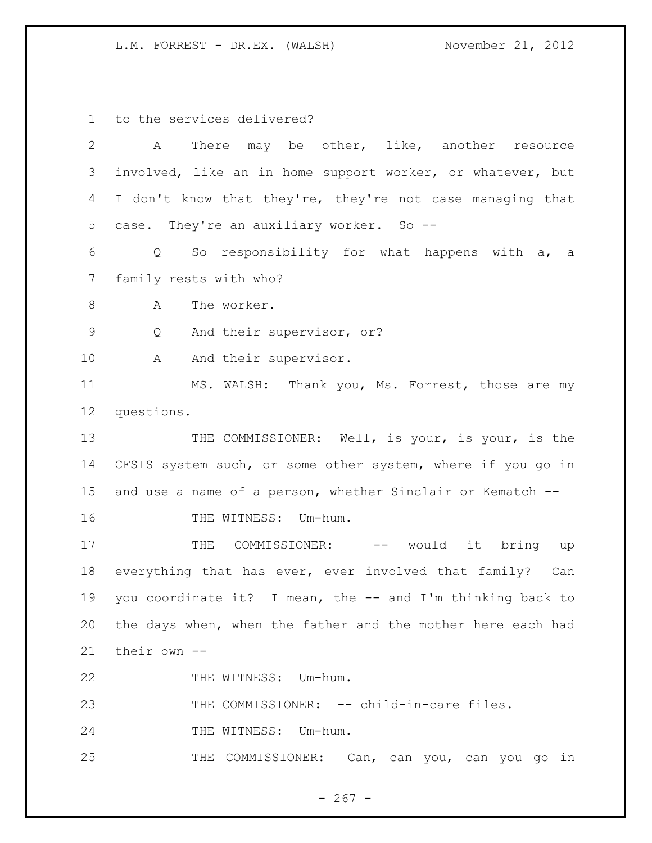to the services delivered?

| $\mathbf{2}$ | There may be other, like, another resource<br>А                      |
|--------------|----------------------------------------------------------------------|
| 3            | involved, like an in home support worker, or whatever, but           |
| 4            | I don't know that they're, they're not case managing that            |
| 5            | case. They're an auxiliary worker. So --                             |
| 6            | So responsibility for what happens with a,<br>$Q \qquad \qquad$<br>a |
| 7            | family rests with who?                                               |
| $8\,$        | The worker.<br>A                                                     |
| 9            | And their supervisor, or?<br>Q                                       |
| 10           | And their supervisor.<br>A                                           |
| 11           | MS. WALSH: Thank you, Ms. Forrest, those are my                      |
| 12           | questions.                                                           |
| 13           | THE COMMISSIONER: Well, is your, is your, is the                     |
| 14           | CFSIS system such, or some other system, where if you go in          |
| 15           | and use a name of a person, whether Sinclair or Kematch --           |
| 16           | THE WITNESS: Um-hum.                                                 |
| 17           | COMMISSIONER: -- would it bring up<br>THE                            |
| 18           | everything that has ever, ever involved that family? Can             |
| 19           | you coordinate it? I mean, the -- and I'm thinking back to           |
| 20           | the days when, when the father and the mother here each had          |
| 21           | their own --                                                         |
| 22           | THE WITNESS: Um-hum.                                                 |
| 23           | THE COMMISSIONER: -- child-in-care files.                            |
| 24           | THE WITNESS: Um-hum.                                                 |
| 25           | THE COMMISSIONER: Can, can you, can you go in                        |

- 267 -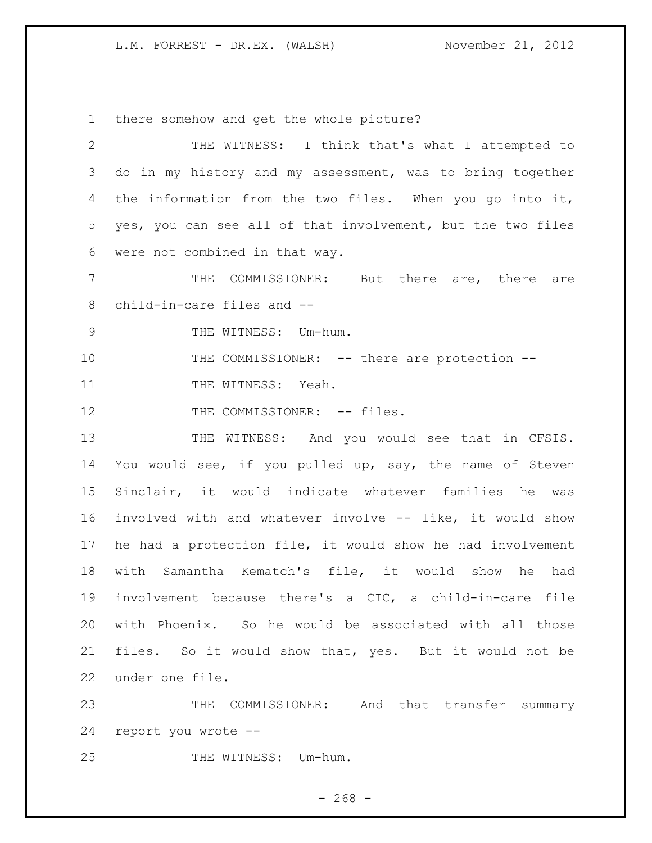there somehow and get the whole picture?

 THE WITNESS: I think that's what I attempted to do in my history and my assessment, was to bring together the information from the two files. When you go into it, yes, you can see all of that involvement, but the two files were not combined in that way. THE COMMISSIONER: But there are, there are child-in-care files and -- 9 THE WITNESS: Um-hum. 10 THE COMMISSIONER: -- there are protection --11 THE WITNESS: Yeah. 12 THE COMMISSIONER: -- files. 13 THE WITNESS: And you would see that in CFSIS. You would see, if you pulled up, say, the name of Steven Sinclair, it would indicate whatever families he was involved with and whatever involve -- like, it would show he had a protection file, it would show he had involvement with Samantha Kematch's file, it would show he had involvement because there's a CIC, a child-in-care file with Phoenix. So he would be associated with all those files. So it would show that, yes. But it would not be under one file. THE COMMISSIONER: And that transfer summary

report you wrote --

25 THE WITNESS: Um-hum.

 $- 268 -$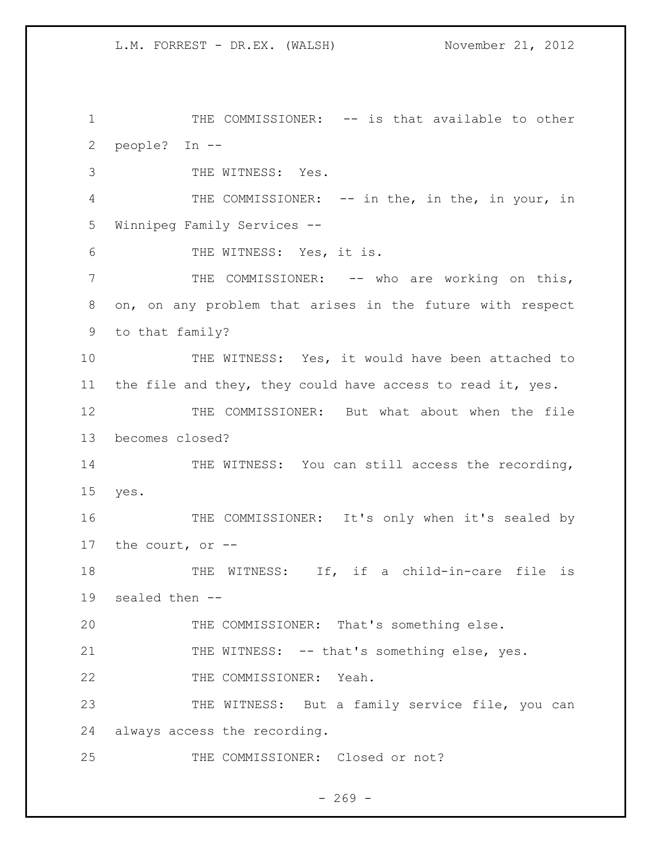THE COMMISSIONER: -- is that available to other people? In --

THE WITNESS: Yes.

 THE COMMISSIONER: -- in the, in the, in your, in Winnipeg Family Services --

6 THE WITNESS: Yes, it is.

 THE COMMISSIONER: -- who are working on this, on, on any problem that arises in the future with respect to that family?

 THE WITNESS: Yes, it would have been attached to the file and they, they could have access to read it, yes.

 THE COMMISSIONER: But what about when the file becomes closed?

14 THE WITNESS: You can still access the recording, yes.

16 THE COMMISSIONER: It's only when it's sealed by the court, or --

18 THE WITNESS: If, if a child-in-care file is sealed then --

THE COMMISSIONER: That's something else.

21 THE WITNESS: -- that's something else, yes.

THE COMMISSIONER: Yeah.

23 THE WITNESS: But a family service file, you can always access the recording.

THE COMMISSIONER: Closed or not?

 $- 269 -$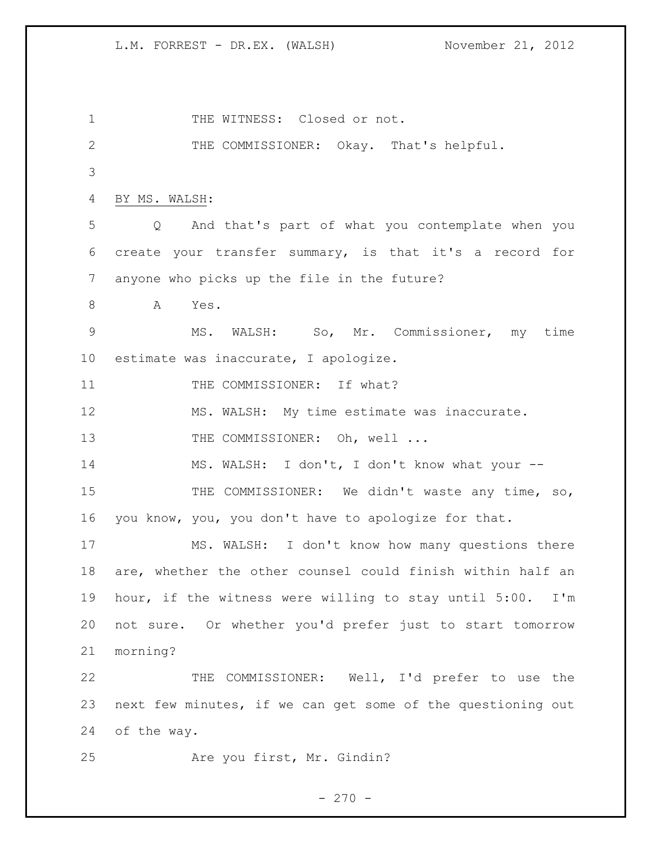1 THE WITNESS: Closed or not. THE COMMISSIONER: Okay. That's helpful. BY MS. WALSH: Q And that's part of what you contemplate when you create your transfer summary, is that it's a record for anyone who picks up the file in the future? 8 A Yes. MS. WALSH: So, Mr. Commissioner, my time estimate was inaccurate, I apologize. 11 THE COMMISSIONER: If what? MS. WALSH: My time estimate was inaccurate. 13 THE COMMISSIONER: Oh, well ... MS. WALSH: I don't, I don't know what your -- 15 THE COMMISSIONER: We didn't waste any time, so, you know, you, you don't have to apologize for that. MS. WALSH: I don't know how many questions there are, whether the other counsel could finish within half an hour, if the witness were willing to stay until 5:00. I'm not sure. Or whether you'd prefer just to start tomorrow morning? THE COMMISSIONER: Well, I'd prefer to use the next few minutes, if we can get some of the questioning out of the way. Are you first, Mr. Gindin?